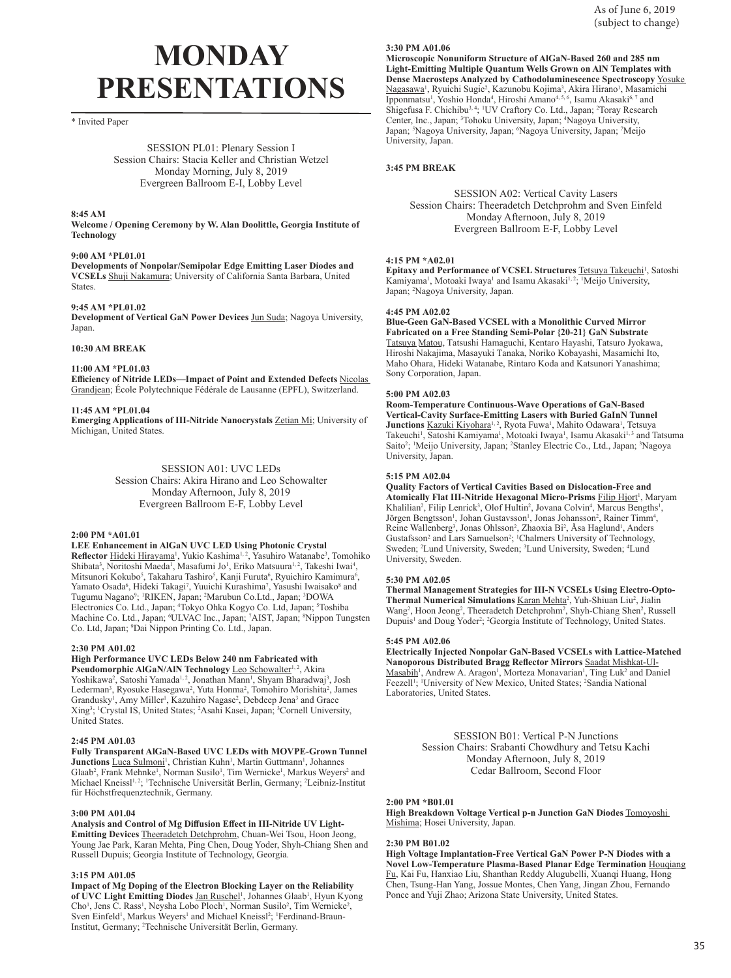# **MONDAY PRESENTATIONS**

\* Invited Paper

SESSION PL01: Plenary Session I Session Chairs: Stacia Keller and Christian Wetzel Monday Morning, July 8, 2019 Evergreen Ballroom E-I, Lobby Level

## **8:45 AM**

**Welcome / Opening Ceremony by W. Alan Doolittle, Georgia Institute of Technology**

## **9:00 AM \*PL01.01**

**Developments of Nonpolar/Semipolar Edge Emitting Laser Diodes and VCSELs** Shuji Nakamura; University of California Santa Barbara, United States.

## **9:45 AM \*PL01.02**

**Development of Vertical GaN Power Devices** Jun Suda; Nagoya University, Japan.

## **10:30 AM BREAK**

**11:00 AM \*PL01.03**

**Efficiency of Nitride LEDs—Impact of Point and Extended Defects** Nicolas Grandjean; École Polytechnique Fédérale de Lausanne (EPFL), Switzerland.

## **11:45 AM \*PL01.04**

**Emerging Applications of III-Nitride Nanocrystals** Zetian Mi; University of Michigan, United States.

## SESSION A01: UVC LEDs

Session Chairs: Akira Hirano and Leo Schowalter Monday Afternoon, July 8, 2019 Evergreen Ballroom E-F, Lobby Level

## **2:00 PM \*A01.01**

## **LEE Enhancement in AlGaN UVC LED Using Photonic Crystal**

Reflector **Hideki Hirayama<sup>1</sup>**, Yukio Kashima<sup>1, 2</sup>, Yasuhiro Watanabe<sup>3</sup>, Tomohiko Shibata<sup>3</sup>, Noritoshi Maeda<sup>1</sup>, Masafumi Jo<sup>1</sup>, Eriko Matsuura<sup>1, 2</sup>, Takeshi Iwai<sup>4</sup>, Mitsunori Kokubo<sup>5</sup>, Takaharu Tashiro<sup>5</sup>, Kanji Furuta<sup>6</sup>, Ryuichiro Kamimura<sup>6</sup>, Yamato Osada<sup>6</sup>, Hideki Takagi<sup>7</sup>, Yuuichi Kurashima<sup>7</sup>, Yasushi Iwaisako<sup>8</sup> and Tugumu Nagano<sup>9</sup>; <sup>1</sup>RIKEN, Japan; <sup>2</sup>Marubun Co.Ltd., Japan; <sup>3</sup>DOWA Electronics Co. Ltd., Japan; <sup>4</sup>Tokyo Ohka Kogyo Co. Ltd, Japan; <sup>5</sup>Toshiba Machine Co. Ltd., Japan; <sup>6</sup>ULVAC Inc., Japan; <sup>7</sup>AIST, Japan; <sup>8</sup>Nippon Tungsten Co. Ltd, Japan; <sup>9</sup> Dai Nippon Printing Co. Ltd., Japan.

## **2:30 PM A01.02**

## **High Performance UVC LEDs Below 240 nm Fabricated with**

Pseudomorphic AlGaN/AIN Technology Leo Schowalter<sup>1,2</sup>, Akira Yoshikawa<sup>2</sup>, Satoshi Yamada<sup>1, 2</sup>, Jonathan Mann<sup>1</sup>, Shyam Bharadwaj<sup>3</sup>, Josh Lederman<sup>3</sup>, Ryosuke Hasegawa<sup>2</sup>, Yuta Honma<sup>2</sup>, Tomohiro Morishita<sup>2</sup>, James Grandusky<sup>1</sup>, Amy Miller<sup>1</sup>, Kazuhiro Nagase<sup>2</sup>, Debdeep Jena<sup>3</sup> and Grace Xing3 ; 1 Crystal IS, United States; <sup>2</sup> Asahi Kasei, Japan; <sup>3</sup> Cornell University, United States.

## **2:45 PM A01.03**

**Fully Transparent AlGaN-Based UVC LEDs with MOVPE-Grown Tunnel**  Junctions Luca Sulmoni<sup>1</sup>, Christian Kuhn<sup>1</sup>, Martin Guttmann<sup>1</sup>, Johannes Glaab<sup>2</sup>, Frank Mehnke<sup>1</sup>, Norman Susilo<sup>1</sup>, Tim Wernicke<sup>1</sup>, Markus Weyers<sup>2</sup> and Michael Kneissl<sup>1, 2</sup>; <sup>1</sup>Technische Universität Berlin, Germany; <sup>2</sup>Leibniz-Institut für Höchstfrequenztechnik, Germany.

## **3:00 PM A01.04**

**Analysis and Control of Mg Diffusion Effect in III-Nitride UV Light-Emitting Devices** Theeradetch Detchprohm, Chuan-Wei Tsou, Hoon Jeong, Young Jae Park, Karan Mehta, Ping Chen, Doug Yoder, Shyh-Chiang Shen and Russell Dupuis; Georgia Institute of Technology, Georgia.

## **3:15 PM A01.05**

**Impact of Mg Doping of the Electron Blocking Layer on the Reliability**  of UVC Light Emitting Diodes Jan Ruschel<sup>1</sup>, Johannes Glaab<sup>1</sup>, Hyun Kyong Cho<sup>1</sup>, Jens C. Rass<sup>1</sup>, Neysha Lobo Ploch<sup>1</sup>, Norman Susilo<sup>2</sup>, Tim Wernicke<sup>2</sup>, Sven Einfeld<sup>1</sup>, Markus Weyers<sup>1</sup> and Michael Kneissl<sup>2</sup>; <sup>1</sup>Ferdinand-Braun-Institut, Germany; <sup>2</sup> Technische Universität Berlin, Germany.

## **3:30 PM A01.06**

**Microscopic Nonuniform Structure of AlGaN-Based 260 and 285 nm Light-Emitting Multiple Quantum Wells Grown on AlN Templates with Dense Macrosteps Analyzed by Cathodoluminescence Spectroscopy** Yosuke Nagasawa<sup>1</sup>, Ryuichi Sugie<sup>2</sup>, Kazunobu Kojima<sup>3</sup>, Akira Hirano<sup>1</sup>, Masamichi Ipponmatsu<sup>1</sup>, Yoshio Honda<sup>4</sup>, Hiroshi Amano<sup>4, 5, 6</sup>, Isamu Akasaki<sup>6, 7</sup> and Shigefusa F. Chichibu<sup>3, 4</sup>; <sup>1</sup>UV Craftory Co. Ltd., Japan; <sup>2</sup>Toray Research Center, Inc., Japan; <sup>3</sup>Tohoku University, Japan; <sup>4</sup>Nagoya University, Japan; <sup>5</sup>Nagoya University, Japan; <sup>6</sup>Nagoya University, Japan; <sup>7</sup>Meijo University, Japan.

## **3:45 PM BREAK**

SESSION A02: Vertical Cavity Lasers Session Chairs: Theeradetch Detchprohm and Sven Einfeld Monday Afternoon, July 8, 2019 Evergreen Ballroom E-F, Lobby Level

## **4:15 PM \*A02.01**

**Epitaxy and Performance of VCSEL Structures Tetsuya Takeuchi<sup>1</sup>, Satoshi** Kamiyama<sup>1</sup>, Motoaki Iwaya<sup>1</sup> and Isamu Akasaki<sup>1,2</sup>; <sup>1</sup>Meijo University, Japan; <sup>2</sup> Nagoya University, Japan.

#### **4:45 PM A02.02**

**Blue-Geen GaN-Based VCSEL with a Monolithic Curved Mirror Fabricated on a Free Standing Semi-Polar {20-21} GaN Substrate** Tatsuya Matou, Tatsushi Hamaguchi, Kentaro Hayashi, Tatsuro Jyokawa, Hiroshi Nakajima, Masayuki Tanaka, Noriko Kobayashi, Masamichi Ito, Maho Ohara, Hideki Watanabe, Rintaro Koda and Katsunori Yanashima; Sony Corporation, Japan.

## **5:00 PM A02.03**

**Room-Temperature Continuous-Wave Operations of GaN-Based Vertical-Cavity Surface-Emitting Lasers with Buried GaInN Tunnel**  Junctions Kazuki Kiyohara<sup>1, 2</sup>, Ryota Fuwa<sup>1</sup>, Mahito Odawara<sup>1</sup>, Tetsuya Takeuchi<sup>1</sup>, Satoshi Kamiyama<sup>1</sup>, Motoaki Iwaya<sup>1</sup>, Isamu Akasaki<sup>1,3</sup> and Tatsuma Saito<sup>2</sup>; <sup>1</sup>Meijo University, Japan; <sup>2</sup>Stanley Electric Co., Ltd., Japan; <sup>3</sup>Nagoya University, Japan.

## **5:15 PM A02.04**

**Quality Factors of Vertical Cavities Based on Dislocation-Free and Atomically Flat III-Nitride Hexagonal Micro-Prisms Filip Hjort<sup>1</sup>, Maryam** Khalilian<sup>2</sup>, Filip Lenrick<sup>3</sup>, Olof Hultin<sup>2</sup>, Jovana Colvin<sup>4</sup>, Marcus Bengths<sup>1</sup>, Jörgen Bengtsson<sup>1</sup>, Johan Gustavsson<sup>1</sup>, Jonas Johansson<sup>2</sup>, Rainer Timm<sup>4</sup>, Reine Wallenberg<sup>3</sup>, Jonas Ohlsson<sup>2</sup>, Zhaoxia Bi<sup>2</sup>, Åsa Haglund<sup>1</sup>, Anders Gustafsson<sup>2</sup> and Lars Samuelson<sup>2</sup>; <sup>1</sup>Chalmers University of Technology, Sweden; <sup>2</sup> Lund University, Sweden; <sup>3</sup> Lund University, Sweden; <sup>4</sup> Lund University, Sweden.

## **5:30 PM A02.05**

**Thermal Management Strategies for III-N VCSELs Using Electro-Opto-**Thermal Numerical Simulations Karan Mehta<sup>2</sup>, Yuh-Shiuan Liu<sup>2</sup>, Jialin Wang<sup>2</sup>, Hoon Jeong<sup>2</sup>, Theeradetch Detchprohm<sup>2</sup>, Shyh-Chiang Shen<sup>2</sup>, Russell Dupuis<sup>1</sup> and Doug Yoder<sup>2</sup>; <sup>2</sup>Georgia Institute of Technology, United States.

#### **5:45 PM A02.06**

**Electrically Injected Nonpolar GaN-Based VCSELs with Lattice-Matched Nanoporous Distributed Bragg Reflector Mirrors** Saadat Mishkat-Ul-Masabih<sup>1</sup>, Andrew A. Aragon<sup>1</sup>, Morteza Monavarian<sup>1</sup>, Ting Luk<sup>2</sup> and Daniel Feezell<sup>1</sup>; <sup>1</sup>University of New Mexico, United States; <sup>2</sup>Sandia National Laboratories, United States.

> SESSION B01: Vertical P-N Junctions Session Chairs: Srabanti Chowdhury and Tetsu Kachi Monday Afternoon, July 8, 2019 Cedar Ballroom, Second Floor

## **2:00 PM \*B01.01**

**High Breakdown Voltage Vertical p-n Junction GaN Diodes** Tomoyoshi Mishima; Hosei University, Japan.

## **2:30 PM B01.02**

**High Voltage Implantation-Free Vertical GaN Power P-N Diodes with a Novel Low-Temperature Plasma-Based Planar Edge Termination** Houqiang Fu, Kai Fu, Hanxiao Liu, Shanthan Reddy Alugubelli, Xuanqi Huang, Hong Chen, Tsung-Han Yang, Jossue Montes, Chen Yang, Jingan Zhou, Fernando Ponce and Yuji Zhao; Arizona State University, United States.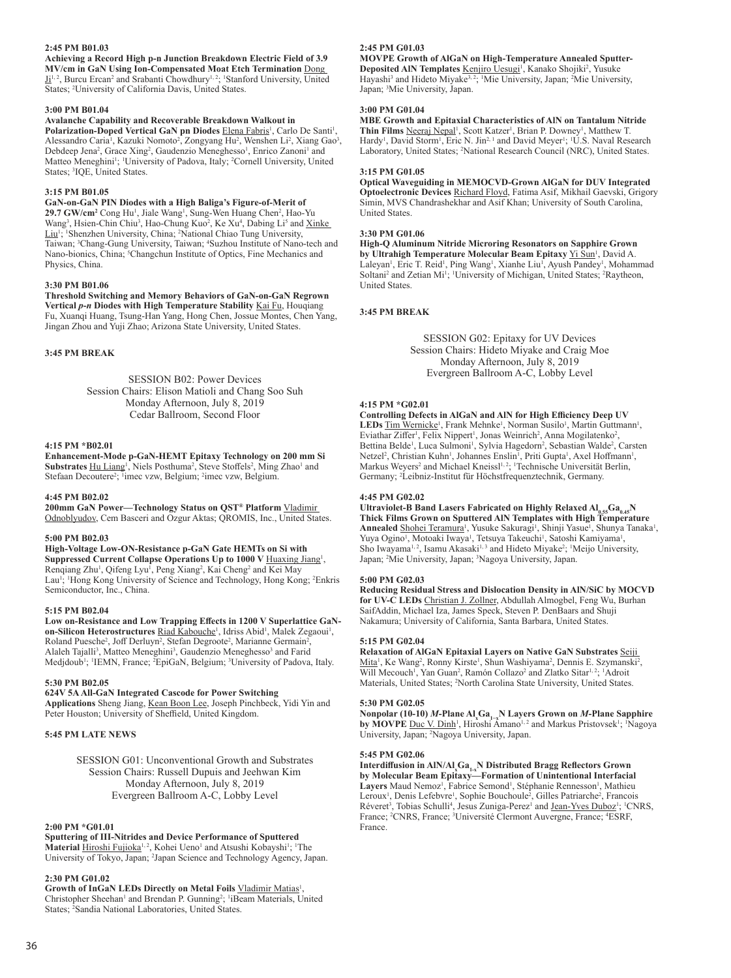## **2:45 PM B01.03**

**Achieving a Record High p-n Junction Breakdown Electric Field of 3.9 MV/cm in GaN Using Ion-Compensated Moat Etch Termination** Dong I<sup>1,2</sup>, Burcu Ercan<sup>2</sup> and Srabanti Chowdhury<sup>1,2</sup>; <sup>1</sup>Stanford University, United States; <sup>2</sup> University of California Davis, United States.

#### **3:00 PM B01.04**

## **Avalanche Capability and Recoverable Breakdown Walkout in**

Polarization-Doped Vertical GaN pn Diodes Elena Fabris<sup>1</sup>, Carlo De Santi<sup>1</sup>, Alessandro Caria<sup>1</sup>, Kazuki Nomoto<sup>2</sup>, Zongyang Hu<sup>2</sup>, Wenshen Li<sup>2</sup>, Xiang Gao<sup>3</sup>, Debdeep Jena<sup>2</sup>, Grace Xing<sup>2</sup>, Gaudenzio Meneghesso<sup>1</sup>, Enrico Zanoni<sup>1</sup> and Matteo Meneghini<sup>1</sup>; <sup>1</sup>University of Padova, Italy; <sup>2</sup>Cornell University, United States; <sup>3</sup>IQE, United States.

## **3:15 PM B01.05**

**GaN-on-GaN PIN Diodes with a High Baliga's Figure-of-Merit of**  29.7 GW/cm<sup>2</sup> Cong Hu<sup>1</sup>, Jiale Wang<sup>1</sup>, Sung-Wen Huang Chen<sup>2</sup>, Hao-Yu Wang<sup>3</sup>, Hsien-Chin Chiu<sup>3</sup>, Hao-Chung Kuo<sup>2</sup>, Ke Xu<sup>4</sup>, Dabing Li<sup>5</sup> and Xinke Liu<sup>1</sup>; <sup>1</sup>Shenzhen University, China; <sup>2</sup>National Chiao Tung University, Taiwan; <sup>3</sup>Chang-Gung University, Taiwan; <sup>4</sup>Suzhou Institute of Nano-tech and Nano-bionics, China; <sup>5</sup>Changchun Institute of Optics, Fine Mechanics and Physics, China.

#### **3:30 PM B01.06**

**Threshold Switching and Memory Behaviors of GaN-on-GaN Regrown Vertical** *p***-***n* **Diodes with High Temperature Stability** Kai Fu, Houqiang Fu, Xuanqi Huang, Tsung-Han Yang, Hong Chen, Jossue Montes, Chen Yang, Jingan Zhou and Yuji Zhao; Arizona State University, United States.

## **3:45 PM BREAK**

SESSION B02: Power Devices Session Chairs: Elison Matioli and Chang Soo Suh Monday Afternoon, July 8, 2019 Cedar Ballroom, Second Floor

#### **4:15 PM \*B02.01**

**Enhancement-Mode p-GaN-HEMT Epitaxy Technology on 200 mm Si**  Substrates **Hu Liang<sup>1</sup>**, Niels Posthuma<sup>2</sup>, Steve Stoffels<sup>2</sup>, Ming Zhao<sup>1</sup> and Stefaan Decoutere<sup>2</sup>; <sup>1</sup>imec vzw, Belgium; <sup>2</sup>imec vzw, Belgium.

## **4:45 PM B02.02**

**200mm GaN Power—Technology Status on QST® Platform** Vladimir Odnoblyudov, Cem Basceri and Ozgur Aktas; QROMIS, Inc., United States.

## **5:00 PM B02.03**

**High-Voltage Low-ON-Resistance p-GaN Gate HEMTs on Si with**  Suppressed Current Collapse Operations Up to 1000 V **Huaxing Jiang**<sup>1</sup>, Renqiang Zhu<sup>1</sup>, Qifeng Lyu<sup>1</sup>, Peng Xiang<sup>2</sup>, Kai Cheng<sup>2</sup> and Kei May Lau<sup>1</sup>; <sup>1</sup>Hong Kong University of Science and Technology, Hong Kong; <sup>2</sup>Enkris Semiconductor, Inc., China.

## **5:15 PM B02.04**

**Low on-Resistance and Low Trapping Effects in 1200 V Superlattice GaN**on-Silicon Heterostructures Riad Kabouche<sup>1</sup>, Idriss Abid<sup>1</sup>, Malek Zegaoui<sup>1</sup>, Roland Puesche<sup>2</sup>, Joff Derluyn<sup>2</sup>, Stefan Degroote<sup>2</sup>, Marianne Germain<sup>2</sup>, Alaleh Tajalli<sup>3</sup>, Matteo Meneghini<sup>3</sup>, Gaudenzio Meneghesso<sup>3</sup> and Farid Medjdoub<sup>1</sup>; <sup>1</sup>IEMN, France; <sup>2</sup>EpiGaN, Belgium; <sup>3</sup>University of Padova, Italy.

## **5:30 PM B02.05**

## **624V 5A All-GaN Integrated Cascode for Power Switching**

**Applications** Sheng Jiang, Kean Boon Lee, Joseph Pinchbeck, Yidi Yin and Peter Houston; University of Sheffield, United Kingdom.

## **5:45 PM LATE NEWS**

SESSION G01: Unconventional Growth and Substrates Session Chairs: Russell Dupuis and Jeehwan Kim Monday Afternoon, July 8, 2019 Evergreen Ballroom A-C, Lobby Level

#### **2:00 PM \*G01.01**

**Sputtering of III-Nitrides and Device Performance of Sputtered**  Material Hiroshi Fujioka<sup>1,2</sup>, Kohei Ueno<sup>1</sup> and Atsushi Kobayshi<sup>1</sup>; <sup>1</sup>The University of Tokyo, Japan; <sup>2</sup> Japan Science and Technology Agency, Japan.

#### **2:30 PM G01.02**

Growth of InGaN LEDs Directly on Metal Foils Vladimir Matias<sup>1</sup>, Christopher Sheehan<sup>1</sup> and Brendan P. Gunning<sup>2</sup>; <sup>1</sup>iBeam Materials, United States; <sup>2</sup> Sandia National Laboratories, United States.

#### **2:45 PM G01.03**

**MOVPE Growth of AlGaN on High-Temperature Annealed Sputter-**Deposited AIN Templates Kenjiro Uesugi<sup>1</sup>, Kanako Shojiki<sup>2</sup>, Yusuke Hayashi<sup>3</sup> and Hideto Miyake<sup>3, 2</sup>; <sup>1</sup>Mie University, Japan; <sup>2</sup>Mie University, Japan; <sup>3</sup> Mie University, Japan.

#### **3:00 PM G01.04**

**MBE Growth and Epitaxial Characteristics of AlN on Tantalum Nitride**  Thin Films Neeraj Nepal<sup>1</sup>, Scott Katzer<sup>1</sup>, Brian P. Downey<sup>1</sup>, Matthew T. Hardy<sup>1</sup>, David Storm<sup>1</sup>, Eric N. Jin<sup>2, 1</sup> and David Meyer<sup>1</sup>; <sup>1</sup>U.S. Naval Research Laboratory, United States; <sup>2</sup>National Research Council (NRC), United States.

#### **3:15 PM G01.05**

**Optical Waveguiding in MEMOCVD-Grown AlGaN for DUV Integrated Optoelectronic Devices** Richard Floyd, Fatima Asif, Mikhail Gaevski, Grigory Simin, MVS Chandrashekhar and Asif Khan; University of South Carolina, United States.

#### **3:30 PM G01.06**

**High-Q Aluminum Nitride Microring Resonators on Sapphire Grown**  by Ultrahigh Temperature Molecular Beam Epitaxy **Yi Sun<sup>1</sup>, David A.** Laleyan<sup>1</sup>, Eric T. Reid<sup>1</sup>, Ping Wang<sup>1</sup>, Xianhe Liu<sup>1</sup>, Ayush Pandey<sup>1</sup>, Mohammad Soltani<sup>2</sup> and Zetian Mi<sup>1</sup>; <sup>1</sup>University of Michigan, United States; <sup>2</sup>Raytheon, United States.

#### **3:45 PM BREAK**

SESSION G02: Epitaxy for UV Devices Session Chairs: Hideto Miyake and Craig Moe Monday Afternoon, July 8, 2019 Evergreen Ballroom A-C, Lobby Level

#### **4:15 PM \*G02.01**

**Controlling Defects in AlGaN and AlN for High Efficiency Deep UV**  LEDs Tim Wernicke<sup>1</sup>, Frank Mehnke<sup>1</sup>, Norman Susilo<sup>1</sup>, Martin Guttmann<sup>1</sup>, Eviathar Ziffer<sup>1</sup>, Felix Nippert<sup>1</sup>, Jonas Weinrich<sup>2</sup>, Anna Mogilatenko<sup>2</sup>, Bettina Belde<sup>1</sup>, Luca Sulmoni<sup>1</sup>, Sylvia Hagedorn<sup>2</sup>, Sebastian Walde<sup>2</sup>, Carsten Netzel<sup>2</sup>, Christian Kuhn<sup>1</sup>, Johannes Enslin<sup>1</sup>, Priti Gupta<sup>1</sup>, Axel Hoffmann<sup>1</sup>, Markus Weyers<sup>2</sup> and Michael Kneissl<sup>1, 2</sup>; <sup>1</sup>Technische Universität Berlin, Germany; <sup>2</sup> Leibniz-Institut für Höchstfrequenztechnik, Germany.

#### **4:45 PM G02.02**

Ultraviolet-B Band Lasers Fabricated on Highly Relaxed  $AI_{0.55}Ga_{0.45}N$ **Thick Films Grown on Sputtered AlN Templates with High Temperature**  Annealed Shohei Teramura<sup>1</sup>, Yusuke Sakuragi<sup>1</sup>, Shinji Yasue<sup>1</sup>, Shunya Tanaka<sup>1</sup>, Yuya Ogino<sup>1</sup>, Motoaki Iwaya<sup>1</sup>, Tetsuya Takeuchi<sup>1</sup>, Satoshi Kamiyama<sup>1</sup>, Sho Iwayama<sup>1, 2</sup>, Isamu Akasaki<sup>1, 3</sup> and Hideto Miyake<sup>2</sup>; <sup>1</sup>Meijo University, Japan; <sup>2</sup> Mie University, Japan; <sup>3</sup> Nagoya University, Japan.

#### **5:00 PM G02.03**

**Reducing Residual Stress and Dislocation Density in AlN/SiC by MOCVD for UV-C LEDs** Christian J. Zollner, Abdullah Almogbel, Feng Wu, Burhan SaifAddin, Michael Iza, James Speck, Steven P. DenBaars and Shuji Nakamura; University of California, Santa Barbara, United States.

#### **5:15 PM G02.04**

**Relaxation of AlGaN Epitaxial Layers on Native GaN Substrates** Seiji Mita<sup>1</sup>, Ke Wang<sup>2</sup>, Ronny Kirste<sup>1</sup>, Shun Washiyama<sup>2</sup>, Dennis E. Szymanski<sup>2</sup>, Will Mecouch<sup>1</sup>, Yan Guan<sup>2</sup>, Ramón Collazo<sup>2</sup> and Zlatko Sitar<sup>1, 2</sup>; <sup>1</sup>Adroit Materials, United States; <sup>2</sup> North Carolina State University, United States.

#### **5:30 PM G02.05**

Nonpolar (10-10) *M*-Plane Al¸Ga<sub>I−x</sub>N Layers Grown on *M-*Plane Sapphire<br>by MOVPE <u>Duc V. Dinh</u><sup>ı</sup>, Hiroshi Amano<sup>1, 2</sup> and Markus Pristovsek<sup>ı</sup>; 'Nagoya University, Japan; <sup>2</sup> Nagoya University, Japan.

#### **5:45 PM G02.06**

Interdiffusion in AIN/Al<sub>x</sub>Ga<sub>1.x</sub>N Distributed Bragg Reflectors Grown<br>by Molecular Beam Epitaxy—Formation of Unintentional Interfacial Layers Maud Nemoz<sup>1</sup>, Fabrice Semond<sup>1</sup>, Stéphanie Rennesson<sup>1</sup>, Mathieu Leroux<sup>1</sup>, Denis Lefebvre<sup>1</sup>, Sophie Bouchoule<sup>2</sup>, Gilles Patriarche<sup>2</sup>, Francois Réveret<sup>3</sup>, Tobias Schulli<sup>4</sup>, Jesus Zuniga-Perez<sup>1</sup> and <u>Jean-Yves Duboz</u><sup>1</sup>; <sup>1</sup>CNRS, France; <sup>2</sup>CNRS, France; <sup>3</sup>Université Clermont Auvergne, France; <sup>4</sup>ESRF, France.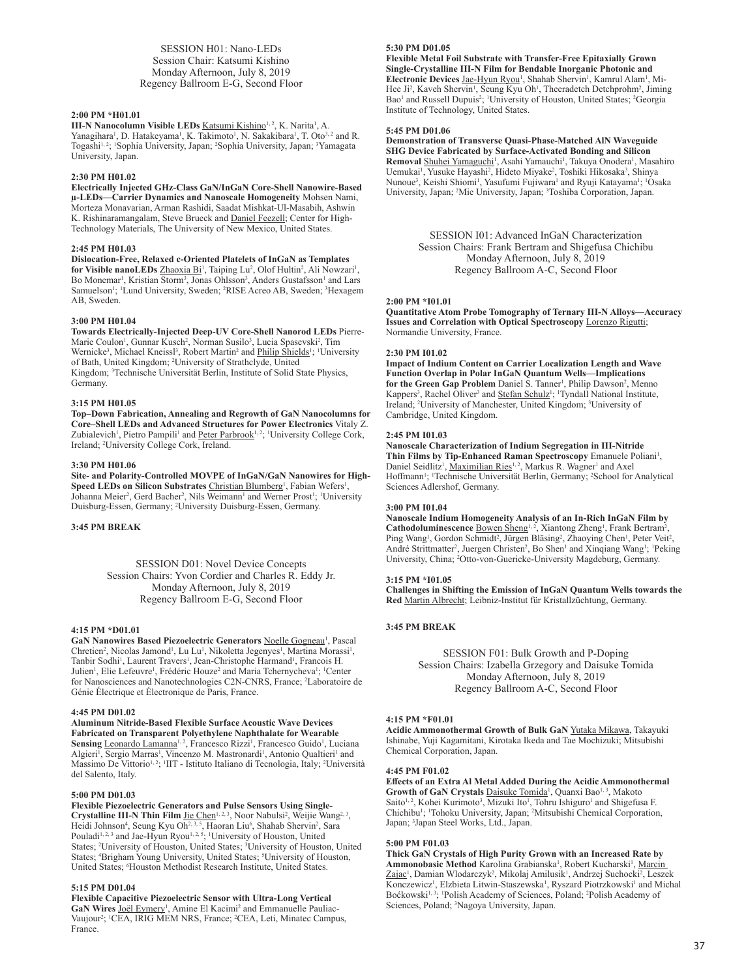SESSION H01: Nano-LEDs Session Chair: Katsumi Kishino Monday Afternoon, July 8, 2019 Regency Ballroom E-G, Second Floor

#### **2:00 PM \*H01.01**

**III-N Nanocolumn Visible LEDs Katsumi Kishino<sup>1,2</sup>, K. Narita<sup>1</sup>, A.** Yanagihara<sup>1</sup>, D. Hatakeyama<sup>1</sup>, K. Takimoto<sup>1</sup>, N. Sakakibara<sup>1</sup>, T. Oto<sup>3,2</sup> and R. Togashi<sup>1, 2</sup>; 'Sophia University, Japan; <sup>2</sup>Sophia University, Japan; <sup>3</sup>Yamagata University, Japan.

## **2:30 PM H01.02**

**Electrically Injected GHz-Class GaN/InGaN Core-Shell Nanowire-Based µ-LEDs—Carrier Dynamics and Nanoscale Homogeneity** Mohsen Nami, Morteza Monavarian, Arman Rashidi, Saadat Mishkat-Ul-Masabih, Ashwin K. Rishinaramangalam, Steve Brueck and Daniel Feezell; Center for High-Technology Materials, The University of New Mexico, United States.

#### **2:45 PM H01.03**

**Dislocation-Free, Relaxed c-Oriented Platelets of InGaN as Templates**  for Visible nanoLEDs Zhaoxia Bi<sup>1</sup>, Taiping Lu<sup>2</sup>, Olof Hultin<sup>2</sup>, Ali Nowzari<sup>1</sup>, Bo Monemar<sup>1</sup>, Kristian Storm<sup>3</sup>, Jonas Ohlsson<sup>3</sup>, Anders Gustafsson<sup>1</sup> and Lars Samuelson<sup>1</sup>; <sup>1</sup>Lund University, Sweden; <sup>2</sup>RISE Acreo AB, Sweden; <sup>3</sup>Hexagem AB, Sweden.

#### **3:00 PM H01.04**

**Towards Electrically-Injected Deep-UV Core-Shell Nanorod LEDs** Pierre-Marie Coulon<sup>1</sup>, Gunnar Kusch<sup>2</sup>, Norman Susilo<sup>3</sup>, Lucia Spasevski<sup>2</sup>, Tim Wernicke<sup>3</sup>, Michael Kneissl<sup>3</sup>, Robert Martin<sup>2</sup> and **Philip Shields<sup>1</sup>;** <sup>1</sup>University of Bath, United Kingdom; <sup>2</sup> University of Strathclyde, United Kingdom; <sup>3</sup> Technische Universität Berlin, Institute of Solid State Physics, Germany.

#### **3:15 PM H01.05**

**Top–Down Fabrication, Annealing and Regrowth of GaN Nanocolumns for Core–Shell LEDs and Advanced Structures for Power Electronics** Vitaly Z. Zubialevich<sup>1</sup>, Pietro Pampili<sup>1</sup> and Peter Parbrook<sup>1,2</sup>; <sup>1</sup>University College Cork, Ireland; <sup>2</sup> University College Cork, Ireland.

#### **3:30 PM H01.06**

**Site- and Polarity-Controlled MOVPE of InGaN/GaN Nanowires for High-**Speed LEDs on Silicon Substrates Christian Blumberg<sup>1</sup>, Fabian Wefers<sup>1</sup>, Johanna Meier<sup>2</sup>, Gerd Bacher<sup>2</sup>, Nils Weimann<sup>1</sup> and Werner Prost<sup>1</sup>; <sup>1</sup>University Duisburg-Essen, Germany; <sup>2</sup> University Duisburg-Essen, Germany.

#### **3:45 PM BREAK**

SESSION D01: Novel Device Concepts Session Chairs: Yvon Cordier and Charles R. Eddy Jr. Monday Afternoon, July 8, 2019 Regency Ballroom E-G, Second Floor

#### **4:15 PM \*D01.01**

GaN Nanowires Based Piezoelectric Generators Noelle Gogneau<sup>1</sup>, Pascal Chretien<sup>2</sup>, Nicolas Jamond<sup>1</sup>, Lu Lu<sup>1</sup>, Nikoletta Jegenyes<sup>1</sup>, Martina Morassi<sup>1</sup>, Tanbir Sodhi<sup>1</sup>, Laurent Travers<sup>1</sup>, Jean-Christophe Harmand<sup>1</sup>, Francois H. Julien<sup>1</sup>, Elie Lefeuvre<sup>1</sup>, Frédéric Houze<sup>2</sup> and Maria Tchernycheva<sup>1</sup>; <sup>1</sup>Center for Nanosciences and Nanotechnologies C2N-CNRS, France; <sup>2</sup> Laboratoire de Génie Électrique et Électronique de Paris, France.

#### **4:45 PM D01.02**

**Aluminum Nitride-Based Flexible Surface Acoustic Wave Devices Fabricated on Transparent Polyethylene Naphthalate for Wearable**  Sensing Leonardo Lamanna<sup>1, 2</sup>, Francesco Rizzi<sup>1</sup>, Francesco Guido<sup>1</sup>, Luciana Algieri<sup>1</sup>, Sergio Marras<sup>1</sup>, Vincenzo M. Mastronardi<sup>1</sup>, Antonio Qualtieri<sup>1</sup> and Massimo De Vittorio<sup>1, 2</sup>; <sup>1</sup>IIT - Istituto Italiano di Tecnologia, Italy; <sup>2</sup>Università del Salento, Italy.

## **5:00 PM D01.03**

**Flexible Piezoelectric Generators and Pulse Sensors Using Single-**Crystalline III-N Thin Film Jie Chen<sup>1, 2, 3</sup>, Noor Nabulsi<sup>2</sup>, Weijie Wang<sup>2, 3</sup>, Heidi Johnson<sup>4</sup>, Seung Kyu Oh<sup>2, 3, 5</sup>, Haoran Liu<sup>6</sup>, Shahab Shervin<sup>2</sup>, Sara Pouladi<sup>1, 2, 3</sup> and Jae-Hyun Ryou<sup>1, 2, 5</sup>; <sup>1</sup>University of Houston, United States; <sup>2</sup> University of Houston, United States; <sup>3</sup> University of Houston, United States; <sup>4</sup>Brigham Young University, United States; <sup>5</sup>University of Houston, United States; <sup>6</sup>Houston Methodist Research Institute, United States.

### **5:15 PM D01.04**

**Flexible Capacitive Piezoelectric Sensor with Ultra-Long Vertical**  GaN Wires Joël Eymery<sup>1</sup>, Amine El Kacimi<sup>2</sup> and Emmanuelle Pauliac-Vaujour<sup>2</sup>; <sup>1</sup>CEA, IRIG MEM NRS, France; <sup>2</sup>CEA, Leti, Minatec Campus, France.

## **5:30 PM D01.05**

**Flexible Metal Foil Substrate with Transfer-Free Epitaxially Grown Single-Crystalline III-N Film for Bendable Inorganic Photonic and**  Electronic Devices Jae-Hyun Ryou<sup>1</sup>, Shahab Shervin<sup>1</sup>, Kamrul Alam<sup>1</sup>, Mi-Hee Ji<sup>2</sup>, Kaveh Shervin<sup>1</sup>, Seung Kyu Oh<sup>1</sup>, Theeradetch Detchprohm<sup>2</sup>, Jiming Bao<sup>1</sup> and Russell Dupuis<sup>2</sup>; <sup>1</sup>University of Houston, United States; <sup>2</sup>Georgia Institute of Technology, United States.

#### **5:45 PM D01.06**

**Demonstration of Transverse Quasi-Phase-Matched AlN Waveguide SHG Device Fabricated by Surface-Activated Bonding and Silicon**  Removal Shuhei Yamaguchi<sup>1</sup>, Asahi Yamauchi<sup>1</sup>, Takuya Onodera<sup>1</sup>, Masahiro Uemukai<sup>1</sup>, Yusuke Hayashi<sup>2</sup>, Hideto Miyake<sup>2</sup>, Toshiki Hikosaka<sup>3</sup>, Shinya Nunoue<sup>3</sup>, Keishi Shiomi<sup>1</sup>, Yasufumi Fujiwara<sup>1</sup> and Ryuji Katayama<sup>1</sup>; <sup>1</sup>Osaka University, Japan; <sup>2</sup>Mie University, Japan; <sup>3</sup>Toshiba Corporation, Japan.

> SESSION I01: Advanced InGaN Characterization Session Chairs: Frank Bertram and Shigefusa Chichibu Monday Afternoon, July 8, 2019 Regency Ballroom A-C, Second Floor

#### **2:00 PM \*I01.01**

**Quantitative Atom Probe Tomography of Ternary III-N Alloys—Accuracy Issues and Correlation with Optical Spectroscopy** Lorenzo Rigutti; Normandie University, France.

#### **2:30 PM I01.02**

**Impact of Indium Content on Carrier Localization Length and Wave Function Overlap in Polar InGaN Quantum Wells—Implications**  for the Green Gap Problem Daniel S. Tanner<sup>1</sup>, Philip Dawson<sup>2</sup>, Menno Kappers<sup>3</sup>, Rachel Oliver<sup>3</sup> and **Stefan Schulz<sup>1</sup>; <sup>1</sup>Tyndall National Institute**, Ireland; <sup>2</sup> University of Manchester, United Kingdom; <sup>3</sup> University of Cambridge, United Kingdom.

#### **2:45 PM I01.03**

**Nanoscale Characterization of Indium Segregation in III-Nitride**  Thin Films by Tip-Enhanced Raman Spectroscopy Emanuele Poliani<sup>1</sup>, Daniel Seidlitz<sup>1</sup>, Maximilian Ries<sup>1, 2</sup>, Markus R. Wagner<sup>1</sup> and Axel

Hoffmann<sup>1</sup>; <sup>1</sup>Technische Universität Berlin, Germany; <sup>2</sup>School for Analytical Sciences Adlershof, Germany.

#### **3:00 PM I01.04**

**Nanoscale Indium Homogeneity Analysis of an In-Rich InGaN Film by**  Cathodoluminescence **Bowen Sheng<sup>1, 2</sup>, Xiantong Zheng<sup>1</sup>, Frank Bertram<sup>2</sup>,** Ping Wang<sup>1</sup>, Gordon Schmidt<sup>2</sup>, Jürgen Bläsing<sup>2</sup>, Zhaoying Chen<sup>1</sup>, Peter Veit<sup>2</sup>, André Strittmatter<sup>2</sup>, Juergen Christen<sup>2</sup>, Bo Shen<sup>1</sup> and Xinqiang Wang<sup>1</sup>; <sup>1</sup>Peking University, China; <sup>2</sup>Otto-von-Guericke-University Magdeburg, Germany.

#### **3:15 PM \*I01.05**

**Challenges in Shifting the Emission of InGaN Quantum Wells towards the Red** Martin Albrecht; Leibniz-Institut für Kristallzüchtung, Germany.

#### **3:45 PM BREAK**

SESSION F01: Bulk Growth and P-Doping Session Chairs: Izabella Grzegory and Daisuke Tomida Monday Afternoon, July 8, 2019 Regency Ballroom A-C, Second Floor

## **4:15 PM \*F01.01**

**Acidic Ammonothermal Growth of Bulk GaN** Yutaka Mikawa, Takayuki Ishinabe, Yuji Kagamitani, Kirotaka Ikeda and Tae Mochizuki; Mitsubishi Chemical Corporation, Japan.

#### **4:45 PM F01.02**

**Effects of an Extra Al Metal Added During the Acidic Ammonothermal**  Growth of GaN Crystals **Daisuke Tomida<sup>1</sup>**, Quanxi Bao<sup>1,3</sup>, Makoto Saito<sup>1, 2</sup>, Kohei Kurimoto<sup>3</sup>, Mizuki Ito<sup>1</sup>, Tohru Ishiguro<sup>1</sup> and Shigefusa F. Chichibu<sup>1</sup>; <sup>1</sup>Tohoku University, Japan; <sup>2</sup>Mitsubishi Chemical Corporation, Japan; <sup>3</sup> Japan Steel Works, Ltd., Japan.

#### **5:00 PM F01.03**

**Thick GaN Crystals of High Purity Grown with an Increased Rate by**  Ammonobasic Method Karolina Grabianska<sup>1</sup>, Robert Kucharski<sup>1</sup>, <u>Marcin</u> Zajac<sup>1</sup>, Damian Wlodarczyk<sup>2</sup>, Mikolaj Amilusik<sup>1</sup>, Andrzej Suchocki<sup>2</sup>, Leszek Konczewicz<sup>1</sup>, Elzbieta Litwin-Staszewska<sup>1</sup>, Ryszard Piotrzkowski<sup>1</sup> and Michal Boćkowski<sup>1, 3</sup>; <sup>1</sup>Polish Academy of Sciences, Poland; <sup>2</sup>Polish Academy of Sciences, Poland; <sup>3</sup> Nagoya University, Japan.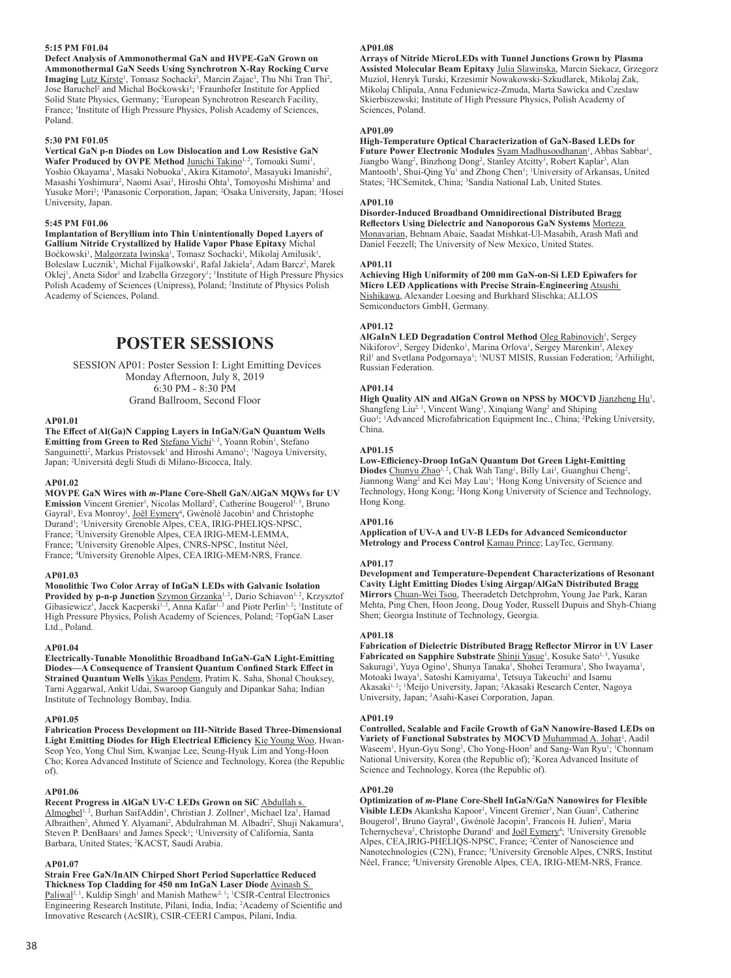## **5:15 PM F01.04**

**Defect Analysis of Ammonothermal GaN and HVPE-GaN Grown on Ammonothermal GaN Seeds Using Synchrotron X-Ray Rocking Curve**  Imaging Lutz Kirste<sup>1</sup>, Tomasz Sochacki<sup>3</sup>, Marcin Zajac<sup>3</sup>, Thu Nhi Tran Thi<sup>2</sup>, Jose Baruchel<sup>2</sup> and Michal Boćkowski<sup>3</sup>; <sup>1</sup>Fraunhofer Institute for Applied Solid State Physics, Germany; <sup>2</sup>European Synchrotron Research Facility, France; <sup>3</sup> Institute of High Pressure Physics, Polish Academy of Sciences, Poland.

## **5:30 PM F01.05**

**Vertical GaN p-n Diodes on Low Dislocation and Low Resistive GaN**  Wafer Produced by OVPE Method Junichi Takino<sup>1, 2</sup>, Tomoaki Sumi<sup>1</sup>, Yoshio Okayama<sup>1</sup>, Masaki Nobuoka<sup>1</sup>, Akira Kitamoto<sup>2</sup>, Masayuki Imanishi<sup>2</sup>, Masashi Yoshimura<sup>2</sup>, Naomi Asai<sup>3</sup>, Hiroshi Ohta<sup>3</sup>, Tomoyoshi Mishima<sup>3</sup> and Yusuke Mori<sup>2</sup>; <sup>1</sup>Panasonic Corporation, Japan; <sup>2</sup>Osaka University, Japan; <sup>3</sup>Hosei University, Japan.

#### **5:45 PM F01.06**

**Implantation of Beryllium into Thin Unintentionally Doped Layers of Gallium Nitride Crystallized by Halide Vapor Phase Epitaxy** Michal Boćkowski<sup>1</sup>, <u>Malgorzata Iwinska</u><sup>1</sup>, Tomasz Sochacki<sup>1</sup>, Mikolaj Amilusik<sup>1</sup> , Boleslaw Lucznik<sup>1</sup>, Michal Fijalkowski<sup>1</sup>, Rafal Jakiela<sup>2</sup>, Adam Barcz<sup>2</sup>, Marek Oklej<sup>1</sup>, Aneta Sidor<sup>1</sup> and Izabella Grzegory<sup>1</sup>; <sup>1</sup>Institute of High Pressure Physics Polish Academy of Sciences (Unipress), Poland; <sup>2</sup> Institute of Physics Polish Academy of Sciences, Poland.

## **POSTER SESSIONS**

SESSION AP01: Poster Session I: Light Emitting Devices Monday Afternoon, July 8, 2019 6:30 PM - 8:30 PM Grand Ballroom, Second Floor

#### **AP01.01**

**The Effect of Al(Ga)N Capping Layers in InGaN/GaN Quantum Wells** 

**Emitting from Green to Red Stefano Vichi<sup>1, 2</sup>, Yoann Robin<sup>1</sup>, Stefano** Sanguinetti<sup>2</sup>, Markus Pristovsek<sup>1</sup> and Hiroshi Amano<sup>1</sup>; <sup>1</sup>Nagoya University, Japan; <sup>2</sup> Università degli Studi di Milano-Bicocca, Italy.

## **AP01.02**

**MOVPE GaN Wires with** *m***-Plane Core-Shell GaN/AlGaN MQWs for UV Emission** Vincent Grenier<sup>1</sup>, Nicolas Mollard<sup>2</sup>, Catherine Bougerol<sup>1, 3</sup>, Bruno Gayral<sup>1</sup>, Eva Monroy<sup>1</sup>, Joël Eymery<sup>4</sup>, Gwénolé Jacobin<sup>3</sup> and Christophe Durand<sup>1</sup>; <sup>1</sup>University Grenoble Alpes, CEA, IRIG-PHELIQS-NPSC, France; <sup>2</sup> University Grenoble Alpes, CEA IRIG-MEM-LEMMA, France; <sup>3</sup> University Grenoble Alpes, CNRS-NPSC, Institut Néel, France; <sup>4</sup> University Grenoble Alpes, CEA IRIG-MEM-NRS, France.

#### **AP01.03**

**Monolithic Two Color Array of InGaN LEDs with Galvanic Isolation Provided by p-n-p Junction** Szymon Grzanka<sup>1, 2</sup>, Dario Schiavon<sup>1, 2</sup>, Krzysztof Gibasiewicz<sup>1</sup>, Jacek Kacperski<sup>1, 2</sup>, Anna Kafar<sup>1, 2</sup> and Piotr Perlin<sup>1, 2</sup>; <sup>1</sup>Institute of High Pressure Physics, Polish Academy of Sciences, Poland; <sup>2</sup>TopGaN Laser Ltd., Poland.

#### **AP01.04**

**Electrically-Tunable Monolithic Broadband InGaN-GaN Light-Emitting Diodes—A Consequence of Transient Quantum Confined Stark Effect in**  Strained Quantum Wells *Vikas Pendem*, Pratim K. Saha, Shonal Chouksey, Tarni Aggarwal, Ankit Udai, Swaroop Ganguly and Dipankar Saha; Indian Institute of Technology Bombay, India.

#### **AP01.05**

**Fabrication Process Development on III-Nitride Based Three-Dimensional Light Emitting Diodes for High Electrical Efficiency** Kie Young Woo, Hwan-Seop Yeo, Yong Chul Sim, Kwanjae Lee, Seung-Hyuk Lim and Yong-Hoon Cho; Korea Advanced Institute of Science and Technology, Korea (the Republic of).

## **AP01.06**

**Recent Progress in AlGaN UV-C LEDs Grown on SiC** Abdullah s. Almogbel<sup>1,2</sup>, Burhan SaifAddin<sup>1</sup>, Christian J. Zollner<sup>1</sup>, Michael Iza<sup>1</sup>, Hamad Albraithen<sup>2</sup>, Ahmed Y. Alyamani<sup>2</sup>, Abdulrahman M. Albadri<sup>2</sup>, Shuji Nakamura<sup>1</sup>, Steven P. DenBaars<sup>1</sup> and James Speck<sup>1</sup>; <sup>1</sup>University of California, Santa Barbara, United States; <sup>2</sup> KACST, Saudi Arabia.

## **AP01.07**

**Strain Free GaN/InAlN Chirped Short Period Superlattice Reduced Thickness Top Cladding for 450 nm InGaN Laser Diode** Avinash S. Paliwal<sup>2, 1</sup>, Kuldip Singh<sup>1</sup> and Manish Mathew<sup>2, 1</sup>; <sup>1</sup>CSIR-Central Electronics Engineering Research Institute, Pilani, India, India; <sup>2</sup> Academy of Scientific and Innovative Research (AcSIR), CSIR-CEERI Campus, Pilani, India.

#### **AP01.08**

**Arrays of Nitride MicroLEDs with Tunnel Junctions Grown by Plasma Assisted Molecular Beam Epitaxy** Julia Slawinska, Marcin Siekacz, Grzegorz Muziol, Henryk Turski, Krzesimir Nowakowski-Szkudlarek, Mikolaj Zak, Mikolaj Chlipala, Anna Feduniewicz-Zmuda, Marta Sawicka and Czeslaw Skierbiszewski; Institute of High Pressure Physics, Polish Academy of Sciences, Poland.

#### **AP01.09**

**High-Temperature Optical Characterization of GaN-Based LEDs for Future Power Electronic Modules** Syam Madhusoodhanan<sup>1</sup>, Abbas Sabbar<sup>1</sup>, Jiangbo Wang<sup>2</sup>, Binzhong Dong<sup>2</sup>, Stanley Atcitty<sup>3</sup>, Robert Kaplar<sup>3</sup>, Alan Mantooth<sup>1</sup>, Shui-Qing Yu<sup>1</sup> and Zhong Chen<sup>1</sup>; <sup>1</sup>University of Arkansas, United States; <sup>2</sup>HCSemitek, China; <sup>3</sup>Sandia National Lab, United States.

## **AP01.10**

**Disorder-Induced Broadband Omnidirectional Distributed Bragg Reflectors Using Dielectric and Nanoporous GaN Systems** Morteza Monavarian, Behnam Abaie, Saadat Mishkat-Ul-Masabih, Arash Mafi and Daniel Feezell; The University of New Mexico, United States.

#### **AP01.11**

**Achieving High Uniformity of 200 mm GaN-on-Si LED Epiwafers for Micro LED Applications with Precise Strain-Engineering** Atsushi Nishikawa, Alexander Loesing and Burkhard Slischka; ALLOS Semiconductors GmbH, Germany.

## **AP01.12**

AlGaInN LED Degradation Control Method Oleg Rabinovich<sup>1</sup>, Sergey Nikiforov<sup>2</sup>, Sergey Didenko<sup>1</sup>, Marina Orlova<sup>1</sup>, Sergey Marenkin<sup>1</sup>, Alexey Ril<sup>1</sup> and Svetlana Podgornaya<sup>1</sup>; <sup>1</sup>NUST MISIS, Russian Federation; <sup>2</sup>Arhilight, Russian Federation.

## **AP01.14**

High Quality AlN and AlGaN Grown on NPSS by MOCVD Jianzheng Hu<sup>1</sup>, Shangfeng Liu<sup>2, 1</sup>, Vincent Wang<sup>1</sup>, Xinqiang Wang<sup>2</sup> and Shiping Guo<sup>1</sup>; <sup>1</sup>Advanced Microfabrication Equipment Inc., China; <sup>2</sup>Peking University, China.

## **AP01.15**

**Low-Efficiency-Droop InGaN Quantum Dot Green Light-Emitting**  Diodes Chunyu Zhao<sup>1, 2</sup>, Chak Wah Tang<sup>1</sup>, Billy Lai<sup>1</sup>, Guanghui Cheng<sup>2</sup>, Jiannong Wang<sup>2</sup> and Kei May Lau<sup>1</sup>; <sup>1</sup>Hong Kong University of Science and Technology, Hong Kong; <sup>2</sup> Hong Kong University of Science and Technology, Hong Kong.

#### **AP01.16**

**Application of UV-A and UV-B LEDs for Advanced Semiconductor Metrology and Process Control** Kamau Prince; LayTec, Germany.

#### **AP01.17**

**Development and Temperature-Dependent Characterizations of Resonant Cavity Light Emitting Diodes Using Airgap/AlGaN Distributed Bragg Mirrors** Chuan-Wei Tsou, Theeradetch Detchprohm, Young Jae Park, Karan Mehta, Ping Chen, Hoon Jeong, Doug Yoder, Russell Dupuis and Shyh-Chiang Shen; Georgia Institute of Technology, Georgia.

#### **AP01.18**

**Fabrication of Dielectric Distributed Bragg Reflector Mirror in UV Laser Fabricated on Sapphire Substrate Shinji Yasue<sup>1</sup>, Kosuke Sato<sup>1,3</sup>, Yusuke** Sakuragi<sup>1</sup>, Yuya Ogino<sup>1</sup>, Shunya Tanaka<sup>1</sup>, Shohei Teramura<sup>1</sup>, Sho Iwayama<sup>1</sup>, Motoaki Iwaya<sup>1</sup>, Satoshi Kamiyama<sup>1</sup>, Tetsuya Takeuchi<sup>1</sup> and Isamu Akasaki<sup>1,2</sup>; <sup>1</sup>Meijo University, Japan; <sup>2</sup>Akasaki Research Center, Nagoya University, Japan; <sup>3</sup> Asahi-Kasei Corporation, Japan.

#### **AP01.19**

**Controlled, Scalable and Facile Growth of GaN Nanowire-Based LEDs on**  Variety of Functional Substrates by MOCVD Muhammad A. Johar<sup>1</sup>, Aadil Waseem<sup>1</sup>, Hyun-Gyu Song<sup>2</sup>, Cho Yong-Hoon<sup>2</sup> and Sang-Wan Ryu<sup>1</sup>; <sup>1</sup>Chonnam National University, Korea (the Republic of); <sup>2</sup>Korea Advanced Insitute of Science and Technology, Korea (the Republic of).

#### **AP01.20**

**Optimization of** *m***-Plane Core-Shell InGaN/GaN Nanowires for Flexible**  Visible LEDs Akanksha Kapoor<sup>1</sup>, Vincent Grenier<sup>1</sup>, Nan Guan<sup>2</sup>, Catherine Bougerol<sup>3</sup>, Bruno Gayral<sup>1</sup>, Gwénolé Jacopin<sup>3</sup>, Francois H. Julien<sup>2</sup>, Maria Tchernycheva<sup>2</sup>, Christophe Durand<sup>1</sup> and Joël Eymery<sup>4</sup>; <sup>1</sup>University Grenoble Alpes, CEA, IRIG-PHELIQS-NPSC, France; <sup>2</sup>Center of Nanoscience and Nanotechnologies (C2N), France; <sup>3</sup> University Grenoble Alpes, CNRS, Institut Néel, France; <sup>4</sup> University Grenoble Alpes, CEA, IRIG-MEM-NRS, France.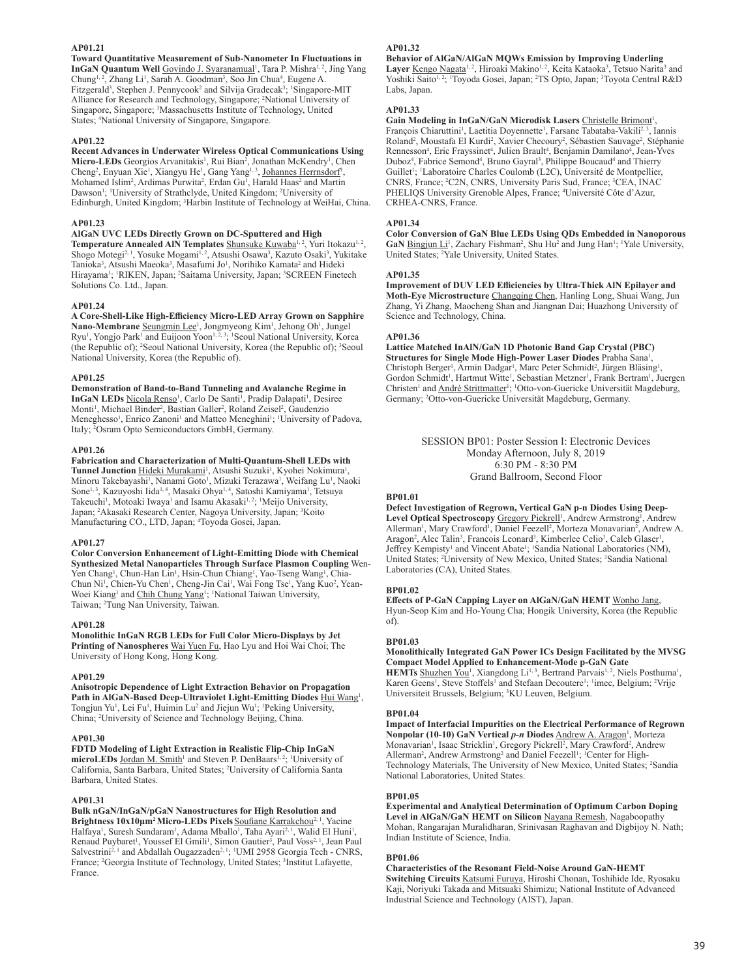## **AP01.21**

**Toward Quantitative Measurement of Sub-Nanometer In Fluctuations in InGaN Quantum Well** Govindo J. Syaranamual<sup>1</sup>, Tara P. Mishra<sup>1, 2</sup>, Jing Yang Chung<sup>1, 2</sup>, Zhang Li<sup>1</sup>, Sarah A. Goodman<sup>3</sup>, Soo Jin Chua<sup>4</sup>, Eugene A. Fitzgerald<sup>3</sup>, Stephen J. Pennycook<sup>2</sup> and Silvija Gradecak<sup>3</sup>; <sup>1</sup>Singapore-MIT Alliance for Research and Technology, Singapore; <sup>2</sup> National University of Singapore, Singapore; <sup>3</sup> Massachusetts Institute of Technology, United States; <sup>4</sup> National University of Singapore, Singapore.

#### **AP01.22**

**Recent Advances in Underwater Wireless Optical Communications Using**  Micro-LEDs Georgios Arvanitakis<sup>1</sup>, Rui Bian<sup>2</sup>, Jonathan McKendry<sup>1</sup>, Chen Cheng<sup>2</sup>, Enyuan Xie<sup>1</sup>, Xiangyu He<sup>1</sup>, Gang Yang<sup>1, 3</sup>, Johannes Herrnsdorf<sup>1</sup>, Mohamed Islim<sup>2</sup>, Ardimas Purwita<sup>2</sup>, Erdan Gu<sup>1</sup>, Harald Haas<sup>2</sup> and Martin Dawson<sup>1</sup>; <sup>1</sup>University of Strathclyde, United Kingdom; <sup>2</sup>University of Edinburgh, United Kingdom; <sup>3</sup>Harbin Institute of Technology at WeiHai, China.

#### **AP01.23**

#### **AlGaN UVC LEDs Directly Grown on DC-Sputtered and High**

**Temperature Annealed AIN Templates** Shunsuke Kuwaba<sup>1, 2</sup>, Yuri Itokazu<sup>1, 2</sup>, Shogo Motegi<sup>2, 1</sup>, Yosuke Mogami<sup>1, 2</sup>, Atsushi Osawa<sup>3</sup>, Kazuto Osaki<sup>3</sup>, Yukitake Tanioka<sup>3</sup>, Atsushi Maeoka<sup>3</sup>, Masafumi Jo<sup>1</sup>, Norihiko Kamata<sup>2</sup> and Hideki Hirayama<sup>1</sup>; <sup>1</sup>RIKEN, Japan; <sup>2</sup>Saitama University, Japan; <sup>3</sup>SCREEN Finetech Solutions Co. Ltd., Japan.

#### **AP01.24**

**A Core-Shell-Like High-Efficiency Micro-LED Array Grown on Sapphire**  Nano-Membrane Seungmin Lee<sup>1</sup>, Jongmyeong Kim<sup>1</sup>, Jehong Oh<sup>1</sup>, Jungel Ryu<sup>1</sup>, Yongjo Park<sup>1</sup> and Euijoon Yoon<sup>1, 2, 3</sup>; <sup>1</sup>Seoul National University, Korea (the Republic of); <sup>2</sup> Seoul National University, Korea (the Republic of); <sup>3</sup> Seoul National University, Korea (the Republic of).

#### **AP01.25**

**Demonstration of Band-to-Band Tunneling and Avalanche Regime in**  InGaN LEDs Nicola Renso<sup>1</sup>, Carlo De Santi<sup>1</sup>, Pradip Dalapati<sup>1</sup>, Desiree Monti<sup>1</sup>, Michael Binder<sup>2</sup>, Bastian Galler<sup>2</sup>, Roland Zeisel<sup>2</sup>, Gaudenzio Meneghesso<sup>1</sup>, Enrico Zanoni<sup>1</sup> and Matteo Meneghini<sup>1</sup>; <sup>1</sup>University of Padova, Italy; <sup>2</sup> Osram Opto Semiconductors GmbH, Germany.

## **AP01.26**

**Fabrication and Characterization of Multi-Quantum-Shell LEDs with**  Tunnel Junction Hideki Murakami<sup>1</sup>, Atsushi Suzuki<sup>1</sup>, Kyohei Nokimura<sup>1</sup>, Minoru Takebayashi<sup>1</sup>, Nanami Goto<sup>1</sup>, Mizuki Terazawa<sup>1</sup>, Weifang Lu<sup>1</sup>, Naoki Sone<sup>1, 3</sup>, Kazuyoshi Iida<sup>1, 4</sup>, Masaki Ohya<sup>1, 4</sup>, Satoshi Kamiyama<sup>1</sup>, Tetsuya Takeuchi<sup>1</sup>, Motoaki Iwaya<sup>1</sup> and Isamu Akasaki<sup>1,2</sup>; <sup>1</sup>Meijo University, Japan; <sup>2</sup>Akasaki Research Center, Nagoya University, Japan; <sup>3</sup>Koito Manufacturing CO., LTD, Japan; <sup>4</sup> Toyoda Gosei, Japan.

#### **AP01.27**

#### **Color Conversion Enhancement of Light-Emitting Diode with Chemical Synthesized Metal Nanoparticles Through Surface Plasmon Coupling** Wen-Yen Chang<sup>1</sup>, Chun-Han Lin<sup>1</sup>, Hsin-Chun Chiang<sup>1</sup>, Yao-Tseng Wang<sup>1</sup>, Chia-Chun Ni<sup>1</sup>, Chien-Yu Chen<sup>1</sup>, Cheng-Jin Cai<sup>1</sup>, Wai Fong Tse<sup>1</sup>, Yang Kuo<sup>2</sup>, Yean-Woei Kiang<sup>1</sup> and Chih Chung Yang<sup>1</sup>; <sup>1</sup>National Taiwan University, Taiwan; <sup>2</sup> Tung Nan University, Taiwan.

#### **AP01.28**

**Monolithic InGaN RGB LEDs for Full Color Micro-Displays by Jet Printing of Nanospheres** Wai Yuen Fu, Hao Lyu and Hoi Wai Choi; The University of Hong Kong, Hong Kong.

#### **AP01.29**

**Anisotropic Dependence of Light Extraction Behavior on Propagation**  Path in AlGaN-Based Deep-Ultraviolet Light-Emitting Diodes **Hui Wangl,** Tongjun Yu<sup>1</sup>, Lei Fu<sup>1</sup>, Huimin Lu<sup>2</sup> and Jiejun Wu<sup>1</sup>; <sup>1</sup>Peking University, China; <sup>2</sup> University of Science and Technology Beijing, China.

#### **AP01.30**

**FDTD Modeling of Light Extraction in Realistic Flip-Chip InGaN**  microLEDs Jordan M. Smith<sup>1</sup> and Steven P. DenBaars<sup>1,2</sup>; <sup>1</sup>University of California, Santa Barbara, United States; <sup>2</sup> University of California Santa Barbara, United States.

#### **AP01.31**

**Bulk nGaN/InGaN/pGaN Nanostructures for High Resolution and Brightness 10x10μm<sup>2</sup> Micro-LEDs Pixels** Soufiane Karrakchou<sup>2, 1</sup>, Yacine Halfaya<sup>1</sup>, Suresh Sundaram<sup>1</sup>, Adama Mballo<sup>1</sup>, Taha Ayari<sup>2, 1</sup>, Walid El Huni<sup>1</sup> , Renaud Puybaret<sup>1</sup>, Youssef El Gmili<sup>1</sup>, Simon Gautier<sup>3</sup>, Paul Voss<sup>2, 1</sup>, Jean Paul Salvestrini<sup>2, 1</sup> and Abdallah Ougazzaden<sup>2, 1</sup>; <sup>1</sup>UMI 2958 Georgia Tech - CNRS, France; <sup>2</sup>Georgia Institute of Technology, United States; <sup>3</sup>Institut Lafayette, France.

## **AP01.32**

**Behavior of AlGaN/AlGaN MQWs Emission by Improving Underling**  Layer Kengo Nagata<sup>1, 2</sup>, Hiroaki Makino<sup>1, 2</sup>, Keita Kataoka<sup>3</sup>, Tetsuo Narita<sup>3</sup> and Yoshiki Saito<sup>1, 2</sup>; 'Toyoda Gosei, Japan; <sup>2</sup>TS Opto, Japan; <sup>3</sup>Toyota Central R&D Labs, Japan.

#### **AP01.33**

Gain Modeling in InGaN/GaN Microdisk Lasers Christelle Brimont<sup>1</sup>, François Chiaruttini<sup>1</sup>, Laetitia Doyennette<sup>1</sup>, Farsane Tabataba-Vakili<sup>2, 3</sup>, Iannis Roland<sup>2</sup>, Moustafa El Kurdi<sup>2</sup>, Xavier Checoury<sup>2</sup>, Sébastien Sauvage<sup>2</sup>, Stéphanie Rennesson<sup>4</sup>, Eric Frayssinet<sup>4</sup>, Julien Brault<sup>4</sup>, Benjamin Damilano<sup>4</sup>, Jean-Yves Duboz<sup>4</sup>, Fabrice Semond<sup>4</sup>, Bruno Gayral<sup>3</sup>, Philippe Boucaud<sup>4</sup> and Thierry Guillet<sup>1</sup>; <sup>1</sup>Laboratoire Charles Coulomb (L2C), Université de Montpellier, CNRS, France; <sup>2</sup>C2N, CNRS, University Paris Sud, France; <sup>3</sup>CEA, INAC PHELIQS University Grenoble Alpes, France; <sup>4</sup> Université Côte d'Azur, CRHEA-CNRS, France.

#### **AP01.34**

**Color Conversion of GaN Blue LEDs Using QDs Embedded in Nanoporous**  GaN **Bingjun Li**<sup>1</sup>, Zachary Fishman<sup>2</sup>, Shu Hu<sup>2</sup> and Jung Han<sup>1</sup>; <sup>1</sup>Yale University, United States; <sup>2</sup> Yale University, United States.

#### **AP01.35**

**Improvement of DUV LED Efficiencies by Ultra-Thick AlN Epilayer and Moth-Eye Microstructure** Changqing Chen, Hanling Long, Shuai Wang, Jun Zhang, Yi Zhang, Maocheng Shan and Jiangnan Dai; Huazhong University of Science and Technology, China.

#### **AP01.36**

**Lattice Matched InAlN/GaN 1D Photonic Band Gap Crystal (PBC)**  Structures for Single Mode High-Power Laser Diodes Prabha Sana<sup>1</sup>, Christoph Berger<sup>1</sup>, Armin Dadgar<sup>1</sup>, Marc Peter Schmidt<sup>2</sup>, Jürgen Bläsing<sup>1</sup>, Gordon Schmidt<sup>1</sup>, Hartmut Witte<sup>1</sup>, Sebastian Metzner<sup>1</sup>, Frank Bertram<sup>1</sup>, Juergen Christen<sup>1</sup> and **André Strittmatter<sup>1</sup>**; <sup>1</sup>Otto-von-Guericke Universität Magdeburg, Germany; <sup>2</sup> Otto-von-Guericke Universität Magdeburg, Germany.

> SESSION BP01: Poster Session I: Electronic Devices Monday Afternoon, July 8, 2019 6:30 PM - 8:30 PM Grand Ballroom, Second Floor

## **BP01.01**

**Defect Investigation of Regrown, Vertical GaN p-n Diodes Using Deep-**Level Optical Spectroscopy Gregory Pickrell<sup>1</sup>, Andrew Armstrong<sup>1</sup>, Andrew Allerman<sup>1</sup>, Mary Crawford<sup>1</sup>, Daniel Feezell<sup>2</sup>, Morteza Monavarian<sup>2</sup>, Andrew A. Aragon<sup>2</sup>, Alec Talin<sup>3</sup>, Francois Leonard<sup>3</sup>, Kimberlee Celio<sup>3</sup>, Caleb Glaser<sup>1</sup>, Jeffrey Kempisty<sup>1</sup> and Vincent Abate<sup>1</sup>; <sup>1</sup>Sandia National Laboratories (NM), United States; <sup>2</sup>University of New Mexico, United States; <sup>3</sup>Sandia National Laboratories (CA), United States.

## **BP01.02**

**Effects of P-GaN Capping Layer on AlGaN/GaN HEMT** Wonho Jang, Hyun-Seop Kim and Ho-Young Cha; Hongik University, Korea (the Republic of).

#### **BP01.03**

**Monolithically Integrated GaN Power ICs Design Facilitated by the MVSG Compact Model Applied to Enhancement-Mode p-GaN Gate** 

**HEMTs** Shuzhen You<sup>1</sup>, Xiangdong Li<sup>1, 3</sup>, Bertrand Parvais<sup>1, 2</sup>, Niels Posthuma<sup>1</sup>, Karen Geens<sup>1</sup>, Steve Stoffels<sup>1</sup> and Stefaan Decoutere<sup>1</sup>; <sup>1</sup>imec, Belgium; <sup>2</sup>Vrije Universiteit Brussels, Belgium; <sup>3</sup> KU Leuven, Belgium.

#### **BP01.04**

**Impact of Interfacial Impurities on the Electrical Performance of Regrown**  Nonpolar (10-10) GaN Vertical *p-n* Diodes <u>Andrew A. Aragon',</u> Morteza Monavarian<sup>1</sup>, Isaac Stricklin<sup>1</sup>, Gregory Pickrell<sup>2</sup>, Mary Crawford<sup>2</sup>, Andrew Allerman<sup>2</sup>, Andrew Armstrong<sup>2</sup> and Daniel Feezell<sup>1</sup>; <sup>1</sup>Center for High-Technology Materials, The University of New Mexico, United States; <sup>2</sup>Sandia National Laboratories, United States.

## **BP01.05**

**Experimental and Analytical Determination of Optimum Carbon Doping Level in AlGaN/GaN HEMT on Silicon** Nayana Remesh, Nagaboopathy Mohan, Rangarajan Muralidharan, Srinivasan Raghavan and Digbijoy N. Nath; Indian Institute of Science, India.

#### **BP01.06**

**Characteristics of the Resonant Field-Noise Around GaN-HEMT Switching Circuits** Katsumi Furuya, Hiroshi Chonan, Toshihide Ide, Ryosaku Kaji, Noriyuki Takada and Mitsuaki Shimizu; National Institute of Advanced Industrial Science and Technology (AIST), Japan.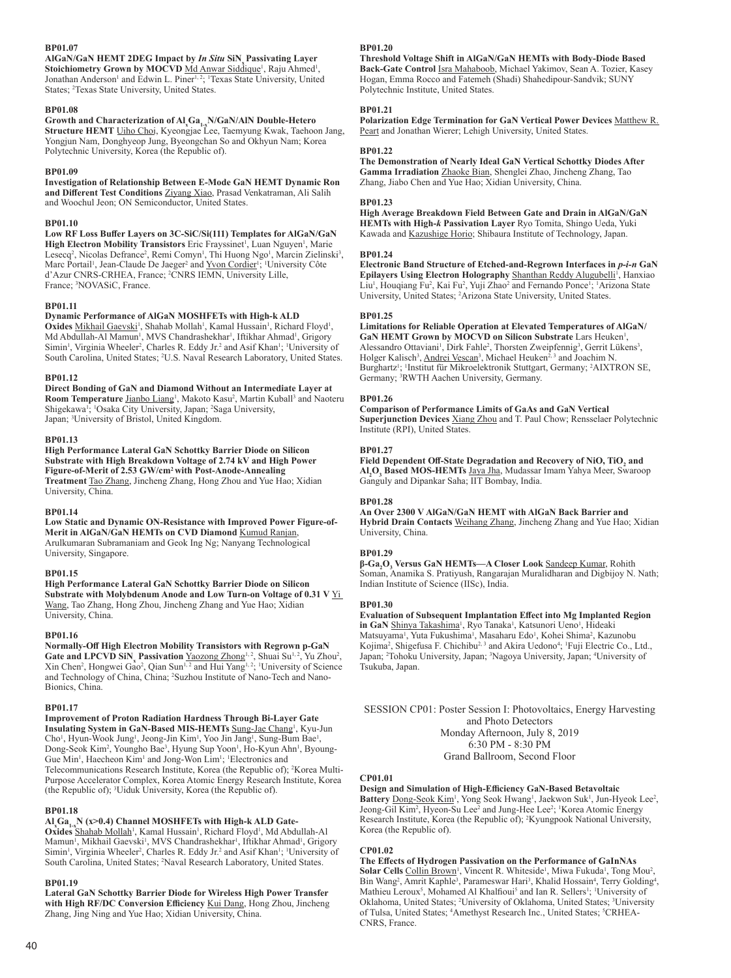## **BP01.07**

AlGaN/GaN HEMT 2DEG Impact by *In Situ* SiN Passivating Layer Stoichiometry Grown by MOCVD Md Anwar Siddique<sup>1</sup>, Raju Ahmed<sup>1</sup>, Jonathan Anderson<sup>1</sup> and Edwin L. Piner<sup>1, 2</sup>; <sup>1</sup>Texas State University, United States; <sup>2</sup>Texas State University, United States.

#### **BP01.08**

**Growth and Characterization of Al <sup>x</sup>Ga1-xN/GaN/AlN Double-Hetero Structure HEMT** Uiho Choi, Kyeongjae Lee, Taemyung Kwak, Taehoon Jang, Yongjun Nam, Donghyeop Jung, Byeongchan So and Okhyun Nam; Korea Polytechnic University, Korea (the Republic of).

#### **BP01.09**

**Investigation of Relationship Between E-Mode GaN HEMT Dynamic Ron and Different Test Conditions** Ziyang Xiao, Prasad Venkatraman, Ali Salih and Woochul Jeon; ON Semiconductor, United States.

## **BP01.10**

**Low RF Loss Buffer Layers on 3C-SiC/Si(111) Templates for AlGaN/GaN**  High Electron Mobility Transistors Eric Frayssinet<sup>1</sup>, Luan Nguyen<sup>1</sup>, Marie Lesecq<sup>2</sup>, Nicolas Defrance<sup>2</sup>, Remi Comyn<sup>1</sup>, Thi Huong Ngo<sup>1</sup>, Marcin Zielinski<sup>3</sup>, Marc Portail<sup>1</sup>, Jean-Claude De Jaeger<sup>2</sup> and **Yvon Cordier<sup>1</sup>; <sup>1</sup>University Côte** d'Azur CNRS-CRHEA, France; <sup>2</sup> CNRS IEMN, University Lille, France; <sup>3</sup> NOVASiC, France.

#### **BP01.11**

## **Dynamic Performance of AlGaN MOSHFETs with High-k ALD**

Oxides Mikhail Gaevski<sup>1</sup>, Shahab Mollah<sup>1</sup>, Kamal Hussain<sup>1</sup>, Richard Floyd<sup>1</sup>, Md Abdullah-Al Mamun<sup>1</sup>, MVS Chandrashekhar<sup>1</sup>, Iftikhar Ahmad<sup>1</sup>, Grigory Simin<sup>1</sup>, Virginia Wheeler<sup>2</sup>, Charles R. Eddy Jr.<sup>2</sup> and Asif Khan<sup>1</sup>; <sup>1</sup>University of South Carolina, United States; <sup>2</sup>U.S. Naval Research Laboratory, United States.

#### **BP01.12**

**Direct Bonding of GaN and Diamond Without an Intermediate Layer at**  Room Temperature *Jianbo Liang<sup>1</sup>*, Makoto Kasu<sup>2</sup>, Martin Kuball<sup>3</sup> and Naoteru Shigekawa<sup>1</sup>; <sup>1</sup>Osaka City University, Japan; <sup>2</sup>Saga University, Japan; <sup>3</sup>University of Bristol, United Kingdom.

#### **BP01.13**

**High Performance Lateral GaN Schottky Barrier Diode on Silicon Substrate with High Breakdown Voltage of 2.74 kV and High Power Figure-of-Merit of 2.53 GW/cm2 with Post-Anode-Annealing Treatment** Tao Zhang, Jincheng Zhang, Hong Zhou and Yue Hao; Xidian University, China.

#### **BP01.14**

**Low Static and Dynamic ON-Resistance with Improved Power Figure-of-**Merit in AlGaN/GaN HEMTs on CVD Diamond **Kumud Ranjan**, Arulkumaran Subramaniam and Geok Ing Ng; Nanyang Technological University, Singapore.

#### **BP01.15**

**High Performance Lateral GaN Schottky Barrier Diode on Silicon Substrate with Molybdenum Anode and Low Turn-on Voltage of 0.31 V** Yi Wang, Tao Zhang, Hong Zhou, Jincheng Zhang and Yue Hao; Xidian University, China.

#### **BP01.16**

**Normally-Off High Electron Mobility Transistors with Regrown p-GaN Gate and LPCVD SiN<sub>x</sub> Passivation**  $\underline{Yaozong Zhong}^{1,2}$ , Shuai Su<sup>1,2</sup>, Yu Zhou<sup>2</sup>, Xin Chen<sup>2</sup>, Hongwei Gao<sup>2</sup>, Qian Sun<sup>1, 2</sup> and Hui Yang<sup>1, 2</sup>; <sup>1</sup>University of Science and Technology of China, China; <sup>2</sup>Suzhou Institute of Nano-Tech and Nano-Bionics, China.

#### **BP01.17**

**Improvement of Proton Radiation Hardness Through Bi-Layer Gate**  Insulating System in GaN-Based MIS-HEMTs Sung-Jae Chang<sup>1</sup>, Kyu-Jun Cho<sup>1</sup>, Hyun-Wook Jung<sup>1</sup>, Jeong-Jin Kim<sup>1</sup>, Yoo Jin Jang<sup>1</sup>, Sung-Bum Bae<sup>1</sup>, Dong-Seok Kim<sup>2</sup>, Youngho Bae<sup>3</sup>, Hyung Sup Yoon<sup>1</sup>, Ho-Kyun Ahn<sup>1</sup>, Byoung-Gue Min<sup>1</sup>, Haecheon Kim<sup>1</sup> and Jong-Won Lim<sup>1</sup>; <sup>1</sup>Electronics and Telecommunications Research Institute, Korea (the Republic of); <sup>2</sup>Korea Multi-Purpose Accelerator Complex, Korea Atomic Energy Research Institute, Korea (the Republic of); <sup>3</sup> Uiduk University, Korea (the Republic of).

#### **BP01.18**

**Al<sup>x</sup> Ga1-xN (x>0.4) Channel MOSHFETs with High-k ALD Gate-**Oxides Shahab Mollah<sup>1</sup>, Kamal Hussain<sup>1</sup>, Richard Floyd<sup>1</sup>, Md Abdullah-Al Mamun<sup>1</sup>, Mikhail Gaevski<sup>1</sup>, MVS Chandrashekhar<sup>1</sup>, Iftikhar Ahmad<sup>1</sup>, Grigory Simin<sup>1</sup>, Virginia Wheeler<sup>2</sup>, Charles R. Eddy Jr.<sup>2</sup> and Asif Khan<sup>1</sup>; <sup>1</sup>University of South Carolina, United States; <sup>2</sup>Naval Research Laboratory, United States.

#### **BP01.19**

**Lateral GaN Schottky Barrier Diode for Wireless High Power Transfer with High RF/DC Conversion Efficiency** Kui Dang, Hong Zhou, Jincheng Zhang, Jing Ning and Yue Hao; Xidian University, China.

## **BP01.20**

**Threshold Voltage Shift in AlGaN/GaN HEMTs with Body-Diode Based Back-Gate Control** Isra Mahaboob, Michael Yakimov, Sean A. Tozier, Kasey Hogan, Emma Rocco and Fatemeh (Shadi) Shahedipour-Sandvik; SUNY Polytechnic Institute, United States.

## **BP01.21**

**Polarization Edge Termination for GaN Vertical Power Devices** Matthew R. Peart and Jonathan Wierer; Lehigh University, United States.

#### **BP01.22**

**The Demonstration of Nearly Ideal GaN Vertical Schottky Diodes After Gamma Irradiation** Zhaoke Bian, Shenglei Zhao, Jincheng Zhang, Tao Zhang, Jiabo Chen and Yue Hao; Xidian University, China.

#### **BP01.23**

**High Average Breakdown Field Between Gate and Drain in AlGaN/GaN HEMTs with High-***k* **Passivation Layer** Ryo Tomita, Shingo Ueda, Yuki Kawada and Kazushige Horio; Shibaura Institute of Technology, Japan.

#### **BP01.24**

**Electronic Band Structure of Etched-and-Regrown Interfaces in** *p-i-n* **GaN**  Epilayers Using Electron Holography Shanthan Reddy Alugubelli<sup>1</sup>, Hanxiao Liu<sup>1</sup>, Houqiang Fu<sup>2</sup>, Kai Fu<sup>2</sup>, Yuji Zhao<sup>2</sup> and Fernando Ponce<sup>1</sup>; <sup>1</sup>Arizona State University, United States; <sup>2</sup> Arizona State University, United States.

#### **BP01.25**

**Limitations for Reliable Operation at Elevated Temperatures of AlGaN/** GaN HEMT Grown by MOCVD on Silicon Substrate Lars Heuken<sup>1</sup>, Alessandro Ottaviani<sup>1</sup>, Dirk Fahle<sup>2</sup>, Thorsten Zweipfennig<sup>3</sup>, Gerrit Lükens<sup>3</sup>, Holger Kalisch<sup>3</sup>, Andrei Vescan<sup>3</sup>, Michael Heuken<sup>2, 3</sup> and Joachim N. Burghartz<sup>1</sup>; <sup>1</sup>Institut für Mikroelektronik Stuttgart, Germany; <sup>2</sup>AIXTRON SE, Germany; <sup>3</sup> RWTH Aachen University, Germany.

## **BP01.26**

**Comparison of Performance Limits of GaAs and GaN Vertical Superjunction Devices** Xiang Zhou and T. Paul Chow; Rensselaer Polytechnic Institute (RPI), United States.

#### **BP01.27**

**Field Dependent Off-State Degradation and Recovery of NiO, TiO<sup>2</sup> and Al2 O3 Based MOS-HEMTs** Jaya Jha, Mudassar Imam Yahya Meer, Swaroop Ganguly and Dipankar Saha; IIT Bombay, India.

#### **BP01.28**

**An Over 2300 V AlGaN/GaN HEMT with AlGaN Back Barrier and Hybrid Drain Contacts** Weihang Zhang, Jincheng Zhang and Yue Hao; Xidian University, China.

#### **BP01.29**

**β-Ga<sup>2</sup> O3 Versus GaN HEMTs—A Closer Look** Sandeep Kumar, Rohith Soman, Anamika S. Pratiyush, Rangarajan Muralidharan and Digbijoy N. Nath; Indian Institute of Science (IISc), India.

#### **BP01.30**

**Evaluation of Subsequent Implantation Effect into Mg Implanted Region**  in GaN Shinya Takashima<sup>1</sup>, Ryo Tanaka<sup>1</sup>, Katsunori Ueno<sup>1</sup>, Hideaki Matsuyama<sup>1</sup>, Yuta Fukushima<sup>1</sup>, Masaharu Edo<sup>1</sup>, Kohei Shima<sup>2</sup>, Kazunobu Kojima<sup>2</sup>, Shigefusa F. Chichibu<sup>2, 3</sup> and Akira Uedono<sup>4</sup>; <sup>1</sup>Fuji Electric Co., Ltd., Japan; <sup>2</sup> Tohoku University, Japan; <sup>3</sup> Nagoya University, Japan; <sup>4</sup> University of Tsukuba, Japan.

SESSION CP01: Poster Session I: Photovoltaics, Energy Harvesting and Photo Detectors Monday Afternoon, July 8, 2019 6:30 PM - 8:30 PM Grand Ballroom, Second Floor

#### **CP01.01**

**Design and Simulation of High-Efficiency GaN-Based Betavoltaic**  Battery **Dong-Seok Kim<sup>1</sup>, Yong Seok Hwang<sup>1</sup>, Jaekwon Suk<sup>1</sup>, Jun-Hyeok Lee<sup>2</sup>,** Jeong-Gil Kim<sup>2</sup>, Hyeon-Su Lee<sup>2</sup> and Jung-Hee Lee<sup>2</sup>; <sup>1</sup>Korea Atomic Energy Research Institute, Korea (the Republic of); <sup>2</sup>Kyungpook National University, Korea (the Republic of).

## **CP01.02**

**The Effects of Hydrogen Passivation on the Performance of GaInNAs**  Solar Cells Collin Brown<sup>1</sup>, Vincent R. Whiteside<sup>1</sup>, Miwa Fukuda<sup>1</sup>, Tong Mou<sup>2</sup>, Bin Wang<sup>2</sup>, Amrit Kaphle<sup>3</sup>, Parameswar Hari<sup>3</sup>, Khalid Hossain<sup>4</sup>, Terry Golding<sup>4</sup>, Mathieu Leroux<sup>5</sup>, Mohamed Al Khalfioui<sup>5</sup> and Ian R. Sellers<sup>1</sup>; <sup>1</sup>University of Oklahoma, United States; <sup>2</sup>University of Oklahoma, United States; <sup>3</sup>University of Tulsa, United States; <sup>4</sup>Amethyst Research Inc., United States; <sup>5</sup>CRHEA-CNRS, France.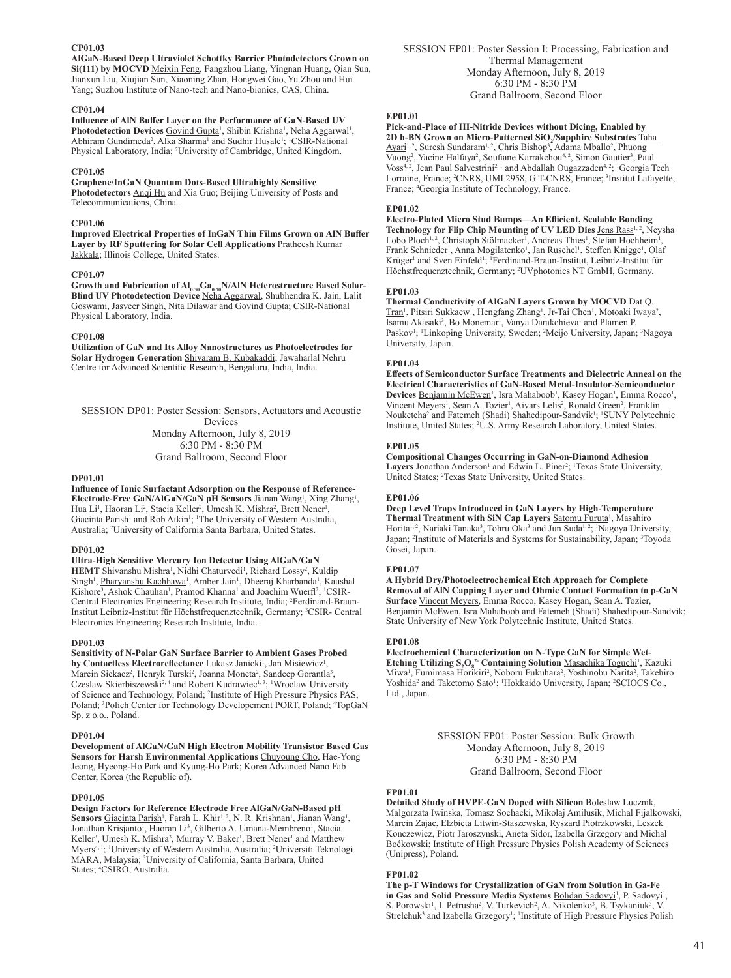## **CP01.03**

**AlGaN-Based Deep Ultraviolet Schottky Barrier Photodetectors Grown on Si(111) by MOCVD** Meixin Feng, Fangzhou Liang, Yingnan Huang, Qian Sun, Jianxun Liu, Xiujian Sun, Xiaoning Zhan, Hongwei Gao, Yu Zhou and Hui Yang; Suzhou Institute of Nano-tech and Nano-bionics, CAS, China.

#### **CP01.04**

#### **Influence of AlN Buffer Layer on the Performance of GaN-Based UV**  Photodetection Devices Govind Gupta<sup>1</sup>, Shibin Krishna<sup>1</sup>, Neha Aggarwal<sup>1</sup>, Abhiram Gundimeda<sup>2</sup>, Alka Sharma<sup>1</sup> and Sudhir Husale<sup>1</sup>; <sup>1</sup>CSIR-National Physical Laboratory, India; <sup>2</sup> University of Cambridge, United Kingdom.

#### **CP01.05**

**Graphene/InGaN Quantum Dots-Based Ultrahighly Sensitive Photodetectors** Anqi Hu and Xia Guo; Beijing University of Posts and Telecommunications, China.

## **CP01.06**

**Improved Electrical Properties of InGaN Thin Films Grown on AlN Buffer Layer by RF Sputtering for Solar Cell Applications** Pratheesh Kumar Jakkala; Illinois College, United States.

## **CP01.07**

Growth and Fabrication of Al<sub>0.30</sub>Ga<sub>0.70</sub>N/AlN Heterostructure Based Solar-**Blind UV Photodetection Device** Neha Aggarwal, Shubhendra K. Jain, Lalit Goswami, Jasveer Singh, Nita Dilawar and Govind Gupta; CSIR-National Physical Laboratory, India.

## **CP01.08**

**Utilization of GaN and Its Alloy Nanostructures as Photoelectrodes for Solar Hydrogen Generation** Shivaram B. Kubakaddi; Jawaharlal Nehru Centre for Advanced Scientific Research, Bengaluru, India, India.

SESSION DP01: Poster Session: Sensors, Actuators and Acoustic Devices Monday Afternoon, July 8, 2019 6:30 PM - 8:30 PM Grand Ballroom, Second Floor

#### **DP01.01**

**Influence of Ionic Surfactant Adsorption on the Response of Reference-**Electrode-Free GaN/AlGaN/GaN pH Sensors Jianan Wang<sup>1</sup>, Xing Zhang<sup>1</sup>, Hua Li<sup>1</sup>, Haoran Li<sup>2</sup>, Stacia Keller<sup>2</sup>, Umesh K. Mishra<sup>2</sup>, Brett Nener<sup>1</sup> , Giacinta Parish<sup>1</sup> and Rob Atkin<sup>1</sup>; <sup>1</sup>The University of Western Australia, Australia; <sup>2</sup> University of California Santa Barbara, United States.

#### **DP01.02**

## **Ultra-High Sensitive Mercury Ion Detector Using AlGaN/GaN**

HEMT Shivanshu Mishra<sup>1</sup>, Nidhi Chaturvedi<sup>1</sup>, Richard Lossy<sup>2</sup>, Kuldip Singh<sup>1</sup>, <u>Pharyanshu Kachhawa</u><sup>1</sup>, Amber Jain<sup>1</sup>, Dheeraj Kharbanda<sup>1</sup>, Kaushal Kishore<sup>3</sup>, Ashok Chauhan<sup>1</sup>, Pramod Khanna<sup>1</sup> and Joachim Wuerfl<sup>2</sup>; <sup>1</sup>CSIR-Central Electronics Engineering Research Institute, India; <sup>2</sup> Ferdinand-Braun-Institut Leibniz-Institut für Höchstfrequenztechnik, Germany; <sup>3</sup>CSIR- Central Electronics Engineering Research Institute, India.

#### **DP01.03**

**Sensitivity of N-Polar GaN Surface Barrier to Ambient Gases Probed by Contactless Electroreflectance** *L***ukasz Janicki<sup>1</sup>, Jan Misiewicz<sup>1</sup>** , Marcin Siekacz<sup>2</sup>, Henryk Turski<sup>2</sup>, Joanna Moneta<sup>2</sup>, Sandeep Gorantla<sup>3</sup>, Czeslaw Skierbiszewski<sup>2,4</sup> and Robert Kudrawiec<sup>1, 3</sup>; <sup>1</sup>Wroclaw University of Science and Technology, Poland; <sup>2</sup> Institute of High Pressure Physics PAS, Poland; <sup>3</sup>Polich Center for Technology Developement PORT, Poland; <sup>4</sup>TopGaN Sp. z o.o., Poland.

#### **DP01.04**

**Development of AlGaN/GaN High Electron Mobility Transistor Based Gas Sensors for Harsh Environmental Applications** Chuyoung Cho, Hae-Yong Jeong, Hyeong-Ho Park and Kyung-Ho Park; Korea Advanced Nano Fab Center, Korea (the Republic of).

#### **DP01.05**

**Design Factors for Reference Electrode Free AlGaN/GaN-Based pH**  Sensors Giacinta Parish<sup>1</sup>, Farah L. Khir<sup>1, 2</sup>, N. R. Krishnan<sup>1</sup>, Jianan Wang<sup>1</sup>, Jonathan Krisjanto<sup>1</sup>, Haoran Li<sup>3</sup>, Gilberto A. Umana-Membreno<sup>1</sup>, Stacia Keller<sup>3</sup>, Umesh K. Mishra<sup>3</sup>, Murray V. Baker<sup>1</sup>, Brett Nener<sup>1</sup> and Matthew Myers<sup>4, 1</sup>; <sup>1</sup>University of Western Australia, Australia; <sup>2</sup>Universiti Teknologi MARA, Malaysia; <sup>3</sup> University of California, Santa Barbara, United States; <sup>4</sup> CSIRO, Australia.

#### **EP01.01**

**Pick-and-Place of III-Nitride Devices without Dicing, Enabled by**  2D h-BN Grown on Micro-Patterned SiO<sub>2</sub>/Sapphire Substrates <u>Taha</u> Ayari<sup>1, 2</sup>, Suresh Sundaram<sup>1, 2</sup>, Chris Bishop<sup>3</sup>, Adama Mballo<sup>2</sup>, Phuong Vuong<sup>2</sup>, Yacine Halfaya<sup>2</sup>, Soufiane Karrakchou<sup>4, 2</sup>, Simon Gautier<sup>3</sup>, Paul Voss<sup>4, 2</sup>, Jean Paul Salvestrini<sup>2, 1</sup> and Abdallah Ougazzaden<sup>4, 2</sup>; <sup>1</sup>Georgia Tech Lorraine, France; <sup>2</sup>CNRS, UMI 2958, G T-CNRS, France; <sup>3</sup>Institut Lafayette, France; <sup>4</sup> Georgia Institute of Technology, France.

## **EP01.02**

**Electro-Plated Micro Stud Bumps—An Efficient, Scalable Bonding**  Technology for Flip Chip Mounting of UV LED Dies Jens Rass<sup>1,2</sup>, Neysha Lobo Ploch<sup>1,2</sup>, Christoph Stölmacker<sup>1</sup>, Andreas Thies<sup>1</sup>, Stefan Hochheim<sup>1</sup>, Frank Schnieder<sup>1</sup>, Anna Mogilatenko<sup>1</sup>, Jan Ruschel<sup>1</sup>, Steffen Knigge<sup>1</sup>, Olaf Krüger<sup>1</sup> and Sven Einfeld<sup>1</sup>; <sup>1</sup>Ferdinand-Braun-Institut, Leibniz-Institut für Höchstfrequenztechnik, Germany; <sup>2</sup> UVphotonics NT GmbH, Germany.

#### **EP01.03**

**Thermal Conductivity of AlGaN Layers Grown by MOCVD** Dat Q. Tran<sup>1</sup>, Pitsiri Sukkaew<sup>1</sup>, Hengfang Zhang<sup>1</sup>, Jr-Tai Chen<sup>1</sup>, Motoaki Iwaya<sup>2</sup>, Isamu Akasaki<sup>3</sup>, Bo Monemar<sup>1</sup>, Vanya Darakchieva<sup>1</sup> and Plamen P. Paskov<sup>1</sup>; <sup>1</sup>Linkoping University, Sweden; <sup>2</sup>Meijo University, Japan; <sup>3</sup>Nagoya University, Japan.

#### **EP01.04**

**Effects of Semiconductor Surface Treatments and Dielectric Anneal on the Electrical Characteristics of GaN-Based Metal-Insulator-Semiconductor**  Devices <u>Benjamin McEwen</u><sup>1</sup>, Isra Mahaboob<sup>1</sup>, Kasey Hogan<sup>1</sup>, Emma Rocco<sup>1</sup>, Vincent Meyers<sup>1</sup>, Sean A. Tozier<sup>1</sup>, Aivars Lelis<sup>2</sup>, Ronald Green<sup>2</sup>, Franklin Nouketcha<sup>2</sup> and Fatemeh (Shadi) Shahedipour-Sandvik<sup>1</sup>; <sup>1</sup>SUNY Polytechnic Institute, United States; <sup>2</sup> U.S. Army Research Laboratory, United States.

#### **EP01.05**

**Compositional Changes Occurring in GaN-on-Diamond Adhesion**  Layers Jonathan Anderson<sup>1</sup> and Edwin L. Piner<sup>2</sup>; <sup>1</sup>Texas State University, United States; <sup>2</sup> Texas State University, United States.

#### **EP01.06**

**Deep Level Traps Introduced in GaN Layers by High-Temperature**  Thermal Treatment with SiN Cap Layers Satomu Furuta<sup>1</sup>, Masahiro Horita<sup>1, 2</sup>, Nariaki Tanaka<sup>3</sup>, Tohru Oka<sup>3</sup> and Jun Suda<sup>1, 2</sup>; <sup>1</sup>Nagoya University, Japan; <sup>2</sup>Institute of Materials and Systems for Sustainability, Japan; <sup>3</sup>Toyoda Gosei, Japan.

## **EP01.07**

**A Hybrid Dry/Photoelectrochemical Etch Approach for Complete Removal of AlN Capping Layer and Ohmic Contact Formation to p-GaN Surface** Vincent Meyers, Emma Rocco, Kasey Hogan, Sean A. Tozier, Benjamin McEwen, Isra Mahaboob and Fatemeh (Shadi) Shahedipour-Sandvik; State University of New York Polytechnic Institute, United States.

#### **EP01.08**

**Electrochemical Characterization on N-Type GaN for Simple Wet-Etching Utilizing S<sub>2</sub>O<sub>8</sub> Containing Solution** Masachika Toguchi<sup>1</sup>, Kazuki Miwa<sup>1</sup>, Fumimasa Horikiri<sup>2</sup>, Noboru Fukuhara<sup>2</sup>, Yoshinobu Narita<sup>2</sup>, Takehiro Yoshida<sup>2</sup> and Taketomo Sato<sup>1</sup>; <sup>1</sup>Hokkaido University, Japan; <sup>2</sup>SCIOCS Co., Ltd., Japan.

> SESSION FP01: Poster Session: Bulk Growth Monday Afternoon, July 8, 2019 6:30 PM - 8:30 PM Grand Ballroom, Second Floor

#### **FP01.01**

**Detailed Study of HVPE-GaN Doped with Silicon** Boleslaw Lucznik, Malgorzata Iwinska, Tomasz Sochacki, Mikolaj Amilusik, Michal Fijalkowski, Marcin Zajac, Elzbieta Litwin-Staszewska, Ryszard Piotrzkowski, Leszek Konczewicz, Piotr Jaroszynski, Aneta Sidor, Izabella Grzegory and Michal Boćkowski; Institute of High Pressure Physics Polish Academy of Sciences (Unipress), Poland.

## **FP01.02**

**The p-T Windows for Crystallization of GaN from Solution in Ga-Fe**  in Gas and Solid Pressure Media Systems **Bohdan Sadovyi<sup>1</sup>, P. Sadovyi<sup>1</sup>,** S. Porowski<sup>1</sup>, I. Petrusha<sup>2</sup>, V. Turkevich<sup>2</sup>, A. Nikolenko<sup>3</sup>, B. Tsykaniuk<sup>3</sup>, V. Strelchuk<sup>3</sup> and Izabella Grzegory<sup>1</sup>; <sup>1</sup>Institute of High Pressure Physics Polish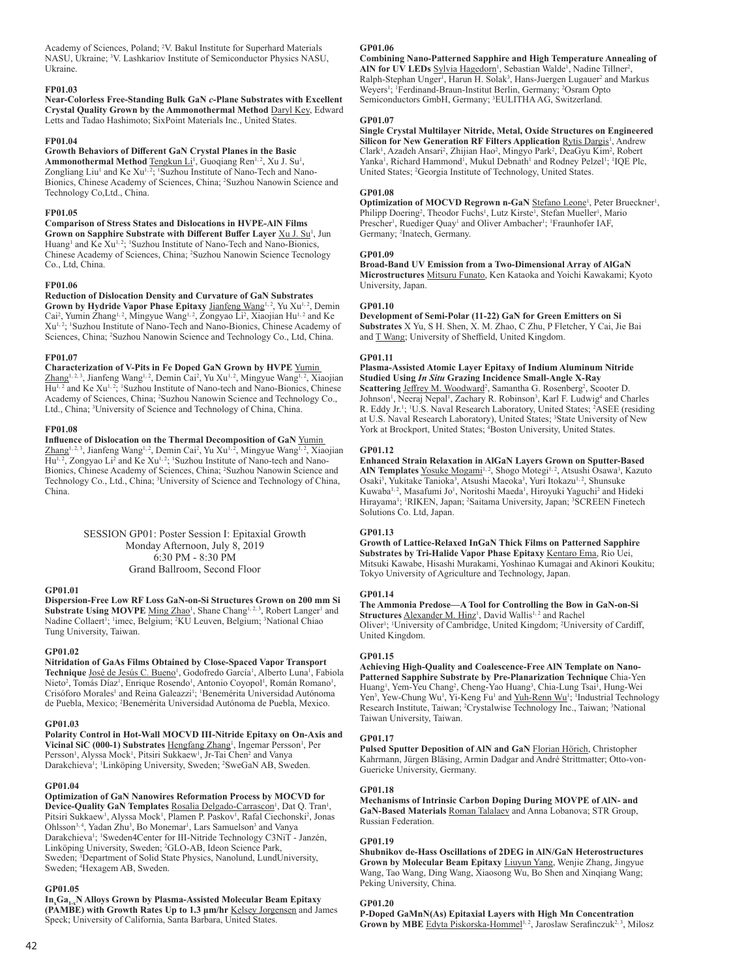Academy of Sciences, Poland; <sup>2</sup> V. Bakul Institute for Superhard Materials NASU, Ukraine; <sup>3</sup> V. Lashkariov Institute of Semiconductor Physics NASU, Ukraine.

## **FP01.03**

**Near-Colorless Free-Standing Bulk GaN** *c***-Plane Substrates with Excellent Crystal Quality Grown by the Ammonothermal Method** Daryl Key, Edward Letts and Tadao Hashimoto; SixPoint Materials Inc., United States.

#### **FP01.04**

#### **Growth Behaviors of Different GaN Crystal Planes in the Basic**

Ammonothermal Method Tengkun Li<sup>1</sup>, Guoqiang Ren<sup>1,2</sup>, Xu J. Su<sup>1</sup>, Zongliang Liu<sup>1</sup> and Ke Xu<sup>1, 2</sup>; <sup>1</sup>Suzhou Institute of Nano-Tech and Nano-Bionics, Chinese Academy of Sciences, China; <sup>2</sup> Suzhou Nanowin Science and Technology Co,Ltd., China.

## **FP01.05**

**Comparison of Stress States and Dislocations in HVPE-AlN Films Grown on Sapphire Substrate with Different Buffer Layer Xu J. Su<sup>1</sup>, Jun** Huang<sup>1</sup> and Ke Xu<sup>1, 2</sup>; <sup>1</sup>Suzhou Institute of Nano-Tech and Nano-Bionics, Chinese Academy of Sciences, China; <sup>2</sup> Suzhou Nanowin Science Tecnology Co., Ltd, China.

#### **FP01.06**

**Reduction of Dislocation Density and Curvature of GaN Substrates**  Grown by Hydride Vapor Phase Epitaxy Jianfeng Wang<sup>1, 2</sup>, Yu Xu<sup>1, 2</sup>, Demin Cai<sup>2</sup>, Yumin Zhang<sup>1, 2</sup>, Mingyue Wang<sup>1, 2</sup>, Zongyao Li<sup>2</sup>, Xiaojian Hu<sup>1, 2</sup> and Ke Xu<sup>1, 2</sup>; <sup>1</sup>Suzhou Institute of Nano-Tech and Nano-Bionics, Chinese Academy of Sciences, China; <sup>2</sup>Suzhou Nanowin Science and Technology Co., Ltd, China.

#### **FP01.07**

**Characterization of V-Pits in Fe Doped GaN Grown by HVPE** Yumin Zhang<sup>1, 2, 3</sup>, Jianfeng Wang<sup>1, 2</sup>, Demin Cai<sup>2</sup>, Yu Xu<sup>1, 2</sup>, Mingyue Wang<sup>1, 2</sup>, Xiaojian Hu<sup>1, 2</sup> and Ke Xu<sup>1, 2</sup>; <sup>1</sup>Suzhou Institute of Nano-tech and Nano-Bionics, Chinese Academy of Sciences, China; <sup>2</sup> Suzhou Nanowin Science and Technology Co., Ltd., China; <sup>3</sup>University of Science and Technology of China, China.

#### **FP01.08**

## **Influence of Dislocation on the Thermal Decomposition of GaN** Yumin

Zhang<sup>1, 2, 3</sup>, Jianfeng Wang<sup>1, 2</sup>, Demin Cai<sup>2</sup>, Yu Xu<sup>1, 2</sup>, Mingyue Wang<sup>1, 2</sup>, Xiaojian Hu<sup>1, 2</sup>, Zongyao Li<sup>2</sup> and Ke Xu<sup>1, 2</sup>; <sup>1</sup>Suzhou Institute of Nano-tech and Nano-Bionics, Chinese Academy of Sciences, China; <sup>2</sup> Suzhou Nanowin Science and Technology Co., Ltd., China; <sup>3</sup> University of Science and Technology of China, China.

> SESSION GP01: Poster Session I: Epitaxial Growth Monday Afternoon, July 8, 2019 6:30 PM - 8:30 PM Grand Ballroom, Second Floor

#### **GP01.01**

**Dispersion-Free Low RF Loss GaN-on-Si Structures Grown on 200 mm Si**  Substrate Using MOVPE Ming Zhao<sup>1</sup>, Shane Chang<sup>1, 2, 3</sup>, Robert Langer<sup>1</sup> and Nadine Collaert<sup>1</sup>; <sup>1</sup>imec, Belgium; <sup>2</sup>KU Leuven, Belgium; <sup>3</sup>National Chiao Tung University, Taiwan.

#### **GP01.02**

**Nitridation of GaAs Films Obtained by Close-Spaced Vapor Transport**  Technique José de Jesús C. Bueno<sup>1</sup>, Godofredo García<sup>1</sup>, Alberto Luna<sup>1</sup>, Fabiola Nieto<sup>2</sup>, Tomás Díaz<sup>1</sup>, Enrique Rosendo<sup>1</sup>, Antonio Coyopol<sup>1</sup>, Román Romano<sup>1</sup>, Crisóforo Morales<sup>1</sup> and Reina Galeazzi<sup>1</sup>; <sup>1</sup>Benemérita Universidad Autónoma de Puebla, Mexico; <sup>2</sup> Benemérita Universidad Autónoma de Puebla, Mexico.

#### **GP01.03**

**Polarity Control in Hot-Wall MOCVD III-Nitride Epitaxy on On-Axis and**  Vicinal SiC (000-1) Substrates **Hengfang Zhang<sup>1</sup>**, Ingemar Persson<sup>1</sup>, Per Persson<sup>1</sup>, Alyssa Mock<sup>1</sup>, Pitsiri Sukkaew<sup>1</sup>, Jr-Tai Chen<sup>2</sup> and Vanya Darakchieva<sup>1</sup>; <sup>1</sup>Linköping University, Sweden; <sup>2</sup>SweGaN AB, Sweden.

#### **GP01.04**

**Optimization of GaN Nanowires Reformation Process by MOCVD for**  Device-Quality GaN Templates Rosalia Delgado-Carrascon<sup>1</sup>, Dat Q. Tran<sup>1</sup>, Pitsiri Sukkaew<sup>1</sup>, Alyssa Mock<sup>1</sup>, Plamen P. Paskov<sup>1</sup>, Rafal Ciechonski<sup>2</sup>, Jonas Ohlsson<sup>3, 4</sup>, Yadan Zhu<sup>3</sup>, Bo Monemar<sup>1</sup>, Lars Samuelson<sup>3</sup> and Vanya Darakchieva<sup>1</sup>; <sup>1</sup>Sweden4Center for III-Nitride Technology C3NiT - Janzén, Linköping University, Sweden; <sup>2</sup>GLO-AB, Ideon Science Park, Sweden; <sup>3</sup>Department of Solid State Physics, Nanolund, LundUniversity, Sweden; <sup>4</sup> Hexagem AB, Sweden.

#### **GP01.05**

**In<sup>x</sup> Ga1-xN Alloys Grown by Plasma-Assisted Molecular Beam Epitaxy (PAMBE) with Growth Rates Up to 1.3 μm/hr** Kelsey Jorgensen and James Speck; University of California, Santa Barbara, United States.

## **GP01.06**

**Combining Nano-Patterned Sapphire and High Temperature Annealing of**  AIN for UV LEDs Sylvia Hagedorn<sup>1</sup>, Sebastian Walde<sup>1</sup>, Nadine Tillner<sup>2</sup>, Ralph-Stephan Unger<sup>1</sup>, Harun H. Solak<sup>3</sup>, Hans-Juergen Lugauer<sup>2</sup> and Markus Weyers<sup>1</sup>; <sup>1</sup>Ferdinand-Braun-Institut Berlin, Germany; <sup>2</sup>Osram Opto Semiconductors GmbH, Germany; <sup>3</sup> EULITHA AG, Switzerland.

## **GP01.07**

**Single Crystal Multilayer Nitride, Metal, Oxide Structures on Engineered**  Silicon for New Generation RF Filters Application Rytis Dargis<sup>1</sup>, Andrew Clark<sup>1</sup>, Azadeh Ansari<sup>2</sup>, Zhijian Hao<sup>2</sup>, Mingyo Park<sup>2</sup>, DeaGyu Kim<sup>2</sup>, Robert Yanka<sup>1</sup>, Richard Hammond<sup>1</sup>, Mukul Debnath<sup>1</sup> and Rodney Pelzel<sup>1</sup>; <sup>1</sup>IQE Plc, United States; <sup>2</sup>Georgia Institute of Technology, United States.

## **GP01.08**

**Optimization of MOCVD Regrown n-GaN Stefano Leone<sup>1</sup>, Peter Brueckner<sup>1</sup>,** Philipp Doering<sup>2</sup>, Theodor Fuchs<sup>1</sup>, Lutz Kirste<sup>1</sup>, Stefan Mueller<sup>1</sup>, Mario Prescher<sup>1</sup>, Ruediger Quay<sup>1</sup> and Oliver Ambacher<sup>1</sup>; <sup>1</sup>Fraunhofer IAF, Germany; <sup>2</sup>Inatech, Germany.

#### **GP01.09**

**Broad-Band UV Emission from a Two-Dimensional Array of AlGaN Microstructures** Mitsuru Funato, Ken Kataoka and Yoichi Kawakami; Kyoto University, Japan.

#### **GP01.10**

**Development of Semi-Polar (11-22) GaN for Green Emitters on Si Substrates** X Yu, S H. Shen, X. M. Zhao, C Zhu, P Fletcher, Y Cai, Jie Bai and T Wang; University of Sheffield, United Kingdom.

#### **GP01.11**

**Plasma-Assisted Atomic Layer Epitaxy of Indium Aluminum Nitride Studied Using** *In Situ* **Grazing Incidence Small-Angle X-Ray**  Scattering Jeffrey M. Woodward<sup>2</sup>, Samantha G. Rosenberg<sup>2</sup>, Scooter D. Johnson<sup>1</sup>, Neeraj Nepal<sup>1</sup>, Zachary R. Robinson<sup>3</sup>, Karl F. Ludwig<sup>4</sup> and Charles R. Eddy Jr.<sup>1</sup>; <sup>1</sup>U.S. Naval Research Laboratory, United States; <sup>2</sup>ASEE (residing at U.S. Naval Research Laboratory), United States; <sup>3</sup>State University of New York at Brockport, United States; <sup>4</sup>Boston University, United States.

#### **GP01.12**

**Enhanced Strain Relaxation in AlGaN Layers Grown on Sputter-Based**  AIN Templates Yosuke Mogami<sup>1,2</sup>, Shogo Motegi<sup>1,2</sup>, Atsushi Osawa<sup>3</sup>, Kazuto Osaki<sup>3</sup>, Yukitake Tanioka<sup>3</sup>, Atsushi Maeoka<sup>3</sup>, Yuri Itokazu<sup>1,2</sup>, Shunsuke Kuwaba<sup>1, 2</sup>, Masafumi Jo<sup>1</sup>, Noritoshi Maeda<sup>1</sup>, Hiroyuki Yaguchi<sup>2</sup> and Hideki Hirayama<sup>1</sup>; <sup>1</sup>RIKEN, Japan; <sup>2</sup>Saitama University, Japan; <sup>3</sup>SCREEN Finetech Solutions Co. Ltd, Japan.

## **GP01.13**

**Growth of Lattice-Relaxed InGaN Thick Films on Patterned Sapphire Substrates by Tri-Halide Vapor Phase Epitaxy** Kentaro Ema, Rio Uei, Mitsuki Kawabe, Hisashi Murakami, Yoshinao Kumagai and Akinori Koukitu; Tokyo University of Agriculture and Technology, Japan.

#### **GP01.14**

**The Ammonia Predose—A Tool for Controlling the Bow in GaN-on-Si**  Structures **Alexander M. Hinz<sup>1</sup>**, David Wallis<sup>1,2</sup> and Rachel Oliver<sup>1</sup>; <sup>1</sup>University of Cambridge, United Kingdom; <sup>2</sup>University of Cardiff, United Kingdom.

#### **GP01.15**

**Achieving High-Quality and Coalescence-Free AlN Template on Nano-Patterned Sapphire Substrate by Pre-Planarization Technique** Chia-Yen Huang<sup>1</sup>, Yem-Yeu Chang<sup>2</sup>, Cheng-Yao Huang<sup>3</sup>, Chia-Lung Tsai<sup>1</sup>, Hung-Wei Yen<sup>3</sup>, Yew-Chung Wu<sup>1</sup>, Yi-Keng Fu<sup>1</sup> and <u>Yuh-Renn Wu</u><sup>1</sup>; <sup>1</sup>Industrial Technology Research Institute, Taiwan; <sup>2</sup>Crystalwise Technology Inc., Taiwan; <sup>3</sup>National Taiwan University, Taiwan.

#### **GP01.17**

**Pulsed Sputter Deposition of AlN and GaN** Florian Hörich, Christopher Kahrmann, Jürgen Bläsing, Armin Dadgar and André Strittmatter; Otto-von-Guericke University, Germany.

#### **GP01.18**

**Mechanisms of Intrinsic Carbon Doping During MOVPE of AlN- and GaN-Based Materials** Roman Talalaev and Anna Lobanova; STR Group, Russian Federation.

#### **GP01.19**

**Shubnikov de-Hass Oscillations of 2DEG in AlN/GaN Heterostructures Grown by Molecular Beam Epitaxy** Liuyun Yang, Wenjie Zhang, Jingyue Wang, Tao Wang, Ding Wang, Xiaosong Wu, Bo Shen and Xinqiang Wang; Peking University, China.

## **GP01.20**

**P-Doped GaMnN(As) Epitaxial Layers with High Mn Concentration**  Grown by MBE Edyta Piskorska-Hommel<sup>1, 2</sup>, Jaroslaw Serafinczuk<sup>2, 3</sup>, Milosz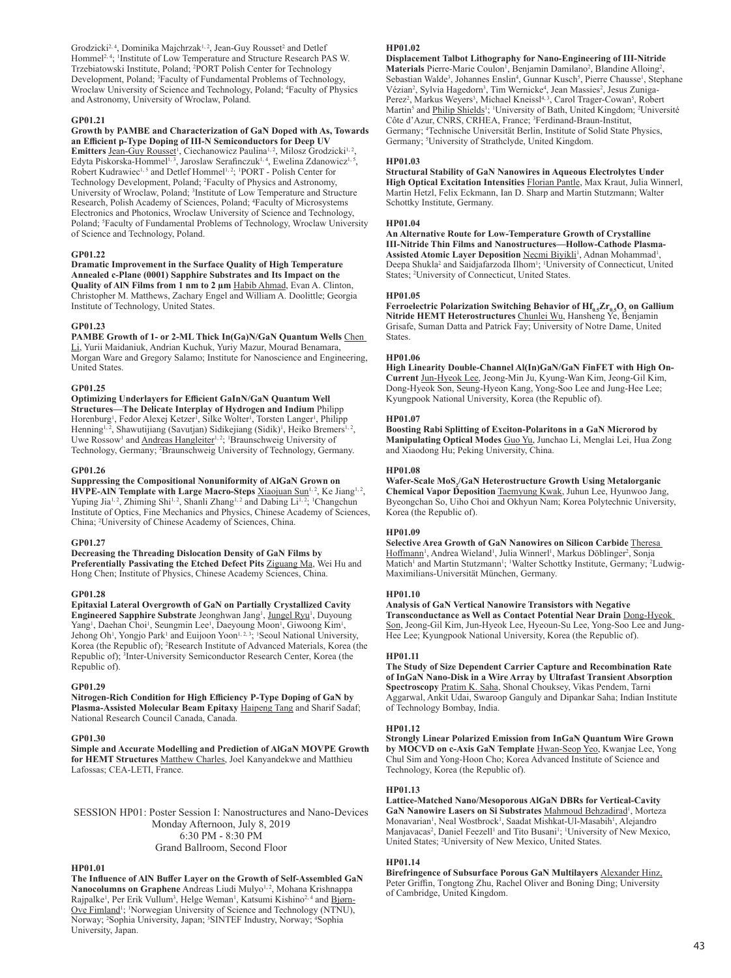Grodzicki<sup>2, 4</sup>, Dominika Majchrzak<sup>1, 2</sup>, Jean-Guy Rousset<sup>2</sup> and Detlef Hommel<sup>2, 4</sup>; <sup>1</sup>Institute of Low Temperature and Structure Research PAS W. Trzebiatowski Institute, Poland; <sup>2</sup> PORT Polish Center for Technology Development, Poland; <sup>3</sup>Faculty of Fundamental Problems of Technology, Wroclaw University of Science and Technology, Poland; <sup>4</sup>Faculty of Physics and Astronomy, University of Wroclaw, Poland.

## **GP01.21**

**Growth by PAMBE and Characterization of GaN Doped with As, Towards an Efficient p-Type Doping of III-N Semiconductors for Deep UV Emitters** Jean-Guy Rousset<sup>1</sup>, Ciechanowicz Paulina<sup>1, 2</sup>, Milosz Grodzicki<sup>1, 2</sup>, Edyta Piskorska-Hommel<sup>1, 3</sup>, Jaroslaw Serafinczuk<sup>1, 4</sup>, Ewelina Zdanowicz<sup>1, 5</sup>, Robert Kudrawiec<sup>1, 5</sup> and Detlef Hommel<sup>1, 2</sup>; <sup>1</sup>PORT - Polish Center for Technology Development, Poland; <sup>2</sup> Faculty of Physics and Astronomy, University of Wroclaw, Poland; <sup>3</sup>Institute of Low Temperature and Structure Research, Polish Academy of Sciences, Poland; <sup>4</sup> Faculty of Microsystems Electronics and Photonics, Wroclaw University of Science and Technology, Poland; <sup>5</sup>Faculty of Fundamental Problems of Technology, Wroclaw University of Science and Technology, Poland.

#### **GP01.22**

**Dramatic Improvement in the Surface Quality of High Temperature Annealed c-Plane (0001) Sapphire Substrates and Its Impact on the Quality of AlN Films from 1 nm to 2 µm** Habib Ahmad, Evan A. Clinton, Christopher M. Matthews, Zachary Engel and William A. Doolittle; Georgia Institute of Technology, United States.

## **GP01.23**

**PAMBE Growth of 1- or 2-ML Thick In(Ga)N/GaN Quantum Wells** Chen Li, Yurii Maidaniuk, Andrian Kuchuk, Yuriy Mazur, Mourad Benamara, Morgan Ware and Gregory Salamo; Institute for Nanoscience and Engineering, United States.

#### **GP01.25**

**Optimizing Underlayers for Efficient GaInN/GaN Quantum Well Structures—The Delicate Interplay of Hydrogen and Indium** Philipp Horenburg<sup>1</sup>, Fedor Alexej Ketzer<sup>1</sup>, Silke Wolter<sup>1</sup>, Torsten Langer<sup>1</sup>, Philipp Henning<sup>1,2</sup>, Shawutijiang (Savutjan) Sidikejiang (Sidik)<sup>1</sup>, Heiko Bremers<sup>1,2</sup>, Uwe Rossow<sup>1</sup> and **Andreas Hangleiter<sup>1, 2</sup>;** <sup>1</sup>Braunschweig University of Technology, Germany; <sup>2</sup> Braunschweig University of Technology, Germany.

#### **GP01.26**

**Suppressing the Compositional Nonuniformity of AlGaN Grown on HVPE-AIN Template with Large Macro-Steps** Xiaojuan Sun<sup>1, 2</sup>, Ke Jiang<sup>1, 2</sup>, Yuping Jia<sup>1, 2</sup>, Zhiming Shi<sup>1, 2</sup>, Shanli Zhang<sup>1, 2</sup> and Dabing Li<sup>1, 2</sup>, <sup>1</sup>Changchun Institute of Optics, Fine Mechanics and Physics, Chinese Academy of Sciences, China; <sup>2</sup> University of Chinese Academy of Sciences, China.

#### **GP01.27**

**Decreasing the Threading Dislocation Density of GaN Films by Preferentially Passivating the Etched Defect Pits** Ziguang Ma, Wei Hu and Hong Chen; Institute of Physics, Chinese Academy Sciences, China.

#### **GP01.28**

**Epitaxial Lateral Overgrowth of GaN on Partially Crystallized Cavity Engineered Sapphire Substrate** Jeonghwan Jang<sup>1</sup>, Jungel Ryu<sup>1</sup>, Duyoung Yang<sup>1</sup>, Daehan Choi<sup>1</sup>, Seungmin Lee<sup>1</sup>, Daeyoung Moon<sup>1</sup>, Giwoong Kim<sup>1</sup>, Jehong Oh<sup>1</sup>, Yongjo Park<sup>1</sup> and Euijoon Yoon<sup>1, 2, 3</sup>; <sup>1</sup>Seoul National University, Korea (the Republic of); <sup>2</sup> Research Institute of Advanced Materials, Korea (the Republic of); <sup>3</sup>Inter-University Semiconductor Research Center, Korea (the Republic of).

#### **GP01.29**

**Nitrogen-Rich Condition for High Efficiency P-Type Doping of GaN by Plasma-Assisted Molecular Beam Epitaxy** Haipeng Tang and Sharif Sadaf; National Research Council Canada, Canada.

#### **GP01.30**

**Simple and Accurate Modelling and Prediction of AlGaN MOVPE Growth for HEMT Structures** Matthew Charles, Joel Kanyandekwe and Matthieu Lafossas; CEA-LETI, France.

SESSION HP01: Poster Session I: Nanostructures and Nano-Devices Monday Afternoon, July 8, 2019 6:30 PM - 8:30 PM Grand Ballroom, Second Floor

## **HP01.01**

**The Influence of AlN Buffer Layer on the Growth of Self-Assembled GaN**  Nanocolumns on Graphene Andreas Liudi Mulyo<sup>1,2</sup>, Mohana Krishnappa Rajpalke<sup>1</sup>, Per Erik Vullum<sup>3</sup>, Helge Weman<sup>1</sup>, Katsumi Kishino<sup>2,4</sup> and <u>Bjørn-</u> Ove Fimland<sup>1</sup>; <sup>1</sup>Norwegian University of Science and Technology (NTNU), Norway; <sup>2</sup>Sophia University, Japan; <sup>3</sup>SINTEF Industry, Norway; <sup>4</sup>Sophia University, Japan.

## **HP01.02**

**Displacement Talbot Lithography for Nano-Engineering of III-Nitride**  Materials Pierre-Marie Coulon<sup>1</sup>, Benjamin Damilano<sup>2</sup>, Blandine Alloing<sup>2</sup>, Sebastian Walde<sup>3</sup>, Johannes Enslin<sup>4</sup>, Gunnar Kusch<sup>5</sup>, Pierre Chausse<sup>1</sup>, Stephane Vézian<sup>2</sup>, Sylvia Hagedorn<sup>3</sup>, Tim Wernicke<sup>4</sup>, Jean Massies<sup>2</sup>, Jesus Zuniga-Perez<sup>2</sup>, Markus Weyers<sup>3</sup>, Michael Kneissl<sup>4, 3</sup>, Carol Trager-Cowan<sup>5</sup>, Robert Martin<sup>5</sup> and Philip Shields<sup>1</sup>; <sup>1</sup>University of Bath, United Kingdom; <sup>2</sup>Université Côte d'Azur, CNRS, CRHEA, France; <sup>3</sup> Ferdinand-Braun-Institut, Germany; <sup>4</sup> Technische Universität Berlin, Institute of Solid State Physics, Germany; <sup>5</sup>University of Strathclyde, United Kingdom.

## **HP01.03**

**Structural Stability of GaN Nanowires in Aqueous Electrolytes Under High Optical Excitation Intensities** Florian Pantle, Max Kraut, Julia Winnerl, Martin Hetzl, Felix Eckmann, Ian D. Sharp and Martin Stutzmann; Walter Schottky Institute, Germany.

## **HP01.04**

**An Alternative Route for Low-Temperature Growth of Crystalline III-Nitride Thin Films and Nanostructures—Hollow-Cathode Plasma-**Assisted Atomic Layer Deposition Necmi Biyikli<sup>1</sup>, Adnan Mohammad<sup>1</sup>, Deepa Shukla<sup>2</sup> and Saidjafarzoda Ilhom<sup>1</sup>; <sup>1</sup>University of Connecticut, United States; <sup>2</sup>University of Connecticut, United States.

#### **HP01.05**

Ferroelectric Polarization Switching Behavior of  $\text{Hf}_{0.5}Zr_{0.5}O_2$  on Gallium **Nitride HEMT Heterostructures** Chunlei Wu, Hansheng Ye, Benjamin Grisafe, Suman Datta and Patrick Fay; University of Notre Dame, United States.

#### **HP01.06**

**High Linearity Double-Channel Al(In)GaN/GaN FinFET with High On-Current** Jun-Hyeok Lee, Jeong-Min Ju, Kyung-Wan Kim, Jeong-Gil Kim, Dong-Hyeok Son, Seung-Hyeon Kang, Yong-Soo Lee and Jung-Hee Lee; Kyungpook National University, Korea (the Republic of).

#### **HP01.07**

**Boosting Rabi Splitting of Exciton-Polaritons in a GaN Microrod by Manipulating Optical Modes** Guo Yu, Junchao Li, Menglai Lei, Hua Zong and Xiaodong Hu; Peking University, China.

#### **HP01.08**

**Wafer-Scale MoS<sub>2</sub>/GaN Heterostructure Growth Using Metalorganic Chemical Vapor Deposition** Taemyung Kwak, Juhun Lee, Hyunwoo Jang, Byeongchan So, Uiho Choi and Okhyun Nam; Korea Polytechnic University, Korea (the Republic of).

#### **HP01.09**

**Selective Area Growth of GaN Nanowires on Silicon Carbide** Theresa Hoffmann<sup>1</sup>, Andrea Wieland<sup>1</sup>, Julia Winnerl<sup>1</sup>, Markus Döblinger<sup>2</sup>, Sonja Matich<sup>1</sup> and Martin Stutzmann<sup>1</sup>; <sup>1</sup>Walter Schottky Institute, Germany; <sup>2</sup>Ludwig-Maximilians-Universität München, Germany.

## **HP01.10**

## **Analysis of GaN Vertical Nanowire Transistors with Negative**

**Transconductance as Well as Contact Potential Near Drain** Dong-Hyeok Son, Jeong-Gil Kim, Jun-Hyeok Lee, Hyeoun-Su Lee, Yong-Soo Lee and Jung-Hee Lee; Kyungpook National University, Korea (the Republic of).

#### **HP01.11**

**The Study of Size Dependent Carrier Capture and Recombination Rate of InGaN Nano-Disk in a Wire Array by Ultrafast Transient Absorption Spectroscopy** Pratim K. Saha, Shonal Chouksey, Vikas Pendem, Tarni Aggarwal, Ankit Udai, Swaroop Ganguly and Dipankar Saha; Indian Institute of Technology Bombay, India.

#### **HP01.12**

**Strongly Linear Polarized Emission from InGaN Quantum Wire Grown by MOCVD on c-Axis GaN Template** Hwan-Seop Yeo, Kwanjae Lee, Yong Chul Sim and Yong-Hoon Cho; Korea Advanced Institute of Science and Technology, Korea (the Republic of).

## **HP01.13**

**Lattice-Matched Nano/Mesoporous AlGaN DBRs for Vertical-Cavity**  GaN Nanowire Lasers on Si Substrates Mahmoud Behzadirad<sup>1</sup>, Morteza Monavarian<sup>1</sup>, Neal Wostbrock<sup>1</sup>, Saadat Mishkat-Ul-Masabih<sup>1</sup>, Alejandro Manjavacas<sup>2</sup>, Daniel Feezell<sup>1</sup> and Tito Busani<sup>1</sup>; <sup>1</sup>University of New Mexico, United States; <sup>2</sup>University of New Mexico, United States.

## **HP01.14**

**Birefringence of Subsurface Porous GaN Multilayers** Alexander Hinz, Peter Griffin, Tongtong Zhu, Rachel Oliver and Boning Ding; University of Cambridge, United Kingdom.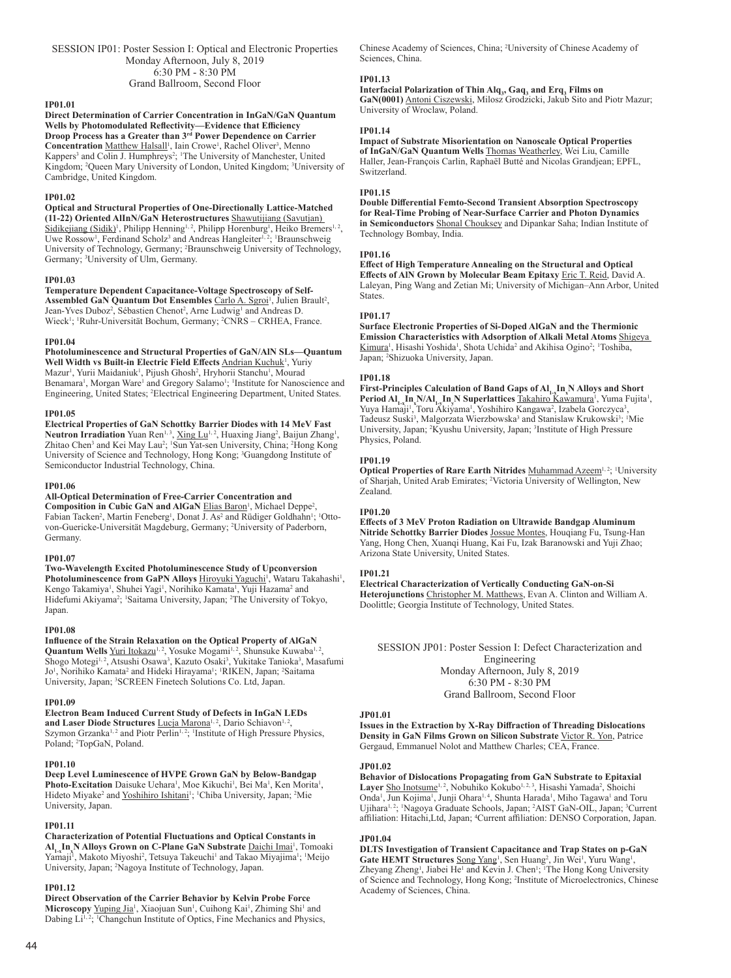SESSION IP01: Poster Session I: Optical and Electronic Properties Monday Afternoon, July 8, 2019 6:30 PM - 8:30 PM Grand Ballroom, Second Floor

#### **IP01.01**

**Direct Determination of Carrier Concentration in InGaN/GaN Quantum Wells by Photomodulated Reflectivity—Evidence that Efficiency Droop Process has a Greater than 3rd Power Dependence on Carrier**  Concentration Matthew Halsall<sup>1</sup>, Iain Crowe<sup>1</sup>, Rachel Oliver<sup>3</sup>, Menno Kappers<sup>3</sup> and Colin J. Humphreys<sup>2</sup>; <sup>1</sup>The University of Manchester, United Kingdom; <sup>2</sup>Queen Mary University of London, United Kingdom; <sup>3</sup>University of Cambridge, United Kingdom.

#### **IP01.02**

**Optical and Structural Properties of One-Directionally Lattice-Matched (11-22) Oriented AlInN/GaN Heterostructures** Shawutijiang (Savutjan) Sidikejiang (Sidik)<sup>1</sup>, Philipp Henning<sup>1, 2</sup>, Philipp Horenburg<sup>1</sup>, Heiko Bremers<sup>1, 2</sup>, Uwe Rossow<sup>1</sup>, Ferdinand Scholz<sup>3</sup> and Andreas Hangleiter<sup>1, 2</sup>; <sup>1</sup>Braunschweig University of Technology, Germany; <sup>2</sup> Braunschweig University of Technology, Germany; <sup>3</sup>University of Ulm, Germany.

#### **IP01.03**

**Temperature Dependent Capacitance-Voltage Spectroscopy of Self-**Assembled GaN Quantum Dot Ensembles Carlo A. Sgroi<sup>1</sup>, Julien Brault<sup>2</sup>, Jean-Yves Duboz<sup>2</sup>, Sébastien Chenot<sup>2</sup>, Arne Ludwig<sup>1</sup> and Andreas D. Wieck<sup>1</sup>; <sup>1</sup>Ruhr-Universität Bochum, Germany; <sup>2</sup>CNRS - CRHEA, France.

#### **IP01.04**

**Photoluminescence and Structural Properties of GaN/AlN SLs—Quantum**  Well Width vs Built-in Electric Field Effects **Andrian Kuchuk<sup>1</sup>**, Yuriy Mazur<sup>1</sup>, Yurii Maidaniuk<sup>1</sup>, Pijush Ghosh<sup>2</sup>, Hryhorii Stanchu<sup>1</sup>, Mourad Benamara<sup>1</sup>, Morgan Ware<sup>1</sup> and Gregory Salamo<sup>1</sup>; <sup>1</sup>Institute for Nanoscience and Engineering, United States; <sup>2</sup> Electrical Engineering Department, United States.

#### **IP01.05**

**Electrical Properties of GaN Schottky Barrier Diodes with 14 MeV Fast**  Neutron Irradiation Yuan Ren<sup>1, 3</sup>, Xing Lu<sup>1, 2</sup>, Huaxing Jiang<sup>2</sup>, Baijun Zhang<sup>1</sup>, Zhitao Chen<sup>3</sup> and Kei May Lau<sup>2</sup>; <sup>1</sup>Sun Yat-sen University, China; <sup>2</sup>Hong Kong University of Science and Technology, Hong Kong; <sup>3</sup>Guangdong Institute of Semiconductor Industrial Technology, China.

#### **IP01.06**

**All-Optical Determination of Free-Carrier Concentration and** 

Composition in Cubic GaN and AlGaN Elias Baron<sup>1</sup>, Michael Deppe<sup>2</sup>, Fabian Tacken<sup>2</sup>, Martin Feneberg<sup>1</sup>, Donat J. As<sup>2</sup> and Rüdiger Goldhahn<sup>1</sup>; <sup>1</sup>Ottovon-Guericke-Universität Magdeburg, Germany; <sup>2</sup> University of Paderborn, Germany.

## **IP01.07**

**Two-Wavelength Excited Photoluminescence Study of Upconversion**  Photoluminescence from GaPN Alloys Hiroyuki Yaguchi<sup>1</sup>, Wataru Takahashi<sup>1</sup>, Kengo Takamiya<sup>1</sup>, Shuhei Yagi<sup>1</sup>, Norihiko Kamata<sup>1</sup>, Yuji Hazama<sup>2</sup> and Hidefumi Akiyama<sup>2</sup>; 'Saitama University, Japan; <sup>2</sup>The University of Tokyo, Japan.

#### **IP01.08**

**Influence of the Strain Relaxation on the Optical Property of AlGaN**  Quantum Wells Yuri Itokazu<sup>1, 2</sup>, Yosuke Mogami<sup>1, 2</sup>, Shunsuke Kuwaba<sup>1, 2</sup>, Shogo Motegi<sup>1,2</sup>, Atsushi Osawa<sup>3</sup>, Kazuto Osaki<sup>3</sup>, Yukitake Tanioka<sup>3</sup>, Masafumi Jo<sup>1</sup>, Norihiko Kamata<sup>2</sup> and Hideki Hirayama<sup>1</sup>; <sup>1</sup>RIKEN, Japan; <sup>2</sup>Saitama University, Japan; <sup>3</sup> SCREEN Finetech Solutions Co. Ltd, Japan.

#### **IP01.09**

**Electron Beam Induced Current Study of Defects in InGaN LEDs**  and Laser Diode Structures Lucja Marona<sup>1, 2</sup>, Dario Schiavon<sup>1, 2</sup>, Szymon Grzanka<sup>1, 2</sup> and Piotr Perlin<sup>1, 2</sup>; <sup>1</sup>Institute of High Pressure Physics, Poland; <sup>2</sup>TopGaN, Poland.

#### **IP01.10**

**Deep Level Luminescence of HVPE Grown GaN by Below-Bandgap**  Photo-Excitation Daisuke Uehara<sup>1</sup>, Moe Kikuchi<sup>1</sup>, Bei Ma<sup>1</sup>, Ken Morita<sup>1</sup>, Hideto Miyake<sup>2</sup> and <u>Yoshihiro Ishitani'; 'Chi</u>ba University, Japan; <sup>2</sup>Mie University, Japan.

## **IP01.11**

**Characterization of Potential Fluctuations and Optical Constants in**   $AI_{1-x}$ **In**<sub>x</sub>**N** Alloys Grown on C-Plane GaN Substrate <u>Daichi Imai</u><sup>1</sup>, Tomoaki Yamaji<sup>1</sup>, Makoto Miyoshi<sup>2</sup>, Tetsuya Takeuchi<sup>1</sup> and Takao Miyajima<sup>1</sup>; <sup>1</sup>Meijo University, Japan; <sup>2</sup> Nagoya Institute of Technology, Japan.

#### **IP01.12**

**Direct Observation of the Carrier Behavior by Kelvin Probe Force**  Microscopy Yuping Jia<sup>1</sup>, Xiaojuan Sun<sup>1</sup>, Cuihong Kai<sup>1</sup>, Zhiming Shi<sup>1</sup> and Dabing Li<sup>1,2</sup>; <sup>1</sup>Changchun Institute of Optics, Fine Mechanics and Physics,

Chinese Academy of Sciences, China; <sup>2</sup> University of Chinese Academy of Sciences, China.

## **IP01.13**

**Interfacial Polarization of Thin Alq<sup>3</sup> , Gaq<sup>3</sup> and Erq<sup>3</sup> Films on GaN(0001)** Antoni Ciszewski, Milosz Grodzicki, Jakub Sito and Piotr Mazur; University of Wroclaw, Poland.

#### **IP01.14**

**Impact of Substrate Misorientation on Nanoscale Optical Properties of InGaN/GaN Quantum Wells** Thomas Weatherley, Wei Liu, Camille Haller, Jean-François Carlin, Raphaël Butté and Nicolas Grandjean; EPFL, Switzerland.

## **IP01.15**

**Double Differential Femto-Second Transient Absorption Spectroscopy for Real-Time Probing of Near-Surface Carrier and Photon Dynamics in Semiconductors** Shonal Chouksey and Dipankar Saha; Indian Institute of Technology Bombay, India.

#### **IP01.16**

**Effect of High Temperature Annealing on the Structural and Optical Effects of AlN Grown by Molecular Beam Epitaxy** Eric T. Reid, David A. Laleyan, Ping Wang and Zetian Mi; University of Michigan–Ann Arbor, United States.

#### **IP01.17**

**Surface Electronic Properties of Si-Doped AlGaN and the Thermionic Emission Characteristics with Adsorption of Alkali Metal Atoms** Shigeya Kimura<sup>1</sup>, Hisashi Yoshida<sup>1</sup>, Shota Uchida<sup>2</sup> and Akihisa Ogino<sup>2</sup>; <sup>1</sup>Toshiba, Japan; <sup>2</sup> Shizuoka University, Japan.

#### **IP01.18**

**First-Principles Calculation of Band Gaps of Al1-xIn<sup>x</sup> N Alloys and Short Period Al<sub>1</sub> In N/Al<sub>1</sub> In N Superlattices Takahiro Kawamura<sup>1</sup>, Yuma Fujita<sup>1</sup>,** Yuya Hamaji<sup>1</sup>, Toru Akiyama<sup>1</sup>, Yoshihiro Kangawa<sup>2</sup>, Izabela Gorczyca<sup>3</sup>, Tadeusz Suski<sup>3</sup>, Malgorzata Wierzbowska<sup>3</sup> and Stanislaw Krukowski<sup>3</sup>; <sup>1</sup>Mie University, Japan; <sup>2</sup>Kyushu University, Japan; <sup>3</sup>Institute of High Pressure Physics, Poland.

## **IP01.19**

**Optical Properties of Rare Earth Nitrides** Muhammad Azeem<sup>1, 2</sup>; <sup>1</sup>University of Sharjah, United Arab Emirates; <sup>2</sup> Victoria University of Wellington, New Zealand.

#### **IP01.20**

**Effects of 3 MeV Proton Radiation on Ultrawide Bandgap Aluminum Nitride Schottky Barrier Diodes** Jossue Montes, Houqiang Fu, Tsung-Han Yang, Hong Chen, Xuanqi Huang, Kai Fu, Izak Baranowski and Yuji Zhao; Arizona State University, United States.

#### **IP01.21**

**Electrical Characterization of Vertically Conducting GaN-on-Si Heterojunctions** Christopher M. Matthews, Evan A. Clinton and William A. Doolittle; Georgia Institute of Technology, United States.

SESSION JP01: Poster Session I: Defect Characterization and Engineering Monday Afternoon, July 8, 2019 6:30 PM - 8:30 PM

Grand Ballroom, Second Floor

#### **JP01.01**

**Issues in the Extraction by X-Ray Diffraction of Threading Dislocations Density in GaN Films Grown on Silicon Substrate** Victor R. Yon, Patrice Gergaud, Emmanuel Nolot and Matthew Charles; CEA, France.

#### **JP01.02**

**Behavior of Dislocations Propagating from GaN Substrate to Epitaxial**  Layer Sho Inotsume<sup>1, 2</sup>, Nobuhiko Kokubo<sup>1, 2, 3</sup>, Hisashi Yamada<sup>2</sup>, Shoichi Onda<sup>1</sup>, Jun Kojima<sup>1</sup>, Junji Ohara<sup>1, 4</sup>, Shunta Harada<sup>1</sup>, Miho Tagawa<sup>1</sup> and Toru Ujihara<sup>1, 2</sup>; <sup>1</sup>Nagoya Graduate Schools, Japan; <sup>2</sup>AIST GaN-OIL, Japan; <sup>3</sup>Current affiliation: Hitachi, Ltd, Japan; <sup>4</sup>Current affiliation: DENSO Corporation, Japan.

## **JP01.04**

**DLTS Investigation of Transient Capacitance and Trap States on p-GaN**  Gate HEMT Structures Song Yang<sup>1</sup>, Sen Huang<sup>2</sup>, Jin Wei<sup>1</sup>, Yuru Wang<sup>1</sup>, Zheyang Zheng<sup>1</sup>, Jiabei He<sup>1</sup> and Kevin J. Chen<sup>1</sup>; <sup>1</sup>The Hong Kong University of Science and Technology, Hong Kong; <sup>2</sup> Institute of Microelectronics, Chinese Academy of Sciences, China.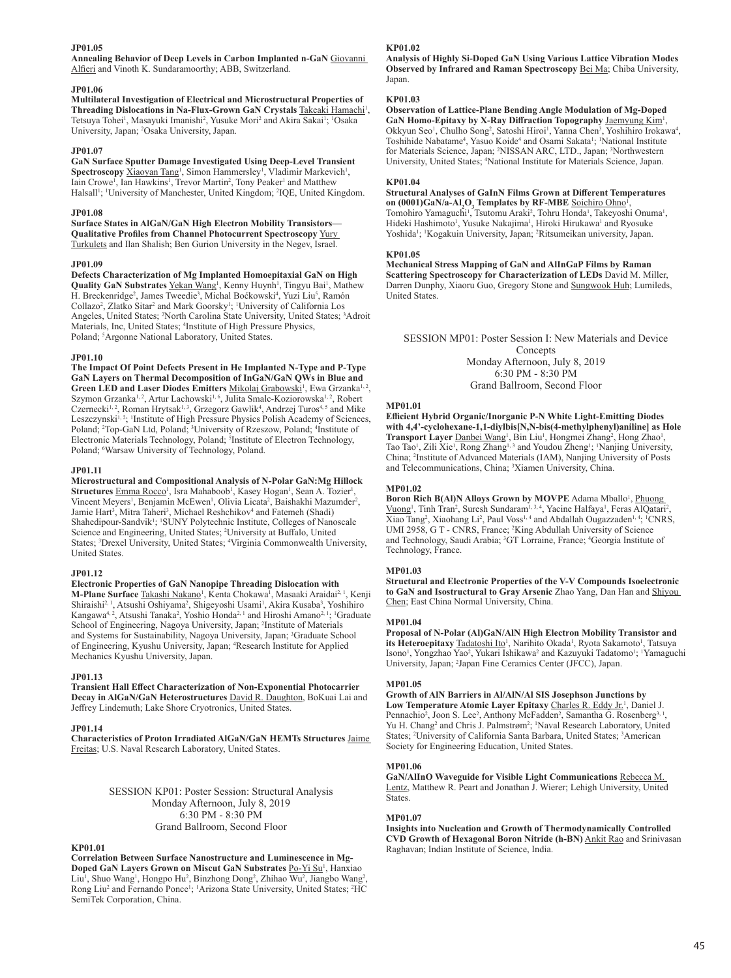## **JP01.05**

**Annealing Behavior of Deep Levels in Carbon Implanted n-GaN** Giovanni Alfieri and Vinoth K. Sundaramoorthy; ABB, Switzerland.

## **JP01.06**

**Multilateral Investigation of Electrical and Microstructural Properties of**  Threading Dislocations in Na-Flux-Grown GaN Crystals Takeaki Hamachi<sup>1</sup>, Tetsuya Tohei<sup>1</sup>, Masayuki Imanishi<sup>2</sup>, Yusuke Mori<sup>2</sup> and Akira Sakai<sup>1</sup>; <sup>1</sup>Osaka University, Japan; <sup>2</sup> Osaka University, Japan.

#### **JP01.07**

**GaN Surface Sputter Damage Investigated Using Deep-Level Transient**  Spectroscopy **Xiaoyan Tang<sup>1</sup>**, Simon Hammersley<sup>1</sup>, Vladimir Markevich<sup>1</sup>, Iain Crowe<sup>1</sup>, Ian Hawkins<sup>1</sup>, Trevor Martin<sup>2</sup>, Tony Peaker<sup>1</sup> and Matthew Halsall<sup>1</sup>; <sup>1</sup>University of Manchester, United Kingdom; <sup>2</sup>IQE, United Kingdom.

## **JP01.08**

**Surface States in AlGaN/GaN High Electron Mobility Transistors— Qualitative Profiles from Channel Photocurrent Spectroscopy** Yury Turkulets and Ilan Shalish; Ben Gurion University in the Negev, Israel.

#### **JP01.09**

**Defects Characterization of Mg Implanted Homoepitaxial GaN on High Quality GaN Substrates** Yekan Wang<sup>1</sup>, Kenny Huynh<sup>1</sup>, Tingyu Bai<sup>1</sup>, Mathew H. Breckenridge<sup>2</sup>, James Tweedie<sup>3</sup>, Michal Boćkowski<sup>4</sup>, Yuzi Liu<sup>5</sup>, Ramón Collazo<sup>2</sup>, Zlatko Sitar<sup>2</sup> and Mark Goorsky<sup>1</sup>; <sup>1</sup>University of California Los Angeles, United States; <sup>2</sup> North Carolina State University, United States; <sup>3</sup> Adroit Materials, Inc, United States; <sup>4</sup>Institute of High Pressure Physics, Poland; <sup>5</sup>Argonne National Laboratory, United States.

#### **JP01.10**

**The Impact Of Point Defects Present in He Implanted N-Type and P-Type GaN Layers on Thermal Decomposition of InGaN/GaN QWs in Blue and**  Green LED and Laser Diodes Emitters Mikolaj Grabowski<sup>1</sup>, Ewa Grzanka<sup>1, 2</sup>, Szymon Grzanka<sup>1, 2</sup>, Artur Lachowski<sup>1, 6</sup>, Julita Smalc-Koziorowska<sup>1, 2</sup>, Robert Czernecki<sup>1, 2</sup>, Roman Hrytsak<sup>1, 3</sup>, Grzegorz Gawlik<sup>4</sup>, Andrzej Turos<sup>4, 5</sup> and Mike Leszczynski<sup>1, 2</sup>; <sup>1</sup>Institute of High Pressure Physics Polish Academy of Sciences, Poland; <sup>2</sup>Top-GaN Ltd, Poland; <sup>3</sup>University of Rzeszow, Poland; <sup>4</sup>Institute of Electronic Materials Technology, Poland; <sup>5</sup>Institute of Electron Technology, Poland; <sup>6</sup>Warsaw University of Technology, Poland.

#### **JP01.11**

**Microstructural and Compositional Analysis of N-Polar GaN:Mg Hillock**   $\bf{Structures}$   $\overline{\rm{Emma}~Rocco^1}$ , Isra Mahaboob<sup>1</sup>, Kasey Hogan<sup>1</sup>, Sean A. Tozier<sup>1</sup> , Vincent Meyers<sup>1</sup>, Benjamin McEwen<sup>1</sup>, Olivia Licata<sup>2</sup>, Baishakhi Mazumder<sup>2</sup>, Jamie Hart<sup>3</sup>, Mitra Taheri<sup>3</sup>, Michael Reshchikov<sup>4</sup> and Fatemeh (Shadi) Shahedipour-Sandvik<sup>1</sup>; <sup>1</sup>SUNY Polytechnic Institute, Colleges of Nanoscale Science and Engineering, United States; <sup>2</sup> University at Buffalo, United States; <sup>3</sup> Drexel University, United States; <sup>4</sup> Virginia Commonwealth University, United States.

#### **JP01.12**

**Electronic Properties of GaN Nanopipe Threading Dislocation with M-Plane Surface** Takashi Nakano<sup>1</sup>, Kenta Chokawa<sup>1</sup>, Masaaki Araidai<sup>2, 1</sup>, Kenji Shiraishi<sup>2, 1</sup>, Atsushi Oshiyama<sup>2</sup>, Shigeyoshi Usami<sup>1</sup>, Akira Kusaba<sup>3</sup>, Yoshihiro Kangawa<sup>4, 2</sup>, Atsushi Tanaka<sup>2</sup>, Yoshio Honda<sup>2, 1</sup> and Hiroshi Amano<sup>2, 1</sup>; <sup>1</sup>Graduate School of Engineering, Nagoya University, Japan; <sup>2</sup>Institute of Materials and Systems for Sustainability, Nagoya University, Japan; <sup>3</sup>Graduate School of Engineering, Kyushu University, Japan; <sup>4</sup>Research Institute for Applied Mechanics Kyushu University, Japan.

#### **JP01.13**

**Transient Hall Effect Characterization of Non-Exponential Photocarrier Decay in AlGaN/GaN Heterostructures** David R. Daughton, BoKuai Lai and Jeffrey Lindemuth; Lake Shore Cryotronics, United States.

#### **JP01.14**

**Characteristics of Proton Irradiated AlGaN/GaN HEMTs Structures** Jaime Freitas; U.S. Naval Research Laboratory, United States.

> SESSION KP01: Poster Session: Structural Analysis Monday Afternoon, July 8, 2019 6:30 PM - 8:30 PM Grand Ballroom, Second Floor

#### **KP01.01**

**Correlation Between Surface Nanostructure and Luminescence in Mg-Doped GaN Layers Grown on Miscut GaN Substrates Po-Yi Su<sup>1</sup>, Hanxiao** Liu<sup>1</sup>, Shuo Wang<sup>1</sup>, Hongpo Hu<sup>2</sup>, Binzhong Dong<sup>2</sup>, Zhihao Wu<sup>2</sup>, Jiangbo Wang<sup>2</sup>, Rong Liu<sup>2</sup> and Fernando Ponce<sup>1</sup>; <sup>1</sup>Arizona State University, United States; <sup>2</sup>HC SemiTek Corporation, China.

#### **KP01.02**

**Analysis of Highly Si-Doped GaN Using Various Lattice Vibration Modes Observed by Infrared and Raman Spectroscopy** Bei Ma; Chiba University, Japan.

## **KP01.03**

**Observation of Lattice-Plane Bending Angle Modulation of Mg-Doped**  GaN Homo-Epitaxy by X-Ray Diffraction Topography Jaemyung Kim<sup>1</sup>, Okkyun Seo<sup>1</sup>, Chulho Song<sup>2</sup>, Satoshi Hiroi<sup>1</sup>, Yanna Chen<sup>3</sup>, Yoshihiro Irokawa<sup>4</sup>, Toshihide Nabatame<sup>4</sup>, Yasuo Koide<sup>4</sup> and Osami Sakata<sup>1</sup>; <sup>1</sup>National Institute for Materials Science, Japan; <sup>2</sup>NISSAN ARC, LTD., Japan; <sup>3</sup>Northwestern University, United States; <sup>4</sup>National Institute for Materials Science, Japan.

#### **KP01.04**

**Structural Analyses of GaInN Films Grown at Different Temperatures on (0001)GaN/a-Al<sub>2</sub>O<sub>3</sub> Templates by RF-MBE** Soichiro Ohno<sup>1</sup> , Tomohiro Yamaguchi<sup>1</sup>, Tsutomu Araki<sup>2</sup>, Tohru Honda<sup>1</sup>, Takeyoshi Onuma<sup>1</sup>, Hideki Hashimoto<sup>1</sup>, Yusuke Nakajima<sup>1</sup>, Hiroki Hirukawa<sup>1</sup> and Ryosuke Yoshida<sup>1</sup>; 'Kogakuin University, Japan; <sup>2</sup>Ritsumeikan university, Japan.

#### **KP01.05**

**Mechanical Stress Mapping of GaN and AlInGaP Films by Raman Scattering Spectroscopy for Characterization of LEDs** David M. Miller, Darren Dunphy, Xiaoru Guo, Gregory Stone and Sungwook Huh; Lumileds, United States.

SESSION MP01: Poster Session I: New Materials and Device **Concepts** Monday Afternoon, July 8, 2019 6:30 PM - 8:30 PM

Grand Ballroom, Second Floor

#### **MP01.01**

**Efficient Hybrid Organic/Inorganic P-N White Light-Emitting Diodes with 4,4'-cyclohexane-1,1-diylbis[N,N-bis(4-methylphenyl)aniline] as Hole**  Transport Layer *Danbei Wang<sup>1</sup>*, Bin Liu<sup>1</sup>, Hongmei Zhang<sup>2</sup>, Hong Zhao<sup>1</sup>, Tao Tao<sup>1</sup>, Zili Xie<sup>1</sup>, Rong Zhang<sup>1, 3</sup> and Youdou Zheng<sup>1</sup>; <sup>1</sup>Nanjing University, China; <sup>2</sup> Institute of Advanced Materials (IAM), Nanjing University of Posts and Telecommunications, China; <sup>3</sup>Xiamen University, China.

#### **MP01.02**

Boron Rich B(Al)N Alloys Grown by MOVPE Adama Mballo<sup>1</sup>, Phuong Vuong<sup>1</sup>, Tinh Tran<sup>2</sup>, Suresh Sundaram<sup>1, 3, 4</sup>, Yacine Halfaya<sup>1</sup>, Feras AlQatari<sup>2</sup> , Xiao Tang<sup>2</sup>, Xiaohang Li<sup>2</sup>, Paul Voss<sup>1,4</sup> and Abdallah Ougazzaden<sup>1,4</sup>; <sup>1</sup>CNRS, UMI 2958, G T - CNRS, France; <sup>2</sup>King Abdullah University of Science and Technology, Saudi Arabia; <sup>3</sup>GT Lorraine, France; <sup>4</sup>Georgia Institute of Technology, France.

#### **MP01.03**

**Structural and Electronic Properties of the V-V Compounds Isoelectronic to GaN and Isostructural to Gray Arsenic** Zhao Yang, Dan Han and Shiyou Chen; East China Normal University, China.

#### **MP01.04**

**Proposal of N-Polar (Al)GaN/AlN High Electron Mobility Transistor and**  its Heteroepitaxy **Tadatoshi Ito<sup>1</sup>, Narihito Okada<sup>1</sup>, Ryota Sakamoto<sup>1</sup>, Tatsuya** Isono<sup>1</sup>, Yongzhao Yao<sup>2</sup>, Yukari Ishikawa<sup>2</sup> and Kazuyuki Tadatomo<sup>1</sup>; <sup>1</sup>Yamaguchi University, Japan; <sup>2</sup> Japan Fine Ceramics Center (JFCC), Japan.

#### **MP01.05**

**Growth of AlN Barriers in Al/AlN/Al SIS Josephson Junctions by**  Low Temperature Atomic Layer Epitaxy Charles R. Eddy Jr.<sup>1</sup>, Daniel J. Pennachio<sup>2</sup>, Joon S. Lee<sup>2</sup>, Anthony McFadden<sup>2</sup>, Samantha G. Rosenberg<sup>3, 1</sup> , Yu H. Chang<sup>2</sup> and Chris J. Palmstrøm<sup>2</sup>; <sup>1</sup>Naval Research Laboratory, United States; <sup>2</sup>University of California Santa Barbara, United States; <sup>3</sup>American Society for Engineering Education, United States.

## **MP01.06**

**GaN/AlInO Waveguide for Visible Light Communications** Rebecca M. Lentz, Matthew R. Peart and Jonathan J. Wierer; Lehigh University, United States.

#### **MP01.07**

**Insights into Nucleation and Growth of Thermodynamically Controlled CVD Growth of Hexagonal Boron Nitride (h-BN)** Ankit Rao and Srinivasan Raghavan; Indian Institute of Science, India.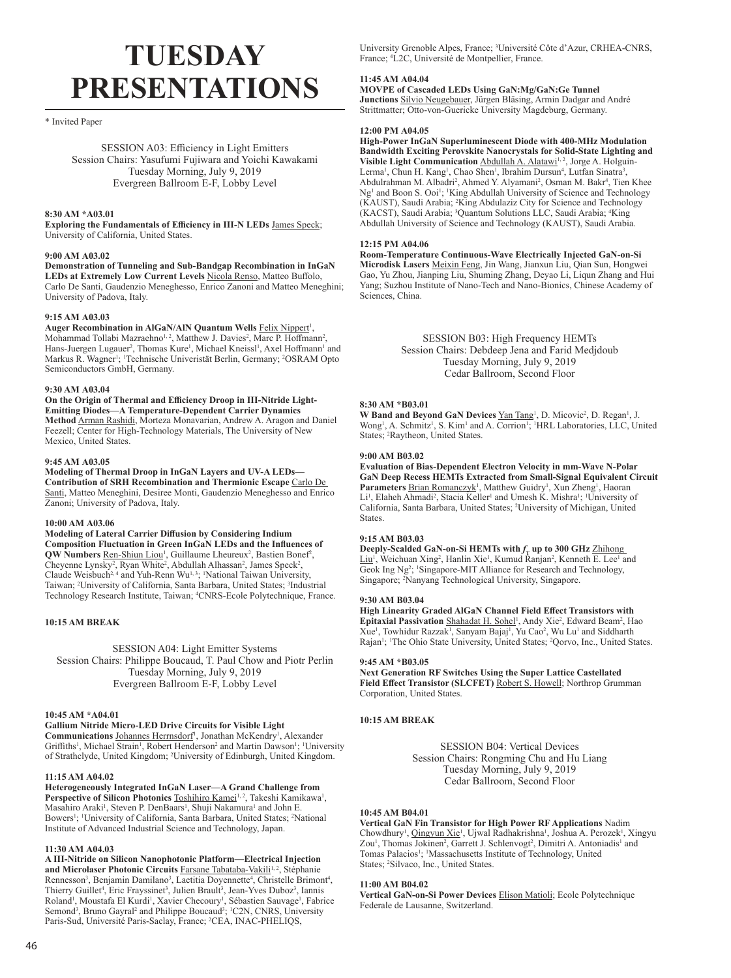# **TUESDAY PRESENTATIONS**

## \* Invited Paper

SESSION A03: Efficiency in Light Emitters Session Chairs: Yasufumi Fujiwara and Yoichi Kawakami Tuesday Morning, July 9, 2019 Evergreen Ballroom E-F, Lobby Level

## **8:30 AM \*A03.01**

**Exploring the Fundamentals of Efficiency in III-N LEDs** James Speck; University of California, United States.

#### **9:00 AM A03.02**

**Demonstration of Tunneling and Sub-Bandgap Recombination in InGaN**  LEDs at Extremely Low Current Levels Nicola Renso, Matteo Buffolo, Carlo De Santi, Gaudenzio Meneghesso, Enrico Zanoni and Matteo Meneghini; University of Padova, Italy.

## **9:15 AM A03.03**

Auger Recombination in AlGaN/AIN Quantum Wells **Felix Nippert<sup>1</sup>**, Mohammad Tollabi Mazraehno<sup>1, 2</sup>, Matthew J. Davies<sup>2</sup>, Marc P. Hoffmann<sup>2</sup>, Hans-Juergen Lugauer<sup>2</sup>, Thomas Kure<sup>1</sup>, Michael Kneissl<sup>1</sup>, Axel Hoffmann<sup>1</sup> and Markus R. Wagner<sup>1</sup>; <sup>1</sup>Technische Univeristät Berlin, Germany; <sup>2</sup>OSRAM Opto Semiconductors GmbH, Germany.

#### **9:30 AM A03.04**

**On the Origin of Thermal and Efficiency Droop in III-Nitride Light-Emitting Diodes—A Temperature-Dependent Carrier Dynamics Method** Arman Rashidi, Morteza Monavarian, Andrew A. Aragon and Daniel Feezell; Center for High-Technology Materials, The University of New Mexico, United States.

#### **9:45 AM A03.05**

**Modeling of Thermal Droop in InGaN Layers and UV-A LEDs— Contribution of SRH Recombination and Thermionic Escape** Carlo De Santi, Matteo Meneghini, Desiree Monti, Gaudenzio Meneghesso and Enrico Zanoni; University of Padova, Italy.

#### **10:00 AM A03.06**

**Modeling of Lateral Carrier Diffusion by Considering Indium Composition Fluctuation in Green InGaN LEDs and the Influences of QW Numbers** Ren-Shiun Liou<sup>1</sup>, Guillaume Lheureux<sup>2</sup>, Bastien Bonef<sup>2</sup>, Cheyenne Lynsky<sup>2</sup>, Ryan White<sup>2</sup>, Abdullah Alhassan<sup>2</sup>, James Speck<sup>2</sup>, Claude Weisbuch<sup>2, 4</sup> and Yuh-Renn Wu<sup>1, 3</sup>; <sup>1</sup>National Taiwan University, Taiwan; <sup>2</sup> University of California, Santa Barbara, United States; <sup>3</sup> Industrial Technology Research Institute, Taiwan; <sup>4</sup> CNRS-Ecole Polytechnique, France.

## **10:15 AM BREAK**

SESSION A04: Light Emitter Systems Session Chairs: Philippe Boucaud, T. Paul Chow and Piotr Perlin Tuesday Morning, July 9, 2019 Evergreen Ballroom E-F, Lobby Level

#### **10:45 AM \*A04.01**

## **Gallium Nitride Micro-LED Drive Circuits for Visible Light**

Communications Johannes Herrnsdorf<sup>1</sup>, Jonathan McKendry<sup>1</sup>, Alexander Griffiths<sup>1</sup>, Michael Strain<sup>1</sup>, Robert Henderson<sup>2</sup> and Martin Dawson<sup>1</sup>; <sup>1</sup>University of Strathclyde, United Kingdom; <sup>2</sup> University of Edinburgh, United Kingdom.

## **11:15 AM A04.02**

**Heterogeneously Integrated InGaN Laser—A Grand Challenge from**  Perspective of Silicon Photonics Toshihiro Kamei<sup>1,2</sup>, Takeshi Kamikawa<sup>1</sup>, Masahiro Araki<sup>1</sup>, Steven P. DenBaars<sup>1</sup>, Shuji Nakamura<sup>1</sup> and John E. Bowers<sup>1</sup>; <sup>1</sup>University of California, Santa Barbara, United States; <sup>2</sup>National Institute of Advanced Industrial Science and Technology, Japan.

## **11:30 AM A04.03**

**A III-Nitride on Silicon Nanophotonic Platform—Electrical Injection**  and Microlaser Photonic Circuits **Farsane Tabataba-Vakili<sup>1,2</sup>, Stéphanie** Rennesson<sup>3</sup>, Benjamin Damilano<sup>3</sup>, Laetitia Doyennette<sup>4</sup>, Christelle Brimont<sup>4</sup>, Thierry Guillet<sup>4</sup>, Eric Frayssinet<sup>3</sup>, Julien Brault<sup>3</sup>, Jean-Yves Duboz<sup>3</sup>, Iannis Roland<sup>1</sup>, Moustafa El Kurdi<sup>1</sup>, Xavier Checoury<sup>1</sup>, Sébastien Sauvage<sup>1</sup>, Fabrice Semond<sup>3</sup>, Bruno Gayral<sup>2</sup> and Philippe Boucaud<sup>3</sup>; <sup>1</sup>C2N, CNRS, University Paris-Sud, Université Paris-Saclay, France; <sup>2</sup> CEA, INAC-PHELIQS,

University Grenoble Alpes, France; <sup>3</sup> Université Côte d'Azur, CRHEA-CNRS, France; <sup>4</sup> L2C, Université de Montpellier, France.

## **11:45 AM A04.04**

**MOVPE of Cascaded LEDs Using GaN:Mg/GaN:Ge Tunnel Junctions** Silvio Neugebauer, Jürgen Bläsing, Armin Dadgar and André Strittmatter; Otto-von-Guericke University Magdeburg, Germany.

## **12:00 PM A04.05**

**High-Power InGaN Superluminescent Diode with 400-MHz Modulation Bandwidth Exciting Perovskite Nanocrystals for Solid-State Lighting and Visible Light Communication Abdullah A. Alatawi1, 2, Jorge A. Holguin-**Lerma<sup>1</sup>, Chun H. Kang<sup>1</sup>, Chao Shen<sup>1</sup>, Ibrahim Dursun<sup>4</sup>, Lutfan Sinatra<sup>3</sup>, Abdulrahman M. Albadri<sup>2</sup>, Ahmed Y. Alyamani<sup>2</sup>, Osman M. Bakr<sup>4</sup>, Tien Khee Ng<sup>1</sup> and Boon S. Ooi<sup>1</sup>; <sup>1</sup>King Abdullah University of Science and Technology (KAUST), Saudi Arabia; <sup>2</sup> King Abdulaziz City for Science and Technology (KACST), Saudi Arabia; <sup>3</sup> Quantum Solutions LLC, Saudi Arabia; <sup>4</sup> King Abdullah University of Science and Technology (KAUST), Saudi Arabia.

#### **12:15 PM A04.06**

**Room-Temperature Continuous-Wave Electrically Injected GaN-on-Si Microdisk Lasers** Meixin Feng, Jin Wang, Jianxun Liu, Qian Sun, Hongwei Gao, Yu Zhou, Jianping Liu, Shuming Zhang, Deyao Li, Liqun Zhang and Hui Yang; Suzhou Institute of Nano-Tech and Nano-Bionics, Chinese Academy of Sciences, China.

> SESSION B03: High Frequency HEMTs Session Chairs: Debdeep Jena and Farid Medjdoub Tuesday Morning, July 9, 2019 Cedar Ballroom, Second Floor

## **8:30 AM \*B03.01**

**W Band and Beyond GaN Devices Yan Tang<sup>1</sup>, D. Micovic<sup>2</sup>, D. Regan<sup>1</sup>, J.** Wong<sup>1</sup>, A. Schmitz<sup>1</sup>, S. Kim<sup>1</sup> and A. Corrion<sup>1</sup>; <sup>1</sup>HRL Laboratories, LLC, United States; <sup>2</sup>Raytheon, United States.

## **9:00 AM B03.02**

**Evaluation of Bias-Dependent Electron Velocity in mm-Wave N-Polar GaN Deep Recess HEMTs Extracted from Small-Signal Equivalent Circuit**  Parameters **Brian Romanczyk<sup>1</sup>, Matthew Guidry<sup>1</sup>, Xun Zheng<sup>1</sup>, Haoran** Li<sup>1</sup>, Elaheh Ahmadi<sup>2</sup>, Stacia Keller<sup>1</sup> and Umesh K. Mishra<sup>1</sup>; <sup>1</sup>University of California, Santa Barbara, United States; <sup>2</sup> University of Michigan, United **States**.

## **9:15 AM B03.03**

Deeply-Scalded GaN-on-Si HEMTs with *f*<sub>T</sub> up to 300 GHz Zhihong<br>Liu<sup>1</sup>, Weichuan Xing<sup>2</sup>, Hanlin Xie<sup>1</sup>, Kumud Ranjan<sup>2</sup>, Kenneth E. Lee<sup>1</sup> and Geok Ing Ng<sup>2</sup>; <sup>1</sup>Singapore-MIT Alliance for Research and Technology, Singapore; <sup>2</sup> Nanyang Technological University, Singapore.

## **9:30 AM B03.04**

**High Linearity Graded AlGaN Channel Field Effect Transistors with**  Epitaxial Passivation Shahadat H. Sohel<sup>1</sup>, Andy Xie<sup>2</sup>, Edward Beam<sup>2</sup>, Hao Xue<sup>1</sup>, Towhidur Razzak<sup>1</sup>, Sanyam Bajaj<sup>1</sup>, Yu Cao<sup>2</sup>, Wu Lu<sup>1</sup> and Siddharth Rajan<sup>1</sup>; <sup>1</sup>The Ohio State University, United States; <sup>2</sup>Qorvo, Inc., United States.

#### **9:45 AM \*B03.05**

**Next Generation RF Switches Using the Super Lattice Castellated**  Field Effect Transistor (SLCFET) **Robert S. Howell**; Northrop Grumman Corporation, United States.

## **10:15 AM BREAK**

SESSION B04: Vertical Devices Session Chairs: Rongming Chu and Hu Liang Tuesday Morning, July 9, 2019 Cedar Ballroom, Second Floor

#### **10:45 AM B04.01**

**Vertical GaN Fin Transistor for High Power RF Applications** Nadim Chowdhury<sup>1</sup>, Qingyun Xie<sup>1</sup>, Ujwal Radhakrishna<sup>1</sup>, Joshua A. Perozek<sup>1</sup>, Xingyu Zou<sup>1</sup>, Thomas Jokinen<sup>2</sup>, Garrett J. Schlenvogt<sup>2</sup>, Dimitri A. Antoniadis<sup>1</sup> and Tomas Palacios<sup>1</sup>; <sup>1</sup>Massachusetts Institute of Technology, United States; <sup>2</sup>Silvaco, Inc., United States.

## **11:00 AM B04.02**

**Vertical GaN-on-Si Power Devices** Elison Matioli; Ecole Polytechnique Federale de Lausanne, Switzerland.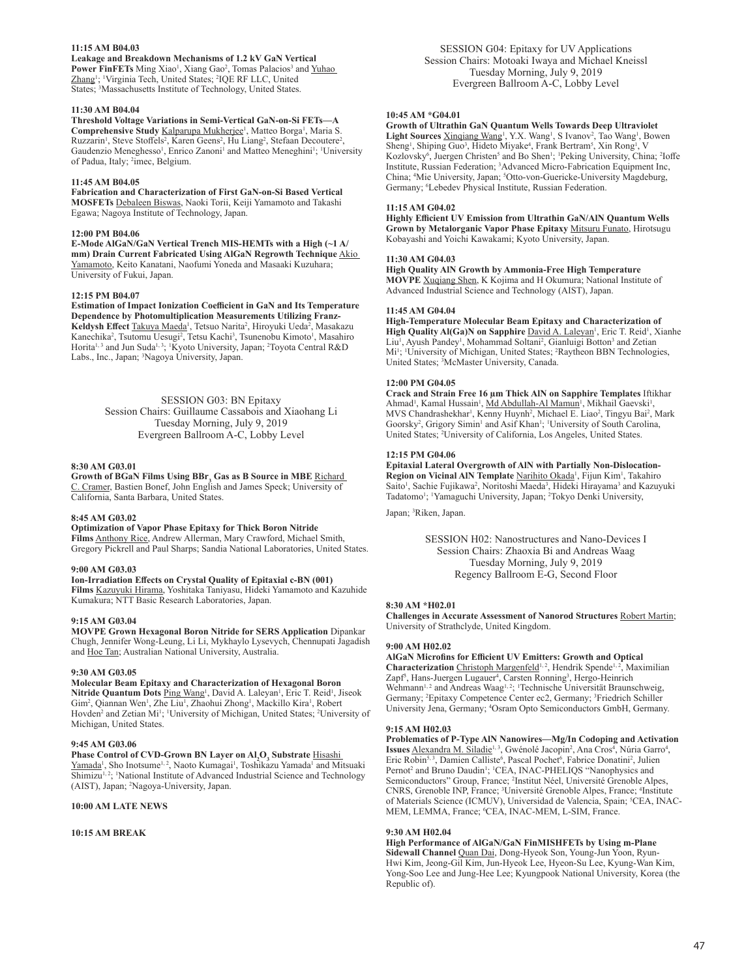## **11:15 AM B04.03**

**Leakage and Breakdown Mechanisms of 1.2 kV GaN Vertical**  Power FinFETs Ming Xiao<sup>1</sup>, Xiang Gao<sup>2</sup>, Tomas Palacios<sup>3</sup> and Yuhao Zhang<sup>1</sup>; <sup>1</sup>Virginia Tech, United States; <sup>2</sup>IQE RF LLC, United States; <sup>3</sup>Massachusetts Institute of Technology, United States.

#### **11:30 AM B04.04**

**Threshold Voltage Variations in Semi-Vertical GaN-on-Si FETs—A**  Comprehensive Study **Kalparupa Mukherjee<sup>1</sup>, Matteo Borga<sup>1</sup>, Maria S.** Ruzzarin<sup>1</sup>, Steve Stoffels<sup>2</sup>, Karen Geens<sup>2</sup>, Hu Liang<sup>2</sup>, Stefaan Decoutere<sup>2</sup>, Gaudenzio Meneghesso<sup>1</sup>, Enrico Zanoni<sup>1</sup> and Matteo Meneghini<sup>1</sup>; <sup>1</sup>University of Padua, Italy; <sup>2</sup>imec, Belgium.

## **11:45 AM B04.05**

**Fabrication and Characterization of First GaN-on-Si Based Vertical MOSFETs** Debaleen Biswas, Naoki Torii, Keiji Yamamoto and Takashi Egawa; Nagoya Institute of Technology, Japan.

#### **12:00 PM B04.06**

**E-Mode AlGaN/GaN Vertical Trench MIS-HEMTs with a High (~1 A/ mm) Drain Current Fabricated Using AlGaN Regrowth Technique** Akio Yamamoto, Keito Kanatani, Naofumi Yoneda and Masaaki Kuzuhara; University of Fukui, Japan.

#### **12:15 PM B04.07**

**Estimation of Impact Ionization Coefficient in GaN and Its Temperature Dependence by Photomultiplication Measurements Utilizing Franz-**Keldysh Effect Takuya Maeda<sup>1</sup>, Tetsuo Narita<sup>2</sup>, Hiroyuki Ueda<sup>2</sup>, Masakazu Kanechika<sup>2</sup>, Tsutomu Uesugi<sup>2</sup>, Tetsu Kachi<sup>3</sup>, Tsunenobu Kimoto<sup>1</sup>, Masahiro Horita<sup>1, 3</sup> and Jun Suda<sup>1, 3</sup>; <sup>1</sup>Kyoto University, Japan; <sup>2</sup>Toyota Central R&D Labs., Inc., Japan; <sup>3</sup>Nagoya University, Japan.

> SESSION G03: BN Epitaxy Session Chairs: Guillaume Cassabois and Xiaohang Li Tuesday Morning, July 9, 2019 Evergreen Ballroom A-C, Lobby Level

#### **8:30 AM G03.01**

**Growth of BGaN Films Using BBr<sub>3</sub> Gas as B Source in MBE** <u>Richard</u><br><u>C. Cramer,</u> Bastien Bonef, John English and James Speck; University of California, Santa Barbara, United States.

#### **8:45 AM G03.02**

**Optimization of Vapor Phase Epitaxy for Thick Boron Nitride Films** Anthony Rice, Andrew Allerman, Mary Crawford, Michael Smith, Gregory Pickrell and Paul Sharps; Sandia National Laboratories, United States.

#### **9:00 AM G03.03**

**Ion-Irradiation Effects on Crystal Quality of Epitaxial c-BN (001) Films** Kazuyuki Hirama, Yoshitaka Taniyasu, Hideki Yamamoto and Kazuhide Kumakura; NTT Basic Research Laboratories, Japan.

#### **9:15 AM G03.04**

**MOVPE Grown Hexagonal Boron Nitride for SERS Application** Dipankar Chugh, Jennifer Wong-Leung, Li Li, Mykhaylo Lysevych, Chennupati Jagadish and Hoe Tan; Australian National University, Australia.

## **9:30 AM G03.05**

## **Molecular Beam Epitaxy and Characterization of Hexagonal Boron**

Nitride Quantum Dots Ping Wang<sup>1</sup>, David A. Laleyan<sup>1</sup>, Eric T. Reid<sup>1</sup>, Jiseok Gim<sup>2</sup>, Qiannan Wen<sup>1</sup>, Zhe Liu<sup>1</sup>, Zhaohui Zhong<sup>1</sup>, Mackillo Kira<sup>1</sup>, Robert Hovden<sup>2</sup> and Zetian Mi<sup>1</sup>; <sup>1</sup>University of Michigan, United States; <sup>2</sup>University of Michigan, United States.

## **9:45 AM G03.06**

**Phase Control of CVD-Grown BN Layer on Al<sub>2</sub>O<sub>3</sub> Substrate** Hisashi

Yamada<sup>1</sup>, Sho Inotsume<sup>1, 2</sup>, Naoto Kumagai<sup>1</sup>, Toshikazu Yamada<sup>1</sup> and Mitsuaki Shimizu<sup>1,2</sup>; 'National Institute of Advanced Industrial Science and Technology (AIST), Japan; <sup>2</sup> Nagoya-University, Japan.

## **10:00 AM LATE NEWS**

## **10:15 AM BREAK**

SESSION G04: Epitaxy for UV Applications Session Chairs: Motoaki Iwaya and Michael Kneissl Tuesday Morning, July 9, 2019 Evergreen Ballroom A-C, Lobby Level

## **10:45 AM \*G04.01**

**Growth of Ultrathin GaN Quantum Wells Towards Deep Ultraviolet**  Light Sources **Xinqiang Wang<sup>1</sup>**, Y.X. Wang<sup>1</sup>, S Ivanov<sup>2</sup>, Tao Wang<sup>1</sup>, Bowen Sheng<sup>1</sup>, Shiping Guo<sup>3</sup>, Hideto Miyake<sup>4</sup>, Frank Bertram<sup>5</sup>, Xin Rong<sup>1</sup>, V Kozlovsky<sup>6</sup>, Juergen Christen<sup>5</sup> and Bo Shen<sup>1</sup>; <sup>1</sup>Peking University, China; <sup>2</sup>Ioffe Institute, Russian Federation; <sup>3</sup> Advanced Micro-Fabrication Equipment Inc, China; <sup>4</sup>Mie University, Japan; <sup>5</sup>Otto-von-Guericke-University Magdeburg, Germany; <sup>6</sup>Lebedev Physical Institute, Russian Federation.

#### **11:15 AM G04.02**

**Highly Efficient UV Emission from Ultrathin GaN/AlN Quantum Wells Grown by Metalorganic Vapor Phase Epitaxy** Mitsuru Funato, Hirotsugu Kobayashi and Yoichi Kawakami; Kyoto University, Japan.

## **11:30 AM G04.03**

**High Quality AlN Growth by Ammonia-Free High Temperature MOVPE** Xuqiang Shen, K Kojima and H Okumura; National Institute of Advanced Industrial Science and Technology (AIST), Japan.

#### **11:45 AM G04.04**

**High-Temperature Molecular Beam Epitaxy and Characterization of**  High Quality Al(Ga)N on Sapphire David A. Laleyan<sup>1</sup>, Eric T. Reid<sup>1</sup>, Xianhe Liu<sup>1</sup>, Ayush Pandey<sup>1</sup>, Mohammad Soltani<sup>2</sup>, Gianluigi Botton<sup>3</sup> and Zetian Mi<sup>1</sup>; <sup>1</sup>University of Michigan, United States; <sup>2</sup>Raytheon BBN Technologies, United States; <sup>3</sup> McMaster University, Canada.

#### **12:00 PM G04.05**

**Crack and Strain Free 16 µm Thick AlN on Sapphire Templates** Iftikhar Ahmad<sup>1</sup>, Kamal Hussain<sup>1</sup>, Md Abdullah-Al Mamun<sup>1</sup>, Mikhail Gaevski<sup>1</sup>, MVS Chandrashekhar<sup>1</sup>, Kenny Huynh<sup>2</sup>, Michael E. Liao<sup>2</sup>, Tingyu Bai<sup>2</sup>, Mark Goorsky<sup>2</sup>, Grigory Simin<sup>1</sup> and Asif Khan<sup>1</sup>; <sup>1</sup>University of South Carolina, United States; <sup>2</sup>University of California, Los Angeles, United States.

#### **12:15 PM G04.06**

**Epitaxial Lateral Overgrowth of AlN with Partially Non-Dislocation-**Region on Vicinal AIN Template Narihito Okada<sup>1</sup>, Fijun Kim<sup>1</sup>, Takahiro Saito<sup>1</sup>, Sachie Fujikawa<sup>2</sup>, Noritoshi Maeda<sup>3</sup>, Hideki Hirayama<sup>3</sup> and Kazuyuki Tadatomo<sup>1</sup>; 'Yamaguchi University, Japan; <sup>2</sup>Tokyo Denki University,

Japan; <sup>3</sup>Riken, Japan.

SESSION H02: Nanostructures and Nano-Devices I Session Chairs: Zhaoxia Bi and Andreas Waag Tuesday Morning, July 9, 2019 Regency Ballroom E-G, Second Floor

#### **8:30 AM \*H02.01**

**Challenges in Accurate Assessment of Nanorod Structures** Robert Martin; University of Strathclyde, United Kingdom.

#### **9:00 AM H02.02**

**AlGaN Microfins for Efficient UV Emitters: Growth and Optical**  Characterization Christoph Margenfeld<sup>1, 2</sup>, Hendrik Spende<sup>1, 2</sup>, Maximilian Zapf<sup>3</sup>, Hans-Juergen Lugauer<sup>4</sup>, Carsten Ronning<sup>3</sup>, Hergo-Heinrich Wehmann<sup>1, 2</sup> and Andreas Waag<sup>1, 2</sup>; <sup>1</sup>Technische Universität Braunschweig, Germany; <sup>2</sup> Epitaxy Competence Center ec2, Germany; <sup>3</sup> Friedrich Schiller University Jena, Germany; <sup>4</sup> Osram Opto Semiconductors GmbH, Germany.

#### **9:15 AM H02.03**

**Problematics of P-Type AlN Nanowires—Mg/In Codoping and Activation**  Issues Alexandra M. Siladie<sup>1, 3</sup>, Gwénolé Jacopin<sup>2</sup>, Ana Cros<sup>4</sup>, Núria Garro<sup>4</sup>, Eric Robin<sup>5,3</sup>, Damien Calliste<sup>6</sup>, Pascal Pochet<sup>6</sup>, Fabrice Donatini<sup>2</sup>, Julien Pernot<sup>2</sup> and Bruno Daudin<sup>1</sup>; <sup>1</sup>CEA, INAC-PHELIQS "Nanophysics and Semiconductors" Group, France; <sup>2</sup> Institut Néel, Université Grenoble Alpes, CNRS, Grenoble INP, France; <sup>3</sup> Université Grenoble Alpes, France; <sup>4</sup> Institute of Materials Science (ICMUV), Universidad de Valencia, Spain; <sup>5</sup>CEA, INAC-MEM, LEMMA, France; <sup>6</sup>CEA, INAC-MEM, L-SIM, France.

## **9:30 AM H02.04**

**High Performance of AlGaN/GaN FinMISHFETs by Using m-Plane Sidewall Channel** Quan Dai, Dong-Hyeok Son, Young-Jun Yoon, Ryun-Hwi Kim, Jeong-Gil Kim, Jun-Hyeok Lee, Hyeon-Su Lee, Kyung-Wan Kim, Yong-Soo Lee and Jung-Hee Lee; Kyungpook National University, Korea (the Republic of).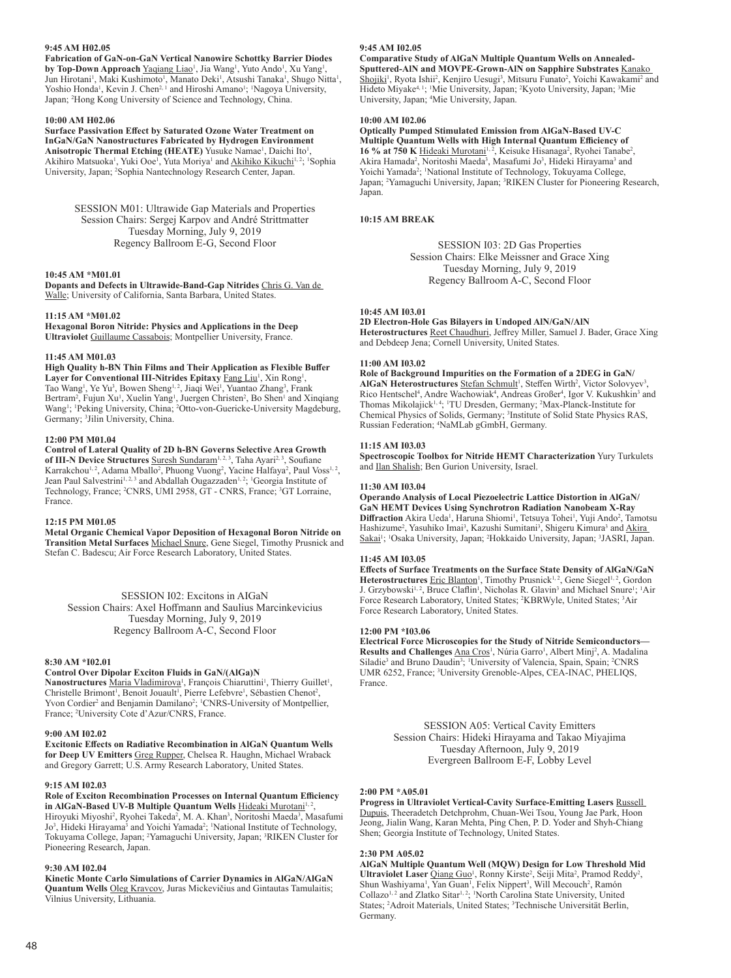## **9:45 AM H02.05**

**Fabrication of GaN-on-GaN Vertical Nanowire Schottky Barrier Diodes by Top-Down Approach** Yaqiang Liao<sup>1</sup>, Jia Wang<sup>1</sup>, Yuto Ando<sup>1</sup>, Xu Yang<sup>1</sup>, Jun Hirotani<sup>1</sup>, Maki Kushimoto<sup>1</sup>, Manato Deki<sup>1</sup>, Atsushi Tanaka<sup>1</sup>, Shugo Nitta<sup>1</sup>, Yoshio Honda<sup>1</sup>, Kevin J. Chen<sup>2, 1</sup> and Hiroshi Amano<sup>1</sup>; <sup>1</sup>Nagoya University, Japan; <sup>2</sup> Hong Kong University of Science and Technology, China.

## **10:00 AM H02.06**

**Surface Passivation Effect by Saturated Ozone Water Treatment on InGaN/GaN Nanostructures Fabricated by Hydrogen Environment**  Anisotropic Thermal Etching (HEATE) Yusuke Namae<sup>1</sup>, Daichi Ito<sup>1</sup>, Akihiro Matsuoka<sup>1</sup>, Yuki Ooe<sup>1</sup>, Yuta Moriya<sup>1</sup> and <u>Akihiko Kikuchi1,2; 'Sophia</u> University, Japan; <sup>2</sup> Sophia Nantechnology Research Center, Japan.

> SESSION M01: Ultrawide Gap Materials and Properties Session Chairs: Sergej Karpov and André Strittmatter Tuesday Morning, July 9, 2019 Regency Ballroom E-G, Second Floor

## **10:45 AM \*M01.01**

**Dopants and Defects in Ultrawide-Band-Gap Nitrides** Chris G. Van de Walle; University of California, Santa Barbara, United States.

#### **11:15 AM \*M01.02**

**Hexagonal Boron Nitride: Physics and Applications in the Deep Ultraviolet** Guillaume Cassabois; Montpellier University, France.

## **11:45 AM M01.03**

**High Quality h-BN Thin Films and Their Application as Flexible Buffer**  Layer for Conventional III-Nitrides Epitaxy **Fang Liu<sup>1</sup>**, Xin Rong<sup>1</sup>, Tao Wang<sup>1</sup>, Ye Yu<sup>3</sup>, Bowen Sheng<sup>1, 2</sup>, Jiaqi Wei<sup>1</sup>, Yuantao Zhang<sup>3</sup>, Frank Bertram<sup>2</sup>, Fujun Xu<sup>1</sup>, Xuelin Yang<sup>1</sup>, Juergen Christen<sup>2</sup>, Bo Shen<sup>1</sup> and Xinqiang Wang<sup>1</sup>; <sup>1</sup>Peking University, China; <sup>2</sup>Otto-von-Guericke-University Magdeburg, Germany; <sup>3</sup> Jilin University, China.

#### **12:00 PM M01.04**

**Control of Lateral Quality of 2D h-BN Governs Selective Area Growth**  of III-N Device Structures Suresh Sundaram<sup>1, 2, 3</sup>, Taha Ayari<sup>2, 3</sup>, Soufiane Karrakchou<sup>1, 2</sup>, Adama Mballo<sup>2</sup>, Phuong Vuong<sup>2</sup>, Yacine Halfaya<sup>2</sup>, Paul Voss<sup>1, 2</sup>, Jean Paul Salvestrini<sup>1, 2, 3</sup> and Abdallah Ougazzaden<sup>1, 2</sup>; <sup>1</sup>Georgia Institute of Technology, France; <sup>2</sup>CNRS, UMI 2958, GT - CNRS, France; <sup>3</sup>GT Lorraine, France.

#### **12:15 PM M01.05**

**Metal Organic Chemical Vapor Deposition of Hexagonal Boron Nitride on Transition Metal Surfaces** Michael Snure, Gene Siegel, Timothy Prusnick and Stefan C. Badescu; Air Force Research Laboratory, United States.

SESSION I02: Excitons in AIGaN Session Chairs: Axel Hoffmann and Saulius Marcinkevicius Tuesday Morning, July 9, 2019 Regency Ballroom A-C, Second Floor

## **8:30 AM \*I02.01**

## **Control Over Dipolar Exciton Fluids in GaN/(AlGa)N**

Nanostructures Maria Vladimirova<sup>1</sup>, François Chiaruttini<sup>1</sup>, Thierry Guillet<sup>1</sup>, Christelle Brimont<sup>1</sup>, Benoit Jouault<sup>1</sup>, Pierre Lefebvre<sup>1</sup>, Sébastien Chenot<sup>2</sup>, Yvon Cordier<sup>2</sup> and Benjamin Damilano<sup>2</sup>; <sup>1</sup>CNRS-University of Montpellier, France; <sup>2</sup> University Cote d'Azur/CNRS, France.

## **9:00 AM I02.02**

**Excitonic Effects on Radiative Recombination in AlGaN Quantum Wells for Deep UV Emitters** Greg Rupper, Chelsea R. Haughn, Michael Wraback and Gregory Garrett; U.S. Army Research Laboratory, United States.

#### **9:15 AM I02.03**

**Role of Exciton Recombination Processes on Internal Quantum Efficiency**  in AlGaN-Based UV-B Multiple Quantum Wells **Hideaki Murotani<sup>1, 2</sup>,** Hiroyuki Miyoshi<sup>2</sup>, Ryohei Takeda<sup>2</sup>, M. A. Khan<sup>3</sup>, Noritoshi Maeda<sup>3</sup>, Masafumi Jo<sup>3</sup>, Hideki Hirayama<sup>3</sup> and Yoichi Yamada<sup>2</sup>; <sup>1</sup>National Institute of Technology, Tokuyama College, Japan; <sup>2</sup> Yamaguchi University, Japan; <sup>3</sup> RIKEN Cluster for Pioneering Research, Japan.

#### **9:30 AM I02.04**

**Kinetic Monte Carlo Simulations of Carrier Dynamics in AlGaN/AlGaN Quantum Wells** Oleg Kravcov, Juras Mickevičius and Gintautas Tamulaitis; Vilnius University, Lithuania.

## **9:45 AM I02.05**

**Comparative Study of AlGaN Multiple Quantum Wells on Annealed-Sputtered-AlN and MOVPE-Grown-AlN on Sapphire Substrates** Kanako Shojiki<sup>1</sup>, Ryota Ishii<sup>2</sup>, Kenjiro Uesugi<sup>3</sup>, Mitsuru Funato<sup>2</sup>, Yoichi Kawakami<sup>2</sup> and Hideto Miyake<sup>4, 1</sup>; <sup>1</sup>Mie University, Japan; <sup>2</sup>Kyoto University, Japan; <sup>3</sup>Mie University, Japan; <sup>4</sup> Mie University, Japan.

#### **10:00 AM I02.06**

**Optically Pumped Stimulated Emission from AlGaN-Based UV-C Multiple Quantum Wells with High Internal Quantum Efficiency of**  16 % at 750 K Hideaki Murotani<sup>1, 2</sup>, Keisuke Hisanaga<sup>2</sup>, Ryohei Tanabe<sup>2</sup>, Akira Hamada<sup>2</sup>, Noritoshi Maeda<sup>3</sup>, Masafumi Jo<sup>3</sup>, Hideki Hirayama<sup>3</sup> and Yoichi Yamada<sup>2</sup>; <sup>1</sup>National Institute of Technology, Tokuyama College, Japan; <sup>2</sup>Yamaguchi University, Japan; <sup>3</sup>RIKEN Cluster for Pioneering Research, Japan.

## **10:15 AM BREAK**

SESSION I03: 2D Gas Properties Session Chairs: Elke Meissner and Grace Xing Tuesday Morning, July 9, 2019 Regency Ballroom A-C, Second Floor

#### **10:45 AM I03.01**

**2D Electron-Hole Gas Bilayers in Undoped AlN/GaN/AlN Heterostructures** Reet Chaudhuri, Jeffrey Miller, Samuel J. Bader, Grace Xing and Debdeep Jena; Cornell University, United States.

#### **11:00 AM I03.02**

**Role of Background Impurities on the Formation of a 2DEG in GaN/** AlGaN Heterostructures Stefan Schmult<sup>1</sup>, Steffen Wirth<sup>2</sup>, Victor Solovyev<sup>3</sup>, Rico Hentschel<sup>4</sup>, Andre Wachowiak<sup>4</sup>, Andreas Großer<sup>4</sup>, Igor V. Kukushkin<sup>3</sup> and Thomas Mikolajick<sup>1, 4</sup>; <sup>1</sup>TU Dresden, Germany; <sup>2</sup>Max-Planck-Institute for Chemical Physics of Solids, Germany; <sup>3</sup> Institute of Solid State Physics RAS, Russian Federation; <sup>4</sup> NaMLab gGmbH, Germany.

#### **11:15 AM I03.03**

**Spectroscopic Toolbox for Nitride HEMT Characterization** Yury Turkulets and Ilan Shalish; Ben Gurion University, Israel.

#### **11:30 AM I03.04**

**Operando Analysis of Local Piezoelectric Lattice Distortion in AlGaN/ GaN HEMT Devices Using Synchrotron Radiation Nanobeam X-Ray**  Diffraction Akira Ueda<sup>1</sup>, Haruna Shiomi<sup>1</sup>, Tetsuya Tohei<sup>1</sup>, Yuji Ando<sup>2</sup>, Tamotsu Hashizume<sup>2</sup>, Yasuhiko Imai<sup>3</sup>, Kazushi Sumitani<sup>3</sup>, Shigeru Kimura<sup>3</sup> and Akira Sakai<sup>1</sup>; <sup>1</sup>Osaka University, Japan; <sup>2</sup>Hokkaido University, Japan; <sup>3</sup>JASRI, Japan.

#### **11:45 AM I03.05**

**Effects of Surface Treatments on the Surface State Density of AlGaN/GaN**  Heterostructures Eric Blanton<sup>1</sup>, Timothy Prusnick<sup>1, 2</sup>, Gene Siegel<sup>1, 2</sup>, Gordon J. Grzybowski<sup>1,2</sup>, Bruce Claflin<sup>1</sup>, Nicholas R. Glavin<sup>3</sup> and Michael Snure<sup>1</sup>; <sup>1</sup>Air Force Research Laboratory, United States; <sup>2</sup>KBRWyle, United States; <sup>3</sup>Air Force Research Laboratory, United States.

#### **12:00 PM \*I03.06**

**Electrical Force Microscopies for the Study of Nitride Semiconductors—** Results and Challenges **Ana Cros<sup>1</sup>**, Núria Garro<sup>1</sup>, Albert Minj<sup>2</sup>, A. Madalina Siladie<sup>3</sup> and Bruno Daudin<sup>3</sup>; <sup>1</sup>University of Valencia, Spain, Spain; <sup>2</sup>CNRS UMR 6252, France; <sup>3</sup> University Grenoble-Alpes, CEA-INAC, PHELIQS, France.

> SESSION A05: Vertical Cavity Emitters Session Chairs: Hideki Hirayama and Takao Miyajima Tuesday Afternoon, July 9, 2019 Evergreen Ballroom E-F, Lobby Level

## **2:00 PM \*A05.01**

**Progress in Ultraviolet Vertical-Cavity Surface-Emitting Lasers Russell** Dupuis, Theeradetch Detchprohm, Chuan-Wei Tsou, Young Jae Park, Hoon Jeong, Jialin Wang, Karan Mehta, Ping Chen, P. D. Yoder and Shyh-Chiang Shen; Georgia Institute of Technology, United States.

#### **2:30 PM A05.02**

**AlGaN Multiple Quantum Well (MQW) Design for Low Threshold Mid**  Ultraviolet Laser Qiang Guo<sup>1</sup>, Ronny Kirste<sup>2</sup>, Seiji Mita<sup>2</sup>, Pramod Reddy<sup>2</sup>, Shun Washiyama<sup>1</sup>, Yan Guan<sup>1</sup>, Felix Nippert<sup>3</sup>, Will Mecouch<sup>2</sup>, Ramón Collazo<sup>1, 2</sup> and Zlatko Sitar<sup>1, 2</sup>; <sup>1</sup>North Carolina State University, United States; <sup>2</sup> Adroit Materials, United States; <sup>3</sup> Technische Universität Berlin, Germany.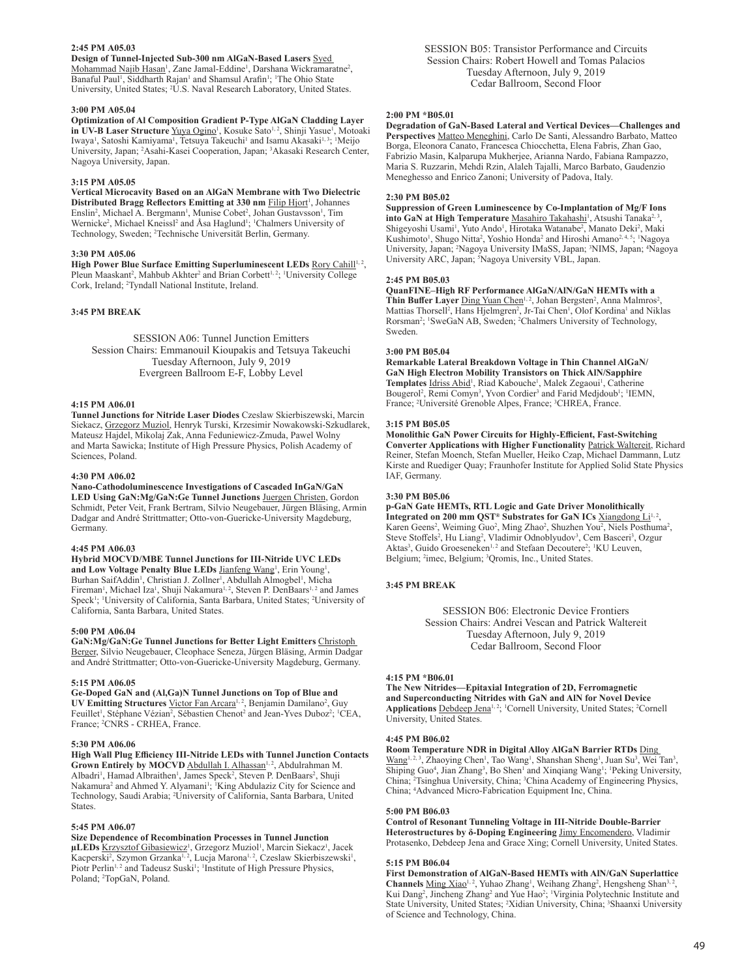## **2:45 PM A05.03**

**Design of Tunnel-Injected Sub-300 nm AlGaN-Based Lasers** Syed Mohammad Najib Hasan<sup>1</sup>, Zane Jamal-Eddine<sup>1</sup>, Darshana Wickramaratne<sup>2</sup>, Banaful Paul<sup>1</sup>, Siddharth Rajan<sup>1</sup> and Shamsul Arafin<sup>1</sup>; <sup>1</sup>The Ohio State University, United States; <sup>2</sup>U.S. Naval Research Laboratory, United States.

#### **3:00 PM A05.04**

**Optimization of Al Composition Gradient P-Type AlGaN Cladding Layer in UV-B Laser Structure** Yuya Ogino<sup>1</sup>, Kosuke Sato<sup>1,2</sup>, Shinji Yasue<sup>1</sup>, Motoaki Iwaya<sup>1</sup>, Satoshi Kamiyama<sup>1</sup>, Tetsuya Takeuchi<sup>1</sup> and Isamu Akasaki<sup>1, 3</sup>; <sup>1</sup>Meijo University, Japan; <sup>2</sup>Asahi-Kasei Cooperation, Japan; <sup>3</sup>Akasaki Research Center, Nagoya University, Japan.

#### **3:15 PM A05.05**

**Vertical Microcavity Based on an AlGaN Membrane with Two Dielectric**  Distributed Bragg Reflectors Emitting at 330 nm Filip Hjort<sup>1</sup>, Johannes Enslin<sup>2</sup>, Michael A. Bergmann<sup>1</sup>, Munise Cobet<sup>2</sup>, Johan Gustavsson<sup>1</sup>, Tim Wernicke<sup>2</sup>, Michael Kneissl<sup>2</sup> and Åsa Haglund<sup>1</sup>; <sup>1</sup>Chalmers University of Technology, Sweden; <sup>2</sup>Technische Universität Berlin, Germany.

#### **3:30 PM A05.06**

High Power Blue Surface Emitting Superluminescent LEDs Rory Cahill<sup>1, 2</sup>, Pleun Maaskant<sup>2</sup>, Mahbub Akhter<sup>2</sup> and Brian Corbett<sup>1, 2</sup>; <sup>1</sup>University College Cork, Ireland; <sup>2</sup> Tyndall National Institute, Ireland.

## **3:45 PM BREAK**

SESSION A06: Tunnel Junction Emitters Session Chairs: Emmanouil Kioupakis and Tetsuya Takeuchi Tuesday Afternoon, July 9, 2019 Evergreen Ballroom E-F, Lobby Level

#### **4:15 PM A06.01**

**Tunnel Junctions for Nitride Laser Diodes** Czeslaw Skierbiszewski, Marcin Siekacz, Grzegorz Muziol, Henryk Turski, Krzesimir Nowakowski-Szkudlarek, Mateusz Hajdel, Mikolaj Zak, Anna Feduniewicz-Zmuda, Pawel Wolny and Marta Sawicka; Institute of High Pressure Physics, Polish Academy of Sciences, Poland.

## **4:30 PM A06.02**

**Nano-Cathodoluminescence Investigations of Cascaded InGaN/GaN LED Using GaN:Mg/GaN:Ge Tunnel Junctions** Juergen Christen, Gordon Schmidt, Peter Veit, Frank Bertram, Silvio Neugebauer, Jürgen Bläsing, Armin Dadgar and André Strittmatter; Otto-von-Guericke-University Magdeburg, Germany.

#### **4:45 PM A06.03**

**Hybrid MOCVD/MBE Tunnel Junctions for III-Nitride UVC LEDs**  and Low Voltage Penalty Blue LEDs Jianfeng Wang<sup>1</sup>, Erin Young<sup>1</sup>, Burhan SaifAddin<sup>1</sup>, Christian J. Zollner<sup>1</sup>, Abdullah Almogbel<sup>1</sup>, Micha Fireman<sup>1</sup>, Michael Iza<sup>1</sup>, Shuji Nakamura<sup>1, 2</sup>, Steven P. DenBaars<sup>1, 2</sup> and James Speck<sup>1</sup>; 'University of California, Santa Barbara, United States; <sup>2</sup>University of California, Santa Barbara, United States.

#### **5:00 PM A06.04**

**GaN:Mg/GaN:Ge Tunnel Junctions for Better Light Emitters** Christoph Berger, Silvio Neugebauer, Cleophace Seneza, Jürgen Bläsing, Armin Dadgar and André Strittmatter; Otto-von-Guericke-University Magdeburg, Germany.

## **5:15 PM A06.05**

**Ge-Doped GaN and (Al,Ga)N Tunnel Junctions on Top of Blue and**  UV Emitting Structures Victor Fan Arcara<sup>1, 2</sup>, Benjamin Damilano<sup>2</sup>, Guy Feuillet<sup>1</sup>, Stéphane Vézian<sup>2</sup>, Sébastien Chenot<sup>2</sup> and Jean-Yves Duboz<sup>2</sup>; <sup>1</sup>CEA, France; <sup>2</sup> CNRS - CRHEA, France.

## **5:30 PM A06.06**

**High Wall Plug Efficiency III-Nitride LEDs with Tunnel Junction Contacts**  Grown Entirely by MOCVD Abdullah I. Alhassan<sup>1, 2</sup>, Abdulrahman M. Albadri<sup>1</sup>, Hamad Albraithen<sup>1</sup>, James Speck<sup>2</sup>, Steven P. DenBaars<sup>2</sup>, Shuji Nakamura<sup>2</sup> and Ahmed Y. Alyamani<sup>1</sup>; <sup>1</sup>King Abdulaziz City for Science and Technology, Saudi Arabia; <sup>2</sup> University of California, Santa Barbara, United States.

## **5:45 PM A06.07**

**Size Dependence of Recombination Processes in Tunnel Junction**  µLEDs Krzysztof Gibasiewicz<sup>1</sup>, Grzegorz Muziol<sup>1</sup>, Marcin Siekacz<sup>1</sup>, Jacek Kacperski<sup>2</sup>, Szymon Grzanka<sup>1, 2</sup>, Lucja Marona<sup>1, 2</sup>, Czeslaw Skierbiszewski<sup>1</sup>, Piotr Perlin<sup>1,2</sup> and Tadeusz Suski<sup>1</sup>; <sup>1</sup>Institute of High Pressure Physics, Poland; <sup>2</sup> TopGaN, Poland.

SESSION B05: Transistor Performance and Circuits Session Chairs: Robert Howell and Tomas Palacios Tuesday Afternoon, July 9, 2019 Cedar Ballroom, Second Floor

## **2:00 PM \*B05.01**

**Degradation of GaN-Based Lateral and Vertical Devices—Challenges and Perspectives** Matteo Meneghini, Carlo De Santi, Alessandro Barbato, Matteo Borga, Eleonora Canato, Francesca Chiocchetta, Elena Fabris, Zhan Gao, Fabrizio Masin, Kalparupa Mukherjee, Arianna Nardo, Fabiana Rampazzo, Maria S. Ruzzarin, Mehdi Rzin, Alaleh Tajalli, Marco Barbato, Gaudenzio Meneghesso and Enrico Zanoni; University of Padova, Italy.

#### **2:30 PM B05.02**

**Suppression of Green Luminescence by Co-Implantation of Mg/F Ions into GaN at High Temperature** Masahiro Takahashi<sup>1</sup>, Atsushi Tanaka<sup>2, 3</sup> , Shigeyoshi Usami<sup>1</sup>, Yuto Ando<sup>1</sup>, Hirotaka Watanabe<sup>2</sup>, Manato Deki<sup>2</sup>, Maki Kushimoto<sup>1</sup>, Shugo Nitta<sup>2</sup>, Yoshio Honda<sup>2</sup> and Hiroshi Amano<sup>2, 4, 5</sup>; <sup>1</sup>Nagoya University, Japan; <sup>2</sup>Nagoya University IMaSS, Japan; <sup>3</sup>NIMS, Japan; <sup>4</sup>Nagoya University ARC, Japan; 5Nagoya University VBL, Japan.

#### **2:45 PM B05.03**

**QuanFINE–High RF Performance AlGaN/AlN/GaN HEMTs with a**  Thin Buffer Layer Ding Yuan Chen<sup>1, 2</sup>, Johan Bergsten<sup>2</sup>, Anna Malmros<sup>2</sup>, Mattias Thorsell<sup>2</sup>, Hans Hjelmgren<sup>2</sup>, Jr-Tai Chen<sup>1</sup>, Olof Kordina<sup>1</sup> and Niklas Rorsman<sup>2</sup>; <sup>1</sup>SweGaN AB, Sweden; <sup>2</sup>Chalmers University of Technology, Sweden.

## **3:00 PM B05.04**

**Remarkable Lateral Breakdown Voltage in Thin Channel AlGaN/ GaN High Electron Mobility Transistors on Thick AlN/Sapphire**  Templates *Idriss Abid<sup>1</sup>*, Riad Kabouche<sup>1</sup>, Malek Zegaoui<sup>1</sup>, Catherine Bougerol<sup>2</sup>, Remi Comyn<sup>3</sup>, Yvon Cordier<sup>3</sup> and Farid Medjdoub<sup>1</sup>; <sup>1</sup>IEMN, France; <sup>2</sup>Université Grenoble Alpes, France; <sup>3</sup>CHREA, France.

#### **3:15 PM B05.05**

**Monolithic GaN Power Circuits for Highly-Efficient, Fast-Switching Converter Applications with Higher Functionality** Patrick Waltereit, Richard Reiner, Stefan Moench, Stefan Mueller, Heiko Czap, Michael Dammann, Lutz Kirste and Ruediger Quay; Fraunhofer Institute for Applied Solid State Physics IAF, Germany.

### **3:30 PM B05.06**

## **p-GaN Gate HEMTs, RTL Logic and Gate Driver Monolithically**

Integrated on 200 mm QST<sup>®</sup> Substrates for GaN ICs Xiangdong Li<sup>1,2</sup> , Karen Geens<sup>2</sup>, Weiming Guo<sup>2</sup>, Ming Zhao<sup>2</sup>, Shuzhen You<sup>2</sup>, Niels Posthuma<sup>2</sup>, Steve Stoffels<sup>2</sup>, Hu Liang<sup>2</sup>, Vladimir Odnoblyudov<sup>3</sup>, Cem Basceri<sup>3</sup>, Ozgur Aktas<sup>3</sup>, Guido Groeseneken<sup>1,2</sup> and Stefaan Decoutere<sup>2</sup>; <sup>1</sup>KU Leuven, Belgium; <sup>2</sup>imec, Belgium; <sup>3</sup>Qromis, Inc., United States.

#### **3:45 PM BREAK**

SESSION B06: Electronic Device Frontiers Session Chairs: Andrei Vescan and Patrick Waltereit Tuesday Afternoon, July 9, 2019 Cedar Ballroom, Second Floor

## **4:15 PM \*B06.01**

**The New Nitrides—Epitaxial Integration of 2D, Ferromagnetic and Superconducting Nitrides with GaN and AlN for Novel Device**  Applications Debdeep Jena<sup>1, 2</sup>; <sup>1</sup>Cornell University, United States; <sup>2</sup>Cornell University, United States.

## **4:45 PM B06.02**

**Room Temperature NDR in Digital Alloy AlGaN Barrier RTDs** Ding Wang<sup>1, 2, 3</sup>, Zhaoying Chen<sup>1</sup>, Tao Wang<sup>1</sup>, Shanshan Sheng<sup>1</sup>, Juan Su<sup>3</sup>, Wei Tan<sup>3</sup>, Shiping Guo<sup>4</sup>, Jian Zhang<sup>3</sup>, Bo Shen<sup>1</sup> and Xinqiang Wang<sup>1</sup>; <sup>1</sup>Peking University, China; <sup>2</sup> Tsinghua University, China; <sup>3</sup> China Academy of Engineering Physics, China; <sup>4</sup> Advanced Micro-Fabrication Equipment Inc, China.

#### **5:00 PM B06.03**

**Control of Resonant Tunneling Voltage in III-Nitride Double-Barrier Heterostructures by δ-Doping Engineering** Jimy Encomendero, Vladimir Protasenko, Debdeep Jena and Grace Xing; Cornell University, United States.

### **5:15 PM B06.04**

**First Demonstration of AlGaN-Based HEMTs with AlN/GaN Superlattice**  Channels Ming Xiao<sup>1, 2</sup>, Yuhao Zhang<sup>1</sup>, Weihang Zhang<sup>2</sup>, Hengsheng Shan<sup>3, 2</sup> , Kui Dang<sup>2</sup>, Jincheng Zhang<sup>2</sup> and Yue Hao<sup>2</sup>; <sup>1</sup>Virginia Polytechnic Institute and State University, United States; <sup>2</sup> Xidian University, China; <sup>3</sup> Shaanxi University of Science and Technology, China.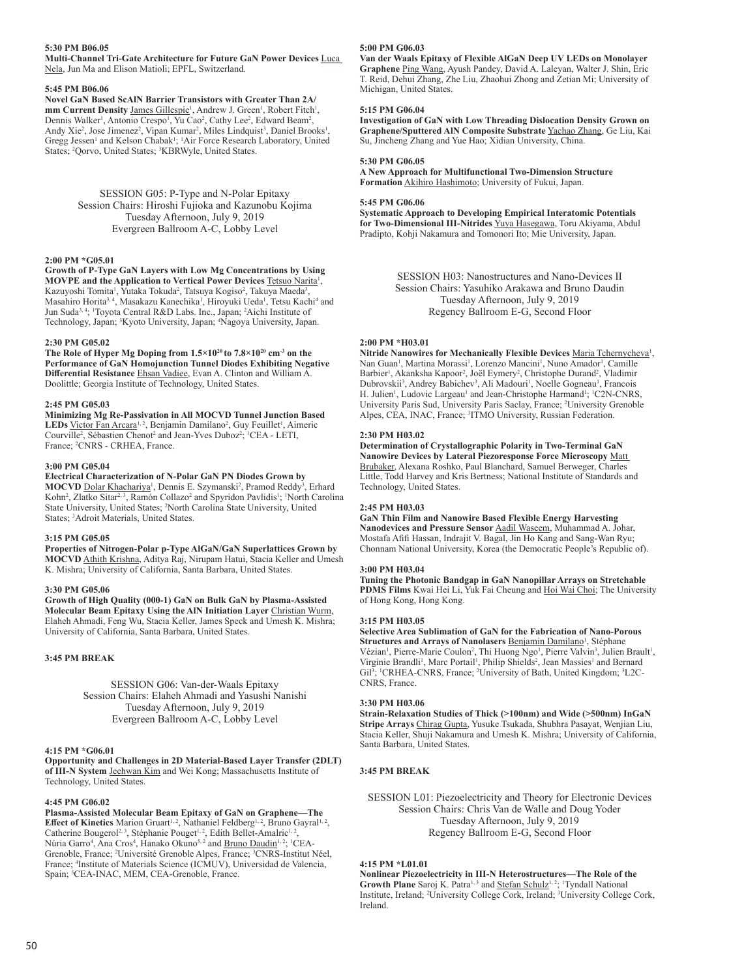## **5:30 PM B06.05**

**Multi-Channel Tri-Gate Architecture for Future GaN Power Devices** Luca Nela, Jun Ma and Elison Matioli; EPFL, Switzerland.

#### **5:45 PM B06.06**

**Novel GaN Based ScAlN Barrier Transistors with Greater Than 2A/** mm Current Density James Gillespie<sup>1</sup>, Andrew J. Green<sup>1</sup>, Robert Fitch<sup>1</sup>, Dennis Walker<sup>1</sup>, Antonio Crespo<sup>1</sup>, Yu Cao<sup>2</sup>, Cathy Lee<sup>2</sup>, Edward Beam<sup>2</sup>, Andy Xie<sup>2</sup>, Jose Jimenez<sup>2</sup>, Vipan Kumar<sup>2</sup>, Miles Lindquist<sup>3</sup>, Daniel Brooks<sup>1</sup>, Gregg Jessen<sup>1</sup> and Kelson Chabak<sup>1</sup>; <sup>1</sup>Air Force Research Laboratory, United States; <sup>2</sup> Qorvo, United States; <sup>3</sup>KBRWyle, United States.

> SESSION G05: P-Type and N-Polar Epitaxy Session Chairs: Hiroshi Fujioka and Kazunobu Kojima Tuesday Afternoon, July 9, 2019 Evergreen Ballroom A-C, Lobby Level

#### **2:00 PM \*G05.01**

**Growth of P-Type GaN Layers with Low Mg Concentrations by Using MOVPE and the Application to Vertical Power Devices Tetsuo Narita<sup>1</sup>,** Kazuyoshi Tomita<sup>1</sup>, Yutaka Tokuda<sup>2</sup>, Tatsuya Kogiso<sup>2</sup>, Takuya Maeda<sup>3</sup>, Masahiro Horita<sup>3,4</sup>, Masakazu Kanechika<sup>1</sup>, Hiroyuki Ueda<sup>1</sup>, Tetsu Kachi<sup>4</sup> and Jun Suda<sup>3, 4</sup>; 'Toyota Central R&D Labs. Inc., Japan; <sup>2</sup>Aichi Institute of Technology, Japan; <sup>3</sup> Kyoto University, Japan; <sup>4</sup> Nagoya University, Japan.

#### **2:30 PM G05.02**

**The Role of Hyper Mg Doping from 1.5×1020 to 7.8×1020 cm-3 on the Performance of GaN Homojunction Tunnel Diodes Exhibiting Negative Differential Resistance** Ehsan Vadiee, Evan A. Clinton and William A. Doolittle; Georgia Institute of Technology, United States.

#### **2:45 PM G05.03**

**Minimizing Mg Re-Passivation in All MOCVD Tunnel Junction Based**  LEDs Victor Fan Arcara<sup>1, 2</sup>, Benjamin Damilano<sup>2</sup>, Guy Feuillet<sup>1</sup>, Aimeric Courville<sup>2</sup>, Sébastien Chenot<sup>2</sup> and Jean-Yves Duboz<sup>2</sup>; <sup>1</sup>CEA - LETI, France; <sup>2</sup> CNRS - CRHEA, France.

#### **3:00 PM G05.04**

**Electrical Characterization of N-Polar GaN PN Diodes Grown by** 

MOCVD Dolar Khachariya<sup>1</sup>, Dennis E. Szymanski<sup>2</sup>, Pramod Reddy<sup>3</sup>, Erhard Kohn<sup>2</sup>, Zlatko Sitar<sup>2, 3</sup>, Ramón Collazo<sup>2</sup> and Spyridon Pavlidis<sup>1</sup>; <sup>1</sup>North Carolina State University, United States; <sup>2</sup> North Carolina State University, United States; <sup>3</sup> Adroit Materials, United States.

## **3:15 PM G05.05**

**Properties of Nitrogen-Polar p-Type AlGaN/GaN Superlattices Grown by MOCVD** Athith Krishna, Aditya Raj, Nirupam Hatui, Stacia Keller and Umesh K. Mishra; University of California, Santa Barbara, United States.

#### **3:30 PM G05.06**

**Growth of High Quality (000-1) GaN on Bulk GaN by Plasma-Assisted Molecular Beam Epitaxy Using the AlN Initiation Layer** Christian Wurm, Elaheh Ahmadi, Feng Wu, Stacia Keller, James Speck and Umesh K. Mishra; University of California, Santa Barbara, United States.

## **3:45 PM BREAK**

SESSION G06: Van-der-Waals Epitaxy Session Chairs: Elaheh Ahmadi and Yasushi Nanishi Tuesday Afternoon, July 9, 2019 Evergreen Ballroom A-C, Lobby Level

#### **4:15 PM \*G06.01**

**Opportunity and Challenges in 2D Material-Based Layer Transfer (2DLT) of III-N System** Jeehwan Kim and Wei Kong; Massachusetts Institute of Technology, United States.

#### **4:45 PM G06.02**

**Plasma-Assisted Molecular Beam Epitaxy of GaN on Graphene—The**  Effect of Kinetics Marion Gruart<sup>1, 2</sup>, Nathaniel Feldberg<sup>1, 2</sup>, Bruno Gayral<sup>1, 2</sup>, Catherine Bougerol<sup>2, 3</sup>, Stéphanie Pouget<sup>1, 2</sup>, Edith Bellet-Amalric<sup>1, 2</sup>, Núria Garro<sup>4</sup>, Ana Cros<sup>4</sup>, Hanako Okuno<sup>5, 2</sup> and <u>Bruno Daudin 1, 2; ICEA</u>-Grenoble, France; <sup>2</sup> Université Grenoble Alpes, France; <sup>3</sup> CNRS-Institut Néel, France; <sup>4</sup> Institute of Materials Science (ICMUV), Universidad de Valencia, Spain; <sup>5</sup>CEA-INAC, MEM, CEA-Grenoble, France.

#### **5:00 PM G06.03**

**Van der Waals Epitaxy of Flexible AlGaN Deep UV LEDs on Monolayer Graphene** Ping Wang, Ayush Pandey, David A. Laleyan, Walter J. Shin, Eric T. Reid, Dehui Zhang, Zhe Liu, Zhaohui Zhong and Zetian Mi; University of Michigan, United States.

#### **5:15 PM G06.04**

**Investigation of GaN with Low Threading Dislocation Density Grown on Graphene/Sputtered AlN Composite Substrate** Yachao Zhang, Ge Liu, Kai Su, Jincheng Zhang and Yue Hao; Xidian University, China.

#### **5:30 PM G06.05**

**A New Approach for Multifunctional Two-Dimension Structure Formation** Akihiro Hashimoto; University of Fukui, Japan.

#### **5:45 PM G06.06**

**Systematic Approach to Developing Empirical Interatomic Potentials for Two-Dimensional III-Nitrides** Yuya Hasegawa, Toru Akiyama, Abdul Pradipto, Kohji Nakamura and Tomonori Ito; Mie University, Japan.

> SESSION H03: Nanostructures and Nano-Devices II Session Chairs: Yasuhiko Arakawa and Bruno Daudin Tuesday Afternoon, July 9, 2019 Regency Ballroom E-G, Second Floor

#### **2:00 PM \*H03.01**

Nitride Nanowires for Mechanically Flexible Devices Maria Tchernycheva<sup>1</sup>, Nan Guan<sup>1</sup>, Martina Morassi<sup>1</sup>, Lorenzo Mancini<sup>1</sup>, Nuno Amador<sup>1</sup>, Camille Barbier<sup>1</sup>, Akanksha Kapoor<sup>2</sup>, Joël Eymery<sup>2</sup>, Christophe Durand<sup>2</sup>, Vladimir Dubrovskii<sup>3</sup>, Andrey Babichev<sup>3</sup>, Ali Madouri<sup>1</sup>, Noelle Gogneau<sup>1</sup>, Francois H. Julien<sup>1</sup>, Ludovic Largeau<sup>1</sup> and Jean-Christophe Harmand<sup>1</sup>; <sup>1</sup>C2N-CNRS, University Paris Sud, University Paris Saclay, France; <sup>2</sup> University Grenoble Alpes, CEA, INAC, France; <sup>3</sup> ITMO University, Russian Federation.

## **2:30 PM H03.02**

**Determination of Crystallographic Polarity in Two-Terminal GaN Nanowire Devices by Lateral Piezoresponse Force Microscopy** Matt

Brubaker, Alexana Roshko, Paul Blanchard, Samuel Berweger, Charles Little, Todd Harvey and Kris Bertness; National Institute of Standards and Technology, United States.

## **2:45 PM H03.03**

**GaN Thin Film and Nanowire Based Flexible Energy Harvesting Nanodevices and Pressure Sensor** Aadil Waseem, Muhammad A. Johar, Mostafa Afifi Hassan, Indrajit V. Bagal, Jin Ho Kang and Sang-Wan Ryu; Chonnam National University, Korea (the Democratic People's Republic of).

#### **3:00 PM H03.04**

**Tuning the Photonic Bandgap in GaN Nanopillar Arrays on Stretchable PDMS Films** Kwai Hei Li, Yuk Fai Cheung and Hoi Wai Choi; The University of Hong Kong, Hong Kong.

#### **3:15 PM H03.05**

**Selective Area Sublimation of GaN for the Fabrication of Nano-Porous**  Structures and Arrays of Nanolasers **Benjamin Damilano<sup>1</sup>**, Stéphane Vézian<sup>1</sup>, Pierre-Marie Coulon<sup>2</sup>, Thi Huong Ngo<sup>1</sup>, Pierre Valvin<sup>3</sup>, Julien Brault<sup>1</sup>, Virginie Brandli<sup>1</sup>, Marc Portail<sup>1</sup>, Philip Shields<sup>2</sup>, Jean Massies<sup>1</sup> and Bernard Gil<sup>3</sup>; <sup>1</sup>CRHEA-CNRS, France; <sup>2</sup>University of Bath, United Kingdom; <sup>3</sup>L2C-CNRS, France.

#### **3:30 PM H03.06**

**Strain-Relaxation Studies of Thick (>100nm) and Wide (>500nm) InGaN Stripe Arrays** Chirag Gupta, Yusuke Tsukada, Shubhra Pasayat, Wenjian Liu, Stacia Keller, Shuji Nakamura and Umesh K. Mishra; University of California, Santa Barbara, United States.

## **3:45 PM BREAK**

SESSION L01: Piezoelectricity and Theory for Electronic Devices Session Chairs: Chris Van de Walle and Doug Yoder Tuesday Afternoon, July 9, 2019 Regency Ballroom E-G, Second Floor

## **4:15 PM \*L01.01**

**Nonlinear Piezoelectricity in III-N Heterostructures—The Role of the**  Growth Plane Saroj K. Patra<sup>1, 3</sup> and **Stefan Schulz<sup>1, 2</sup>;** <sup>1</sup>Tyndall National Institute, Ireland; <sup>2</sup> University College Cork, Ireland; <sup>3</sup> University College Cork, Ireland.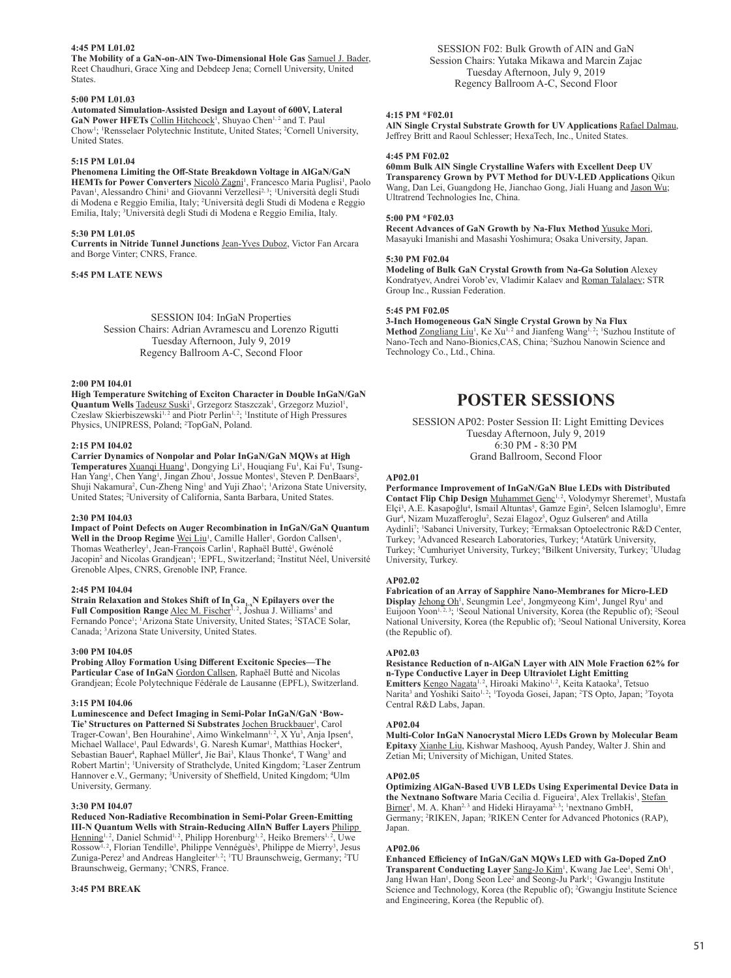## **4:45 PM L01.02**

**The Mobility of a GaN-on-AlN Two-Dimensional Hole Gas** Samuel J. Bader, Reet Chaudhuri, Grace Xing and Debdeep Jena; Cornell University, United States.

#### **5:00 PM L01.03**

**Automated Simulation-Assisted Design and Layout of 600V, Lateral**  GaN Power HFETs Collin Hitchcock<sup>1</sup>, Shuyao Chen<sup>1,2</sup> and T. Paul Chow<sup>1</sup>; <sup>1</sup>Rensselaer Polytechnic Institute, United States; <sup>2</sup>Cornell University, United States.

## **5:15 PM L01.04**

**Phenomena Limiting the Off-State Breakdown Voltage in AlGaN/GaN**  HEMTs for Power Converters Nicolò Zagni<sup>1</sup>, Francesco Maria Puglisi<sup>1</sup>, Paolo Pavan<sup>1</sup>, Alessandro Chini<sup>1</sup> and Giovanni Verzellesi<sup>2, 3</sup>; <sup>1</sup>Università degli Studi di Modena e Reggio Emilia, Italy; <sup>2</sup> Università degli Studi di Modena e Reggio Emilia, Italy; <sup>3</sup>Università degli Studi di Modena e Reggio Emilia, Italy.

#### **5:30 PM L01.05**

**Currents in Nitride Tunnel Junctions** Jean-Yves Duboz, Victor Fan Arcara and Borge Vinter; CNRS, France.

## **5:45 PM LATE NEWS**

SESSION I04: InGaN Properties Session Chairs: Adrian Avramescu and Lorenzo Rigutti Tuesday Afternoon, July 9, 2019 Regency Ballroom A-C, Second Floor

#### **2:00 PM I04.01**

**High Temperature Switching of Exciton Character in Double InGaN/GaN**  Quantum Wells Tadeusz Suski<sup>1</sup>, Grzegorz Staszczak<sup>1</sup>, Grzegorz Muziol<sup>1</sup>, Czeslaw Skierbiszewski<sup>1, 2</sup> and Piotr Perlin<sup>1, 2</sup>; <sup>1</sup>Institute of High Pressures Physics, UNIPRESS, Poland; <sup>2</sup> TopGaN, Poland.

#### **2:15 PM I04.02**

**Carrier Dynamics of Nonpolar and Polar InGaN/GaN MQWs at High**  Temperatures *Xuanqi Huang<sup>1</sup>*, Dongying Li<sup>1</sup>, Houqiang Fu<sup>1</sup>, Kai Fu<sup>1</sup>, Tsung-Han Yang<sup>1</sup>, Chen Yang<sup>1</sup>, Jingan Zhou<sup>1</sup>, Jossue Montes<sup>1</sup>, Steven P. DenBaars<sup>2</sup>, Shuji Nakamura<sup>2</sup>, Cun-Zheng Ning<sup>1</sup> and Yuji Zhao<sup>1</sup>; <sup>1</sup>Arizona State University, United States; <sup>2</sup> University of California, Santa Barbara, United States.

#### **2:30 PM I04.03**

**Impact of Point Defects on Auger Recombination in InGaN/GaN Quantum**  Well in the Droop Regime Wei Liu<sup>1</sup>, Camille Haller<sup>1</sup>, Gordon Callsen<sup>1</sup>, Thomas Weatherley<sup>1</sup>, Jean-François Carlin<sup>1</sup>, Raphaël Butté<sup>1</sup>, Gwénolé Jacopin<sup>2</sup> and Nicolas Grandjean<sup>1</sup>; <sup>1</sup>EPFL, Switzerland; <sup>2</sup>Institut Néel, Université Grenoble Alpes, CNRS, Grenoble INP, France.

## **2:45 PM I04.04**

 $\textbf{Strain}$  Relaxation and Stokes Shift of In<sub>x</sub>Ga<sub>1-x</sub>N Epilayers over the **Full Composition Range** <u>Alec M. Fischeriel, J</u>oshua J. Williams<sup>3</sup> and Fernando Ponce<sup>1</sup>; <sup>1</sup>Arizona State University, United States; <sup>2</sup>STACE Solar, Canada; <sup>3</sup> Arizona State University, United States.

## **3:00 PM I04.05**

**Probing Alloy Formation Using Different Excitonic Species—The**  Particular Case of InGaN **Gordon Callsen**, Raphaël Butté and Nicolas Grandjean; École Polytechnique Fédérale de Lausanne (EPFL), Switzerland.

#### **3:15 PM I04.06**

**Luminescence and Defect Imaging in Semi-Polar InGaN/GaN 'Bow-**Tie' Structures on Patterned Si Substrates Jochen Bruckbauer<sup>1</sup>, Carol Trager-Cowan<sup>1</sup>, Ben Hourahine<sup>1</sup>, Aimo Winkelmann<sup>1, 2</sup>, X Yu<sup>3</sup>, Anja Ipsen<sup>4</sup>, Michael Wallace<sup>1</sup>, Paul Edwards<sup>1</sup>, G. Naresh Kumar<sup>1</sup>, Matthias Hocker<sup>4</sup>, Sebastian Bauer<sup>4</sup>, Raphael Müller<sup>4</sup>, Jie Bai<sup>3</sup>, Klaus Thonke<sup>4</sup>, T Wang<sup>3</sup> and Robert Martin<sup>1</sup>; <sup>1</sup>University of Strathclyde, United Kingdom; <sup>2</sup>Laser Zentrum Hannover e.V., Germany; <sup>3</sup> University of Sheffield, United Kingdom; <sup>4</sup> Ulm University, Germany.

#### **3:30 PM I04.07**

**Reduced Non-Radiative Recombination in Semi-Polar Green-Emitting III-N Quantum Wells with Strain-Reducing AlInN Buffer Layers** Philipp Henning<sup>1, 2</sup>, Daniel Schmid<sup>1, 2</sup>, Philipp Horenburg<sup>1, 2</sup>, Heiko Bremers<sup>1, 2</sup>, Uwe Rossow<sup>1, 2</sup>, Florian Tendille<sup>3</sup>, Philippe Vennéguès<sup>3</sup>, Philippe de Mierry<sup>3</sup>, Jesus Zuniga-Perez<sup>3</sup> and Andreas Hangleiter<sup>1, 2</sup>; <sup>1</sup>TU Braunschweig, Germany; <sup>2</sup>TU Braunschweig, Germany; <sup>3</sup> CNRS, France.

#### **3:45 PM BREAK**

SESSION F02: Bulk Growth of AIN and GaN Session Chairs: Yutaka Mikawa and Marcin Zajac Tuesday Afternoon, July 9, 2019 Regency Ballroom A-C, Second Floor

## **4:15 PM \*F02.01**

**AlN Single Crystal Substrate Growth for UV Applications** Rafael Dalmau, Jeffrey Britt and Raoul Schlesser; HexaTech, Inc., United States.

## **4:45 PM F02.02**

**60mm Bulk AlN Single Crystalline Wafers with Excellent Deep UV Transparency Grown by PVT Method for DUV-LED Applications** Qikun Wang, Dan Lei, Guangdong He, Jianchao Gong, Jiali Huang and Jason Wu; Ultratrend Technologies Inc, China.

## **5:00 PM \*F02.03**

**Recent Advances of GaN Growth by Na-Flux Method** Yusuke Mori, Masayuki Imanishi and Masashi Yoshimura; Osaka University, Japan.

#### **5:30 PM F02.04**

**Modeling of Bulk GaN Crystal Growth from Na-Ga Solution** Alexey Kondratyev, Andrei Vorob'ev, Vladimir Kalaev and Roman Talalaev; STR Group Inc., Russian Federation.

#### **5:45 PM F02.05**

**3-Inch Homogeneous GaN Single Crystal Grown by Na Flux**  Method Zongliang Liu<sup>1</sup>, Ke Xu<sup>1, 2</sup> and Jianfeng Wang<sup>1, 2</sup>; <sup>1</sup>Suzhou Institute of Nano-Tech and Nano-Bionics, CAS, China; <sup>2</sup>Suzhou Nanowin Science and Technology Co., Ltd., China.

# **POSTER SESSIONS**

SESSION AP02: Poster Session II: Light Emitting Devices Tuesday Afternoon, July 9, 2019 6:30 PM - 8:30 PM Grand Ballroom, Second Floor

## **AP02.01**

**Performance Improvement of InGaN/GaN Blue LEDs with Distributed**  Contact Flip Chip Design Muhammet Genç<sup>1, 2</sup>, Volodymyr Sheremet<sup>3</sup>, Mustafa Elçi<sup>3</sup>, A.E. Kasapoğlu<sup>4</sup>, Ismail Altuntas<sup>5</sup>, Gamze Egin<sup>2</sup>, Selcen Islamoglu<sup>3</sup>, Emre Gur<sup>4</sup>, Nizam Muzafferoglu<sup>2</sup>, Sezai Elagoz<sup>5</sup>, Oguz Gulseren<sup>6</sup> and Atilla Aydinli<sup>7</sup>; <sup>1</sup>Sabanci University, Turkey; <sup>2</sup>Ermaksan Optoelectronic R&D Center, Turkey; <sup>3</sup>Advanced Research Laboratories, Turkey; <sup>4</sup>Atatürk University, Turkey; <sup>5</sup>Cumhuriyet University, Turkey; <sup>6</sup>Bilkent University, Turkey; 7Uludag University, Turkey.

#### **AP02.02**

**Fabrication of an Array of Sapphire Nano-Membranes for Micro-LED**  Display Jehong Oh<sup>1</sup>, Seungmin Lee<sup>1</sup>, Jongmyeong Kim<sup>1</sup>, Jungel Ryu<sup>1</sup> and Euijoon Yoon<sup>1, 2, 3</sup>; <sup>1</sup> Seoul National University, Korea (the Republic of); <sup>2</sup> Seoul National University, Korea (the Republic of); <sup>3</sup>Seoul National University, Korea (the Republic of).

## **AP02.03**

**Resistance Reduction of n-AlGaN Layer with AlN Mole Fraction 62% for n-Type Conductive Layer in Deep Ultraviolet Light Emitting**  Emitters Kengo Nagata<sup>1, 2</sup>, Hiroaki Makino<sup>1, 2</sup>, Keita Kataoka<sup>3</sup>, Tetsuo

Narita<sup>3</sup> and Yoshiki Saito<sup>1, 2</sup>; <sup>1</sup>Toyoda Gosei, Japan; <sup>2</sup>TS Opto, Japan; <sup>3</sup>Toyota Central R&D Labs, Japan.

## **AP02.04**

**Multi-Color InGaN Nanocrystal Micro LEDs Grown by Molecular Beam Epitaxy** Xianhe Liu, Kishwar Mashooq, Ayush Pandey, Walter J. Shin and Zetian Mi; University of Michigan, United States.

#### **AP02.05**

**Optimizing AlGaN-Based UVB LEDs Using Experimental Device Data in**  the Nextnano Software Maria Cecilia d. Figueira<sup>1</sup>, Alex Trellakis<sup>1</sup>, Stefan Birner<sup>1</sup>, M. A. Khan<sup>2, 3</sup> and Hideki Hirayama<sup>2, 3</sup>; <sup>1</sup>nextnano GmbH, Germany; <sup>2</sup>RIKEN, Japan; <sup>3</sup>RIKEN Center for Advanced Photonics (RAP), Japan.

#### **AP02.06**

**Enhanced Efficiency of InGaN/GaN MQWs LED with Ga-Doped ZnO**  Transparent Conducting Layer Sang-Jo Kim<sup>1</sup>, Kwang Jae Lee<sup>1</sup>, Semi Oh<sup>1</sup>, Jang Hwan Han<sup>1</sup>, Dong Seon Lee<sup>2</sup> and Seong-Ju Park<sup>1</sup>; <sup>1</sup>Gwangju Institute Science and Technology, Korea (the Republic of); <sup>2</sup> Gwangju Institute Science and Engineering, Korea (the Republic of).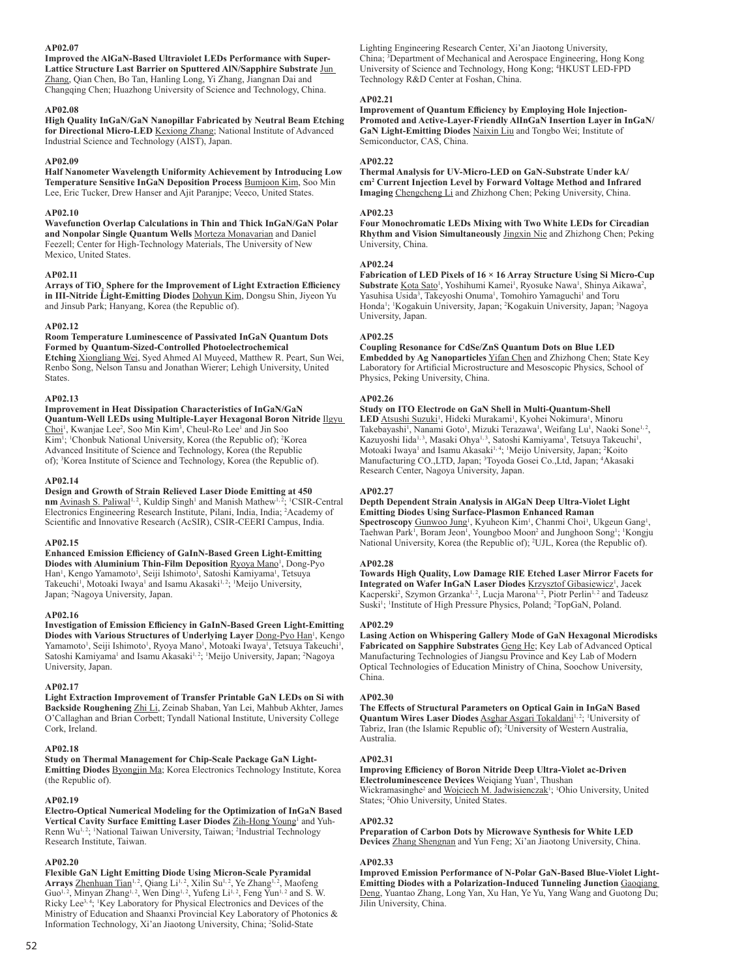## **AP02.07**

**Improved the AlGaN-Based Ultraviolet LEDs Performance with Super-Lattice Structure Last Barrier on Sputtered AlN/Sapphire Substrate** Jun Zhang, Qian Chen, Bo Tan, Hanling Long, Yi Zhang, Jiangnan Dai and Changqing Chen; Huazhong University of Science and Technology, China.

#### **AP02.08**

**High Quality InGaN/GaN Nanopillar Fabricated by Neutral Beam Etching for Directional Micro-LED** Kexiong Zhang; National Institute of Advanced Industrial Science and Technology (AIST), Japan.

## **AP02.09**

**Half Nanometer Wavelength Uniformity Achievement by Introducing Low Temperature Sensitive InGaN Deposition Process** Bumjoon Kim, Soo Min Lee, Eric Tucker, Drew Hanser and Ajit Paranjpe; Veeco, United States.

#### **AP02.10**

**Wavefunction Overlap Calculations in Thin and Thick InGaN/GaN Polar**  and Nonpolar Single Quantum Wells Morteza Monavarian and Daniel Feezell; Center for High-Technology Materials, The University of New Mexico, United States.

#### **AP02.11**

Arrays of TiO<sub>2</sub> Sphere for the Improvement of Light Extraction Efficiency **in III-Nitride Light-Emitting Diodes** Dohyun Kim, Dongsu Shin, Jiyeon Yu and Jinsub Park; Hanyang, Korea (the Republic of).

## **AP02.12**

**Room Temperature Luminescence of Passivated InGaN Quantum Dots Formed by Quantum-Sized-Controlled Photoelectrochemical Etching** Xiongliang Wei, Syed Ahmed Al Muyeed, Matthew R. Peart, Sun Wei, Renbo Song, Nelson Tansu and Jonathan Wierer; Lehigh University, United

## States. **AP02.13**

**Improvement in Heat Dissipation Characteristics of InGaN/GaN Quantum-Well LEDs using Multiple-Layer Hexagonal Boron Nitride** Ilgyu Choi<sup>1</sup>, Kwanjae Lee<sup>2</sup>, Soo Min Kim<sup>3</sup>, Cheul-Ro Lee<sup>1</sup> and Jin Soo Kim<sup>1</sup>; <sup>1</sup>Chonbuk National University, Korea (the Republic of); <sup>2</sup>Korea Advanced Insititute of Science and Technology, Korea (the Republic of); <sup>3</sup> Korea Institute of Science and Technology, Korea (the Republic of).

#### **AP02.14**

**Design and Growth of Strain Relieved Laser Diode Emitting at 450**  nm Avinash S. Paliwal<sup>1, 2</sup>, Kuldip Singh<sup>1</sup> and Manish Mathew<sup>1, 2</sup>; <sup>1</sup>CSIR-Central Electronics Engineering Research Institute, Pilani, India, India; <sup>2</sup> Academy of Scientific and Innovative Research (AcSIR), CSIR-CEERI Campus, India.

#### **AP02.15**

**Enhanced Emission Efficiency of GaInN-Based Green Light-Emitting**  Diodes with Aluminium Thin-Film Deposition Ryoya Mano<sup>1</sup>, Dong-Pyo Han<sup>1</sup>, Kengo Yamamoto<sup>1</sup>, Seiji Ishimoto<sup>1</sup>, Satoshi Kamiyama<sup>1</sup>, Tetsuya Takeuchi<sup>1</sup>, Motoaki Iwaya<sup>1</sup> and Isamu Akasaki<sup>1,2</sup>; <sup>1</sup>Meijo University, Japan; <sup>2</sup> Nagoya University, Japan.

#### **AP02.16**

**Investigation of Emission Efficiency in GaInN-Based Green Light-Emitting**  Diodes with Various Structures of Underlying Layer <u>Dong-Pyo Han</u><sup>1</sup>, Kengo Yamamoto<sup>1</sup>, Seiji Ishimoto<sup>1</sup>, Ryoya Mano<sup>1</sup>, Motoaki Iwaya<sup>1</sup>, Tetsuya Takeuchi<sup>1</sup>, Satoshi Kamiyama<sup>1</sup> and Isamu Akasaki<sup>1,2</sup>; <sup>1</sup>Meijo University, Japan; <sup>2</sup>Nagoya University, Japan.

#### **AP02.17**

**Light Extraction Improvement of Transfer Printable GaN LEDs on Si with Backside Roughening** Zhi Li, Zeinab Shaban, Yan Lei, Mahbub Akhter, James O'Callaghan and Brian Corbett; Tyndall National Institute, University College Cork, Ireland.

#### **AP02.18**

**Study on Thermal Management for Chip-Scale Package GaN Light-Emitting Diodes** Byongjin Ma; Korea Electronics Technology Institute, Korea (the Republic of).

#### **AP02.19**

**Electro-Optical Numerical Modeling for the Optimization of InGaN Based**  Vertical Cavity Surface Emitting Laser Diodes Zih-Hong Young<sup>1</sup> and Yuh-Renn Wu<sup>1, 2</sup>; <sup>1</sup>National Taiwan University, Taiwan; <sup>2</sup>Industrial Technology Research Institute, Taiwan.

#### **AP02.20**

**Flexible GaN Light Emitting Diode Using Micron-Scale Pyramidal**  Arrays Zhenhuan Tian<sup>1, 2</sup>, Qiang Li<sup>1, 2</sup>, Xilin Su<sup>1, 2</sup>, Ye Zhang<sup>1, 2</sup>, Maofeng Guo<sup>1, 2</sup>, Minyan Zhang<sup>1, 2</sup>, Wen Ding<sup>1, 2</sup>, Yufeng Li<sup>1, 2</sup>, Feng Yun<sup>1, 2</sup> and S. W. Ricky Lee<sup>3, 4</sup>; <sup>1</sup>Key Laboratory for Physical Electronics and Devices of the Ministry of Education and Shaanxi Provincial Key Laboratory of Photonics & Information Technology, Xi'an Jiaotong University, China; <sup>2</sup>Solid-State

Lighting Engineering Research Center, Xi'an Jiaotong University, China; <sup>3</sup> Department of Mechanical and Aerospace Engineering, Hong Kong University of Science and Technology, Hong Kong; <sup>4</sup> HKUST LED-FPD Technology R&D Center at Foshan, China.

#### **AP02.21**

**Improvement of Quantum Efficiency by Employing Hole Injection-Promoted and Active-Layer-Friendly AlInGaN Insertion Layer in InGaN/ GaN Light-Emitting Diodes** Naixin Liu and Tongbo Wei; Institute of Semiconductor, CAS, China.

## **AP02.22**

**Thermal Analysis for UV-Micro-LED on GaN-Substrate Under kA/ cm2 Current Injection Level by Forward Voltage Method and Infrared Imaging** Chengcheng Li and Zhizhong Chen; Peking University, China.

#### **AP02.23**

**Four Monochromatic LEDs Mixing with Two White LEDs for Circadian Rhythm and Vision Simultaneously** Jingxin Nie and Zhizhong Chen; Peking University, China.

## **AP02.24**

**Fabrication of LED Pixels of 16 × 16 Array Structure Using Si Micro-Cup Substrate** Kota Sato<sup>1</sup>, Yoshihumi Kamei<sup>1</sup>, Ryosuke Nawa<sup>1</sup>, Shinya Aikawa<sup>2</sup>, Yasuhisa Usida<sup>3</sup>, Takeyoshi Onuma<sup>1</sup>, Tomohiro Yamaguchi<sup>1</sup> and Toru Honda<sup>1</sup>; Kogakuin University, Japan; <sup>2</sup>Kogakuin University, Japan; <sup>3</sup>Nagoya University, Japan.

## **AP02.25**

**Coupling Resonance for CdSe/ZnS Quantum Dots on Blue LED Embedded by Ag Nanoparticles** Yifan Chen and Zhizhong Chen; State Key Laboratory for Artificial Microstructure and Mesoscopic Physics, School of Physics, Peking University, China.

## **AP02.26**

**Study on ITO Electrode on GaN Shell in Multi-Quantum-Shell**  LED Atsushi Suzuki<sup>1</sup>, Hideki Murakami<sup>1</sup>, Kyohei Nokimura<sup>1</sup>, Minoru Takebayashi<sup>1</sup>, Nanami Goto<sup>1</sup>, Mizuki Terazawa<sup>1</sup>, Weifang Lu<sup>1</sup>, Naoki Sone<sup>1,2</sup>, Kazuyoshi Iida<sup>1, 3</sup>, Masaki Ohya<sup>1, 3</sup>, Satoshi Kamiyama<sup>1</sup>, Tetsuya Takeuchi<sup>1</sup>, Motoaki Iwaya<sup>1</sup> and Isamu Akasaki<sup>1,4</sup>; <sup>1</sup>Meijo University, Japan; <sup>2</sup>Koito Manufacturing CO.,LTD, Japan; <sup>3</sup>Toyoda Gosei Co.,Ltd, Japan; <sup>4</sup>Akasaki Research Center, Nagoya University, Japan.

#### **AP02.27**

## **Depth Dependent Strain Analysis in AlGaN Deep Ultra-Violet Light Emitting Diodes Using Surface-Plasmon Enhanced Raman**

Spectroscopy Gunwoo Jung<sup>1</sup>, Kyuheon Kim<sup>1</sup>, Chanmi Choi<sup>1</sup>, Ukgeun Gang<sup>1</sup>, Taehwan Park<sup>1</sup>, Boram Jeon<sup>1</sup>, Youngboo Moon<sup>2</sup> and Junghoon Song<sup>1</sup>; <sup>1</sup>Kongju National University, Korea (the Republic of); <sup>2</sup>UJL, Korea (the Republic of).

## **AP02.28**

**Towards High Quality, Low Damage RIE Etched Laser Mirror Facets for**  Integrated on Wafer InGaN Laser Diodes **Krzysztof Gibasiewicz<sup>1</sup>, Jacek** Kacperski<sup>2</sup>, Szymon Grzanka<sup>1, 2</sup>, Lucja Marona<sup>1, 2</sup>, Piotr Perlin<sup>1, 2</sup> and Tadeusz Suski<sup>1</sup>; <sup>1</sup>Institute of High Pressure Physics, Poland; <sup>2</sup>TopGaN, Poland.

#### **AP02.29**

**Lasing Action on Whispering Gallery Mode of GaN Hexagonal Microdisks**  Fabricated on Sapphire Substrates **Geng He**; Key Lab of Advanced Optical Manufacturing Technologies of Jiangsu Province and Key Lab of Modern Optical Technologies of Education Ministry of China, Soochow University, China.

#### **AP02.30**

**The Effects of Structural Parameters on Optical Gain in InGaN Based Quantum Wires Laser Diodes Asghar Asgari Tokaldani<sup>1, 2</sup>; <sup>1</sup>University of** Tabriz, Iran (the Islamic Republic of); <sup>2</sup> University of Western Australia, Australia.

#### **AP02.31**

**Improving Efficiency of Boron Nitride Deep Ultra-Violet ac-Driven Electroluminescence Devices** Weiqiang Yuan<sup>1</sup>, Thushan Wickramasinghe<sup>2</sup> and Wojciech M. Jadwisienczak<sup>1</sup>; <sup>1</sup>Ohio University, United States; <sup>2</sup>Ohio University, United States.

#### **AP02.32**

**Preparation of Carbon Dots by Microwave Synthesis for White LED Devices** Zhang Shengnan and Yun Feng; Xi'an Jiaotong University, China.

#### **AP02.33**

**Improved Emission Performance of N-Polar GaN-Based Blue-Violet Light-Emitting Diodes with a Polarization-Induced Tunneling Junction** Gaoqiang Deng, Yuantao Zhang, Long Yan, Xu Han, Ye Yu, Yang Wang and Guotong Du; Jilin University, China.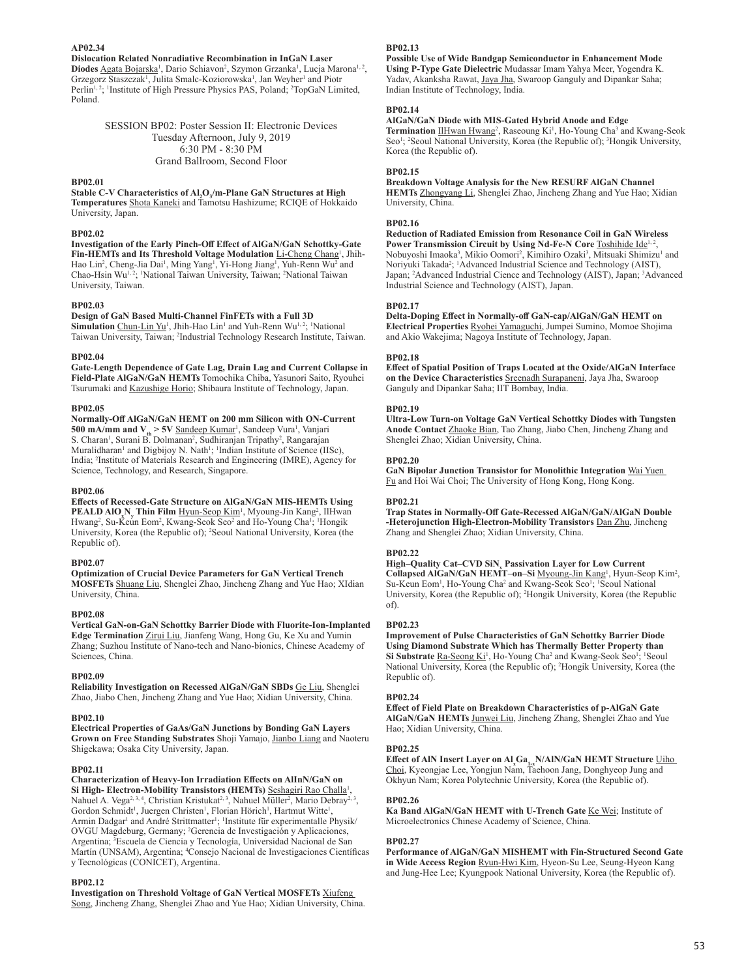**AP02.34**

**Dislocation Related Nonradiative Recombination in InGaN Laser**  Diodes Agata Bojarska<sup>1</sup>, Dario Schiavon<sup>2</sup>, Szymon Grzanka<sup>1</sup>, Lucja Marona<sup>1, 2</sup>, Grzegorz Staszczak<sup>1</sup>, Julita Smalc-Koziorowska<sup>1</sup>, Jan Weyher<sup>1</sup> and Piotr Perlin<sup>1, 2</sup>; <sup>1</sup>Institute of High Pressure Physics PAS, Poland; <sup>2</sup>TopGaN Limited, Poland.

> SESSION BP02: Poster Session II: Electronic Devices Tuesday Afternoon, July 9, 2019 6:30 PM - 8:30 PM Grand Ballroom, Second Floor

#### **BP02.01**

Stable C-V Characteristics of Al<sub>2</sub>O<sub>3</sub>/m-Plane GaN Structures at High **Temperatures** Shota Kaneki and Tamotsu Hashizume; RCIQE of Hokkaido University, Japan.

#### **BP02.02**

**Investigation of the Early Pinch-Off Effect of AlGaN/GaN Schottky-Gate**  Fin-HEMTs and Its Threshold Voltage Modulation Li-Cheng Chang<sup>1</sup>, Jhih-Hao Lin<sup>2</sup>, Cheng-Jia Dai<sup>1</sup>, Ming Yang<sup>1</sup>, Yi-Hong Jiang<sup>1</sup>, Yuh-Renn Wu<sup>2</sup> and Chao-Hsin Wu<sup>1, 2</sup>; <sup>1</sup>National Taiwan University, Taiwan; <sup>2</sup>National Taiwan University, Taiwan.

## **BP02.03**

## **Design of GaN Based Multi-Channel FinFETs with a Full 3D**

Simulation Chun-Lin Yu<sup>1</sup>, Jhih-Hao Lin<sup>1</sup> and Yuh-Renn Wu<sup>1, 2</sup>; <sup>1</sup>National Taiwan University, Taiwan; <sup>2</sup>Industrial Technology Research Institute, Taiwan.

#### **BP02.04**

**Gate-Length Dependence of Gate Lag, Drain Lag and Current Collapse in Field-Plate AlGaN/GaN HEMTs** Tomochika Chiba, Yasunori Saito, Ryouhei Tsurumaki and Kazushige Horio; Shibaura Institute of Technology, Japan.

#### **BP02.05**

**Normally-Off AlGaN/GaN HEMT on 200 mm Silicon with ON-Current 500 mA/mm and V<sub>th</sub> > 5V** Sandeep Kumar<sup>1</sup>, Sandeep Vura<sup>1</sup>, Vanjari S. Charan<sup>1</sup>, Surani B. Dolmanan<sup>2</sup>, Sudhiranjan Tripathy<sup>2</sup>, Rangarajan Muralidharan<sup>1</sup> and Digbijoy N. Nath<sup>1</sup>; <sup>1</sup>Indian Institute of Science (IISc), India; <sup>2</sup> Institute of Materials Research and Engineering (IMRE), Agency for Science, Technology, and Research, Singapore.

#### **BP02.06**

**Effects of Recessed-Gate Structure on AlGaN/GaN MIS-HEMTs Using**  PEALD AlO<sub>x</sub>N<sub>y</sub> Thin Film Hyun-Seop Kim<sup>1</sup>, Myoung-Jin Kang<sup>2</sup>, IlHwan Hwang<sup>2</sup>, Su-Keun Eom<sup>2</sup>, Kwang-Seok Seo<sup>2</sup> and Ho-Young Cha<sup>1</sup>; <sup>1</sup>Hongik University, Korea (the Republic of); <sup>2</sup> Seoul National University, Korea (the Republic of).

## **BP02.07**

**Optimization of Crucial Device Parameters for GaN Vertical Trench MOSFETs** Shuang Liu, Shenglei Zhao, Jincheng Zhang and Yue Hao; XIdian University, China.

#### **BP02.08**

**Vertical GaN-on-GaN Schottky Barrier Diode with Fluorite-Ion-Implanted Edge Termination** Zirui Liu, Jianfeng Wang, Hong Gu, Ke Xu and Yumin Zhang; Suzhou Institute of Nano-tech and Nano-bionics, Chinese Academy of Sciences, China.

#### **BP02.09**

**Reliability Investigation on Recessed AlGaN/GaN SBDs** Ge Liu, Shenglei Zhao, Jiabo Chen, Jincheng Zhang and Yue Hao; Xidian University, China.

#### **BP02.10**

**Electrical Properties of GaAs/GaN Junctions by Bonding GaN Layers** 

**Grown on Free Standing Substrates** Shoji Yamajo, Jianbo Liang and Naoteru Shigekawa; Osaka City University, Japan.

## **BP02.11**

**Characterization of Heavy-Ion Irradiation Effects on AlInN/GaN on**  Si High- Electron-Mobility Transistors (HEMTs) Seshagiri Rao Challa<sup>1</sup>, Nahuel A. Vega<sup>2, 3, 4</sup>, Christian Kristukat<sup>2, 3</sup>, Nahuel Müller<sup>2</sup>, Mario Debray<sup>2, 3</sup>, Gordon Schmidt<sup>1</sup>, Juergen Christen<sup>1</sup>, Florian Hörich<sup>1</sup>, Hartmut Witte<sup>1</sup> , Armin Dadgar<sup>1</sup> and André Strittmatter<sup>1</sup>; <sup>1</sup>Institute für experimentalle Physik/ OVGU Magdeburg, Germany; <sup>2</sup> Gerencia de Investigación y Aplicaciones, Argentina; <sup>3</sup> Escuela de Ciencia y Tecnología, Universidad Nacional de San Martín (UNSAM), Argentina; <sup>4</sup>Consejo Nacional de Investigaciones Científicas y Tecnológicas (CONICET), Argentina.

## **BP02.12**

**Investigation on Threshold Voltage of GaN Vertical MOSFETs** Xiufeng Song, Jincheng Zhang, Shenglei Zhao and Yue Hao; Xidian University, China.

## **BP02.13**

**Possible Use of Wide Bandgap Semiconductor in Enhancement Mode Using P-Type Gate Dielectric** Mudassar Imam Yahya Meer, Yogendra K. Yadav, Akanksha Rawat, Jaya Jha, Swaroop Ganguly and Dipankar Saha; Indian Institute of Technology, India.

## **BP02.14**

## **AlGaN/GaN Diode with MIS-Gated Hybrid Anode and Edge**

Termination IlHwan Hwang<sup>2</sup>, Raseoung Ki<sup>1</sup>, Ho-Young Cha<sup>3</sup> and Kwang-Seok Seo<sup>1</sup>; <sup>2</sup>Seoul National University, Korea (the Republic of); <sup>3</sup>Hongik University, Korea (the Republic of).

## **BP02.15**

**Breakdown Voltage Analysis for the New RESURF AlGaN Channel HEMTs** Zhongyang Li, Shenglei Zhao, Jincheng Zhang and Yue Hao; Xidian University, China.

## **BP02.16**

**Reduction of Radiated Emission from Resonance Coil in GaN Wireless**  Power Transmission Circuit by Using Nd-Fe-N Core Toshihide Ide<sup>1,2</sup> , Nobuyoshi Imaoka<sup>3</sup>, Mikio Oomori<sup>2</sup>, Kimihiro Ozaki<sup>3</sup>, Mitsuaki Shimizu<sup>1</sup> and Noriyuki Takada<sup>2</sup>; <sup>1</sup>Advanced Industrial Science and Technology (AIST), Japan; <sup>2</sup>Advanced Industrial Cience and Technology (AIST), Japan; <sup>3</sup>Advanced Industrial Science and Technology (AIST), Japan.

## **BP02.17**

**Delta-Doping Effect in Normally-off GaN-cap/AlGaN/GaN HEMT on Electrical Properties** Ryohei Yamaguchi, Jumpei Sumino, Momoe Shojima and Akio Wakejima; Nagoya Institute of Technology, Japan.

#### **BP02.18**

**Effect of Spatial Position of Traps Located at the Oxide/AlGaN Interface on the Device Characteristics** Sreenadh Surapaneni, Jaya Jha, Swaroop Ganguly and Dipankar Saha; IIT Bombay, India.

#### **BP02.19**

**Ultra-Low Turn-on Voltage GaN Vertical Schottky Diodes with Tungsten Anode Contact** Zhaoke Bian, Tao Zhang, Jiabo Chen, Jincheng Zhang and Shenglei Zhao; Xidian University, China.

## **BP02.20**

**GaN Bipolar Junction Transistor for Monolithic Integration** Wai Yuen Fu and Hoi Wai Choi; The University of Hong Kong, Hong Kong.

#### **BP02.21**

**Trap States in Normally-Off Gate-Recessed AlGaN/GaN/AlGaN Double -Heterojunction High-Electron-Mobility Transistors** Dan Zhu, Jincheng Zhang and Shenglei Zhao; Xidian University, China.

#### **BP02.22**

**High–Quality Cat–CVD SiN<sup>x</sup> Passivation Layer for Low Current**  Collapsed AlGaN/GaN HEMT-on-Si Myoung-Jin Kang<sup>1</sup>, Hyun-Seop Kim<sup>2</sup>, Su-Keun Eom<sup>1</sup>, Ho-Young Cha<sup>2</sup> and Kwang-Seok Seo<sup>1</sup>; <sup>1</sup>Seoul National University, Korea (the Republic of); <sup>2</sup> Hongik University, Korea (the Republic of).

## **BP02.23**

**Improvement of Pulse Characteristics of GaN Schottky Barrier Diode Using Diamond Substrate Which has Thermally Better Property than**  Si Substrate Ra-Seong Ki<sup>1</sup>, Ho-Young Cha<sup>2</sup> and Kwang-Seok Seo<sup>1</sup>; <sup>1</sup>Seoul National University, Korea (the Republic of); <sup>2</sup>Hongik University, Korea (the Republic of).

## **BP02.24**

**Effect of Field Plate on Breakdown Characteristics of p-AlGaN Gate AlGaN/GaN HEMTs** Junwei Liu, Jincheng Zhang, Shenglei Zhao and Yue Hao; Xidian University, China.

## **BP02.25**

**Effect of AIN Insert Layer on Al<sub>s</sub>Ca<sub>la</sub>N/AlN/GaN HEMT Structure <u>Uiho Choi</u>, Kyeongjae Lee, Yongjun Nam, Taehoon Jang, Donghyeop Jung and** Okhyun Nam; Korea Polytechnic University, Korea (the Republic of).

#### **BP02.26**

**Ka Band AlGaN/GaN HEMT with U-Trench Gate** Ke Wei; Institute of Microelectronics Chinese Academy of Science, China.

## **BP02.27**

**Performance of AlGaN/GaN MISHEMT with Fin-Structured Second Gate in Wide Access Region** Ryun-Hwi Kim, Hyeon-Su Lee, Seung-Hyeon Kang and Jung-Hee Lee; Kyungpook National University, Korea (the Republic of).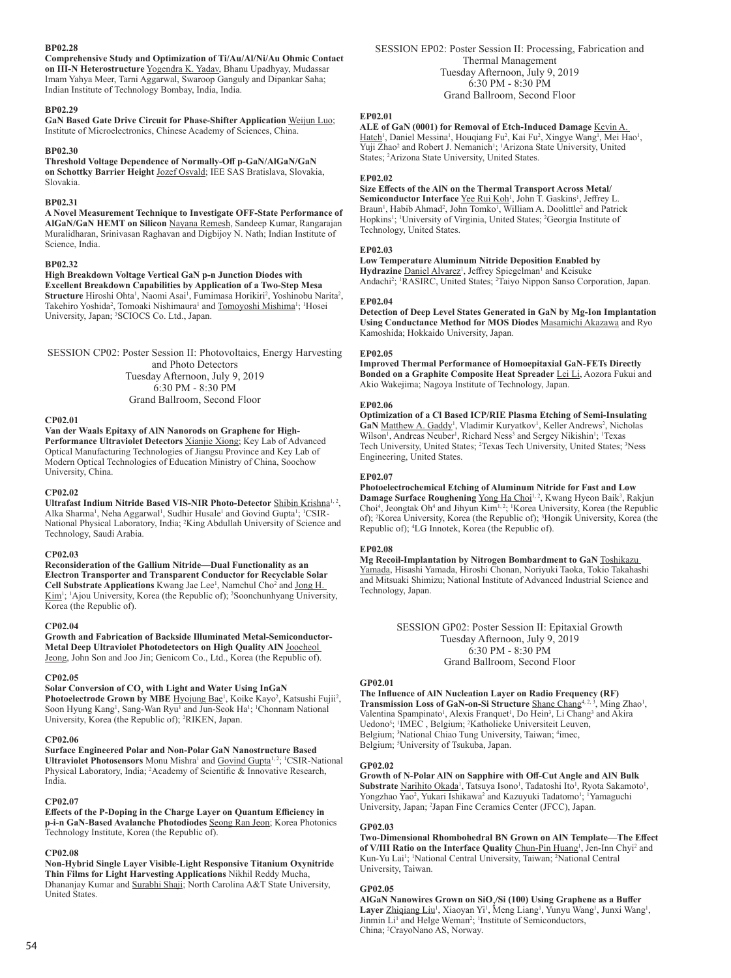## **BP02.28**

**Comprehensive Study and Optimization of Ti/Au/Al/Ni/Au Ohmic Contact on III-N Heterostructure** Yogendra K. Yadav, Bhanu Upadhyay, Mudassar Imam Yahya Meer, Tarni Aggarwal, Swaroop Ganguly and Dipankar Saha; Indian Institute of Technology Bombay, India, India.

## **BP02.29**

**GaN Based Gate Drive Circuit for Phase-Shifter Application** Weijun Luo; Institute of Microelectronics, Chinese Academy of Sciences, China.

#### **BP02.30**

**Threshold Voltage Dependence of Normally-Off p-GaN/AlGaN/GaN on Schottky Barrier Height** Jozef Osvald; IEE SAS Bratislava, Slovakia, Slovakia.

#### **BP02.31**

**A Novel Measurement Technique to Investigate OFF-State Performance of AlGaN/GaN HEMT on Silicon** Nayana Remesh, Sandeep Kumar, Rangarajan Muralidharan, Srinivasan Raghavan and Digbijoy N. Nath; Indian Institute of Science, India.

#### **BP02.32**

**High Breakdown Voltage Vertical GaN p-n Junction Diodes with Excellent Breakdown Capabilities by Application of a Two-Step Mesa**  Structure Hiroshi Ohta<sup>1</sup>, Naomi Asai<sup>1</sup>, Fumimasa Horikiri<sup>2</sup>, Yoshinobu Narita<sup>2</sup>, Takehiro Yoshida<sup>2</sup>, Tomoaki Nishimaura<sup>1</sup> and Tomoyoshi Mishima<sup>1</sup>; <sup>1</sup>Hosei University, Japan; <sup>2</sup> SCIOCS Co. Ltd., Japan.

SESSION CP02: Poster Session II: Photovoltaics, Energy Harvesting and Photo Detectors Tuesday Afternoon, July 9, 2019 6:30 PM - 8:30 PM Grand Ballroom, Second Floor

#### **CP02.01**

**Van der Waals Epitaxy of AlN Nanorods on Graphene for High-**

**Performance Ultraviolet Detectors** Xianjie Xiong; Key Lab of Advanced Optical Manufacturing Technologies of Jiangsu Province and Key Lab of Modern Optical Technologies of Education Ministry of China, Soochow University, China.

#### **CP02.02**

Ultrafast Indium Nitride Based VIS-NIR Photo-Detector **Shibin Krishna<sup>1, 2</sup>,** Alka Sharma<sup>1</sup>, Neha Aggarwal<sup>1</sup>, Sudhir Husale<sup>1</sup> and Govind Gupta<sup>1</sup>; <sup>1</sup>CSIR-National Physical Laboratory, India; <sup>2</sup> King Abdullah University of Science and Technology, Saudi Arabia.

#### **CP02.03**

**Reconsideration of the Gallium Nitride—Dual Functionality as an Electron Transporter and Transparent Conductor for Recyclable Solar**  Cell Substrate Applications Kwang Jae Lee<sup>1</sup>, Namchul Cho<sup>2</sup> and Jong H. Kim<sup>1</sup>; <sup>1</sup>Ajou University, Korea (the Republic of); <sup>2</sup>Soonchunhyang University, Korea (the Republic of).

#### **CP02.04**

**Growth and Fabrication of Backside Illuminated Metal-Semiconductor-Metal Deep Ultraviolet Photodetectors on High Quality AlN** Joocheol Jeong, John Son and Joo Jin; Genicom Co., Ltd., Korea (the Republic of).

#### **CP02.05**

## **Solar Conversion of CO2 with Light and Water Using InGaN**

Photoelectrode Grown by MBE Hyojung Bae<sup>1</sup>, Koike Kayo<sup>2</sup>, Katsushi Fujii<sup>2</sup>, Soon Hyung Kang<sup>1</sup>, Sang-Wan Ryu<sup>1</sup> and Jun-Seok Ha<sup>1</sup>; <sup>1</sup>Chonnam National University, Korea (the Republic of); <sup>2</sup>RIKEN, Japan.

#### **CP02.06**

**Surface Engineered Polar and Non-Polar GaN Nanostructure Based**  Ultraviolet Photosensors Monu Mishra<sup>1</sup> and Govind Gupta<sup>1, 2</sup>; <sup>1</sup>CSIR-National Physical Laboratory, India; <sup>2</sup>Academy of Scientific & Innovative Research, India.

#### **CP02.07**

**Effects of the P-Doping in the Charge Layer on Quantum Efficiency in p-i-n GaN-Based Avalanche Photodiodes** Seong Ran Jeon; Korea Photonics Technology Institute, Korea (the Republic of).

## **CP02.08**

**Non-Hybrid Single Layer Visible-Light Responsive Titanium Oxynitride Thin Films for Light Harvesting Applications** Nikhil Reddy Mucha, Dhananjay Kumar and Surabhi Shaji; North Carolina A&T State University, United States.

SESSION EP02: Poster Session II: Processing, Fabrication and Thermal Management Tuesday Afternoon, July 9, 2019 6:30 PM - 8:30 PM Grand Ballroom, Second Floor

## **EP02.01**

**ALE of GaN (0001) for Removal of Etch-Induced Damage** Kevin A. Hatch<sup>1</sup>, Daniel Messina<sup>1</sup>, Houqiang Fu<sup>2</sup>, Kai Fu<sup>2</sup>, Xingye Wang<sup>1</sup>, Mei Hao<sup>1</sup>, Yuji Zhao<sup>2</sup> and Robert J. Nemanich<sup>1</sup>; <sup>1</sup>Arizona State University, United States; <sup>2</sup> Arizona State University, United States.

#### **EP02.02**

**Size Effects of the AlN on the Thermal Transport Across Metal/** Semiconductor Interface Yee Rui Koh<sup>1</sup>, John T. Gaskins<sup>1</sup>, Jeffrey L. Braun<sup>1</sup>, Habib Ahmad<sup>2</sup>, John Tomko<sup>1</sup>, William A. Doolittle<sup>2</sup> and Patrick Hopkins<sup>1</sup>; <sup>1</sup>University of Virginia, United States; <sup>2</sup>Georgia Institute of Technology, United States.

#### **EP02.03**

**Low Temperature Aluminum Nitride Deposition Enabled by**  Hydrazine Daniel Alvarez<sup>1</sup>, Jeffrey Spiegelman<sup>1</sup> and Keisuke

Andachi<sup>2</sup>; <sup>1</sup>RASIRC, United States; <sup>2</sup>Taiyo Nippon Sanso Corporation, Japan.

## **EP02.04**

**Detection of Deep Level States Generated in GaN by Mg-Ion Implantation Using Conductance Method for MOS Diodes** Masamichi Akazawa and Ryo Kamoshida; Hokkaido University, Japan.

#### **EP02.05**

**Improved Thermal Performance of Homoepitaxial GaN-FETs Directly Bonded on a Graphite Composite Heat Spreader** Lei Li, Aozora Fukui and Akio Wakejima; Nagoya Institute of Technology, Japan.

## **EP02.06**

**Optimization of a Cl Based ICP/RIE Plasma Etching of Semi-Insulating**  GaN Matthew A. Gaddy<sup>1</sup>, Vladimir Kuryatkov<sup>1</sup>, Keller Andrews<sup>2</sup>, Nicholas Wilson<sup>1</sup>, Andreas Neuber<sup>1</sup>, Richard Ness<sup>3</sup> and Sergey Nikishin<sup>1</sup>; <sup>1</sup>Texas Tech University, United States; <sup>2</sup>Texas Tech University, United States; <sup>3</sup>Ness Engineering, United States.

## **EP02.07**

**Photoelectrochemical Etching of Aluminum Nitride for Fast and Low Damage Surface Roughening Yong Ha Choi<sup>1, 2</sup>, Kwang Hyeon Baik<sup>3</sup>, Rakjun** Choi<sup>4</sup>, Jeongtak Oh<sup>4</sup> and Jihyun Kim<sup>1,2</sup>; <sup>1</sup>Korea University, Korea (the Republic of); <sup>2</sup> Korea University, Korea (the Republic of); <sup>3</sup> Hongik University, Korea (the Republic of); <sup>4</sup> LG Innotek, Korea (the Republic of).

#### **EP02.08**

**Mg Recoil-Implantation by Nitrogen Bombardment to GaN** Toshikazu Yamada, Hisashi Yamada, Hiroshi Chonan, Noriyuki Taoka, Tokio Takahashi and Mitsuaki Shimizu; National Institute of Advanced Industrial Science and Technology, Japan.

> SESSION GP02: Poster Session II: Epitaxial Growth Tuesday Afternoon, July 9, 2019 6:30 PM - 8:30 PM Grand Ballroom, Second Floor

#### **GP02.01**

**The Influence of AlN Nucleation Layer on Radio Frequency (RF)**  Transmission Loss of GaN-on-Si Structure Shane Chang<sup>4, 2, 3</sup>, Ming Zhao<sup>1</sup>, Valentina Spampinato<sup>1</sup>, Alexis Franquet<sup>1</sup>, Do Hein<sup>3</sup>, Li Chang<sup>3</sup> and Akira Uedono<sup>5</sup>; <sup>1</sup>IMEC, Belgium; <sup>2</sup>Katholieke Universiteit Leuven, Belgium; <sup>3</sup>National Chiao Tung University, Taiwan; <sup>4</sup>imec, Belgium; <sup>5</sup>University of Tsukuba, Japan.

#### **GP02.02**

**Growth of N-Polar AlN on Sapphire with Off-Cut Angle and AlN Bulk**  Substrate Narihito Okada<sup>1</sup>, Tatsuya Isono<sup>1</sup>, Tadatoshi Ito<sup>1</sup>, Ryota Sakamoto<sup>1</sup>, Yongzhao Yao<sup>2</sup>, Yukari Ishikawa<sup>2</sup> and Kazuyuki Tadatomo<sup>1</sup>; <sup>1</sup>Yamaguchi University, Japan; <sup>2</sup> Japan Fine Ceramics Center (JFCC), Japan.

#### **GP02.03**

**Two-Dimensional Rhombohedral BN Grown on AlN Template—The Effect**  of V/III Ratio on the Interface Quality Chun-Pin Huang<sup>1</sup>, Jen-Inn Chyi<sup>2</sup> and Kun-Yu Lai<sup>1</sup>; 'National Central University, Taiwan; <sup>2</sup>National Central University, Taiwan.

## **GP02.05**

AlGaN Nanowires Grown on SiO<sub>2</sub>/Si (100) Using Graphene as a Buffer Layer Zhiqiang Liu<sup>1</sup>, Xiaoyan Yi<sup>1</sup>, Meng Liang<sup>1</sup>, Yunyu Wang<sup>1</sup>, Junxi Wang<sup>1</sup>, Jinmin Li<sup>1</sup> and Helge Weman<sup>2</sup>; <sup>1</sup>Institute of Semiconductors, China; <sup>2</sup> CrayoNano AS, Norway.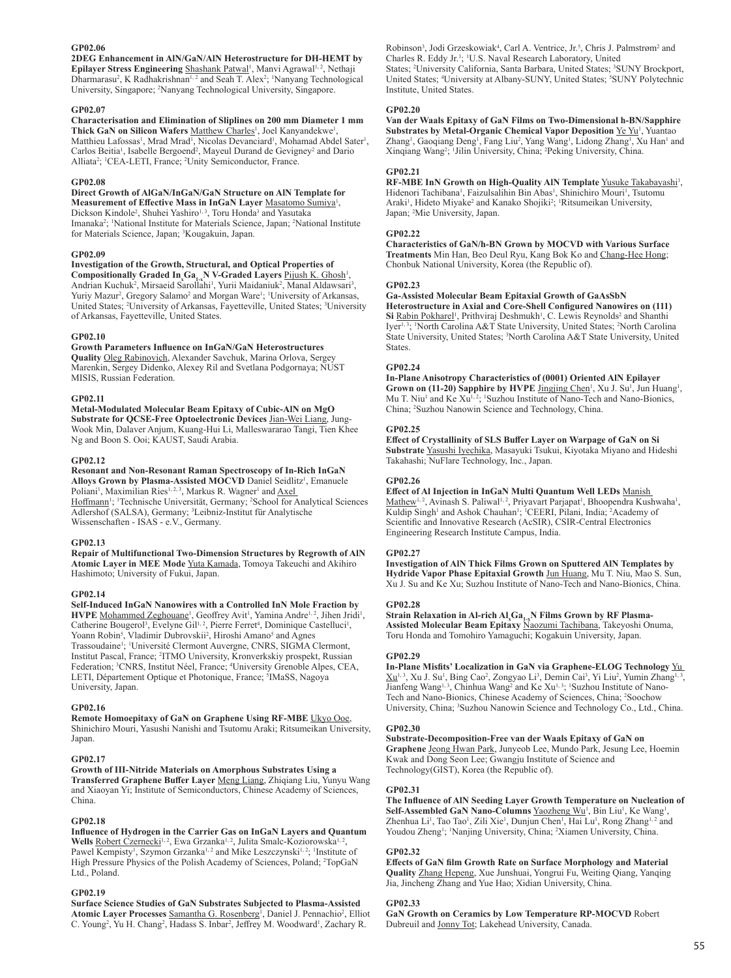## **GP02.06**

**2DEG Enhancement in AlN/GaN/AlN Heterostructure for DH-HEMT by**  Epilayer Stress Engineering Shashank Patwal<sup>1</sup>, Manvi Agrawal<sup>1, 2</sup>, Nethaji Dharmarasu<sup>2</sup>, K Radhakrishnan<sup>1, 2</sup> and Seah T. Alex<sup>2</sup>; <sup>1</sup>Nanyang Technological University, Singapore; <sup>2</sup> Nanyang Technological University, Singapore.

#### **GP02.07**

**Characterisation and Elimination of Sliplines on 200 mm Diameter 1 mm**  Thick GaN on Silicon Wafers Matthew Charles<sup>1</sup>, Joel Kanyandekwe<sup>1</sup> , Matthieu Lafossas<sup>1</sup>, Mrad Mrad<sup>1</sup>, Nicolas Devanciard<sup>1</sup>, Mohamad Abdel Sater<sup>1</sup>, Carlos Beitia<sup>1</sup>, Isabelle Bergoend<sup>2</sup>, Mayeul Durand de Gevigney<sup>2</sup> and Dario Alliata<sup>2</sup>; <sup>1</sup>CEA-LETI, France; <sup>2</sup>Unity Semiconductor, France.

#### **GP02.08**

**Direct Growth of AlGaN/InGaN/GaN Structure on AlN Template for**  Measurement of Effective Mass in InGaN Layer Masatomo Sumiya<sup>1</sup>, Dickson Kindole<sup>2</sup>, Shuhei Yashiro<sup>1, 3</sup>, Toru Honda<sup>3</sup> and Yasutaka Imanaka<sup>2</sup>; <sup>1</sup>National Institute for Materials Science, Japan; <sup>2</sup>National Institute for Materials Science, Japan; <sup>3</sup> Kougakuin, Japan.

#### **GP02.09**

**Investigation of the Growth, Structural, and Optical Properties of**  Compositionally Graded In<sub>x</sub>Ga<sub>1</sub>, N V-Graded Layers Pijush K. Ghosh<sup>1</sup>, Andrian Kuchuk<sup>2</sup>, Mirsaeid Sarollahi<sup>1</sup>, Yurii Maidaniuk<sup>2</sup>, Manal Aldawsari<sup>3</sup>, Yuriy Mazur<sup>2</sup>, Gregory Salamo<sup>2</sup> and Morgan Ware<sup>1</sup>; <sup>1</sup>University of Arkansas, United States; <sup>2</sup>University of Arkansas, Fayetteville, United States; <sup>3</sup>University of Arkansas, Fayetteville, United States.

#### **GP02.10**

**Growth Parameters Influence on InGaN/GaN Heterostructures Quality** Oleg Rabinovich, Alexander Savchuk, Marina Orlova, Sergey Marenkin, Sergey Didenko, Alexey Ril and Svetlana Podgornaya; NUST MISIS, Russian Federation.

#### **GP02.11**

**Metal-Modulated Molecular Beam Epitaxy of Cubic-AlN on MgO Substrate for QCSE-Free Optoelectronic Devices** Jian-Wei Liang, Jung-Wook Min, Dalaver Anjum, Kuang-Hui Li, Malleswararao Tangi, Tien Khee Ng and Boon S. Ooi; KAUST, Saudi Arabia.

## **GP02.12**

**Resonant and Non-Resonant Raman Spectroscopy of In-Rich InGaN**  Alloys Grown by Plasma-Assisted MOCVD Daniel Seidlitz<sup>1</sup>, Emanuele Poliani<sup>1</sup>, Maximilian Ries<sup>1, 2, 3</sup>, Markus R. Wagner<sup>1</sup> and Axel Hoffmann<sup>1</sup>; <sup>1</sup>Technische Universität, Germany; <sup>2</sup>School for Analytical Sciences Adlershof (SALSA), Germany; <sup>3</sup> Leibniz-Institut für Analytische Wissenschaften - ISAS - e.V., Germany.

#### **GP02.13**

**Repair of Multifunctional Two-Dimension Structures by Regrowth of AlN Atomic Layer in MEE Mode** Yuta Kamada, Tomoya Takeuchi and Akihiro Hashimoto; University of Fukui, Japan.

#### **GP02.14**

**Self-Induced InGaN Nanowires with a Controlled InN Mole Fraction by HVPE** Mohammed Zeghouane<sup>1</sup>, Geoffrey Avit<sup>1</sup>, Yamina Andre<sup>1, 2</sup>, Jihen Jridi<sup>1</sup>, Catherine Bougerol<sup>3</sup>, Evelyne Gil<sup>1, 2</sup>, Pierre Ferret<sup>4</sup>, Dominique Castelluci<sup>1</sup>, Yoann Robin<sup>5</sup>, Vladimir Dubrovskii<sup>2</sup>, Hiroshi Amano<sup>5</sup> and Agnes Trassoudaine<sup>1</sup>; <sup>1</sup>Université Clermont Auvergne, CNRS, SIGMA Clermont, Institut Pascal, France; <sup>2</sup>ITMO University, Kronverkskiy prospekt, Russian Federation; <sup>3</sup>CNRS, Institut Néel, France; <sup>4</sup>University Grenoble Alpes, CEA, LETI, Département Optique et Photonique, France; <sup>5</sup>IMaSS, Nagoya University, Japan.

## **GP02.16**

**Remote Homoepitaxy of GaN on Graphene Using RF-MBE** Ukyo Ooe, Shinichiro Mouri, Yasushi Nanishi and Tsutomu Araki; Ritsumeikan University, Japan.

## **GP02.17**

**Growth of III-Nitride Materials on Amorphous Substrates Using a Transferred Graphene Buffer Layer** Meng Liang, Zhiqiang Liu, Yunyu Wang and Xiaoyan Yi; Institute of Semiconductors, Chinese Academy of Sciences, China.

#### **GP02.18**

**Influence of Hydrogen in the Carrier Gas on InGaN Layers and Quantum**  Wells Robert Czernecki<sup>1, 2</sup>, Ewa Grzanka<sup>1, 2</sup>, Julita Smalc-Koziorowska<sup>1, 2</sup> , Pawel Kempisty<sup>1</sup>, Szymon Grzanka<sup>1, 2</sup> and Mike Leszczynski<sup>1, 2</sup>; <sup>1</sup>Institute of High Pressure Physics of the Polish Academy of Sciences, Poland; <sup>2</sup>TopGaN Ltd., Poland.

## **GP02.19**

**Surface Science Studies of GaN Substrates Subjected to Plasma-Assisted**  Atomic Layer Processes Samantha G. Rosenberg<sup>1</sup>, Daniel J. Pennachio<sup>2</sup>, Elliot C. Young<sup>2</sup>, Yu H. Chang<sup>2</sup>, Hadass S. Inbar<sup>2</sup>, Jeffrey M. Woodward<sup>1</sup>, Zachary R.

Robinson<sup>3</sup>, Jodi Grzeskowiak<sup>4</sup>, Carl A. Ventrice, Jr.<sup>5</sup>, Chris J. Palmstrøm<sup>2</sup> and Charles R. Eddy Jr.<sup>1</sup>; <sup>1</sup>U.S. Naval Research Laboratory, United States; <sup>2</sup>University California, Santa Barbara, United States; <sup>3</sup>SUNY Brockport, United States; <sup>4</sup>University at Albany-SUNY, United States; <sup>5</sup>SUNY Polytechnic Institute, United States.

#### **GP02.20**

**Van der Waals Epitaxy of GaN Films on Two-Dimensional h-BN/Sapphire Substrates by Metal-Organic Chemical Vapor Deposition**  $\underline{Ye\ Yu}^1$ **, Yuantao** Zhang<sup>1</sup>, Gaoqiang Deng<sup>1</sup>, Fang Liu<sup>2</sup>, Yang Wang<sup>1</sup>, Lidong Zhang<sup>1</sup>, Xu Han<sup>1</sup> and Xinqiang Wang<sup>2</sup>; <sup>1</sup>Jilin University, China; <sup>2</sup>Peking University, China.

#### **GP02.21**

RF-MBE InN Growth on High-Quality AIN Template **Yusuke Takabayashi<sup>1</sup>**, Hidenori Tachibana<sup>1</sup>, Faizulsalihin Bin Abas<sup>1</sup>, Shinichiro Mouri<sup>1</sup>, Tsutomu Araki<sup>1</sup>, Hideto Miyake<sup>2</sup> and Kanako Shojiki<sup>2</sup>; <sup>1</sup>Ritsumeikan University, Japan; <sup>2</sup> Mie University, Japan.

#### **GP02.22**

**Characteristics of GaN/h-BN Grown by MOCVD with Various Surface Treatments** Min Han, Beo Deul Ryu, Kang Bok Ko and Chang-Hee Hong; Chonbuk National University, Korea (the Republic of).

#### **GP02.23**

**Ga-Assisted Molecular Beam Epitaxial Growth of GaAsSbN Heterostructure in Axial and Core-Shell Configured Nanowires on (111)**  Si Rabin Pokharel<sup>1</sup>, Prithviraj Deshmukh<sup>1</sup>, C. Lewis Reynolds<sup>2</sup> and Shanthi  $Iver<sup>1,3</sup>$ ; 1 North Carolina A&T State University, United States; <sup>2</sup> North Carolina State University, United States; <sup>3</sup> North Carolina A&T State University, United States.

#### **GP02.24**

**In-Plane Anisotropy Characteristics of (0001) Oriented AlN Epilayer**  Grown on (11-20) Sapphire by HVPE *Jingjing Chen<sup>1</sup>*, Xu J. Su<sup>1</sup>, Jun Huang<sup>1</sup>, Mu T. Niu<sup>1</sup> and Ke Xu<sup>1, 2</sup>; <sup>1</sup>Suzhou Institute of Nano-Tech and Nano-Bionics, China; <sup>2</sup> Suzhou Nanowin Science and Technology, China.

#### **GP02.25**

**Effect of Crystallinity of SLS Buffer Layer on Warpage of GaN on Si Substrate** Yasushi Iyechika, Masayuki Tsukui, Kiyotaka Miyano and Hideshi Takahashi; NuFlare Technology, Inc., Japan.

#### **GP02.26**

**Effect of Al Injection in InGaN Multi Quantum Well LEDs** Manish Mathew<sup>1, 2</sup>, Avinash S. Paliwal<sup>1, 2</sup>, Priyavart Parjapat<sup>1</sup>, Bhoopendra Kushwaha<sup>1</sup>, Kuldip Singh<sup>1</sup> and Ashok Chauhan<sup>1</sup>; <sup>1</sup>CEERI, Pilani, India; <sup>2</sup>Academy of Scientific and Innovative Research (AcSIR), CSIR-Central Electronics Engineering Research Institute Campus, India.

#### **GP02.27**

**Investigation of AlN Thick Films Grown on Sputtered AlN Templates by Hydride Vapor Phase Epitaxial Growth** Jun Huang, Mu T. Niu, Mao S. Sun, Xu J. Su and Ke Xu; Suzhou Institute of Nano-Tech and Nano-Bionics, China.

#### **GP02.28**

**Strain Relaxation in Al-rich Alx Ga1-xN Films Grown by RF Plasma-Assisted Molecular Beam Epitaxy** Naozumi Tachibana, Takeyoshi Onuma, Toru Honda and Tomohiro Yamaguchi; Kogakuin University, Japan.

#### **GP02.29**

**In-Plane Misfits' Localization in GaN via Graphene-ELOG Technology** Yu  $\underline{\mathrm{Xu}}^{1,3}$ , Xu J. Su<sup>1</sup>, Bing Cao<sup>2</sup>, Zongyao Li<sup>3</sup>, Demin Cai<sup>3</sup>, Yi Liu<sup>2</sup>, Yumin Zhang<sup>1,3</sup>, Jianfeng Wang<sup>1, 3</sup>, Chinhua Wang<sup>2</sup> and Ke Xu<sup>1, 3</sup>; <sup>1</sup>Suzhou Institute of Nano-Tech and Nano-Bionics, Chinese Academy of Sciences, China; <sup>2</sup>Soochow University, China; <sup>3</sup>Suzhou Nanowin Science and Technology Co., Ltd., China.

#### **GP02.30**

**Substrate-Decomposition-Free van der Waals Epitaxy of GaN on Graphene** Jeong Hwan Park, Junyeob Lee, Mundo Park, Jesung Lee, Hoemin Kwak and Dong Seon Lee; Gwangju Institute of Science and Technology(GIST), Korea (the Republic of).

#### **GP02.31**

**The Influence of AlN Seeding Layer Growth Temperature on Nucleation of**  Self-Assembled GaN Nano-Columns Yaozheng Wu<sup>1</sup>, Bin Liu<sup>1</sup>, Ke Wang<sup>1</sup>, Zhenhua Li<sup>1</sup>, Tao Tao<sup>1</sup>, Zili Xie<sup>1</sup>, Dunjun Chen<sup>1</sup>, Hai Lu<sup>1</sup>, Rong Zhang<sup>1, 2</sup> and Youdou Zheng<sup>1</sup>; <sup>1</sup>Nanjing University, China; <sup>2</sup>Xiamen University, China.

#### **GP02.32**

**Effects of GaN film Growth Rate on Surface Morphology and Material Quality** Zhang Hepeng, Xue Junshuai, Yongrui Fu, Weiting Qiang, Yanqing Jia, Jincheng Zhang and Yue Hao; Xidian University, China.

#### **GP02.33**

**GaN Growth on Ceramics by Low Temperature RP-MOCVD** Robert Dubreuil and Jonny Tot; Lakehead University, Canada.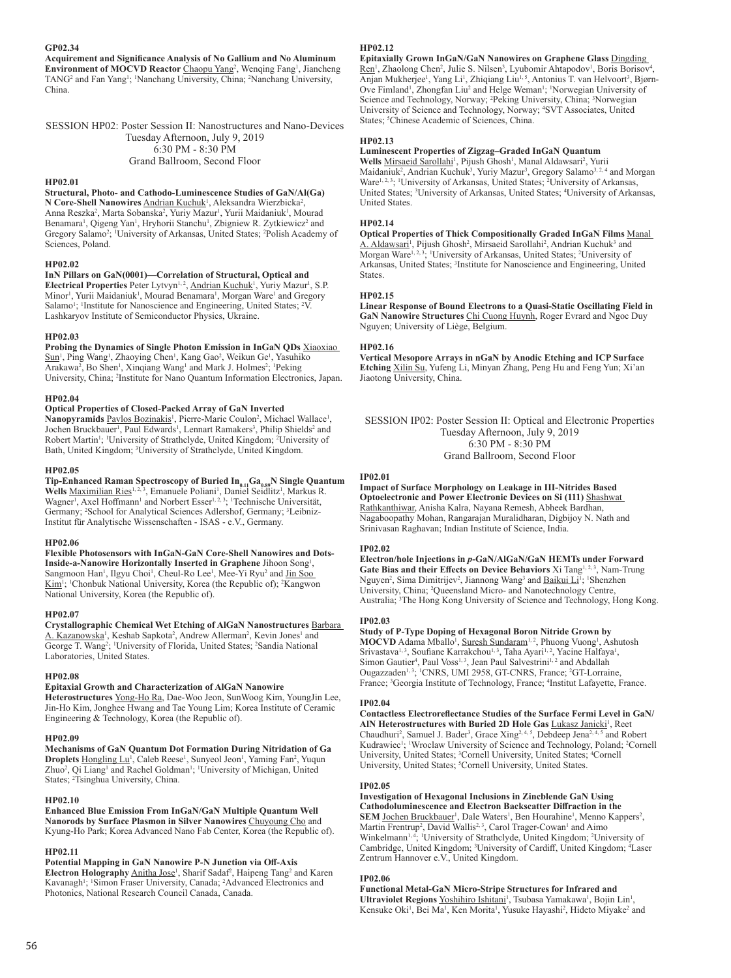## **GP02.34**

**Acquirement and Significance Analysis of No Gallium and No Aluminum Environment of MOCVD Reactor Chaopu Yang<sup>2</sup>, Wenqing Fang<sup>1</sup>, Jiancheng** TANG<sup>2</sup> and Fan Yang<sup>1</sup>; <sup>1</sup>Nanchang University, China; <sup>2</sup>Nanchang University, China.

SESSION HP02: Poster Session II: Nanostructures and Nano-Devices Tuesday Afternoon, July 9, 2019 6:30 PM - 8:30 PM Grand Ballroom, Second Floor

#### **HP02.01**

**Structural, Photo- and Cathodo-Luminescence Studies of GaN/Al(Ga)** N Core-Shell Nanowires Andrian Kuchuk<sup>1</sup>, Aleksandra Wierzbicka<sup>2</sup>, Anna Reszka<sup>2</sup>, Marta Sobanska<sup>2</sup>, Yuriy Mazur<sup>1</sup>, Yurii Maidaniuk<sup>1</sup>, Mourad Benamara<sup>1</sup>, Qigeng Yan<sup>1</sup>, Hryhorii Stanchu<sup>1</sup>, Zbigniew R. Zytkiewicz<sup>2</sup> and Gregory Salamo<sup>2</sup>; <sup>1</sup>University of Arkansas, United States; <sup>2</sup>Polish Academy of Sciences, Poland.

#### **HP02.02**

**InN Pillars on GaN(0001)—Correlation of Structural, Optical and**  Electrical Properties Peter Lytvyn<sup>1, 2</sup>, Andrian Kuchuk<sup>1</sup>, Yuriy Mazur<sup>1</sup>, S.P. Minor<sup>1</sup>, Yurii Maidaniuk<sup>1</sup>, Mourad Benamara<sup>1</sup>, Morgan Ware<sup>1</sup> and Gregory Salamo<sup>1</sup>; <sup>1</sup>Institute for Nanoscience and Engineering, United States; <sup>2</sup>V. Lashkaryov Institute of Semiconductor Physics, Ukraine.

## **HP02.03**

**Probing the Dynamics of Single Photon Emission in InGaN QDs** Xiaoxiao Sun<sup>1</sup>, Ping Wang<sup>1</sup>, Zhaoying Chen<sup>1</sup>, Kang Gao<sup>2</sup>, Weikun Ge<sup>1</sup>, Yasuhiko Arakawa<sup>2</sup>, Bo Shen<sup>1</sup>, Xinqiang Wang<sup>1</sup> and Mark J. Holmes<sup>2</sup>; <sup>1</sup>Peking University, China; <sup>2</sup>Institute for Nano Quantum Information Electronics, Japan.

#### **HP02.04**

## **Optical Properties of Closed-Packed Array of GaN Inverted**

Nanopyramids Pavlos Bozinakis<sup>1</sup>, Pierre-Marie Coulon<sup>2</sup>, Michael Wallace<sup>1</sup>, Jochen Bruckbauer<sup>1</sup>, Paul Edwards<sup>1</sup>, Lennart Ramakers<sup>3</sup>, Philip Shields<sup>2</sup> and Robert Martin<sup>1</sup>; <sup>1</sup>University of Strathclyde, United Kingdom; <sup>2</sup>University of Bath, United Kingdom; <sup>3</sup> University of Strathclyde, United Kingdom.

#### **HP02.05**

Tip-Enhanced Raman Spectroscopy of Buried In<sub>0.11</sub>Ga<sub>0.89</sub>N Single Quantum Wells Maximilian Ries<sup>1, 2, 3</sup>, Emanuele Poliani<sup>1</sup>, Daniel Seidlitz<sup>1</sup>, Markus R. Wagner<sup>1</sup>, Axel Hoffmann<sup>1</sup> and Norbert Esser<sup>1, 2, 3</sup>; <sup>1</sup>Technische Universität, Germany; <sup>2</sup>School for Analytical Sciences Adlershof, Germany; <sup>3</sup>Leibniz-Institut für Analytische Wissenschaften - ISAS - e.V., Germany.

#### **HP02.06**

**Flexible Photosensors with InGaN-GaN Core-Shell Nanowires and Dots-Inside-a-Nanowire Horizontally Inserted in Graphene** Jihoon Song<sup>1</sup>, Sangmoon Han<sup>1</sup>, Ilgyu Choi<sup>1</sup>, Cheul-Ro Lee<sup>1</sup>, Mee-Yi Ryu<sup>2</sup> and Jin Soo Kim<sup>1</sup>; <sup>1</sup>Chonbuk National University, Korea (the Republic of); <sup>2</sup>Kangwon National University, Korea (the Republic of).

#### **HP02.07**

**Crystallographic Chemical Wet Etching of AlGaN Nanostructures** Barbara A. Kazanowska<sup>1</sup>, Keshab Sapkota<sup>2</sup>, Andrew Allerman<sup>2</sup>, Kevin Jones<sup>1</sup> and George T. Wang<sup>2</sup>; <sup>1</sup>University of Florida, United States; <sup>2</sup>Sandia National Laboratories, United States.

#### **HP02.08**

## **Epitaxial Growth and Characterization of AlGaN Nanowire**

**Heterostructures** Yong-Ho Ra, Dae-Woo Jeon, SunWoog Kim, YoungJin Lee, Jin-Ho Kim, Jonghee Hwang and Tae Young Lim; Korea Institute of Ceramic Engineering & Technology, Korea (the Republic of).

#### **HP02.09**

**Mechanisms of GaN Quantum Dot Formation During Nitridation of Ga**  Droplets Hongling Lu<sup>1</sup>, Caleb Reese<sup>1</sup>, Sunyeol Jeon<sup>1</sup>, Yaming Fan<sup>2</sup>, Yuqun Zhuo<sup>2</sup>, Qi Liang<sup>1</sup> and Rachel Goldman<sup>1</sup>; <sup>1</sup>University of Michigan, United States; <sup>2</sup>Tsinghua University, China.

#### **HP02.10**

## **Enhanced Blue Emission From InGaN/GaN Multiple Quantum Well**

**Nanorods by Surface Plasmon in Silver Nanowires** Chuyoung Cho and Kyung-Ho Park; Korea Advanced Nano Fab Center, Korea (the Republic of).

## **HP02.11**

**Potential Mapping in GaN Nanowire P-N Junction via Off-Axis**  Electron Holography **Anitha Jose<sup>1</sup>**, Sharif Sadaf<sup>2</sup>, Haipeng Tang<sup>2</sup> and Karen Kavanagh<sup>1</sup>; <sup>1</sup>Simon Fraser University, Canada; <sup>2</sup>Advanced Electronics and Photonics, National Research Council Canada, Canada.

#### **HP02.12**

**Epitaxially Grown InGaN/GaN Nanowires on Graphene Glass** Dingding Ren<sup>1</sup>, Zhaolong Chen<sup>2</sup>, Julie S. Nilsen<sup>3</sup>, Lyubomir Ahtapodov<sup>1</sup>, Boris Borisov<sup>4</sup>, Anjan Mukherjee<sup>1</sup>, Yang Li<sup>1</sup>, Zhiqiang Liu<sup>1, 5</sup>, Antonius T. van Helvoort<sup>3</sup>, Bjørn-Ove Fimland<sup>1</sup>, Zhongfan Liu<sup>2</sup> and Helge Weman<sup>1</sup>; <sup>1</sup>Norwegian University of Science and Technology, Norway; <sup>2</sup>Peking University, China; <sup>3</sup>Norwegian University of Science and Technology, Norway; <sup>4</sup> SVT Associates, United States; <sup>5</sup>Chinese Academic of Sciences, China.

### **HP02.13**

## **Luminescent Properties of Zigzag–Graded InGaN Quantum**

Wells Mirsaeid Sarollahi<sup>1</sup>, Pijush Ghosh<sup>1</sup>, Manal Aldawsari<sup>2</sup>, Yurii Maidaniuk<sup>2</sup>, Andrian Kuchuk<sup>3</sup>, Yuriy Mazur<sup>3</sup>, Gregory Salamo<sup>3, 2, 4</sup> and Morgan Ware<sup>1, 2, 3</sup>; <sup>1</sup>University of Arkansas, United States; <sup>2</sup>University of Arkansas, United States; <sup>3</sup>University of Arkansas, United States; <sup>4</sup>University of Arkansas, United States.

#### **HP02.14**

**Optical Properties of Thick Compositionally Graded InGaN Films** Manal A. Aldawsari<sup>1</sup>, Pijush Ghosh<sup>2</sup>, Mirsaeid Sarollahi<sup>2</sup>, Andrian Kuchuk<sup>3</sup> and Morgan Ware<sup>1, 2, 3</sup>; <sup>1</sup>University of Arkansas, United States; <sup>2</sup>University of Arkansas, United States; <sup>3</sup>Institute for Nanoscience and Engineering, United States.

#### **HP02.15**

**Linear Response of Bound Electrons to a Quasi-Static Oscillating Field in GaN Nanowire Structures** Chi Cuong Huynh, Roger Evrard and Ngoc Duy Nguyen; University of Liège, Belgium.

#### **HP02.16**

**Vertical Mesopore Arrays in nGaN by Anodic Etching and ICP Surface Etching** Xilin Su, Yufeng Li, Minyan Zhang, Peng Hu and Feng Yun; Xi'an Jiaotong University, China.

SESSION IP02: Poster Session II: Optical and Electronic Properties Tuesday Afternoon, July 9, 2019 6:30 PM - 8:30 PM Grand Ballroom, Second Floor

#### **IP02.01**

**Impact of Surface Morphology on Leakage in III-Nitrides Based Optoelectronic and Power Electronic Devices on Si (111)** Shashwat Rathkanthiwar, Anisha Kalra, Nayana Remesh, Abheek Bardhan, Nagaboopathy Mohan, Rangarajan Muralidharan, Digbijoy N. Nath and Srinivasan Raghavan; Indian Institute of Science, India.

#### **IP02.02**

**Electron/hole Injections in** *p***-GaN/AlGaN/GaN HEMTs under Forward Gate Bias and their Effects on Device Behaviors** Xi Tang<sup>1, 2, 3</sup>, Nam-Trung Nguyen<sup>2</sup>, Sima Dimitrijev<sup>2</sup>, Jiannong Wang<sup>3</sup> and **Baikui Li**<sup>1</sup>; <sup>1</sup>Shenzhen University, China; <sup>2</sup> Queensland Micro- and Nanotechnology Centre, Australia; <sup>3</sup> The Hong Kong University of Science and Technology, Hong Kong.

## **IP02.03**

**Study of P-Type Doping of Hexagonal Boron Nitride Grown by MOCVD** Adama Mballo<sup>1</sup>, Suresh Sundaram<sup>1,2</sup>, Phuong Vuong<sup>1</sup>, Ashutosh Srivastava<sup>1, 3</sup>, Soufiane Karrakchou<sup>1, 3</sup>, Taha Ayari<sup>1, 2</sup>, Yacine Halfaya<sup>1</sup>, Simon Gautier<sup>4</sup>, Paul Voss<sup>1, 3</sup>, Jean Paul Salvestrini<sup>1, 2</sup> and Abdallah Ougazzaden<sup>1, 3</sup>; <sup>1</sup>CNRS, UMI 2958, GT-CNRS, France; <sup>2</sup>GT-Lorraine, France; <sup>3</sup>Georgia Institute of Technology, France; <sup>4</sup>Institut Lafayette, France.

#### **IP02.04**

**Contactless Electroreflectance Studies of the Surface Fermi Level in GaN/** AIN Heterostructures with Buried 2D Hole Gas Lukasz Janicki<sup>1</sup>, Reet Chaudhuri<sup>2</sup>, Samuel J. Bader<sup>3</sup>, Grace Xing<sup>2, 4, 5</sup>, Debdeep Jena<sup>2, 4, 5</sup> and Robert Kudrawiec<sup>1</sup>; <sup>1</sup>Wroclaw University of Science and Technology, Poland; <sup>2</sup>Cornell University, United States; <sup>3</sup>Cornell University, United States; <sup>4</sup>Cornell University, United States; <sup>5</sup>Cornell University, United States.

#### **IP02.05**

**Investigation of Hexagonal Inclusions in Zincblende GaN Using Cathodoluminescence and Electron Backscatter Diffraction in the SEM** Jochen Bruckbauer<sup>1</sup>, Dale Waters<sup>1</sup>, Ben Hourahine<sup>1</sup>, Menno Kappers<sup>2</sup>, Martin Frentrup<sup>2</sup>, David Wallis<sup>2, 3</sup>, Carol Trager-Cowan<sup>1</sup> and Aimo Winkelmann<sup>1, 4</sup>; <sup>1</sup>University of Strathclyde, United Kingdom; <sup>2</sup>University of Cambridge, United Kingdom; <sup>3</sup>University of Cardiff, United Kingdom; <sup>4</sup>Laser Zentrum Hannover e.V., United Kingdom.

#### **IP02.06**

**Functional Metal-GaN Micro-Stripe Structures for Infrared and**  Ultraviolet Regions Yoshihiro Ishitani<sup>1</sup>, Tsubasa Yamakawa<sup>1</sup>, Bojin Lin<sup>1</sup>, Kensuke Oki<sup>1</sup>, Bei Ma<sup>1</sup>, Ken Morita<sup>1</sup>, Yusuke Hayashi<sup>2</sup>, Hideto Miyake<sup>2</sup> and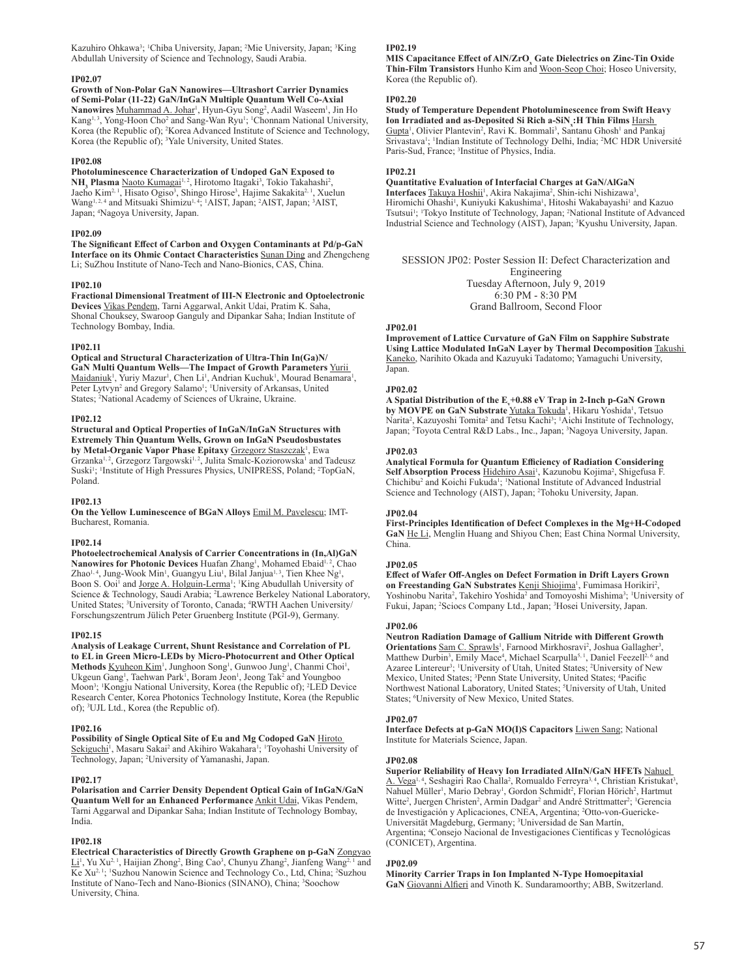Kazuhiro Ohkawa<sup>3</sup>; <sup>1</sup>Chiba University, Japan; <sup>2</sup>Mie University, Japan; <sup>3</sup>King Abdullah University of Science and Technology, Saudi Arabia.

#### **IP02.07**

**Growth of Non-Polar GaN Nanowires—Ultrashort Carrier Dynamics of Semi-Polar (11-22) GaN/InGaN Multiple Quantum Well Co-Axial**  Nanowires Muhammad A. Johar<sup>1</sup>, Hyun-Gyu Song<sup>2</sup>, Aadil Waseem<sup>1</sup>, Jin Ho Kang<sup>1, 3</sup>, Yong-Hoon Cho<sup>2</sup> and Sang-Wan Ryu<sup>1</sup>; <sup>1</sup>Chonnam National University, Korea (the Republic of); <sup>2</sup> Korea Advanced Institute of Science and Technology, Korea (the Republic of); <sup>3</sup>Yale University, United States.

## **IP02.08**

**Photoluminescence Characterization of Undoped GaN Exposed to**  NH<sub>3</sub> Plasma Naoto Kumagai<sup>1, 2</sup>, Hirotomo Itagaki<sup>3</sup>, Tokio Takahashi<sup>2</sup>, Jaeho Kim<sup>2, 1</sup>, Hisato Ogiso<sup>3</sup>, Shingo Hirose<sup>3</sup>, Hajime Sakakita<sup>2, 1</sup>, Xuelun Wang<sup>1, 2, 4</sup> and Mitsuaki Shimizu<sup>1, 4</sup>, <sup>1</sup>AIST, Japan; <sup>2</sup>AIST, Japan; <sup>3</sup>AIST, Japan; <sup>4</sup> Nagoya University, Japan.

#### **IP02.09**

**The Significant Effect of Carbon and Oxygen Contaminants at Pd/p-GaN Interface on its Ohmic Contact Characteristics** Sunan Ding and Zhengcheng Li; SuZhou Institute of Nano-Tech and Nano-Bionics, CAS, China.

#### **IP02.10**

**Fractional Dimensional Treatment of III-N Electronic and Optoelectronic Devices** Vikas Pendem, Tarni Aggarwal, Ankit Udai, Pratim K. Saha,

Shonal Chouksey, Swaroop Ganguly and Dipankar Saha; Indian Institute of Technology Bombay, India.

#### **IP02.11**

**Optical and Structural Characterization of Ultra-Thin In(Ga)N/ GaN Multi Quantum Wells—The Impact of Growth Parameters** Yurii Maidaniuk<sup>1</sup>, Yuriy Mazur<sup>1</sup>, Chen Li<sup>1</sup>, Andrian Kuchuk<sup>1</sup>, Mourad Benamara<sup>1</sup>, Peter Lytvyn<sup>2</sup> and Gregory Salamo<sup>1</sup>; <sup>1</sup>University of Arkansas, United States; <sup>2</sup> National Academy of Sciences of Ukraine, Ukraine.

#### **IP02.12**

**Structural and Optical Properties of InGaN/InGaN Structures with Extremely Thin Quantum Wells, Grown on InGaN Pseudosbustates by Metal-Organic Vapor Phase Epitaxy <u>Grzegorz Staszczak</u><sup>1</sup>, Ewa** Grzanka<sup>1, 2</sup>, Grzegorz Targowski<sup>1, 2</sup>, Julita Smalc-Koziorowska<sup>1</sup> and Tadeusz Suski<sup>1</sup>; <sup>1</sup>Institute of High Pressures Physics, UNIPRESS, Poland; <sup>2</sup>TopGaN, Poland.

#### **IP02.13**

**On the Yellow Luminescence of BGaN Alloys** Emil M. Pavelescu; IMT-Bucharest, Romania.

#### **IP02.14**

**Photoelectrochemical Analysis of Carrier Concentrations in (In,Al)GaN**  Nanowires for Photonic Devices Huafan Zhang<sup>1</sup>, Mohamed Ebaid<sup>1, 2</sup>, Chao Zhao<sup>1, 4</sup>, Jung-Wook Min<sup>1</sup>, Guangyu Liu<sup>1</sup>, Bilal Janjua<sup>1, 3</sup>, Tien Khee Ng<sup>1</sup>, Boon S. Ooi<sup>1</sup> and Jorge A. Holguin-Lerma<sup>1</sup>; <sup>1</sup>King Abudullah University of Science & Technology, Saudi Arabia; <sup>2</sup> Lawrence Berkeley National Laboratory, United States; <sup>3</sup>University of Toronto, Canada; <sup>4</sup>RWTH Aachen University/ Forschungszentrum Jülich Peter Gruenberg Institute (PGI-9), Germany.

#### **IP02.15**

**Analysis of Leakage Current, Shunt Resistance and Correlation of PL to EL in Green Micro-LEDs by Micro-Photocurrent and Other Optical**  Methods **Kyuheon Kim<sup>1</sup>**, Junghoon Song<sup>1</sup>, Gunwoo Jung<sup>1</sup>, Chanmi Choi<sup>1</sup>, Ukgeun Gang<sup>1</sup>, Taehwan Park<sup>1</sup>, Boram Jeon<sup>1</sup>, Jeong Tak<sup>2</sup> and Youngboo Moon3 ; 1 Kongju National University, Korea (the Republic of); <sup>2</sup> LED Device Research Center, Korea Photonics Technology Institute, Korea (the Republic of); <sup>3</sup> UJL Ltd., Korea (the Republic of).

#### **IP02.16**

**Possibility of Single Optical Site of Eu and Mg Codoped GaN** Hiroto Sekiguchi<sup>1</sup>, Masaru Sakai<sup>2</sup> and Akihiro Wakahara<sup>1</sup>; <sup>1</sup>Toyohashi University of Technology, Japan; <sup>2</sup> University of Yamanashi, Japan.

#### **IP02.17**

**Polarisation and Carrier Density Dependent Optical Gain of InGaN/GaN Quantum Well for an Enhanced Performance Ankit Udai**, Vikas Pendem, Tarni Aggarwal and Dipankar Saha; Indian Institute of Technology Bombay, India.

## **IP02.18**

**Electrical Characteristics of Directly Growth Graphene on p-GaN** Zongyao Li<sup>1</sup>, Yu Xu<sup>2, 1</sup>, Haijian Zhong<sup>2</sup>, Bing Cao<sup>3</sup>, Chunyu Zhang<sup>2</sup>, Jianfeng Wang<sup>2, 1</sup> and Ke Xu<sup>2, 1</sup>; <sup>1</sup>Suzhou Nanowin Science and Technology Co., Ltd, China; <sup>2</sup>Suzhou Institute of Nano-Tech and Nano-Bionics (SINANO), China; <sup>3</sup> Soochow University, China.

## **IP02.19**

**MIS Capacitance Effect of AlN/ZrO\_Gate Dielectrics on Zinc-Tin Oxide Thin-Film Transistors** Hunho Kim and Woon-Seop Choi; Hoseo University, Korea (the Republic of).

#### **IP02.20**

**Study of Temperature Dependent Photoluminescence from Swift Heavy Ion Irradiated and as-Deposited Si Rich a-SiN<sup>x</sup> :H Thin Films** Harsh Gupta<sup>1</sup>, Olivier Plantevin<sup>2</sup>, Ravi K. Bommali<sup>3</sup>, Santanu Ghosh<sup>1</sup> and Pankaj Srivastava<sup>1</sup>; <sup>1</sup>Indian Institute of Technology Delhi, India; <sup>2</sup>MC HDR Université Paris-Sud, France; <sup>3</sup>Institue of Physics, India.

#### **IP02.21**

**Quantitative Evaluation of Interfacial Charges at GaN/AlGaN** 

Interfaces Takuya Hoshii<sup>1</sup>, Akira Nakajima<sup>2</sup>, Shin-ichi Nishizawa<sup>3</sup>, Hiromichi Ohashi<sup>1</sup>, Kuniyuki Kakushima<sup>1</sup>, Hitoshi Wakabayashi<sup>1</sup> and Kazuo Tsutsui<sup>1</sup>; <sup>1</sup>Tokyo Institute of Technology, Japan; <sup>2</sup>National Institute of Advanced Industrial Science and Technology (AIST), Japan; <sup>3</sup> Kyushu University, Japan.

SESSION JP02: Poster Session II: Defect Characterization and Engineering Tuesday Afternoon, July 9, 2019 6:30 PM - 8:30 PM Grand Ballroom, Second Floor

#### **JP02.01**

**Improvement of Lattice Curvature of GaN Film on Sapphire Substrate Using Lattice Modulated InGaN Layer by Thermal Decomposition** Takushi Kaneko, Narihito Okada and Kazuyuki Tadatomo; Yamaguchi University, Japan.

#### **JP02.02**

A Spatial Distribution of the E<sub>v</sub>+0.88 eV Trap in 2-Inch p-GaN Grown by MOVPE on GaN Substrate *Yutaka Tokuda<sup>1</sup>*, Hikaru Yoshida<sup>1</sup>, Tetsuo Narita<sup>2</sup>, Kazuyoshi Tomita<sup>2</sup> and Tetsu Kachi<sup>3</sup>; <sup>1</sup>Aichi Institute of Technology, Japan; <sup>2</sup>Toyota Central R&D Labs., Inc., Japan; <sup>3</sup>Nagoya University, Japan.

#### **JP02.03**

**Analytical Formula for Quantum Efficiency of Radiation Considering**  Self Absorption Process Hidehiro Asai<sup>1</sup>, Kazunobu Kojima<sup>2</sup>, Shigefusa F. Chichibu<sup>2</sup> and Koichi Fukuda<sup>1</sup>; <sup>1</sup>National Institute of Advanced Industrial Science and Technology (AIST), Japan; <sup>2</sup>Tohoku University, Japan.

## **JP02.04**

**First-Principles Identification of Defect Complexes in the Mg+H-Codoped GaN** He Li, Menglin Huang and Shiyou Chen; East China Normal University, China.

## **JP02.05**

**Effect of Wafer Off-Angles on Defect Formation in Drift Layers Grown**  on Freestanding GaN Substrates Kenji Shiojima<sup>1</sup>, Fumimasa Horikiri<sup>2</sup>, Yoshinobu Narita<sup>2</sup>, Takehiro Yoshida<sup>2</sup> and Tomoyoshi Mishima<sup>3</sup>; <sup>1</sup>University of Fukui, Japan; <sup>2</sup>Sciocs Company Ltd., Japan; <sup>3</sup>Hosei University, Japan.

## **JP02.06**

**Neutron Radiation Damage of Gallium Nitride with Different Growth**  Orientations Sam C. Sprawls<sup>1</sup>, Farnood Mirkhosravi<sup>2</sup>, Joshua Gallagher<sup>3</sup>, Matthew Durbin<sup>3</sup>, Emily Mace<sup>4</sup>, Michael Scarpulla<sup>5, 1</sup>, Daniel Feezell<sup>2, 6</sup> and Azaree Lintereur<sup>3</sup>; <sup>1</sup>University of Utah, United States; <sup>2</sup>University of New Mexico, United States; <sup>3</sup>Penn State University, United States; <sup>4</sup>Pacific Northwest National Laboratory, United States; <sup>5</sup>University of Utah, United States; <sup>6</sup>University of New Mexico, United States.

#### **JP02.07**

**Interface Defects at p-GaN MO(I)S Capacitors** Liwen Sang; National Institute for Materials Science, Japan.

#### **JP02.08**

**Superior Reliability of Heavy Ion Irradiated AlInN/GaN HFETs** Nahuel A. Vega<sup>l, 4</sup>, Seshagiri Rao Challa<sup>2</sup>, Romualdo Ferreyra<sup>3, 4</sup>, Christian Kristukat<sup>3</sup>, Nahuel Müller<sup>i</sup>, Mario Debray<sup>1</sup>, Gordon Schmidt<sup>2</sup>, Florian Hörich<sup>2</sup>, Hartmut Witte<sup>2</sup>, Juergen Christen<sup>2</sup>, Armin Dadgar<sup>2</sup> and André Strittmatter<sup>2</sup>; <sup>1</sup>Gerencia de Investigación y Aplicaciones, CNEA, Argentina; <sup>2</sup>Otto-von-Guericke-Universität Magdeburg, Germany; <sup>3</sup>Universidad de San Martín, Argentina; <sup>4</sup> Consejo Nacional de Investigaciones Científicas y Tecnológicas (CONICET), Argentina.

## **JP02.09**

**Minority Carrier Traps in Ion Implanted N-Type Homoepitaxial GaN** Giovanni Alfieri and Vinoth K. Sundaramoorthy; ABB, Switzerland.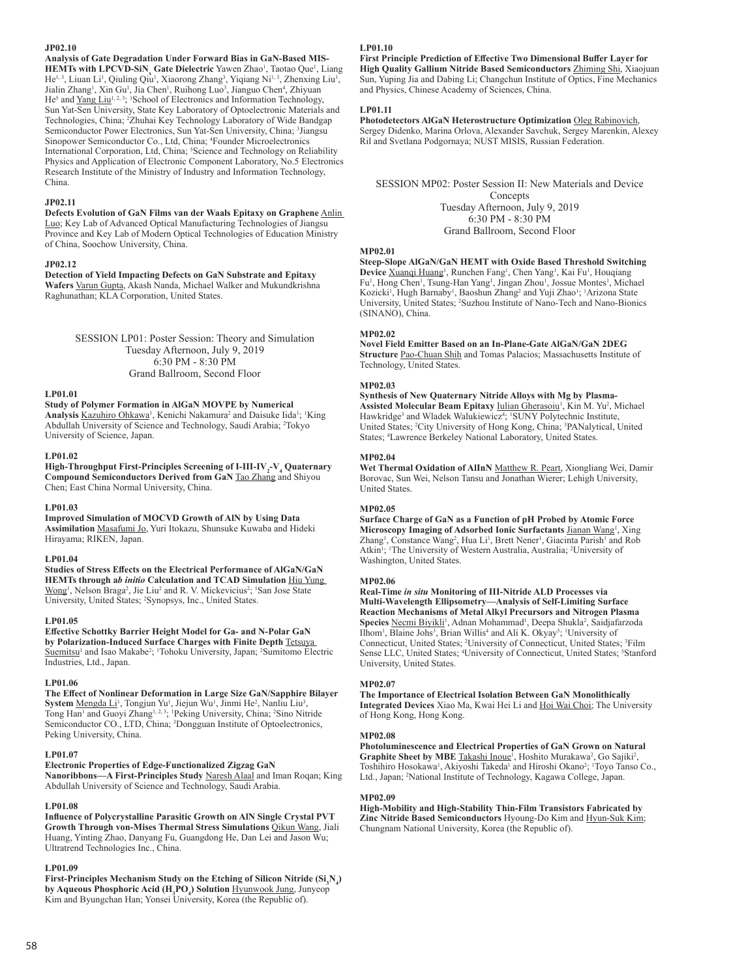## **JP02.10**

**Analysis of Gate Degradation Under Forward Bias in GaN-Based MIS-HEMTs with LPCVD-SiN<sub>x</sub> Gate Dielectric** Yawen Zhao<sup>1</sup>, Taotao Que<sup>1</sup>, Liang He<sup>1,3</sup>, Liuan Li<sup>1</sup>, Qiuling Qiu<sup>1</sup>, Xiaorong Zhang<sup>3</sup>, Yiqiang Ni<sup>1,3</sup>, Zhenxing Liu<sup>1</sup>, Jialin Zhang<sup>1</sup>, Xin Gu<sup>1</sup>, Jia Chen<sup>1</sup>, Ruihong Luo<sup>3</sup>, Jianguo Chen<sup>4</sup>, Zhiyuan He<sup>5</sup> and Yang Liu<sup>1, 2, 3</sup>; <sup>1</sup>School of Electronics and Information Technology, Sun Yat-Sen University, State Key Laboratory of Optoelectronic Materials and Technologies, China; <sup>2</sup> Zhuhai Key Technology Laboratory of Wide Bandgap Semiconductor Power Electronics, Sun Yat-Sen University, China; <sup>3</sup>Jiangsu Sinopower Semiconductor Co., Ltd, China; <sup>4</sup> Founder Microelectronics International Corporation, Ltd, China; <sup>5</sup>Science and Technology on Reliability Physics and Application of Electronic Component Laboratory, No.5 Electronics Research Institute of the Ministry of Industry and Information Technology, China.

## **JP02.11**

**Defects Evolution of GaN Films van der Waals Epitaxy on Graphene** Anlin Luo; Key Lab of Advanced Optical Manufacturing Technologies of Jiangsu Province and Key Lab of Modern Optical Technologies of Education Ministry of China, Soochow University, China.

#### **JP02.12**

**Detection of Yield Impacting Defects on GaN Substrate and Epitaxy Wafers** Varun Gupta, Akash Nanda, Michael Walker and Mukundkrishna Raghunathan; KLA Corporation, United States.

> SESSION LP01: Poster Session: Theory and Simulation Tuesday Afternoon, July 9, 2019 6:30 PM - 8:30 PM Grand Ballroom, Second Floor

## **LP01.01**

## **Study of Polymer Formation in AlGaN MOVPE by Numerical**

Analysis Kazuhiro Ohkawa<sup>1</sup>, Kenichi Nakamura<sup>2</sup> and Daisuke Iida<sup>1</sup>; <sup>1</sup>King Abdullah University of Science and Technology, Saudi Arabia; <sup>2</sup>Tokyo University of Science, Japan.

## **LP01.02**

**High-Throughput First-Principles Screening of I-III-IV<sub>2</sub>-V<sub>4</sub> Quaternary Compound Semiconductors Derived from GaN** Tao Zhang and Shiyou Chen; East China Normal University, China.

#### **LP01.03**

**Improved Simulation of MOCVD Growth of AlN by Using Data Assimilation** Masafumi Jo, Yuri Itokazu, Shunsuke Kuwaba and Hideki Hirayama; RIKEN, Japan.

#### **LP01.04**

**Studies of Stress Effects on the Electrical Performance of AlGaN/GaN HEMTs through a***b initio* **Calculation and TCAD Simulation** Hiu Yung Wong<sup>1</sup>, Nelson Braga<sup>2</sup>, Jie Liu<sup>2</sup> and R. V. Mickevicius<sup>2</sup>; <sup>1</sup>San Jose State University, United States; <sup>2</sup>Synopsys, Inc., United States.

#### **LP01.05**

**Effective Schottky Barrier Height Model for Ga- and N-Polar GaN by Polarization-Induced Surface Charges with Finite Depth** Tetsuya Suemitsu<sup>1</sup> and Isao Makabe<sup>2</sup>; <sup>1</sup>Tohoku University, Japan; <sup>2</sup>Sumitomo Electric Industries, Ltd., Japan.

## **LP01.06**

**The Effect of Nonlinear Deformation in Large Size GaN/Sapphire Bilayer**  System Mengda Li<sup>1</sup>, Tongjun Yu<sup>1</sup>, Jiejun Wu<sup>1</sup>, Jinmi He<sup>2</sup>, Nanliu Liu<sup>3</sup>, Tong Han<sup>1</sup> and Guoyi Zhang<sup>1, 2, 3</sup>; <sup>1</sup>Peking University, China; <sup>2</sup>Sino Nitride Semiconductor CO., LTD, China; <sup>3</sup>Dongguan Institute of Optoelectronics, Peking University, China.

#### **LP01.07**

**Electronic Properties of Edge-Functionalized Zigzag GaN** 

**Nanoribbons—A First-Principles Study** Naresh Alaal and Iman Roqan; King Abdullah University of Science and Technology, Saudi Arabia.

#### **LP01.08**

**Influence of Polycrystalline Parasitic Growth on AlN Single Crystal PVT Growth Through von-Mises Thermal Stress Simulations** Qikun Wang, Jiali Huang, Yinting Zhao, Danyang Fu, Guangdong He, Dan Lei and Jason Wu; Ultratrend Technologies Inc., China.

#### **LP01.09**

First-Principles Mechanism Study on the Etching of Silicon Nitride (Si<sub>3</sub>N<sub>4</sub>) **by Aqueous Phosphoric Acid (H<sup>3</sup> PO4 ) Solution** Hyunwook Jung, Junyeop Kim and Byungchan Han; Yonsei University, Korea (the Republic of).

#### **LP01.10**

**First Principle Prediction of Effective Two Dimensional Buffer Layer for High Quality Gallium Nitride Based Semiconductors** Zhiming Shi, Xiaojuan Sun, Yuping Jia and Dabing Li; Changchun Institute of Optics, Fine Mechanics and Physics, Chinese Academy of Sciences, China.

## **LP01.11**

**Photodetectors AlGaN Heterostructure Optimization** Oleg Rabinovich, Sergey Didenko, Marina Orlova, Alexander Savchuk, Sergey Marenkin, Alexey Ril and Svetlana Podgornaya; NUST MISIS, Russian Federation.

SESSION MP02: Poster Session II: New Materials and Device Concepts Tuesday Afternoon, July 9, 2019 6:30 PM - 8:30 PM Grand Ballroom, Second Floor

### **MP02.01**

**Steep-Slope AlGaN/GaN HEMT with Oxide Based Threshold Switching**  Device Xuanqi Huang<sup>1</sup>, Runchen Fang<sup>1</sup>, Chen Yang<sup>1</sup>, Kai Fu<sup>1</sup>, Houqiang Fu<sup>1</sup>, Hong Chen<sup>1</sup>, Tsung-Han Yang<sup>1</sup>, Jingan Zhou<sup>1</sup>, Jossue Montes<sup>1</sup>, Michael Kozicki<sup>1</sup>, Hugh Barnaby<sup>1</sup>, Baoshun Zhang<sup>2</sup> and Yuji Zhao<sup>1</sup>; <sup>1</sup>Arizona State University, United States; <sup>2</sup> Suzhou Institute of Nano-Tech and Nano-Bionics (SINANO), China.

#### **MP02.02**

**Novel Field Emitter Based on an In-Plane-Gate AlGaN/GaN 2DEG Structure** Pao-Chuan Shih and Tomas Palacios; Massachusetts Institute of Technology, United States.

## **MP02.03**

**Synthesis of New Quaternary Nitride Alloys with Mg by Plasma-**Assisted Molecular Beam Epitaxy **Iulian Gherasoiu<sup>1</sup>**, Kin M. Yu<sup>2</sup>, Michael Hawkridge<sup>3</sup> and Wladek Walukiewicz<sup>4</sup>; <sup>1</sup>SUNY Polytechnic Institute, United States; <sup>2</sup>City University of Hong Kong, China; <sup>3</sup>PANalytical, United States; <sup>4</sup> Lawrence Berkeley National Laboratory, United States.

#### **MP02.04**

**Wet Thermal Oxidation of AlInN** Matthew R. Peart, Xiongliang Wei, Damir Borovac, Sun Wei, Nelson Tansu and Jonathan Wierer; Lehigh University, United States.

## **MP02.05**

**Surface Charge of GaN as a Function of pH Probed by Atomic Force**  Microscopy Imaging of Adsorbed Ionic Surfactants Jianan Wang<sup>1</sup>, Xing Zhang<sup>1</sup>, Constance Wang<sup>2</sup>, Hua Li<sup>1</sup>, Brett Nener<sup>1</sup>, Giacinta Parish<sup>1</sup> and Rob Atkin<sup>1</sup>; <sup>1</sup>The University of Western Australia, Australia; <sup>2</sup>University of Washington, United States.

#### **MP02.06**

**Real-Time** *in situ* **Monitoring of III-Nitride ALD Processes via Multi-Wavelength Ellipsometry—Analysis of Self-Limiting Surface Reaction Mechanisms of Metal Alkyl Precursors and Nitrogen Plasma**  Species <u>Necmi Biyikli</u><sup>1</sup>, Adnan Mohammad<sup>1</sup>, Deepa Shukla<sup>2</sup>, Saidjafarzoda Ilhom<sup>1</sup>, Blaine Johs<sup>3</sup>, Brian Willis<sup>4</sup> and Ali K. Okyay<sup>5</sup>; <sup>1</sup>University of Connecticut, United States; <sup>2</sup>University of Connecticut, United States; <sup>3</sup>Film Sense LLC, United States; <sup>4</sup>University of Connecticut, United States; <sup>5</sup>Stanford University, United States.

#### **MP02.07**

**The Importance of Electrical Isolation Between GaN Monolithically Integrated Devices** Xiao Ma, Kwai Hei Li and Hoi Wai Choi; The University of Hong Kong, Hong Kong.

#### **MP02.08**

**Photoluminescence and Electrical Properties of GaN Grown on Natural**  Graphite Sheet by MBE Takashi Inoue<sup>1</sup>, Hoshito Murakawa<sup>2</sup>, Go Sajiki<sup>2</sup>, Toshihiro Hosokawa<sup>1</sup>, Akiyoshi Takeda<sup>1</sup> and Hiroshi Okano<sup>2</sup>; <sup>1</sup>Toyo Tanso Co., Ltd., Japan; <sup>2</sup> National Institute of Technology, Kagawa College, Japan.

#### **MP02.09**

**High-Mobility and High-Stability Thin-Film Transistors Fabricated by Zinc Nitride Based Semiconductors** Hyoung-Do Kim and Hyun-Suk Kim; Chungnam National University, Korea (the Republic of).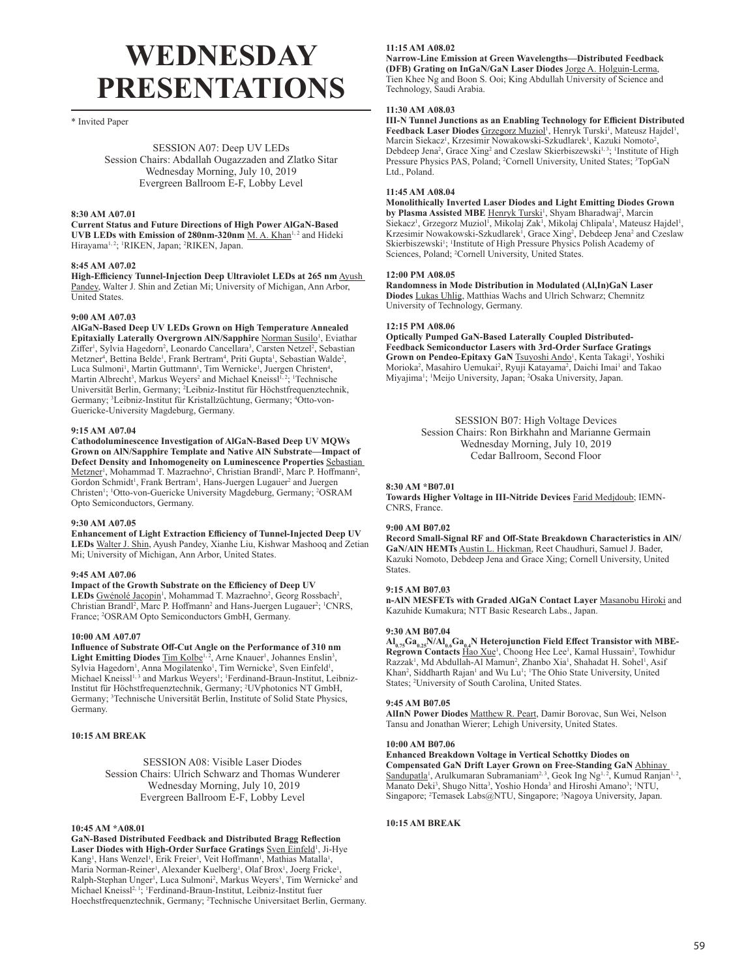# **WEDNESDAY PRESENTATIONS**

\* Invited Paper

SESSION A07: Deep UV LEDs Session Chairs: Abdallah Ougazzaden and Zlatko Sitar Wednesday Morning, July 10, 2019 Evergreen Ballroom E-F, Lobby Level

#### **8:30 AM A07.01**

**Current Status and Future Directions of High Power AlGaN-Based UVB LEDs with Emission of 280nm-320nm** M. A. Khan<sup>1, 2</sup> and Hideki Hirayama<sup>1, 2</sup>; <sup>1</sup>RIKEN, Japan; <sup>2</sup>RIKEN, Japan.

#### **8:45 AM A07.02**

**High-Efficiency Tunnel-Injection Deep Ultraviolet LEDs at 265 nm** Ayush Pandey, Walter J. Shin and Zetian Mi; University of Michigan, Ann Arbor, United States.

#### **9:00 AM A07.03**

**AlGaN-Based Deep UV LEDs Grown on High Temperature Annealed Epitaxially Laterally Overgrown AIN/Sapphire Norman Susilo<sup>1</sup>, Eviathar** Ziffer<sup>1</sup>, Sylvia Hagedorn<sup>2</sup>, Leonardo Cancellara<sup>3</sup>, Carsten Netzel<sup>2</sup>, Sebastian Metzner<sup>4</sup>, Bettina Belde<sup>1</sup>, Frank Bertram<sup>4</sup>, Priti Gupta<sup>1</sup>, Sebastian Walde<sup>2</sup>, Luca Sulmoni<sup>1</sup>, Martin Guttmann<sup>1</sup>, Tim Wernicke<sup>1</sup>, Juergen Christen<sup>4</sup>, Martin Albrecht<sup>3</sup>, Markus Weyers<sup>2</sup> and Michael Kneissl<sup>1,2</sup>; <sup>1</sup>Technische Universität Berlin, Germany; <sup>2</sup>Leibniz-Institut für Höchstfrequenztechnik, Germany; <sup>3</sup>Leibniz-Institut für Kristallzüchtung, Germany; <sup>4</sup>Otto-von-Guericke-University Magdeburg, Germany.

#### **9:15 AM A07.04**

**Cathodoluminescence Investigation of AlGaN-Based Deep UV MQWs Grown on AlN/Sapphire Template and Native AlN Substrate—Impact of Defect Density and Inhomogeneity on Luminescence Properties** Sebastian Metzner<sup>1</sup>, Mohammad T. Mazraehno<sup>2</sup>, Christian Brandl<sup>2</sup>, Marc P. Hoffmann<sup>2</sup>, Gordon Schmidt<sup>1</sup>, Frank Bertram<sup>1</sup>, Hans-Juergen Lugauer<sup>2</sup> and Juergen Christen<sup>1</sup>; <sup>1</sup>Otto-von-Guericke University Magdeburg, Germany; <sup>2</sup>OSRAM Opto Semiconductors, Germany.

#### **9:30 AM A07.05**

**Enhancement of Light Extraction Efficiency of Tunnel-Injected Deep UV LEDs** Walter J. Shin, Ayush Pandey, Xianhe Liu, Kishwar Mashooq and Zetian Mi; University of Michigan, Ann Arbor, United States.

#### **9:45 AM A07.06**

**Impact of the Growth Substrate on the Efficiency of Deep UV**  LEDs Gwénolé Jacopin<sup>1</sup>, Mohammad T. Mazraehno<sup>2</sup>, Georg Rossbach<sup>2</sup>, Christian Brandl<sup>2</sup>, Marc P. Hoffmann<sup>2</sup> and Hans-Juergen Lugauer<sup>2</sup>; <sup>1</sup>CNRS, France; <sup>2</sup> OSRAM Opto Semiconductors GmbH, Germany.

#### **10:00 AM A07.07**

**Influence of Substrate Off-Cut Angle on the Performance of 310 nm**  Light Emitting Diodes  $\overline{\text{Tim Kolbe}}^{1, 2}$ , Arne Knauer<sup>1</sup>, Johannes Enslin<sup>3</sup>, Sylvia Hagedorn<sup>1</sup>, Anna Mogilatenko<sup>1</sup>, Tim Wernicke<sup>3</sup>, Sven Einfeld<sup>1</sup>, Michael Kneissl<sup>1, 3</sup> and Markus Weyers<sup>1</sup>; <sup>1</sup>Ferdinand-Braun-Institut, Leibniz-Institut für Höchstfrequenztechnik, Germany; <sup>2</sup> UVphotonics NT GmbH, Germany; <sup>3</sup>Technische Universität Berlin, Institute of Solid State Physics, Germany.

#### **10:15 AM BREAK**

## SESSION A08: Visible Laser Diodes Session Chairs: Ulrich Schwarz and Thomas Wunderer Wednesday Morning, July 10, 2019 Evergreen Ballroom E-F, Lobby Level

#### **10:45 AM \*A08.01**

**GaN-Based Distributed Feedback and Distributed Bragg Reflection**  Laser Diodes with High-Order Surface Gratings **Sven Einfeld<sup>1</sup>, Ji-Hye** Kang<sup>1</sup>, Hans Wenzel<sup>1</sup>, Erik Freier<sup>1</sup>, Veit Hoffmann<sup>1</sup>, Mathias Matalla<sup>1</sup>, Maria Norman-Reiner<sup>1</sup>, Alexander Kuelberg<sup>1</sup>, Olaf Brox<sup>1</sup>, Joerg Fricke<sup>1</sup>, Ralph-Stephan Unger<sup>1</sup>, Luca Sulmoni<sup>2</sup>, Markus Weyers<sup>1</sup>, Tim Wernicke<sup>2</sup> and Michael Kneissl<sup>2, 1</sup>; <sup>1</sup>Ferdinand-Braun-Institut, Leibniz-Institut fuer Hoechstfrequenztechnik, Germany; <sup>2</sup> Technische Universitaet Berlin, Germany.

## **11:15 AM A08.02**

**Narrow-Line Emission at Green Wavelengths—Distributed Feedback (DFB) Grating on InGaN/GaN Laser Diodes** Jorge A. Holguin-Lerma, Tien Khee Ng and Boon S. Ooi; King Abdullah University of Science and Technology, Saudi Arabia.

#### **11:30 AM A08.03**

**III-N Tunnel Junctions as an Enabling Technology for Efficient Distributed**  Feedback Laser Diodes Grzegorz Muziol<sup>1</sup>, Henryk Turski<sup>1</sup>, Mateusz Hajdel<sup>1</sup>, Marcin Siekacz<sup>1</sup>, Krzesimir Nowakowski-Szkudlarek<sup>1</sup>, Kazuki Nomoto<sup>2</sup>, Debdeep Jena<sup>2</sup>, Grace Xing<sup>2</sup> and Czeslaw Skierbiszewski<sup>1, 3</sup>; <sup>1</sup>Institute of High Pressure Physics PAS, Poland; <sup>2</sup>Cornell University, United States; <sup>3</sup>TopGaN Ltd., Poland.

#### **11:45 AM A08.04**

**Monolithically Inverted Laser Diodes and Light Emitting Diodes Grown**  by Plasma Assisted MBE Henryk Turski<sup>1</sup>, Shyam Bharadwaj<sup>2</sup>, Marcin Siekacz<sup>i</sup>, Grzegorz Muziol<sup>1</sup>, Mikolaj Zak<sup>1</sup>, Mikolaj Chlipala<sup>1</sup>, Mateusz Hajdel<sup>1</sup>, Krzesimir Nowakowski-Szkudlarek<sup>1</sup>, Grace Xing<sup>2</sup>, Debdeep Jena<sup>2</sup> and Czeslaw Skierbiszewski<sup>1</sup>; <sup>1</sup>Institute of High Pressure Physics Polish Academy of Sciences, Poland; <sup>2</sup> Cornell University, United States.

## **12:00 PM A08.05**

**Randomness in Mode Distribution in Modulated (Al,In)GaN Laser Diodes** Lukas Uhlig, Matthias Wachs and Ulrich Schwarz; Chemnitz University of Technology, Germany.

## **12:15 PM A08.06**

**Optically Pumped GaN-Based Laterally Coupled Distributed-Feedback Semiconductor Lasers with 3rd-Order Surface Gratings**  Grown on Pendeo-Epitaxy GaN **Tsuyoshi Ando<sup>1</sup>, Kenta Takagi<sup>1</sup>, Yoshiki** Morioka<sup>2</sup>, Masahiro Uemukai<sup>2</sup>, Ryuji Katayama<sup>2</sup>, Daichi Imai<sup>1</sup> and Takao Miyajima<sup>1</sup>; <sup>1</sup>Meijo University, Japan; <sup>2</sup>Osaka University, Japan.

> SESSION B07: High Voltage Devices Session Chairs: Ron Birkhahn and Marianne Germain Wednesday Morning, July 10, 2019 Cedar Ballroom, Second Floor

## **8:30 AM \*B07.01**

**Towards Higher Voltage in III-Nitride Devices** Farid Medjdoub; IEMN-CNRS, France.

## **9:00 AM B07.02**

**Record Small-Signal RF and Off-State Breakdown Characteristics in AlN/ GaN/AlN HEMTs** Austin L. Hickman, Reet Chaudhuri, Samuel J. Bader, Kazuki Nomoto, Debdeep Jena and Grace Xing; Cornell University, United States.

## **9:15 AM B07.03**

**n-AlN MESFETs with Graded AlGaN Contact Layer** Masanobu Hiroki and Kazuhide Kumakura; NTT Basic Research Labs., Japan.

#### **9:30 AM B07.04**

 $\text{Al}_{\text{0.75}}\text{Ga}_{\text{0.25}}\text{NAI}_{\text{0.6}}\text{Ga}_{\text{0.4}}\text{N Heterojunction Field Effect Transistor with MBE-Regrown Contacts Hao Xue}$ <sup>1</sup>, Choong Hee Lee<sup>1</sup>, Kamal Hussain<sup>2</sup>, Towhidur Razzak<sup>1</sup>, Md Abdullah-Al Mamun<sup>2</sup>, Zhanbo Xia<sup>1</sup>, Shahadat H. Sohel<sup>1</sup>, Asif Khan<sup>2</sup>, Siddharth Rajan<sup>1</sup> and Wu Lu<sup>1</sup>; <sup>1</sup>The Ohio State University, United States; <sup>2</sup> University of South Carolina, United States.

#### **9:45 AM B07.05**

**AlInN Power Diodes** Matthew R. Peart, Damir Borovac, Sun Wei, Nelson Tansu and Jonathan Wierer; Lehigh University, United States.

## **10:00 AM B07.06**

**Enhanced Breakdown Voltage in Vertical Schottky Diodes on Compensated GaN Drift Layer Grown on Free-Standing GaN** Abhinay Sandupatla<sup>1</sup>, Arulkumaran Subramaniam<sup>2, 3</sup>, Geok Ing Ng<sup>1, 2</sup>, Kumud Ranjan<sup>1, 2</sup>, Manato Deki<sup>3</sup>, Shugo Nitta<sup>3</sup>, Yoshio Honda<sup>3</sup> and Hiroshi Amano<sup>3</sup>; <sup>1</sup>NTU, Singapore; <sup>2</sup> Temasek Labs@NTU, Singapore; <sup>3</sup> Nagoya University, Japan.

## **10:15 AM BREAK**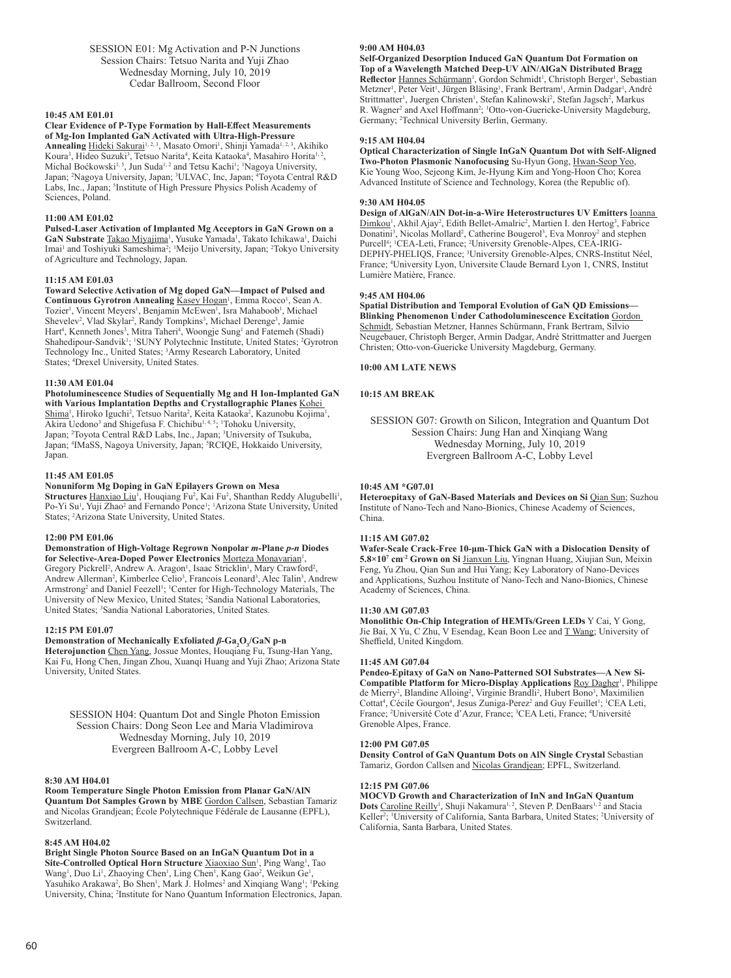SESSION E01: Mg Activation and P-N Junctions Session Chairs: Tetsuo Narita and Yuji Zhao Wednesday Morning, July 10, 2019 Cedar Ballroom, Second Floor

#### **10:45 AM E01.01**

## **Clear Evidence of P-Type Formation by Hall-Effect Measurements of Mg-Ion Implanted GaN Activated with Ultra-High-Pressure**

Annealing Hideki Sakurai<sup>1, 2, 3</sup>, Masato Omori<sup>1</sup>, Shinji Yamada<sup>1, 2, 3</sup>, Akihiko Koura<sup>3</sup>, Hideo Suzuki<sup>3</sup>, Tetsuo Narita<sup>4</sup>, Keita Kataoka<sup>4</sup>, Masahiro Horita<sup>1, 2</sup> , Michal Boćkowski<sup>1,5</sup>, Jun Suda<sup>1,2</sup> and Tetsu Kachi<sup>1</sup>; <sup>1</sup>Nagoya University, Japan; <sup>2</sup>Nagoya University, Japan; <sup>3</sup>ULVAC, Inc, Japan; <sup>4</sup>Toyota Central R&D Labs, Inc., Japan; <sup>5</sup>Institute of High Pressure Physics Polish Academy of Sciences, Poland.

## **11:00 AM E01.02**

**Pulsed-Laser Activation of Implanted Mg Acceptors in GaN Grown on a**  GaN Substrate Takao Miyajima<sup>1</sup>, Yusuke Yamada<sup>1</sup>, Takato Ichikawa<sup>1</sup>, Daichi Imai<sup>1</sup> and Toshiyuki Sameshima<sup>2</sup>; <sup>1</sup>Meijo University, Japan; <sup>2</sup>Tokyo University of Agriculture and Technology, Japan.

## **11:15 AM E01.03**

**Toward Selective Activation of Mg doped GaN—Impact of Pulsed and**  Continuous Gyrotron Annealing Kasey Hogan<sup>1</sup>, Emma Rocco<sup>1</sup>, Sean A. Tozier<sup>1</sup>, Vincent Meyers<sup>1</sup>, Benjamin McEwen<sup>1</sup>, Isra Mahaboob<sup>1</sup>, Michael Shevelev<sup>2</sup>, Vlad Skylar<sup>2</sup>, Randy Tompkins<sup>3</sup>, Michael Derenge<sup>3</sup>, Jamie Hart<sup>4</sup>, Kenneth Jones<sup>3</sup>, Mitra Taheri<sup>4</sup>, Woongje Sung<sup>1</sup> and Fatemeh (Shadi) Shahedipour-Sandvik<sup>1</sup>; <sup>1</sup>SUNY Polytechnic Institute, United States; <sup>2</sup>Gyrotron Technology Inc., United States; <sup>3</sup> Army Research Laboratory, United States; <sup>4</sup> Drexel University, United States.

#### **11:30 AM E01.04**

**Photoluminescence Studies of Sequentially Mg and H Ion-Implanted GaN with Various Implantation Depths and Crystallographic Planes** Kohei Shima<sup>1</sup>, Hiroko Iguchi<sup>2</sup>, Tetsuo Narita<sup>2</sup>, Keita Kataoka<sup>2</sup>, Kazunobu Kojima<sup>1</sup>, Akira Uedono<sup>3</sup> and Shigefusa F. Chichibu<sup>1, 4, 5</sup>; <sup>1</sup>Tohoku University, Japan; <sup>2</sup>Toyota Central R&D Labs, Inc., Japan; <sup>3</sup>University of Tsukuba, Japan; <sup>4</sup>IMaSS, Nagoya University, Japan; <sup>5</sup>RCIQE, Hokkaido University, Japan.

## **11:45 AM E01.05**

#### **Nonuniform Mg Doping in GaN Epilayers Grown on Mesa**

Structures **Hanxiao Liu<sup>1</sup>**, Houqiang Fu<sup>2</sup>, Kai Fu<sup>2</sup>, Shanthan Reddy Alugubelli<sup>1</sup>, Po-Yi Su<sup>1</sup>, Yuji Zhao<sup>2</sup> and Fernando Ponce<sup>1</sup>; <sup>1</sup>Arizona State University, United States; <sup>2</sup>Arizona State University, United States.

## **12:00 PM E01.06**

**Demonstration of High-Voltage Regrown Nonpolar** *m-***Plane** *p-n* **Diodes**  for Selective-Area-Doped Power Electronics Morteza Monavarian<sup>1</sup>, Gregory Pickrell<sup>2</sup>, Andrew A. Aragon<sup>1</sup>, Isaac Stricklin<sup>1</sup>, Mary Crawford<sup>2</sup>, Andrew Allerman<sup>2</sup>, Kimberlee Celio<sup>3</sup>, Francois Leonard<sup>3</sup>, Alec Talin<sup>3</sup>, Andrew Armstrong<sup>2</sup> and Daniel Feezell<sup>1</sup>; <sup>1</sup>Center for High-Technology Materials, The University of New Mexico, United States; <sup>2</sup> Sandia National Laboratories, United States; <sup>3</sup>Sandia National Laboratories, United States.

#### **12:15 PM E01.07**

## **Demonstration of Mechanically Exfoliated β-Ga<sub>2</sub>O<sub>3</sub>/GaN p-n**

**Heterojunction** Chen Yang, Jossue Montes, Houqiang Fu, Tsung-Han Yang, Kai Fu, Hong Chen, Jingan Zhou, Xuanqi Huang and Yuji Zhao; Arizona State University, United States.

SESSION H04: Quantum Dot and Single Photon Emission Session Chairs: Dong Seon Lee and Maria Vladimirova Wednesday Morning, July 10, 2019 Evergreen Ballroom A-C, Lobby Level

#### **8:30 AM H04.01**

**Room Temperature Single Photon Emission from Planar GaN/AlN Quantum Dot Samples Grown by MBE** Gordon Callsen, Sebastian Tamariz and Nicolas Grandjean; École Polytechnique Fédérale de Lausanne (EPFL), Switzerland.

#### **8:45 AM H04.02**

**Bright Single Photon Source Based on an InGaN Quantum Dot in a**  Site-Controlled Optical Horn Structure **Xiaoxiao Sun<sup>1</sup>, Ping Wang<sup>1</sup>, Tao** Wang<sup>1</sup>, Duo Li<sup>1</sup>, Zhaoying Chen<sup>1</sup>, Ling Chen<sup>1</sup>, Kang Gao<sup>2</sup>, Weikun Ge<sup>1</sup>, Yasuhiko Arakawa<sup>2</sup>, Bo Shen<sup>1</sup>, Mark J. Holmes<sup>2</sup> and Xinqiang Wang<sup>1</sup>; <sup>1</sup>Peking University, China; <sup>2</sup> Institute for Nano Quantum Information Electronics, Japan.

## **9:00 AM H04.03**

**Self-Organized Desorption Induced GaN Quantum Dot Formation on Top of a Wavelength Matched Deep-UV AlN/AlGaN Distributed Bragg**  Reflector Hannes Schürmann<sup>1</sup>, Gordon Schmidt<sup>1</sup>, Christoph Berger<sup>1</sup>, Sebastian Metzner<sup>1</sup>, Peter Veit<sup>1</sup>, Jürgen Bläsing<sup>1</sup>, Frank Bertram<sup>1</sup>, Armin Dadgar<sup>1</sup>, André Strittmatter<sup>1</sup>, Juergen Christen<sup>1</sup>, Stefan Kalinowski<sup>2</sup>, Stefan Jagsch<sup>2</sup>, Markus R. Wagner<sup>2</sup> and Axel Hoffmann<sup>2</sup>; <sup>1</sup>Otto-von-Guericke-University Magdeburg, Germany; <sup>2</sup> Technical University Berlin, Germany.

#### **9:15 AM H04.04**

**Optical Characterization of Single InGaN Quantum Dot with Self-Aligned Two-Photon Plasmonic Nanofocusing** Su-Hyun Gong, Hwan-Seop Yeo, Kie Young Woo, Sejeong Kim, Je-Hyung Kim and Yong-Hoon Cho; Korea Advanced Institute of Science and Technology, Korea (the Republic of).

#### **9:30 AM H04.05**

**Design of AlGaN/AlN Dot-in-a-Wire Heterostructures UV Emitters** Ioanna Dimkou<sup>1</sup>, Akhil Ajay<sup>2</sup>, Edith Bellet-Amalric<sup>2</sup>, Martien I. den Hertog<sup>3</sup>, Fabrice Donatini<sup>3</sup>, Nicolas Mollard<sup>2</sup>, Catherine Bougerol<sup>3</sup>, Eva Monroy<sup>2</sup> and stephen Purcell<sup>4</sup>; <sup>1</sup>CEA-Leti, France; <sup>2</sup>University Grenoble-Alpes, CEA-IRIG-DEPHY-PHELIQS, France; <sup>3</sup>University Grenoble-Alpes, CNRS-Institut Néel, France; <sup>4</sup> University Lyon, Universite Claude Bernard Lyon 1, CNRS, Institut Lumière Matière, France.

#### **9:45 AM H04.06**

**Spatial Distribution and Temporal Evolution of GaN QD Emissions— Blinking Phenomenon Under Cathodoluminescence Excitation** Gordon Schmidt, Sebastian Metzner, Hannes Schürmann, Frank Bertram, Silvio Neugebauer, Christoph Berger, Armin Dadgar, André Strittmatter and Juergen Christen; Otto-von-Guericke University Magdeburg, Germany.

**10:00 AM LATE NEWS**

## **10:15 AM BREAK**

SESSION G07: Growth on Silicon, Integration and Quantum Dot Session Chairs: Jung Han and Xinqiang Wang Wednesday Morning, July 10, 2019 Evergreen Ballroom A-C, Lobby Level

#### **10:45 AM \*G07.01**

**Heteroepitaxy of GaN-Based Materials and Devices on Si** Qian Sun; Suzhou Institute of Nano-Tech and Nano-Bionics, Chinese Academy of Sciences, China.

## **11:15 AM G07.02**

**Wafer-Scale Crack-Free 10-μm-Thick GaN with a Dislocation Density of 5.8×107 cm-2 Grown on Si** Jianxun Liu, Yingnan Huang, Xiujian Sun, Meixin Feng, Yu Zhou, Qian Sun and Hui Yang; Key Laboratory of Nano-Devices and Applications, Suzhou Institute of Nano-Tech and Nano-Bionics, Chinese Academy of Sciences, China.

## **11:30 AM G07.03**

**Monolithic On-Chip Integration of HEMTs/Green LEDs** Y Cai, Y Gong, Jie Bai, X Yu, C Zhu, V Esendag, Kean Boon Lee and T Wang; University of Sheffield, United Kingdom.

#### **11:45 AM G07.04**

**Pendeo-Epitaxy of GaN on Nano-Patterned SOI Substrates—A New Si-**Compatible Platform for Micro-Display Applications Roy Dagher<sup>1</sup>, Philippe de Mierry<sup>2</sup>, Blandine Alloing<sup>2</sup>, Virginie Brandli<sup>2</sup>, Hubert Bono<sup>3</sup>, Maximilien Cottat<sup>4</sup>, Cécile Gourgon<sup>4</sup>, Jesus Zuniga-Perez<sup>2</sup> and Guy Feuillet<sup>1</sup>; <sup>1</sup>CEA Leti, France; <sup>2</sup> Université Cote d'Azur, France; <sup>3</sup> CEA Leti, France; <sup>4</sup> Université Grenoble Alpes, France.

## **12:00 PM G07.05**

**Density Control of GaN Quantum Dots on AlN Single Crystal** Sebastian Tamariz, Gordon Callsen and Nicolas Grandjean; EPFL, Switzerland.

#### **12:15 PM G07.06**

**MOCVD Growth and Characterization of InN and InGaN Quantum**  Dots Caroline Reilly<sup>1</sup>, Shuji Nakamura<sup>1, 2</sup>, Steven P. DenBaars<sup>1, 2</sup> and Stacia Keller<sup>2</sup>; 'University of California, Santa Barbara, United States; <sup>2</sup>University of California, Santa Barbara, United States.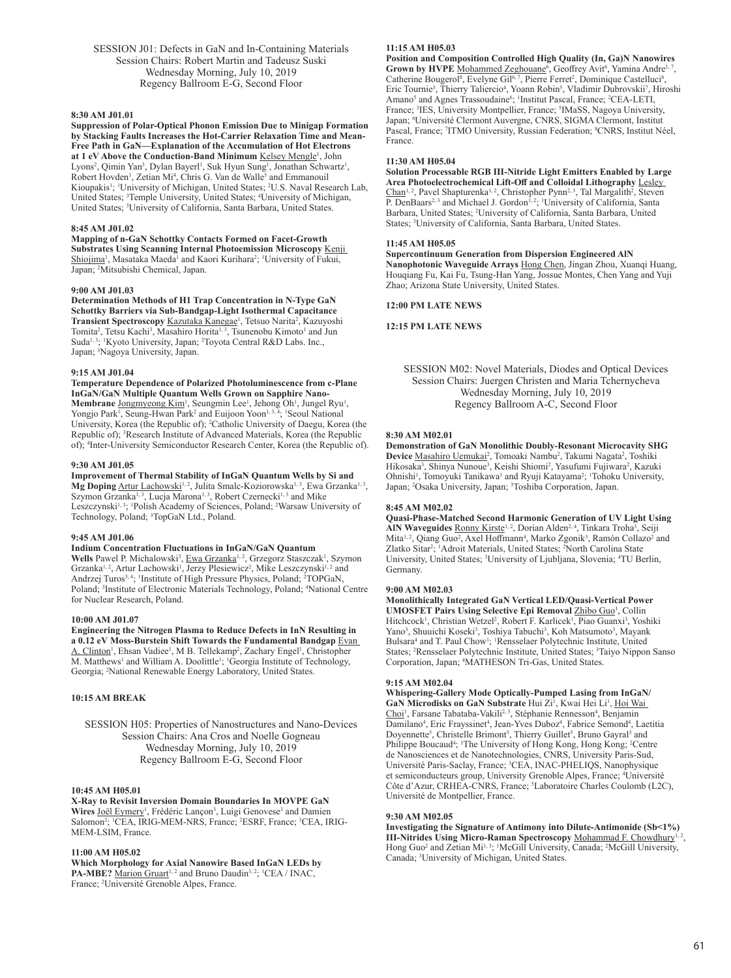SESSION J01: Defects in GaN and In-Containing Materials Session Chairs: Robert Martin and Tadeusz Suski Wednesday Morning, July 10, 2019 Regency Ballroom E-G, Second Floor

#### **8:30 AM J01.01**

**Suppression of Polar-Optical Phonon Emission Due to Minigap Formation by Stacking Faults Increases the Hot-Carrier Relaxation Time and Mean-Free Path in GaN—Explanation of the Accumulation of Hot Electrons**  at 1 eV Above the Conduction-Band Minimum Kelsey Mengle<sup>1</sup>, John Lyons<sup>2</sup>, Qimin Yan<sup>3</sup>, Dylan Bayerl<sup>1</sup>, Suk Hyun Sung<sup>1</sup>, Jonathan Schwartz<sup>1</sup>, Robert Hovden<sup>1</sup>, Zetian Mi<sup>4</sup>, Chris G. Van de Walle<sup>5</sup> and Emmanouil Kioupakis<sup>1</sup>; <sup>1</sup>University of Michigan, United States; <sup>2</sup>U.S. Naval Research Lab, United States; <sup>3</sup>Temple University, United States; <sup>4</sup>University of Michigan, United States; <sup>5</sup>University of California, Santa Barbara, United States.

#### **8:45 AM J01.02**

**Mapping of n-GaN Schottky Contacts Formed on Facet-Growth Substrates Using Scanning Internal Photoemission Microscopy** Kenji Shiojima<sup>1</sup>, Masataka Maeda<sup>1</sup> and Kaori Kurihara<sup>2</sup>; 'University of Fukui, Japan; <sup>2</sup> Mitsubishi Chemical, Japan.

#### **9:00 AM J01.03**

**Determination Methods of H1 Trap Concentration in N-Type GaN Schottky Barriers via Sub-Bandgap-Light Isothermal Capacitance**  Transient Spectroscopy Kazutaka Kanegae<sup>1</sup>, Tetsuo Narita<sup>2</sup>, Kazuyoshi Tomita<sup>2</sup>, Tetsu Kachi<sup>3</sup>, Masahiro Horita<sup>1, 3</sup>, Tsunenobu Kimoto<sup>1</sup> and Jun Suda<sup>1,3</sup>; <sup>1</sup>Kyoto University, Japan; <sup>2</sup>Toyota Central R&D Labs. Inc., Japan; <sup>3</sup>Nagoya University, Japan.

#### **9:15 AM J01.04**

**Temperature Dependence of Polarized Photoluminescence from c-Plane InGaN/GaN Multiple Quantum Wells Grown on Sapphire Nano-**Membrane Jongmyeong Kim<sup>1</sup>, Seungmin Lee<sup>1</sup>, Jehong Oh<sup>1</sup>, Jungel Ryu<sup>1</sup>, Yongjo Park<sup>1</sup>, Seung-Hwan Park<sup>2</sup> and Euijoon Yoon<sup>1, 3, 4</sup>; <sup>1</sup>Seoul National University, Korea (the Republic of); <sup>2</sup>Catholic University of Daegu, Korea (the Republic of); <sup>3</sup>Research Institute of Advanced Materials, Korea (the Republic of); <sup>4</sup>Inter-University Semiconductor Research Center, Korea (the Republic of).

#### **9:30 AM J01.05**

**Improvement of Thermal Stability of InGaN Quantum Wells by Si and**  Mg Doping Artur Lachowski<sup>1, 2</sup>, Julita Smalc-Koziorowska<sup>1, 3</sup>, Ewa Grzanka<sup>1, 3</sup>, Szymon Grzanka<sup>1, 3</sup>, Lucja Marona<sup>1, 3</sup>, Robert Czernecki<sup>1, 3</sup> and Mike Leszczynski<sup>1,3</sup>; <sup>1</sup>Polish Academy of Sciences, Poland; <sup>2</sup>Warsaw University of Technology, Poland; <sup>3</sup>TopGaN Ltd., Poland.

## **9:45 AM J01.06**

#### **Indium Concentration Fluctuations in InGaN/GaN Quantum**

Wells Pawel P. Michalowski<sup>3</sup>, Ewa Grzanka<sup>1,2</sup>, Grzegorz Staszczak<sup>1</sup>, Szymon Grzanka<sup>1, 2</sup>, Artur Lachowski<sup>1</sup>, Jerzy Plesiewicz<sup>2</sup>, Mike Leszczynski<sup>1, 2</sup> and Andrzej Turos<sup>3, 4</sup>; <sup>1</sup>Institute of High Pressure Physics, Poland; <sup>2</sup>TOPGaN, Poland; <sup>3</sup>Institute of Electronic Materials Technology, Poland; <sup>4</sup>National Centre for Nuclear Research, Poland.

## **10:00 AM J01.07**

**Engineering the Nitrogen Plasma to Reduce Defects in InN Resulting in a 0.12 eV Moss-Burstein Shift Towards the Fundamental Bandgap** Evan A. Clinton<sup>1</sup>, Ehsan Vadiee<sup>1</sup>, M B. Tellekamp<sup>2</sup>, Zachary Engel<sup>1</sup>, Christopher M. Matthews<sup>1</sup> and William A. Doolittle<sup>1</sup>; <sup>1</sup>Georgia Institute of Technology, Georgia; <sup>2</sup> National Renewable Energy Laboratory, United States.

## **10:15 AM BREAK**

SESSION H05: Properties of Nanostructures and Nano-Devices Session Chairs: Ana Cros and Noelle Gogneau Wednesday Morning, July 10, 2019 Regency Ballroom E-G, Second Floor

## **10:45 AM H05.01**

**X-Ray to Revisit Inversion Domain Boundaries In MOVPE GaN**  Wires Joël Eymery<sup>1</sup>, Frédéric Lançon<sup>3</sup>, Luigi Genovese<sup>3</sup> and Damien Salomon<sup>2</sup>; <sup>1</sup>CEA, IRIG-MEM-NRS, France; <sup>2</sup>ESRF, France; <sup>3</sup>CEA, IRIG-MEM-LSIM, France.

#### **11:00 AM H05.02**

**Which Morphology for Axial Nanowire Based InGaN LEDs by**  PA-MBE? Marion Gruart<sup>1, 2</sup> and Bruno Daudin<sup>1, 2</sup>; <sup>1</sup>CEA / INAC, France; <sup>2</sup> Université Grenoble Alpes, France.

## **11:15 AM H05.03**

**Position and Composition Controlled High Quality (In, Ga)N Nanowires**  Grown by HVPE Mohammed Zeghouane<sup>6</sup>, Geoffrey Avit<sup>6</sup>, Yamina Andre<sup>1, 7</sup> , Catherine Bougerol<sup>8</sup>, Evelyne Gil<sup>6, 7</sup>, Pierre Ferret<sup>2</sup>, Dominique Castelluci<sup>6</sup>, Eric Tournie<sup>3</sup>, Thierry Taliercio<sup>4</sup>, Yoann Robin<sup>5</sup>, Vladimir Dubrovskii<sup>7</sup>, Hiroshi Amano<sup>5</sup> and Agnes Trassoudaine<sup>6</sup>; <sup>1</sup>Institut Pascal, France; <sup>2</sup>CEA-LETI, France; <sup>3</sup>IES, University Montpellier, France; <sup>5</sup>IMaSS, Nagoya University, Japan; <sup>6</sup> Université Clermont Auvergne, CNRS, SIGMA Clermont, Institut Pascal, France; <sup>7</sup>ITMO University, Russian Federation; <sup>8</sup>CNRS, Institut Néel, France.

#### **11:30 AM H05.04**

**Solution Processable RGB III-Nitride Light Emitters Enabled by Large Area Photoelectrochemical Lift-Off and Colloidal Lithography** Lesley Chan<sup>1, 2</sup>, Pavel Shapturenka<sup>1, 2</sup>, Christopher Pynn<sup>2, 3</sup>, Tal Margalith<sup>2</sup>, Steven P. DenBaars<sup>2, 3</sup> and Michael J. Gordon<sup>1, 2</sup>; <sup>1</sup>University of California, Santa Barbara, United States; <sup>2</sup> University of California, Santa Barbara, United States; <sup>3</sup>University of California, Santa Barbara, United States.

## **11:45 AM H05.05**

**Supercontinuum Generation from Dispersion Engineered AlN Nanophotonic Waveguide Arrays** Hong Chen, Jingan Zhou, Xuanqi Huang, Houqiang Fu, Kai Fu, Tsung-Han Yang, Jossue Montes, Chen Yang and Yuji Zhao; Arizona State University, United States.

**12:00 PM LATE NEWS**

## **12:15 PM LATE NEWS**

SESSION M02: Novel Materials, Diodes and Optical Devices Session Chairs: Juergen Christen and Maria Tchernycheva Wednesday Morning, July 10, 2019 Regency Ballroom A-C, Second Floor

#### **8:30 AM M02.01**

**Demonstration of GaN Monolithic Doubly-Resonant Microcavity SHG Device** <u>Masahiro Uemukai</u><sup>2</sup>, Tomoaki Nambu<sup>2</sup>, Takumi Nagata<sup>2</sup>, Toshiki Hikosaka<sup>3</sup>, Shinya Nunoue<sup>3</sup>, Keishi Shiomi<sup>2</sup>, Yasufumi Fujiwara<sup>2</sup>, Kazuki Ohnishi<sup>1</sup>, Tomoyuki Tanikawa<sup>1</sup> and Ryuji Katayama<sup>2</sup>; <sup>1</sup>Tohoku University, Japan; <sup>2</sup>Osaka University, Japan; <sup>3</sup>Toshiba Corporation, Japan.

#### **8:45 AM M02.02**

**Quasi-Phase-Matched Second Harmonic Generation of UV Light Using**  AIN Waveguides Ronny Kirste<sup>1, 2</sup>, Dorian Alden<sup>2, 4</sup>, Tinkara Troha<sup>3</sup>, Seiji Mita<sup>1, 2</sup>, Qiang Guo<sup>2</sup>, Axel Hoffmann<sup>4</sup>, Marko Zgonik<sup>3</sup>, Ramón Collazo<sup>2</sup> and Zlatko Sitar<sup>2</sup>; <sup>1</sup>Adroit Materials, United States; <sup>2</sup>North Carolina State University, United States; <sup>3</sup> University of Ljubljana, Slovenia; <sup>4</sup> TU Berlin, Germany.

## **9:00 AM M02.03**

**Monolithically Integrated GaN Vertical LED/Quasi-Vertical Power**  UMOSFET Pairs Using Selective Epi Removal **Zhibo Guo<sup>1</sup>, Collin** Hitchcock<sup>1</sup>, Christian Wetzel<sup>2</sup>, Robert F. Karlicek<sup>1</sup>, Piao Guanxi<sup>3</sup>, Yoshiki Yano<sup>3</sup>, Shuuichi Koseki<sup>3</sup>, Toshiya Tabuchi<sup>3</sup>, Koh Matsumoto<sup>3</sup>, Mayank Bulsara<sup>4</sup> and T. Paul Chow<sup>1</sup>; <sup>1</sup>Rensselaer Polytechnic Institute, United States; <sup>2</sup> Rensselaer Polytechnic Institute, United States; <sup>3</sup> Taiyo Nippon Sanso Corporation, Japan; <sup>4</sup> MATHESON Tri-Gas, United States.

## **9:15 AM M02.04**

**Whispering-Gallery Mode Optically-Pumped Lasing from InGaN/** GaN Microdisks on GaN Substrate Hui Zi<sup>1</sup>, Kwai Hei Li<sup>1</sup>, Hoi Wai Choi<sup>1</sup>, Farsane Tabataba-Vakili<sup>2, 3</sup>, Stéphanie Rennesson<sup>4</sup>, Benjamin Damilano<sup>4</sup>, Eric Frayssinet<sup>4</sup>, Jean-Yves Duboz<sup>4</sup>, Fabrice Semond<sup>4</sup>, Laetitia Doyennette<sup>5</sup>, Christelle Brimont<sup>5</sup>, Thierry Guillet<sup>5</sup>, Bruno Gayral<sup>3</sup> and Philippe Boucaud<sup>4</sup>; <sup>1</sup>The University of Hong Kong, Hong Kong; <sup>2</sup>Centre de Nanosciences et de Nanotechnologies, CNRS, University Paris-Sud, Université Paris-Saclay, France; <sup>3</sup> CEA, INAC-PHELIQS, Nanophysique et semiconducteurs group, University Grenoble Alpes, France; <sup>4</sup> Université Côte d'Azur, CRHEA-CNRS, France; <sup>5</sup> Laboratoire Charles Coulomb (L2C), Université de Montpellier, France.

#### **9:30 AM M02.05**

**Investigating the Signature of Antimony into Dilute-Antimonide (Sb<1%) III-Nitrides Using Micro-Raman Spectroscopy Mohammad F. Chowdhury<sup>1, 2</sup>,** Hong Guo<sup>2</sup> and Zetian Mi<sup>1, 3</sup>; <sup>1</sup>McGill University, Canada; <sup>2</sup>McGill University, Canada; <sup>3</sup> University of Michigan, United States.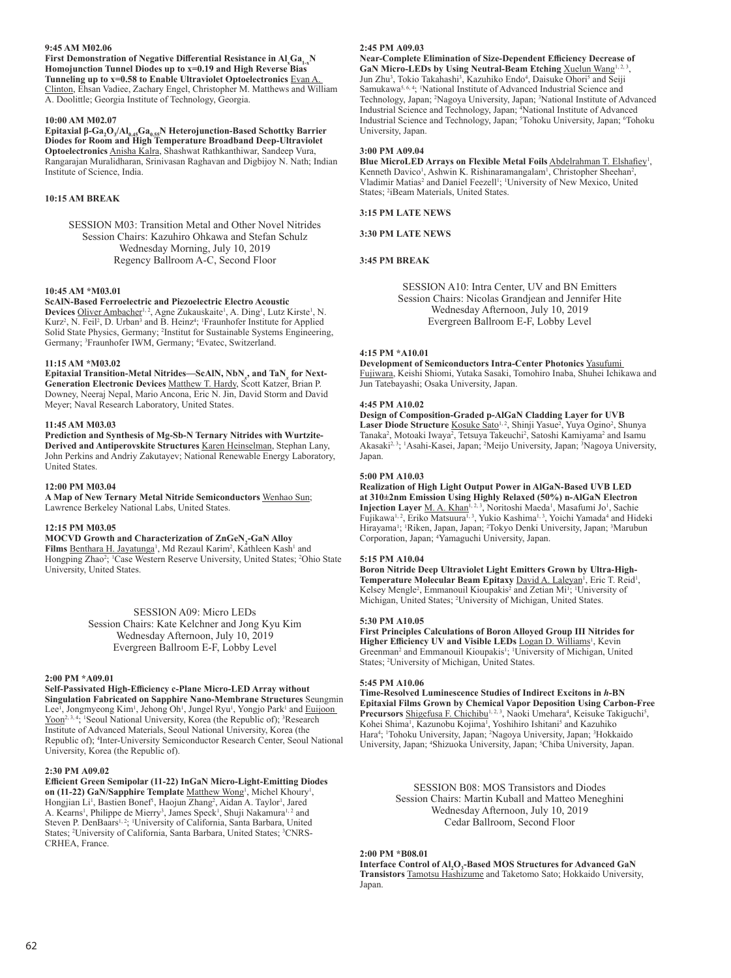## **9:45 AM M02.06**

**First Demonstration of Negative Differential Resistance in**  $\mathbf{Al}_{\mathrm{x}}\mathbf{Ga}_{\mathrm{1-x}}\mathbf{N}$ **Homojunction Tunnel Diodes up to x=0.19 and High Reverse Bias Tunneling up to x=0.58 to Enable Ultraviolet Optoelectronics** Evan A. Clinton, Ehsan Vadiee, Zachary Engel, Christopher M. Matthews and William A. Doolittle; Georgia Institute of Technology, Georgia.

## **10:00 AM M02.07**

**Epitaxial β-Ga<sup>2</sup> O3 /Al0.45Ga0.55N Heterojunction-Based Schottky Barrier Diodes for Room and High Temperature Broadband Deep-Ultraviolet Optoelectronics** Anisha Kalra, Shashwat Rathkanthiwar, Sandeep Vura, Rangarajan Muralidharan, Srinivasan Raghavan and Digbijoy N. Nath; Indian Institute of Science, India.

## **10:15 AM BREAK**

SESSION M03: Transition Metal and Other Novel Nitrides Session Chairs: Kazuhiro Ohkawa and Stefan Schulz Wednesday Morning, July 10, 2019 Regency Ballroom A-C, Second Floor

## **10:45 AM \*M03.01**

**ScAlN-Based Ferroelectric and Piezoelectric Electro Acoustic** 

Devices Oliver Ambacher<sup>1, 2</sup>, Agne Zukauskaite<sup>1</sup>, A. Ding<sup>1</sup>, Lutz Kirste<sup>1</sup>, N. Kurz<sup>2</sup>, N. Feil<sup>2</sup>, D. Urban<sup>3</sup> and B. Heinz<sup>4</sup>; <sup>1</sup>Fraunhofer Institute for Applied Solid State Physics, Germany; <sup>2</sup> Institut for Sustainable Systems Engineering, Germany; <sup>3</sup> Fraunhofer IWM, Germany; <sup>4</sup> Evatec, Switzerland.

## **11:15 AM \*M03.02**

**Epitaxial Transition-Metal Nitrides—ScAlN, NbN***<sup>x</sup>* **, and TaN***<sup>x</sup>* **for Next-Generation Electronic Devices** Matthew T. Hardy, Scott Katzer, Brian P. Downey, Neeraj Nepal, Mario Ancona, Eric N. Jin, David Storm and David Meyer; Naval Research Laboratory, United States.

#### **11:45 AM M03.03**

**Prediction and Synthesis of Mg-Sb-N Ternary Nitrides with Wurtzite-Derived and Antiperovskite Structures** Karen Heinselman, Stephan Lany, John Perkins and Andriy Zakutayev; National Renewable Energy Laboratory, United States.

## **12:00 PM M03.04**

**A Map of New Ternary Metal Nitride Semiconductors** Wenhao Sun; Lawrence Berkeley National Labs, United States.

#### **12:15 PM M03.05**

**MOCVD Growth and Characterization of ZnGeN<sub>2</sub>-GaN Alloy** 

Films **Benthara H. Jayatunga<sup>1</sup>, Md Rezaul Karim<sup>2</sup>, Kathleen Kash<sup>1</sup> and** Hongping Zhao<sup>2</sup>; <sup>1</sup>Case Western Reserve University, United States; <sup>2</sup>Ohio State University, United States.

> SESSION A09: Micro LEDs Session Chairs: Kate Kelchner and Jong Kyu Kim Wednesday Afternoon, July 10, 2019 Evergreen Ballroom E-F, Lobby Level

#### **2:00 PM \*A09.01**

**Self-Passivated High-Efficiency c-Plane Micro-LED Array without Singulation Fabricated on Sapphire Nano-Membrane Structures** Seungmin Lee<sup>1</sup>, Jongmyeong Kim<sup>1</sup>, Jehong Oh<sup>1</sup>, Jungel Ryu<sup>1</sup>, Yongjo Park<sup>1</sup> and Euijoon Yoon<sup>2, 3, 4</sup>; <sup>1</sup>Seoul National University, Korea (the Republic of); <sup>3</sup>Research Institute of Advanced Materials, Seoul National University, Korea (the Republic of); <sup>4</sup> Inter-University Semiconductor Research Center, Seoul National

#### **2:30 PM A09.02**

University, Korea (the Republic of).

**Efficient Green Semipolar (11-22) InGaN Micro-Light-Emitting Diodes**  on (11-22) GaN/Sapphire Template Matthew Wong<sup>1</sup>, Michel Khoury<sup>1</sup> , Hongjian Li<sup>1</sup>, Bastien Bonef<sup>1</sup>, Haojun Zhang<sup>2</sup>, Aidan A. Taylor<sup>1</sup>, Jared A. Kearns<sup>1</sup>, Philippe de Mierry<sup>3</sup>, James Speck<sup>1</sup>, Shuji Nakamura<sup>1,2</sup> and Steven P. DenBaars<sup>1, 2</sup>; <sup>1</sup>University of California, Santa Barbara, United States; <sup>2</sup>University of California, Santa Barbara, United States; <sup>3</sup>CNRS-CRHEA, France.

## **2:45 PM A09.03**

**Near-Complete Elimination of Size-Dependent Efficiency Decrease of**  GaN Micro-LEDs by Using Neutral-Beam Etching Xuelun Wang<sup>1, 2</sup> , Jun Zhu<sup>3</sup>, Tokio Takahashi<sup>3</sup>, Kazuhiko Endo<sup>4</sup>, Daisuke Ohori<sup>5</sup> and Seiji Samukawa<sup>5, 6, 4</sup>; <sup>1</sup>National Institute of Advanced Industrial Science and Technology, Japan; <sup>2</sup> Nagoya University, Japan; <sup>3</sup> National Institute of Advanced Industrial Science and Technology, Japan; <sup>4</sup> National Institute of Advanced Industrial Science and Technology, Japan; <sup>5</sup>Tohoku University, Japan; <sup>6</sup>Tohoku University, Japan.

## **3:00 PM A09.04**

Blue MicroLED Arrays on Flexible Metal Foils **Abdelrahman T. Elshafiey<sup>1</sup>**, Kenneth Davico<sup>1</sup>, Ashwin K. Rishinaramangalam<sup>1</sup>, Christopher Sheehan<sup>2</sup>, Vladimir Matias<sup>2</sup> and Daniel Feezell<sup>1</sup>; <sup>1</sup>University of New Mexico, United States; <sup>2</sup>iBeam Materials, United States.

## **3:15 PM LATE NEWS**

**3:30 PM LATE NEWS**

## **3:45 PM BREAK**

SESSION A10: Intra Center, UV and BN Emitters Session Chairs: Nicolas Grandjean and Jennifer Hite Wednesday Afternoon, July 10, 2019 Evergreen Ballroom E-F, Lobby Level

## **4:15 PM \*A10.01**

**Development of Semiconductors Intra-Center Photonics** Yasufumi Fujiwara, Keishi Shiomi, Yutaka Sasaki, Tomohiro Inaba, Shuhei Ichikawa and Jun Tatebayashi; Osaka University, Japan.

#### **4:45 PM A10.02**

**Design of Composition-Graded p-AlGaN Cladding Layer for UVB**  Laser Diode Structure Kosuke Sato<sup>1, 2</sup>, Shinji Yasue<sup>2</sup>, Yuya Ogino<sup>2</sup>, Shunya Tanaka<sup>2</sup>, Motoaki Iwaya<sup>2</sup>, Tetsuya Takeuchi<sup>2</sup>, Satoshi Kamiyama<sup>2</sup> and Isamu Akasaki<sup>2, 3</sup>; <sup>1</sup>Asahi-Kasei, Japan; <sup>2</sup>Meijo University, Japan; <sup>3</sup>Nagoya University, Japan.

#### **5:00 PM A10.03**

**Realization of High Light Output Power in AlGaN-Based UVB LED at 310±2nm Emission Using Highly Relaxed (50%) n-AlGaN Electron**  Injection Layer M. A. Khan<sup>1, 2, 3</sup>, Noritoshi Maeda<sup>1</sup>, Masafumi Jo<sup>1</sup>, Sachie Fujikawa<sup>1, 2</sup>, Eriko Matsuura<sup>1, 3</sup>, Yukio Kashima<sup>1, 3</sup>, Yoichi Yamada<sup>4</sup> and Hideki Hirayama<sup>1</sup>; <sup>1</sup>Riken, Japan, Japan; <sup>2</sup>Tokyo Denki University, Japan; <sup>3</sup>Marubun Corporation, Japan; <sup>4</sup> Yamaguchi University, Japan.

#### **5:15 PM A10.04**

**Boron Nitride Deep Ultraviolet Light Emitters Grown by Ultra-High-**Temperature Molecular Beam Epitaxy David A. Laleyan<sup>1</sup>, Eric T. Reid<sup>1</sup>, Kelsey Mengle<sup>2</sup>, Emmanouil Kioupakis<sup>2</sup> and Zetian Mi<sup>1</sup>; <sup>1</sup>University of Michigan, United States; <sup>2</sup> University of Michigan, United States.

#### **5:30 PM A10.05**

**First Principles Calculations of Boron Alloyed Group III Nitrides for**  Higher Efficiency UV and Visible LEDs Logan D. Williams<sup>1</sup>, Kevin Greenman<sup>2</sup> and Emmanouil Kioupakis<sup>1</sup>; <sup>1</sup>University of Michigan, United States; <sup>2</sup> University of Michigan, United States.

## **5:45 PM A10.06**

**Time-Resolved Luminescence Studies of Indirect Excitons in** *h***-BN Epitaxial Films Grown by Chemical Vapor Deposition Using Carbon-Free**  Precursors Shigefusa F. Chichibu<sup>1, 2, 3</sup>, Naoki Umehara<sup>4</sup>, Keisuke Takiguchi<sup>5</sup>, Kohei Shima<sup>1</sup>, Kazunobu Kojima<sup>1</sup>, Yoshihiro Ishitani<sup>5</sup> and Kazuhiko Hara<sup>4</sup>; 'Tohoku University, Japan; <sup>2</sup>Nagoya University, Japan; <sup>3</sup>Hokkaido University, Japan; <sup>4</sup>Shizuoka University, Japan; <sup>5</sup>Chiba University, Japan.

> SESSION B08: MOS Transistors and Diodes Session Chairs: Martin Kuball and Matteo Meneghini Wednesday Afternoon, July 10, 2019 Cedar Ballroom, Second Floor

## **2:00 PM \*B08.01**

Interface Control of Al<sub>2</sub>O<sub>3</sub>-Based MOS Structures for Advanced GaN **Transistors** Tamotsu Hashizume and Taketomo Sato; Hokkaido University, Japan.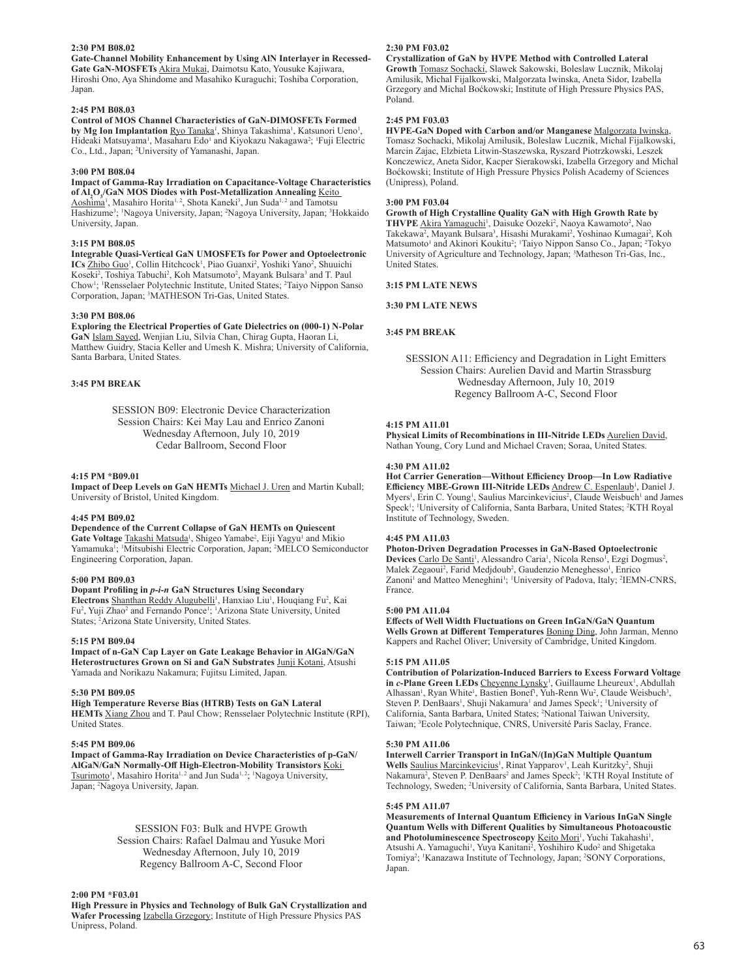## **2:30 PM B08.02**

**Gate-Channel Mobility Enhancement by Using AlN Interlayer in Recessed-Gate GaN-MOSFETs** Akira Mukai, Daimotsu Kato, Yousuke Kajiwara, Hiroshi Ono, Aya Shindome and Masahiko Kuraguchi; Toshiba Corporation, Japan.

#### **2:45 PM B08.03**

**Control of MOS Channel Characteristics of GaN-DIMOSFETs Formed**  by Mg Ion Implantation Ryo Tanaka<sup>1</sup>, Shinya Takashima<sup>1</sup>, Katsunori Ueno<sup>1</sup>, Hideaki Matsuyama<sup>1</sup>, Masaharu Edo<sup>1</sup> and Kiyokazu Nakagawa<sup>2</sup>; <sup>1</sup>Fuji Electric Co., Ltd., Japan; <sup>2</sup> University of Yamanashi, Japan.

#### **3:00 PM B08.04**

**Impact of Gamma-Ray Irradiation on Capacitance-Voltage Characteristics of Al2 O3 /GaN MOS Diodes with Post-Metallization Annealing** Keito Aoshima<sup>1</sup>, Masahiro Horita<sup>1, 2</sup>, Shota Kaneki<sup>3</sup>, Jun Suda<sup>1, 2</sup> and Tamotsu Hashizume<sup>3</sup>; <sup>1</sup>Nagoya University, Japan; <sup>2</sup>Nagoya University, Japan; <sup>3</sup>Hokkaido University, Japan.

## **3:15 PM B08.05**

**Integrable Quasi-Vertical GaN UMOSFETs for Power and Optoelectronic**  ICs Zhibo Guo<sup>1</sup>, Collin Hitchcock<sup>1</sup>, Piao Guanxi<sup>2</sup>, Yoshiki Yano<sup>2</sup>, Shuuichi Koseki<sup>2</sup>, Toshiya Tabuchi<sup>2</sup>, Koh Matsumoto<sup>2</sup>, Mayank Bulsara<sup>3</sup> and T. Paul Chow<sup>1</sup>; <sup>1</sup>Rensselaer Polytechnic Institute, United States; <sup>2</sup>Taiyo Nippon Sanso Corporation, Japan; <sup>3</sup> MATHESON Tri-Gas, United States.

#### **3:30 PM B08.06**

**Exploring the Electrical Properties of Gate Dielectrics on (000-1) N-Polar GaN** Islam Sayed, Wenjian Liu, Silvia Chan, Chirag Gupta, Haoran Li, Matthew Guidry, Stacia Keller and Umesh K. Mishra; University of California, Santa Barbara, United States.

## **3:45 PM BREAK**

SESSION B09: Electronic Device Characterization Session Chairs: Kei May Lau and Enrico Zanoni Wednesday Afternoon, July 10, 2019 Cedar Ballroom, Second Floor

#### **4:15 PM \*B09.01**

**Impact of Deep Levels on GaN HEMTs** Michael J. Uren and Martin Kuball; University of Bristol, United Kingdom.

#### **4:45 PM B09.02**

**Dependence of the Current Collapse of GaN HEMTs on Quiescent** 

Gate Voltage **Takashi Matsuda<sup>1</sup>, Shigeo Yamabe<sup>2</sup>, Eiji Yagyu<sup>1</sup> and Mikio** Yamamuka<sup>1</sup>; <sup>1</sup>Mitsubishi Electric Corporation, Japan; <sup>2</sup>MELCO Semiconductor Engineering Corporation, Japan.

#### **5:00 PM B09.03**

**Dopant Profiling in** *p-i-n* **GaN Structures Using Secondary**  Electrons Shanthan Reddy Alugubelli<sup>1</sup>, Hanxiao Liu<sup>1</sup>, Houqiang Fu<sup>2</sup>, Kai Fu<sup>2</sup>, Yuji Zhao<sup>2</sup> and Fernando Ponce<sup>1</sup>; <sup>1</sup>Arizona State University, United States; <sup>2</sup> Arizona State University, United States.

#### **5:15 PM B09.04**

**Impact of n-GaN Cap Layer on Gate Leakage Behavior in AlGaN/GaN Heterostructures Grown on Si and GaN Substrates** Junji Kotani, Atsushi Yamada and Norikazu Nakamura; Fujitsu Limited, Japan.

#### **5:30 PM B09.05**

**High Temperature Reverse Bias (HTRB) Tests on GaN Lateral HEMTs** Xiang Zhou and T. Paul Chow; Rensselaer Polytechnic Institute (RPI), United States.

## **5:45 PM B09.06**

**Impact of Gamma-Ray Irradiation on Device Characteristics of p-GaN/ AlGaN/GaN Normally-Off High-Electron-Mobility Transistors** Koki Tsurimoto<sup>1</sup>, Masahiro Horita<sup>1, 2</sup> and Jun Suda<sup>1, 2</sup>; <sup>1</sup>Nagoya University, Japan; <sup>2</sup> Nagoya University, Japan.

## SESSION F03: Bulk and HVPE Growth Session Chairs: Rafael Dalmau and Yusuke Mori Wednesday Afternoon, July 10, 2019 Regency Ballroom A-C, Second Floor

#### **2:00 PM \*F03.01**

**High Pressure in Physics and Technology of Bulk GaN Crystallization and Wafer Processing** Izabella Grzegory; Institute of High Pressure Physics PAS Unipress, Poland.

## **2:30 PM F03.02**

**Crystallization of GaN by HVPE Method with Controlled Lateral Growth** Tomasz Sochacki, Slawek Sakowski, Boleslaw Lucznik, Mikolaj Amilusik, Michal Fijalkowski, Malgorzata Iwinska, Aneta Sidor, Izabella Grzegory and Michal Boćkowski; Institute of High Pressure Physics PAS, Poland.

## **2:45 PM F03.03**

**HVPE-GaN Doped with Carbon and/or Manganese** Malgorzata Iwinska, Tomasz Sochacki, Mikolaj Amilusik, Boleslaw Lucznik, Michal Fijalkowski, Marcin Zajac, Elzbieta Litwin-Staszewska, Ryszard Piotrzkowski, Leszek Konczewicz, Aneta Sidor, Kacper Sierakowski, Izabella Grzegory and Michal Boćkowski; Institute of High Pressure Physics Polish Academy of Sciences (Unipress), Poland.

## **3:00 PM F03.04**

**Growth of High Crystalline Quality GaN with High Growth Rate by**  THVPE Akira Yamaguchi<sup>1</sup>, Daisuke Oozeki<sup>2</sup>, Naoya Kawamoto<sup>2</sup>, Nao Takekawa<sup>2</sup>, Mayank Bulsara<sup>3</sup>, Hisashi Murakami<sup>2</sup>, Yoshinao Kumagai<sup>2</sup>, Koh Matsumoto<sup>1</sup> and Akinori Koukitu<sup>2</sup>; <sup>1</sup>Taiyo Nippon Sanso Co., Japan; <sup>2</sup>Tokyo University of Agriculture and Technology, Japan; <sup>3</sup>Matheson Tri-Gas, Inc., United States.

#### **3:15 PM LATE NEWS**

**3:30 PM LATE NEWS**

## **3:45 PM BREAK**

SESSION A11: Efficiency and Degradation in Light Emitters Session Chairs: Aurelien David and Martin Strassburg Wednesday Afternoon, July 10, 2019 Regency Ballroom A-C, Second Floor

## **4:15 PM A11.01**

**Physical Limits of Recombinations in III-Nitride LEDs Aurelien David,** Nathan Young, Cory Lund and Michael Craven; Soraa, United States.

#### **4:30 PM A11.02**

**Hot Carrier Generation—Without Efficiency Droop—In Low Radiative**  Efficiency MBE-Grown III-Nitride LEDs Andrew C. Espenlaub<sup>1</sup>, Daniel J. Myers<sup>1</sup>, Erin C. Young<sup>1</sup>, Saulius Marcinkevicius<sup>2</sup>, Claude Weisbuch<sup>1</sup> and James Speck<sup>1</sup>; <sup>1</sup>University of California, Santa Barbara, United States; <sup>2</sup>KTH Royal Institute of Technology, Sweden.

## **4:45 PM A11.03**

**Photon-Driven Degradation Processes in GaN-Based Optoelectronic**  Devices Carlo De Santi<sup>1</sup>, Alessandro Caria<sup>1</sup>, Nicola Renso<sup>1</sup>, Ezgi Dogmus<sup>2</sup>, Malek Zegaoui<sup>2</sup>, Farid Medjdoub<sup>2</sup>, Gaudenzio Meneghesso<sup>1</sup>, Enrico Zanoni<sup>1</sup> and Matteo Meneghini<sup>1</sup>; <sup>1</sup>University of Padova, Italy; <sup>2</sup>IEMN-CNRS, France.

## **5:00 PM A11.04**

**Effects of Well Width Fluctuations on Green InGaN/GaN Quantum Wells Grown at Different Temperatures** Boning Ding, John Jarman, Menno Kappers and Rachel Oliver; University of Cambridge, United Kingdom.

#### **5:15 PM A11.05**

**Contribution of Polarization-Induced Barriers to Excess Forward Voltage**  in c-Plane Green LEDs Cheyenne Lynsky<sup>1</sup>, Guillaume Lheureux<sup>1</sup>, Abdullah Alhassan<sup>1</sup>, Ryan White<sup>1</sup>, Bastien Bonef<sup>1</sup>, Yuh-Renn Wu<sup>2</sup>, Claude Weisbuch<sup>3</sup>, Steven P. DenBaars<sup>1</sup>, Shuji Nakamura<sup>1</sup> and James Speck<sup>1</sup>; <sup>1</sup>University of California, Santa Barbara, United States; <sup>2</sup> National Taiwan University, Taiwan; <sup>3</sup> Ecole Polytechnique, CNRS, Université Paris Saclay, France.

## **5:30 PM A11.06**

**Interwell Carrier Transport in InGaN/(In)GaN Multiple Quantum**  Wells Saulius Marcinkevicius<sup>1</sup>, Rinat Yapparov<sup>1</sup>, Leah Kuritzky<sup>2</sup>, Shuji Nakamura<sup>2</sup>, Steven P. DenBaars<sup>2</sup> and James Speck<sup>2</sup>; <sup>1</sup>KTH Royal Institute of Technology, Sweden; <sup>2</sup> University of California, Santa Barbara, United States.

#### **5:45 PM A11.07**

**Measurements of Internal Quantum Efficiency in Various InGaN Single Quantum Wells with Different Qualities by Simultaneous Photoacoustic**  and Photoluminescence Spectroscopy Keito Mori<sup>1</sup>, Yuchi Takahashi<sup>1</sup>, Atsushi A. Yamaguchi<sup>1</sup>, Yuya Kanitani<sup>2</sup>, Yoshihiro Kudo<sup>2</sup> and Shigetaka Tomiya<sup>2</sup>; <sup>1</sup>Kanazawa Institute of Technology, Japan; <sup>2</sup>SONY Corporations, Japan.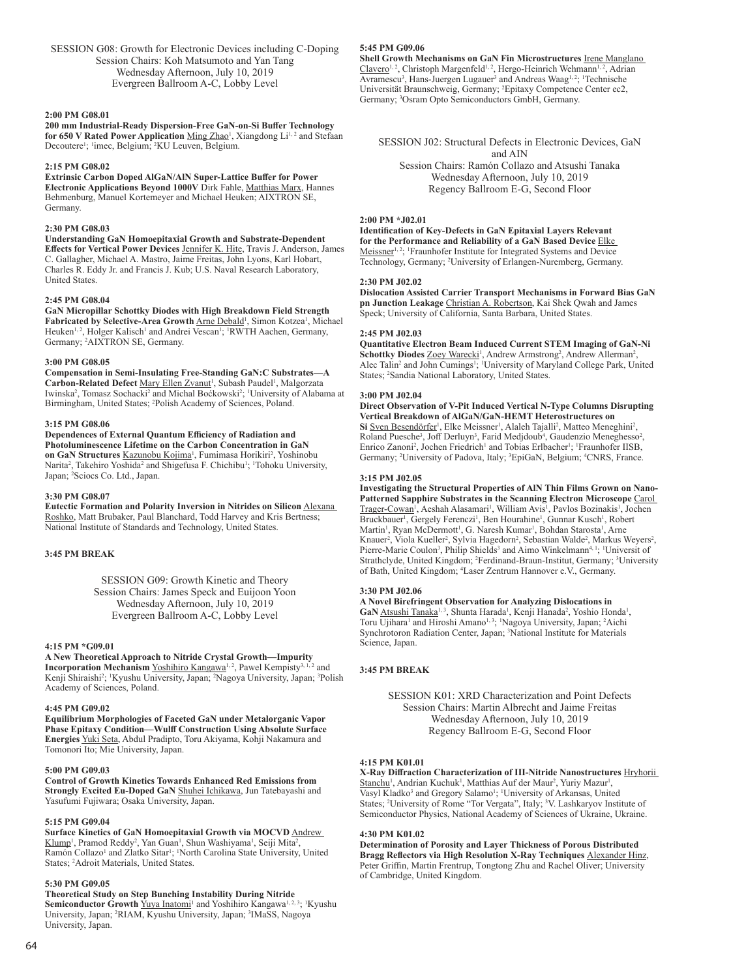SESSION G08: Growth for Electronic Devices including C-Doping Session Chairs: Koh Matsumoto and Yan Tang Wednesday Afternoon, July 10, 2019 Evergreen Ballroom A-C, Lobby Level

## **2:00 PM G08.01**

**200 mm Industrial-Ready Dispersion-Free GaN-on-Si Buffer Technology**  for 650 V Rated Power Application Ming Zhao<sup>1</sup>, Xiangdong Li<sup>1,2</sup> and Stefaan Decoutere<sup>1</sup>; <sup>1</sup>imec, Belgium; <sup>2</sup>KU Leuven, Belgium.

#### **2:15 PM G08.02**

**Extrinsic Carbon Doped AlGaN/AlN Super-Lattice Buffer for Power Electronic Applications Beyond 1000V** Dirk Fahle, Matthias Marx, Hannes Behmenburg, Manuel Kortemeyer and Michael Heuken; AIXTRON SE, Germany.

#### **2:30 PM G08.03**

**Understanding GaN Homoepitaxial Growth and Substrate-Dependent**  Effects for Vertical Power Devices Jennifer K. Hite, Travis J. Anderson, James C. Gallagher, Michael A. Mastro, Jaime Freitas, John Lyons, Karl Hobart, Charles R. Eddy Jr. and Francis J. Kub; U.S. Naval Research Laboratory, United States.

## **2:45 PM G08.04**

**GaN Micropillar Schottky Diodes with High Breakdown Field Strength**  Fabricated by Selective-Area Growth **Arne Debald<sup>1</sup>, Simon Kotzea<sup>1</sup>, Michael** Heuken<sup>1, 2</sup>, Holger Kalisch<sup>1</sup> and Andrei Vescan<sup>1</sup>; <sup>1</sup>RWTH Aachen, Germany, Germany; <sup>2</sup> AIXTRON SE, Germany.

#### **3:00 PM G08.05**

**Compensation in Semi-Insulating Free-Standing GaN:C Substrates—A**  Carbon-Related Defect Mary Ellen Zvanut<sup>1</sup>, Subash Paudel<sup>1</sup>, Malgorzata Iwinska<sup>2</sup>, Tomasz Sochacki<sup>2</sup> and Michal Boćkowski<sup>2</sup>; <sup>1</sup>University of Alabama at Birmingham, United States; <sup>2</sup> Polish Academy of Sciences, Poland.

#### **3:15 PM G08.06**

**Dependences of External Quantum Efficiency of Radiation and Photoluminescence Lifetime on the Carbon Concentration in GaN**  on GaN Structures **Kazunobu Kojima<sup>1</sup>, Fumimasa Horikiri<sup>2</sup>, Yoshinobu** Narita<sup>2</sup>, Takehiro Yoshida<sup>2</sup> and Shigefusa F. Chichibu<sup>1</sup>; <sup>1</sup>Tohoku University, Japan; <sup>2</sup>Sciocs Co. Ltd., Japan.

## **3:30 PM G08.07**

**Eutectic Formation and Polarity Inversion in Nitrides on Silicon** Alexana Roshko, Matt Brubaker, Paul Blanchard, Todd Harvey and Kris Bertness; National Institute of Standards and Technology, United States.

## **3:45 PM BREAK**

SESSION G09: Growth Kinetic and Theory Session Chairs: James Speck and Euijoon Yoon Wednesday Afternoon, July 10, 2019 Evergreen Ballroom A-C, Lobby Level

#### **4:15 PM \*G09.01**

**A New Theoretical Approach to Nitride Crystal Growth—Impurity Incorporation Mechanism** Yoshihiro Kangawa<sup>1, 2</sup>, Pawel Kempisty<sup>3, 1, 2</sup> and Kenji Shiraishi<sup>2</sup>; *'Kyushu University, Japan; <sup>2</sup>Nagoya University, Japan; <sup>3</sup>Polish* Academy of Sciences, Poland.

#### **4:45 PM G09.02**

**Equilibrium Morphologies of Faceted GaN under Metalorganic Vapor Phase Epitaxy Condition—Wulff Construction Using Absolute Surface Energies** Yuki Seta, Abdul Pradipto, Toru Akiyama, Kohji Nakamura and Tomonori Ito; Mie University, Japan.

#### **5:00 PM G09.03**

**Control of Growth Kinetics Towards Enhanced Red Emissions from Strongly Excited Eu-Doped GaN** Shuhei Ichikawa, Jun Tatebayashi and Yasufumi Fujiwara; Osaka University, Japan.

## **5:15 PM G09.04**

**Surface Kinetics of GaN Homoepitaxial Growth via MOCVD** Andrew Klump<sup>1</sup>, Pramod Reddy<sup>2</sup>, Yan Guan<sup>1</sup>, Shun Washiyama<sup>1</sup>, Seiji Mita<sup>2</sup>, Ramón Collazo<sup>1</sup> and Zlatko Sitar<sup>1</sup>; <sup>1</sup>North Carolina State University, United States; <sup>2</sup> Adroit Materials, United States.

#### **5:30 PM G09.05**

**Theoretical Study on Step Bunching Instability During Nitride** 

Semiconductor Growth **Yuya Inatomi**<sup>1</sup> and Yoshihiro Kangawa<sup>1, 2, 3</sup>; <sup>1</sup>Kyushu University, Japan; <sup>2</sup>RIAM, Kyushu University, Japan; <sup>3</sup>IMaSS, Nagoya University, Japan.

## **5:45 PM G09.06**

**Shell Growth Mechanisms on GaN Fin Microstructures** Irene Manglano Clavero<sup>1, 2</sup>, Christoph Margenfeld<sup>1, 2</sup>, Hergo-Heinrich Wehmann<sup>1, 2</sup>, Adrian Avramescu<sup>3</sup>, Hans-Juergen Lugauer<sup>3</sup> and Andreas Waag<sup>1,2</sup>; <sup>1</sup>Technische Universität Braunschweig, Germany; <sup>2</sup> Epitaxy Competence Center ec2, Germany; <sup>3</sup>Osram Opto Semiconductors GmbH, Germany.

SESSION J02: Structural Defects in Electronic Devices, GaN and AIN Session Chairs: Ramón Collazo and Atsushi Tanaka Wednesday Afternoon, July 10, 2019 Regency Ballroom E-G, Second Floor

## **2:00 PM \*J02.01**

**Identification of Key-Defects in GaN Epitaxial Layers Relevant for the Performance and Reliability of a GaN Based Device** Elke Meissner<sup>1, 2</sup>; <sup>1</sup>Fraunhofer Institute for Integrated Systems and Device Technology, Germany; <sup>2</sup> University of Erlangen-Nuremberg, Germany.

## **2:30 PM J02.02**

**Dislocation Assisted Carrier Transport Mechanisms in Forward Bias GaN pn Junction Leakage** Christian A. Robertson, Kai Shek Qwah and James Speck; University of California, Santa Barbara, United States.

#### **2:45 PM J02.03**

**Quantitative Electron Beam Induced Current STEM Imaging of GaN-Ni**  Schottky Diodes Zoey Warecki<sup>1</sup>, Andrew Armstrong<sup>2</sup>, Andrew Allerman<sup>2</sup>, Alec Talin<sup>2</sup> and John Cumings<sup>1</sup>; <sup>1</sup>University of Maryland College Park, United States; <sup>2</sup>Sandia National Laboratory, United States.

## **3:00 PM J02.04**

**Direct Observation of V-Pit Induced Vertical N-Type Columns Disrupting Vertical Breakdown of AlGaN/GaN-HEMT Heterostructures on**  Si Sven Besendörfer<sup>1</sup>, Elke Meissner<sup>1</sup>, Alaleh Tajalli<sup>2</sup>, Matteo Meneghini<sup>2</sup>, Roland Puesche<sup>3</sup>, Joff Derluyn<sup>3</sup>, Farid Medjdoub<sup>4</sup>, Gaudenzio Meneghesso<sup>2</sup>, Enrico Zanoni<sup>2</sup>, Jochen Friedrich<sup>1</sup> and Tobias Erlbacher<sup>1</sup>; <sup>1</sup>Fraunhofer IISB, Germany; <sup>2</sup>University of Padova, Italy; <sup>3</sup>EpiGaN, Belgium; <sup>4</sup>CNRS, France.

#### **3:15 PM J02.05**

**Investigating the Structural Properties of AlN Thin Films Grown on Nano-Patterned Sapphire Substrates in the Scanning Electron Microscope** Carol Trager-Cowan<sup>1</sup>, Aeshah Alasamari<sup>1</sup>, William Avis<sup>1</sup>, Pavlos Bozinakis<sup>1</sup>, Jochen Bruckbauer<sup>1</sup>, Gergely Ferenczi<sup>1</sup>, Ben Hourahine<sup>1</sup>, Gunnar Kusch<sup>1</sup>, Robert Martin<sup>1</sup>, Ryan McDermott<sup>1</sup>, G. Naresh Kumar<sup>1</sup>, Bohdan Starosta<sup>1</sup>, Arne Knauer<sup>2</sup>, Viola Kueller<sup>2</sup>, Sylvia Hagedorn<sup>2</sup>, Sebastian Walde<sup>2</sup>, Markus Weyers<sup>2</sup>, Pierre-Marie Coulon<sup>3</sup>, Philip Shields<sup>3</sup> and Aimo Winkelmann<sup>4, 1</sup>; <sup>1</sup>Universit of Strathclyde, United Kingdom; <sup>2</sup> Ferdinand-Braun-Institut, Germany; <sup>3</sup> University of Bath, United Kingdom; <sup>4</sup> Laser Zentrum Hannover e.V., Germany.

#### **3:30 PM J02.06**

**A Novel Birefringent Observation for Analyzing Dislocations in**  GaN Atsushi Tanaka<sup>1, 3</sup>, Shunta Harada<sup>1</sup>, Kenji Hanada<sup>2</sup>, Yoshio Honda<sup>1</sup>, Toru Ujihara<sup>1</sup> and Hiroshi Amano<sup>1, 3</sup>; <sup>1</sup>Nagoya University, Japan; <sup>2</sup>Aichi Synchrotoron Radiation Center, Japan; <sup>3</sup> National Institute for Materials Science, Japan.

## **3:45 PM BREAK**

SESSION K01: XRD Characterization and Point Defects Session Chairs: Martin Albrecht and Jaime Freitas Wednesday Afternoon, July 10, 2019 Regency Ballroom E-G, Second Floor

## **4:15 PM K01.01**

**X-Ray Diffraction Characterization of III-Nitride Nanostructures** Hryhorii Stanchu<sup>1</sup>, Andrian Kuchuk<sup>1</sup>, Matthias Auf der Maur<sup>2</sup>, Yuriy Mazur<sup>1</sup>, Vasyl Kladko<sup>3</sup> and Gregory Salamo<sup>1</sup>; <sup>1</sup>University of Arkansas, United States; <sup>2</sup>University of Rome "Tor Vergata", Italy; <sup>3</sup>V. Lashkaryov Institute of Semiconductor Physics, National Academy of Sciences of Ukraine, Ukraine.

#### **4:30 PM K01.02**

**Determination of Porosity and Layer Thickness of Porous Distributed Bragg Reflectors via High Resolution X-Ray Techniques** Alexander Hinz, Peter Griffin, Martin Frentrup, Tongtong Zhu and Rachel Oliver; University of Cambridge, United Kingdom.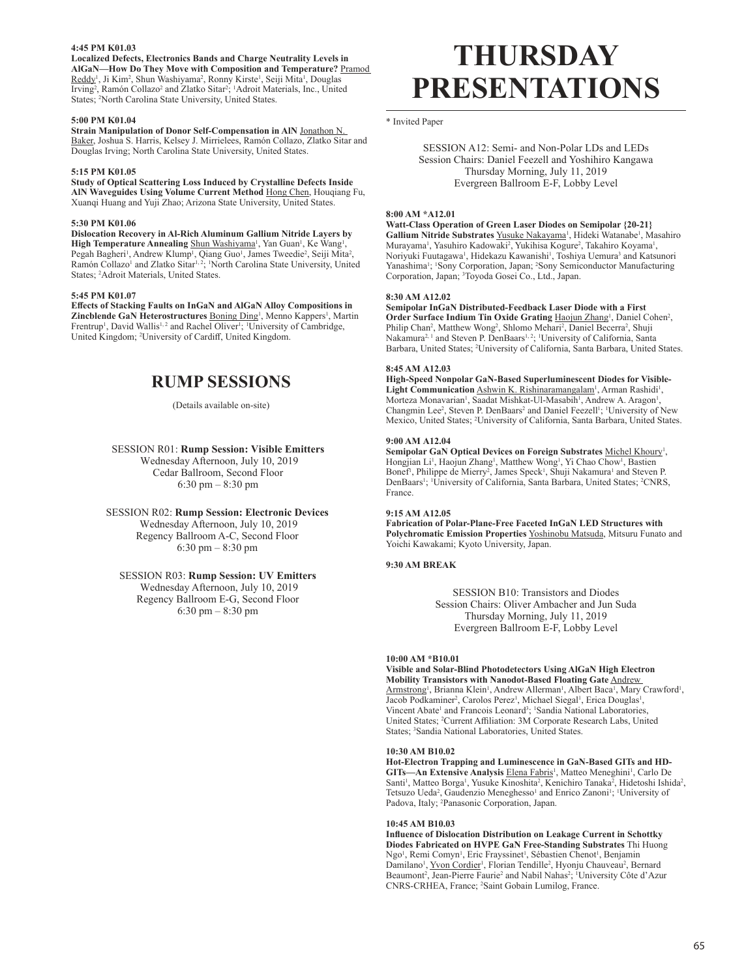## **4:45 PM K01.03**

**Localized Defects, Electronics Bands and Charge Neutrality Levels in AlGaN—How Do They Move with Composition and Temperature?** Pramod Reddy<sup>1</sup>, Ji Kim<sup>2</sup>, Shun Washiyama<sup>2</sup>, Ronny Kirste<sup>1</sup>, Seiji Mita<sup>1</sup>, Douglas Irving<sup>2</sup>, Ramón Collazo<sup>2</sup> and Zlatko Sitar<sup>2</sup>; <sup>1</sup>Adroit Materials, Inc., United States; <sup>2</sup> North Carolina State University, United States.

## **5:00 PM K01.04**

**Strain Manipulation of Donor Self-Compensation in AlN** Jonathon N. Baker, Joshua S. Harris, Kelsey J. Mirrielees, Ramón Collazo, Zlatko Sitar and Douglas Irving; North Carolina State University, United States.

#### **5:15 PM K01.05**

**Study of Optical Scattering Loss Induced by Crystalline Defects Inside AlN Waveguides Using Volume Current Method** Hong Chen, Houqiang Fu, Xuanqi Huang and Yuji Zhao; Arizona State University, United States.

#### **5:30 PM K01.06**

**Dislocation Recovery in Al-Rich Aluminum Gallium Nitride Layers by**  High Temperature Annealing Shun Washiyama<sup>1</sup>, Yan Guan<sup>1</sup>, Ke Wang<sup>1</sup>, Pegah Bagheri<sup>1</sup>, Andrew Klump<sup>1</sup>, Qiang Guo<sup>1</sup>, James Tweedie<sup>2</sup>, Seiji Mita<sup>2</sup>, Ramón Collazo<sup>1</sup> and Zlatko Sitar<sup>1, 2</sup>; <sup>1</sup>North Carolina State University, United States; <sup>2</sup> Adroit Materials, United States.

#### **5:45 PM K01.07**

**Effects of Stacking Faults on InGaN and AlGaN Alloy Compositions in**  Zincblende GaN Heterostructures **Boning Ding<sup>1</sup>**, Menno Kappers<sup>1</sup>, Martin Frentrup<sup>1</sup>, David Wallis<sup>1,2</sup> and Rachel Oliver<sup>1</sup>; <sup>1</sup>University of Cambridge, United Kingdom; <sup>2</sup> University of Cardiff, United Kingdom.

# **RUMP SESSIONS**

#### (Details available on-site)

SESSION R01: **Rump Session: Visible Emitters** Wednesday Afternoon, July 10, 2019 Cedar Ballroom, Second Floor 6:30 pm – 8:30 pm

SESSION R02: **Rump Session: Electronic Devices** Wednesday Afternoon, July 10, 2019 Regency Ballroom A-C, Second Floor 6:30 pm – 8:30 pm

## SESSION R03: **Rump Session: UV Emitters**

Wednesday Afternoon, July 10, 2019 Regency Ballroom E-G, Second Floor 6:30 pm – 8:30 pm

# **THURSDAY PRESENTATIONS**

\* Invited Paper

SESSION A12: Semi- and Non-Polar LDs and LEDs Session Chairs: Daniel Feezell and Yoshihiro Kangawa Thursday Morning, July 11, 2019 Evergreen Ballroom E-F, Lobby Level

#### **8:00 AM \*A12.01**

**Watt-Class Operation of Green Laser Diodes on Semipolar {20-21}**  Gallium Nitride Substrates Yusuke Nakayama<sup>1</sup>, Hideki Watanabe<sup>1</sup>, Masahiro Murayama<sup>1</sup>, Yasuhiro Kadowaki<sup>2</sup>, Yukihisa Kogure<sup>2</sup>, Takahiro Koyama<sup>1</sup>, Noriyuki Fuutagawa<sup>1</sup>, Hidekazu Kawanishi<sup>1</sup>, Toshiya Uemura<sup>3</sup> and Katsunori Yanashima<sup>1</sup>; <sup>1</sup>Sony Corporation, Japan; <sup>2</sup>Sony Semiconductor Manufacturing Corporation, Japan; <sup>3</sup> Toyoda Gosei Co., Ltd., Japan.

#### **8:30 AM A12.02**

**Semipolar InGaN Distributed-Feedback Laser Diode with a First**  Order Surface Indium Tin Oxide Grating Haojun Zhang<sup>1</sup>, Daniel Cohen<sup>2</sup>, Philip Chan<sup>2</sup>, Matthew Wong<sup>2</sup>, Shlomo Mehari<sup>2</sup>, Daniel Becerra<sup>2</sup>, Shuji Nakamura<sup>2, 1</sup> and Steven P. DenBaars<sup>1, 2</sup>; <sup>1</sup>University of California, Santa Barbara, United States; <sup>2</sup> University of California, Santa Barbara, United States.

## **8:45 AM A12.03**

**High-Speed Nonpolar GaN-Based Superluminescent Diodes for Visible-**Light Communication Ashwin K. Rishinaramangalam<sup>1</sup>, Arman Rashidi<sup>1</sup>, Morteza Monavarian<sup>1</sup>, Saadat Mishkat-Ul-Masabih<sup>1</sup>, Andrew A. Aragon<sup>1</sup>, Changmin Lee<sup>2</sup>, Steven P. DenBaars<sup>2</sup> and Daniel Feezell<sup>1</sup>; <sup>1</sup>University of New Mexico, United States; <sup>2</sup> University of California, Santa Barbara, United States.

#### **9:00 AM A12.04**

Semipolar GaN Optical Devices on Foreign Substrates **Michel Khoury<sup>1</sup>**, Hongjian Li<sup>1</sup>, Haojun Zhang<sup>1</sup>, Matthew Wong<sup>1</sup>, Yi Chao Chow<sup>1</sup>, Bastien Bonef<sup>1</sup>, Philippe de Mierry<sup>2</sup>, James Speck<sup>1</sup>, Shuji Nakamura<sup>1</sup> and Steven P. DenBaars<sup>1</sup>; <sup>1</sup>University of California, Santa Barbara, United States; <sup>2</sup>CNRS, France.

#### **9:15 AM A12.05**

**Fabrication of Polar-Plane-Free Faceted InGaN LED Structures with Polychromatic Emission Properties** Yoshinobu Matsuda, Mitsuru Funato and Yoichi Kawakami; Kyoto University, Japan.

## **9:30 AM BREAK**

SESSION B10: Transistors and Diodes Session Chairs: Oliver Ambacher and Jun Suda Thursday Morning, July 11, 2019 Evergreen Ballroom E-F, Lobby Level

#### **10:00 AM \*B10.01**

**Visible and Solar-Blind Photodetectors Using AlGaN High Electron Mobility Transistors with Nanodot-Based Floating Gate** Andrew Armstrong<sup>1</sup>, Brianna Klein<sup>1</sup>, Andrew Allerman<sup>1</sup>, Albert Baca<sup>1</sup>, Mary Crawford<sup>1</sup>, Jacob Podkaminer<sup>2</sup>, Carolos Perez<sup>1</sup>, Michael Siegal<sup>1</sup>, Erica Douglas<sup>1</sup>, Vincent Abate<sup>1</sup> and Francois Leonard<sup>3</sup>; <sup>1</sup>Sandia National Laboratories, United States; <sup>2</sup> Current Affiliation: 3M Corporate Research Labs, United States; <sup>3</sup>Sandia National Laboratories, United States.

#### **10:30 AM B10.02**

**Hot-Electron Trapping and Luminescence in GaN-Based GITs and HD-**GITs—An Extensive Analysis Elena Fabris<sup>1</sup>, Matteo Meneghini<sup>1</sup>, Carlo De Santi<sup>1</sup>, Matteo Borga<sup>1</sup>, Yusuke Kinoshita<sup>2</sup>, Kenichiro Tanaka<sup>2</sup>, Hidetoshi Ishida<sup>2</sup>, Tetsuzo Ueda<sup>2</sup>, Gaudenzio Meneghesso<sup>1</sup> and Enrico Zanoni<sup>1</sup>; <sup>1</sup>University of Padova, Italy; <sup>2</sup>Panasonic Corporation, Japan.

#### **10:45 AM B10.03**

**Influence of Dislocation Distribution on Leakage Current in Schottky Diodes Fabricated on HVPE GaN Free-Standing Substrates** Thi Huong Ngo<sup>1</sup>, Remi Comyn<sup>1</sup>, Eric Frayssinet<sup>1</sup>, Sébastien Chenot<sup>1</sup>, Benjamin Damilano<sup>1</sup>, <u>Yvon Cordier</u><sup>1</sup>, Florian Tendille<sup>2</sup>, Hyonju Chauveau<sup>2</sup>, Bernard Beaumont<sup>2</sup>, Jean-Pierre Faurie<sup>2</sup> and Nabil Nahas<sup>2</sup>; <sup>1</sup>University Côte d'Azur CNRS-CRHEA, France; <sup>2</sup> Saint Gobain Lumilog, France.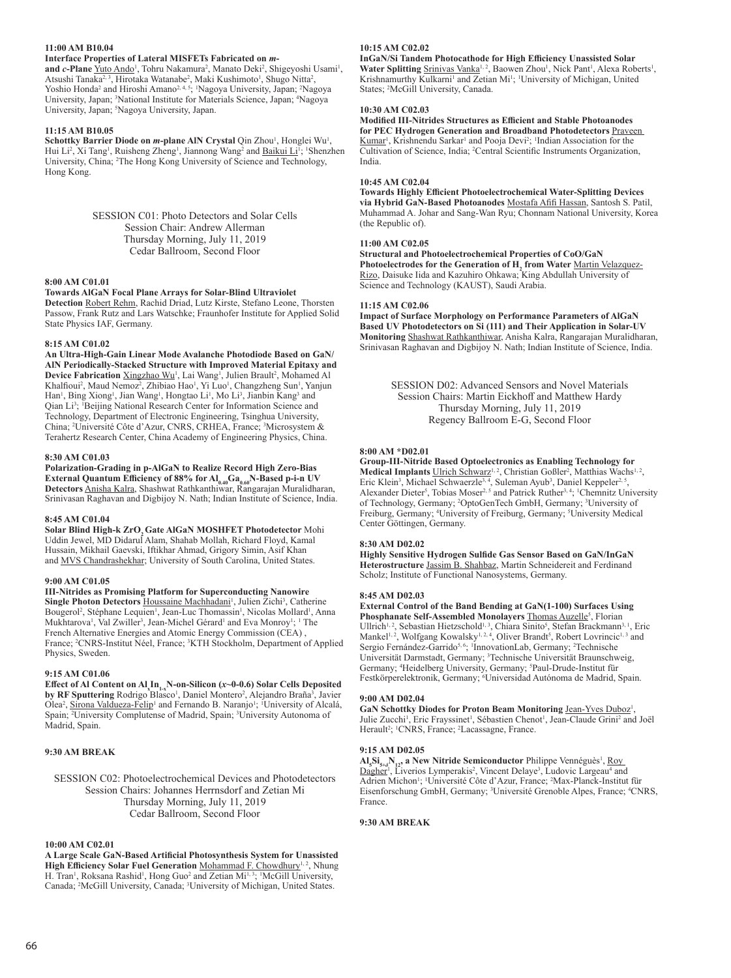## **11:00 AM B10.04**

## **Interface Properties of Lateral MISFETs Fabricated on** *m***-**

and *c*-Plane Yuto Ando<sup>1</sup>, Tohru Nakamura<sup>2</sup>, Manato Deki<sup>2</sup>, Shigeyoshi Usami<sup>1</sup>, Atsushi Tanaka<sup>2, 3</sup>, Hirotaka Watanabe<sup>2</sup>, Maki Kushimoto<sup>1</sup>, Shugo Nitta<sup>2</sup>, Yoshio Honda<sup>2</sup> and Hiroshi Amano<sup>2, 4, 5</sup>; <sup>1</sup>Nagoya University, Japan; <sup>2</sup>Nagoya University, Japan; <sup>3</sup>National Institute for Materials Science, Japan; <sup>4</sup>Nagoya University, Japan; <sup>5</sup>Nagoya University, Japan.

## **11:15 AM B10.05**

Schottky Barrier Diode on *m*-plane AIN Crystal Qin Zhou<sup>1</sup>, Honglei Wu<sup>1</sup>, Hui Li<sup>2</sup>, Xi Tang<sup>1</sup>, Ruisheng Zheng<sup>1</sup>, Jiannong Wang<sup>2</sup> and **Baikui Li**<sup>1</sup>; <sup>1</sup>Shenzhen University, China; <sup>2</sup>The Hong Kong University of Science and Technology, Hong Kong.

> SESSION C01: Photo Detectors and Solar Cells Session Chair: Andrew Allerman Thursday Morning, July 11, 2019 Cedar Ballroom, Second Floor

#### **8:00 AM C01.01**

## **Towards AlGaN Focal Plane Arrays for Solar-Blind Ultraviolet**

**Detection** Robert Rehm, Rachid Driad, Lutz Kirste, Stefano Leone, Thorsten Passow, Frank Rutz and Lars Watschke; Fraunhofer Institute for Applied Solid State Physics IAF, Germany.

#### **8:15 AM C01.02**

**An Ultra-High-Gain Linear Mode Avalanche Photodiode Based on GaN/ AlN Periodically-Stacked Structure with Improved Material Epitaxy and**  Device Fabrication **Xingzhao Wu<sup>1</sup>, Lai Wang<sup>1</sup>, Julien Brault<sup>2</sup>, Mohamed Al** Khalfioui<sup>2</sup>, Maud Nemoz<sup>2</sup>, Zhibiao Hao<sup>1</sup>, Yi Luo<sup>1</sup>, Changzheng Sun<sup>1</sup>, Yanjun Han<sup>1</sup>, Bing Xiong<sup>1</sup>, Jian Wang<sup>1</sup>, Hongtao Li<sup>1</sup>, Mo Li<sup>3</sup>, Jianbin Kang<sup>3</sup> and Qian Li<sup>3</sup>; <sup>1</sup>Beijing National Research Center for Information Science and Technology, Department of Electronic Engineering, Tsinghua University, China; <sup>2</sup> Université Côte d'Azur, CNRS, CRHEA, France; <sup>3</sup> Microsystem & Terahertz Research Center, China Academy of Engineering Physics, China.

## **8:30 AM C01.03**

**Polarization-Grading in p-AlGaN to Realize Record High Zero-Bias External Quantum Efficiency of 88% for Al<sub>0.40</sub>Ga<sub>0.60</sub>N-Based p-i-n UV Detectors** Anisha Kalra, Shashwat Rathkanthiwar, Rangarajan Muralidharan, Srinivasan Raghavan and Digbijoy N. Nath; Indian Institute of Science, India.

#### **8:45 AM C01.04**

Solar Blind High-k ZrO, Gate AlGaN MOSHFET Photodetector Mohi Uddin Jewel, MD Didarul Alam, Shahab Mollah, Richard Floyd, Kamal Hussain, Mikhail Gaevski, Iftikhar Ahmad, Grigory Simin, Asif Khan and MVS Chandrashekhar; University of South Carolina, United States.

## **9:00 AM C01.05**

**III-Nitrides as Promising Platform for Superconducting Nanowire**  Single Photon Detectors Houssaine Machhadani<sup>1</sup>, Julien Zichi<sup>3</sup>, Catherine Bougerol<sup>2</sup>, Stéphane Lequien<sup>1</sup>, Jean-Luc Thomassin<sup>1</sup>, Nicolas Mollard<sup>1</sup>, Anna Mukhtarova<sup>1</sup>, Val Zwiller<sup>3</sup>, Jean-Michel Gérard<sup>1</sup> and Eva Monroy<sup>1</sup>; <sup>1</sup> The French Alternative Energies and Atomic Energy Commission (CEA) , France; <sup>2</sup>CNRS-Institut Néel, France; <sup>3</sup>KTH Stockholm, Department of Applied Physics, Sweden.

#### **9:15 AM C01.06**

**Effect of Al Content on Al<sub>x</sub>In<sub>1-x</sub>N-on-Silicon (***x***-0-0.6) Solar Cells Deposited<br>by RF Sputtering Rodrigo Blasco<sup>1</sup>, Daniel Montero<sup>2</sup>, Alejandro Braña<sup>3</sup>, Javier** Olea<sup>2</sup>, Sirona Valdueza-Felip<sup>1</sup> and Fernando B. Naranjo<sup>1</sup>; <sup>1</sup>University of Alcalá, Spain; <sup>2</sup>University Complutense of Madrid, Spain; <sup>3</sup>University Autonoma of Madrid, Spain.

## **9:30 AM BREAK**

## SESSION C02: Photoelectrochemical Devices and Photodetectors Session Chairs: Johannes Herrnsdorf and Zetian Mi Thursday Morning, July 11, 2019 Cedar Ballroom, Second Floor

## **10:00 AM C02.01**

**A Large Scale GaN-Based Artificial Photosynthesis System for Unassisted**  High Efficiency Solar Fuel Generation Mohammad F. Chowdhury<sup>1, 2</sup>, Nhung H. Tran<sup>1</sup>, Roksana Rashid<sup>1</sup>, Hong Guo<sup>2</sup> and Zetian Mi<sup>1,3</sup>; <sup>1</sup>McGill University, Canada; <sup>2</sup>McGill University, Canada; <sup>3</sup>University of Michigan, United States.

## **10:15 AM C02.02**

**InGaN/Si Tandem Photocathode for High Efficiency Unassisted Solar**  Water Splitting **Srinivas Vanka<sup>1, 2</sup>, Baowen Zhou<sup>1</sup>, Nick Pant<sup>1</sup>, Alexa Roberts<sup>1</sup>,** Krishnamurthy Kulkarni<sup>1</sup> and Zetian Mi<sup>1</sup>; <sup>1</sup>University of Michigan, United States; <sup>2</sup> McGill University, Canada.

#### **10:30 AM C02.03**

**Modified III-Nitrides Structures as Efficient and Stable Photoanodes for PEC Hydrogen Generation and Broadband Photodetectors** Praveen Kumar<sup>1</sup>, Krishnendu Sarkar<sup>1</sup> and Pooja Devi<sup>2</sup>; <sup>1</sup>Indian Association for the Cultivation of Science, India; <sup>2</sup> Central Scientific Instruments Organization, India.

#### **10:45 AM C02.04**

**Towards Highly Efficient Photoelectrochemical Water-Splitting Devices via Hybrid GaN-Based Photoanodes** Mostafa Afifi Hassan, Santosh S. Patil, Muhammad A. Johar and Sang-Wan Ryu; Chonnam National University, Korea (the Republic of).

## **11:00 AM C02.05**

**Structural and Photoelectrochemical Properties of CoO/GaN**  Photoelectrodes for the Generation of H<sub>2</sub> from Water Martin Velazquez-Rizo, Daisuke Iida and Kazuhiro Ohkawa; King Abdullah University of Science and Technology (KAUST), Saudi Arabia.

#### **11:15 AM C02.06**

**Impact of Surface Morphology on Performance Parameters of AlGaN Based UV Photodetectors on Si (111) and Their Application in Solar-UV Monitoring** Shashwat Rathkanthiwar, Anisha Kalra, Rangarajan Muralidharan, Srinivasan Raghavan and Digbijoy N. Nath; Indian Institute of Science, India.

> SESSION D02: Advanced Sensors and Novel Materials Session Chairs: Martin Eickhoff and Matthew Hardy Thursday Morning, July 11, 2019 Regency Ballroom E-G, Second Floor

## **8:00 AM \*D02.01**

**Group-III-Nitride Based Optoelectronics as Enabling Technology for**  Medical Implants Ulrich Schwarz<sup>1, 2</sup>, Christian Goßler<sup>2</sup>, Matthias Wachs<sup>1, 2</sup>, Eric Klein<sup>3</sup>, Michael Schwaerzle<sup>3, 4</sup>, Suleman Ayub<sup>3</sup>, Daniel Keppeler<sup>2, 5</sup>, Alexander Dieter<sup>5</sup>, Tobias Moser<sup>2, 5</sup> and Patrick Ruther<sup>3, 4</sup>; <sup>1</sup>Chemnitz University of Technology, Germany; <sup>2</sup> OptoGenTech GmbH, Germany; <sup>3</sup> University of Freiburg, Germany; <sup>4</sup>University of Freiburg, Germany; <sup>5</sup>University Medical Center Göttingen, Germany.

## **8:30 AM D02.02**

**Highly Sensitive Hydrogen Sulfide Gas Sensor Based on GaN/InGaN Heterostructure** Jassim B. Shahbaz, Martin Schneidereit and Ferdinand Scholz; Institute of Functional Nanosystems, Germany.

#### **8:45 AM D02.03**

**External Control of the Band Bending at GaN(1-100) Surfaces Using**  Phosphanate Self-Assembled Monolayers **Thomas Auzelle<sup>5</sup>, Florian** Ullrich<sup>1,2</sup>, Sebastian Hietzschold<sup>1,3</sup>, Chiara Sinito<sup>5</sup>, Stefan Brackmann<sup>3,1</sup>, Eric Mankel<sup>1, 2</sup>, Wolfgang Kowalsky<sup>1, 2, 4</sup>, Oliver Brandt<sup>5</sup>, Robert Lovrincic<sup>1, 3</sup> and Sergio Fernández-Garrido<sup>5,6</sup>; <sup>1</sup>InnovationLab, Germany; <sup>2</sup>Technische Universität Darmstadt, Germany; <sup>3</sup> Technische Universität Braunschweig, Germany; <sup>4</sup>Heidelberg University, Germany; <sup>5</sup>Paul-Drude-Institut für Festkörperelektronik, Germany; <sup>6</sup> Universidad Autónoma de Madrid, Spain.

#### **9:00 AM D02.04**

GaN Schottky Diodes for Proton Beam Monitoring Jean-Yves Duboz<sup>1</sup>, Julie Zucchi<sup>1</sup>, Eric Frayssinet<sup>1</sup>, Sébastien Chenot<sup>1</sup>, Jean-Claude Grini<sup>2</sup> and Joël Herault<sup>2</sup>; <sup>1</sup>CNRS, France; <sup>2</sup>Lacassagne, France.

## **9:15 AM D02.05**

 $\text{AI}_5\text{Si}_{5\text{+}5}\text{N}_{12}$ , a New Nitride Semiconductor Philippe Vennéguès<sup>1</sup>, <u>Roy</u> Dagher<sup>1</sup>, Liverios Lymperakis<sup>2</sup>, Vincent Delaye<sup>3</sup>, Ludovic Largeau<sup>4</sup> and Adrien Michon<sup>1</sup>; <sup>1</sup>Université Côte d'Azur, France; <sup>2</sup>Max-Planck-Institut für Eisenforschung GmbH, Germany; <sup>3</sup> Université Grenoble Alpes, France; <sup>4</sup> CNRS, France.

## **9:30 AM BREAK**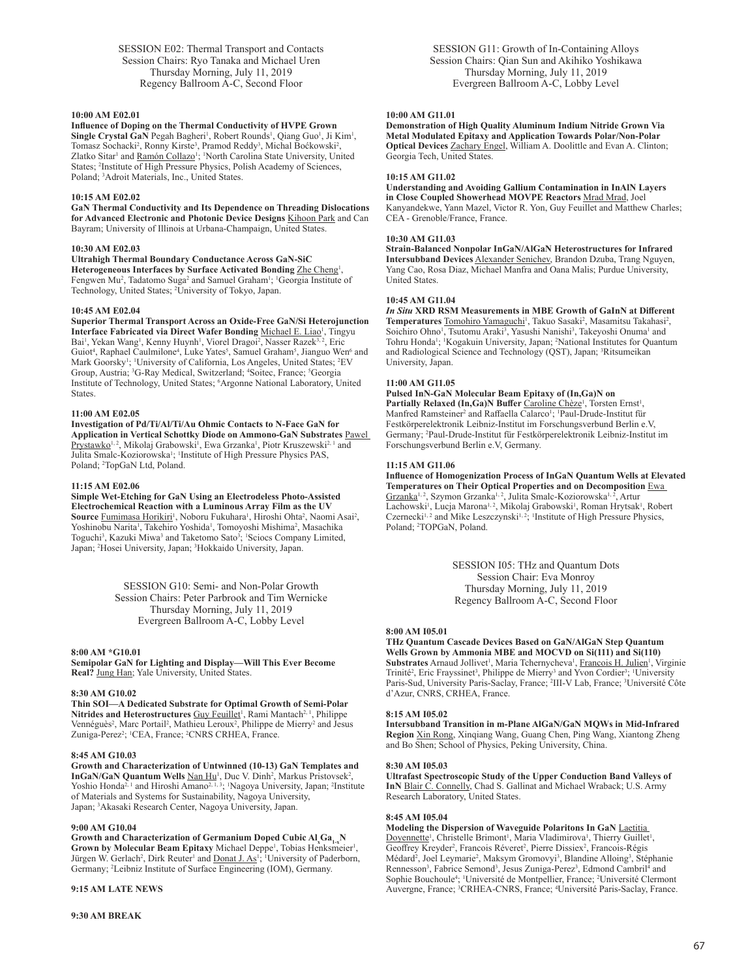SESSION E02: Thermal Transport and Contacts Session Chairs: Ryo Tanaka and Michael Uren Thursday Morning, July 11, 2019 Regency Ballroom A-C, Second Floor

#### **10:00 AM E02.01**

**Influence of Doping on the Thermal Conductivity of HVPE Grown**  Single Crystal GaN Pegah Bagheri<sup>1</sup>, Robert Rounds<sup>1</sup>, Qiang Guo<sup>1</sup>, Ji Kim<sup>1</sup>, Tomasz Sochacki<sup>2</sup>, Ronny Kirste<sup>3</sup>, Pramod Reddy<sup>3</sup>, Michal Boćkowski<sup>2</sup>, Zlatko Sitar<sup>1</sup> and *Ramón Collazo<sup>1</sup>*; <sup>1</sup>North Carolina State University, United States; <sup>2</sup> Institute of High Pressure Physics, Polish Academy of Sciences, Poland; <sup>3</sup> Adroit Materials, Inc., United States.

#### **10:15 AM E02.02**

**GaN Thermal Conductivity and Its Dependence on Threading Dislocations for Advanced Electronic and Photonic Device Designs** Kihoon Park and Can Bayram; University of Illinois at Urbana-Champaign, United States.

#### **10:30 AM E02.03**

**Ultrahigh Thermal Boundary Conductance Across GaN-SiC**  Heterogeneous Interfaces by Surface Activated Bonding **Zhe Cheng1**, Fengwen Mu<sup>2</sup>, Tadatomo Suga<sup>2</sup> and Samuel Graham<sup>1</sup>; <sup>1</sup>Georgia Institute of Technology, United States; <sup>2</sup> University of Tokyo, Japan.

#### **10:45 AM E02.04**

**Superior Thermal Transport Across an Oxide-Free GaN/Si Heterojunction**  Interface Fabricated via Direct Wafer Bonding Michael E. Liao<sup>1</sup>, Tingyu Bai<sup>1</sup>, Yekan Wang<sup>1</sup>, Kenny Huynh<sup>1</sup>, Viorel Dragoi<sup>2</sup>, Nasser Razek<sup>3,2</sup>, Eric Guiot<sup>4</sup>, Raphael Caulmilone<sup>4</sup>, Luke Yates<sup>5</sup>, Samuel Graham<sup>5</sup>, Jianguo Wen<sup>6</sup> and Mark Goorsky<sup>1</sup>; <sup>1</sup>University of California, Los Angeles, United States; <sup>2</sup>EV Group, Austria; <sup>3</sup>G-Ray Medical, Switzerland; <sup>4</sup>Soitec, France; <sup>5</sup>Georgia Institute of Technology, United States; <sup>6</sup> Argonne National Laboratory, United States.

#### **11:00 AM E02.05**

**Investigation of Pd/Ti/Al/Ti/Au Ohmic Contacts to N-Face GaN for Application in Vertical Schottky Diode on Ammono-GaN Substrates** Pawel Prystawko<sup>1, 2</sup>, Mikolaj Grabowski<sup>1</sup>, Ewa Grzanka<sup>1</sup>, Piotr Kruszewski<sup>2, 1</sup> and Julita Smalc-Koziorowska<sup>1</sup>; <sup>1</sup>Institute of High Pressure Physics PAS, Poland; <sup>2</sup>TopGaN Ltd, Poland.

#### **11:15 AM E02.06**

**Simple Wet-Etching for GaN Using an Electrodeless Photo-Assisted Electrochemical Reaction with a Luminous Array Film as the UV**  Source <u>Fumimasa Horikiri</u><sup>1</sup>, Noboru Fukuhara<sup>1</sup>, Hiroshi Ohta<sup>2</sup>, Naomi Asai<sup>2</sup>, Yoshinobu Narita<sup>1</sup>, Takehiro Yoshida<sup>1</sup>, Tomoyoshi Mishima<sup>2</sup>, Masachika Toguchi<sup>3</sup>, Kazuki Miwa<sup>3</sup> and Taketomo Sato<sup>3</sup>; <sup>1</sup>Sciocs Company Limited, Japan; <sup>2</sup>Hosei University, Japan; <sup>3</sup>Hokkaido University, Japan.

> SESSION G10: Semi- and Non-Polar Growth Session Chairs: Peter Parbrook and Tim Wernicke Thursday Morning, July 11, 2019 Evergreen Ballroom A-C, Lobby Level

#### **8:00 AM \*G10.01**

**Semipolar GaN for Lighting and Display—Will This Ever Become Real?** Jung Han; Yale University, United States.

#### **8:30 AM G10.02**

**Thin SOI—A Dedicated Substrate for Optimal Growth of Semi-Polar**  Nitrides and Heterostructures Guy Feuillet<sup>1</sup>, Rami Mantach<sup>2, 1</sup>, Philippe Vennéguès<sup>2</sup>, Marc Portail<sup>2</sup>, Mathieu Leroux<sup>2</sup>, Philippe de Mierry<sup>2</sup> and Jesus Zuniga-Perez<sup>2</sup>; <sup>1</sup>CEA, France; <sup>2</sup>CNRS CRHEA, France.

#### **8:45 AM G10.03**

**Growth and Characterization of Untwinned (10-13) GaN Templates and InGaN/GaN Quantum Wells** Nan Hu<sup>1</sup>, Duc V. Dinh<sup>2</sup>, Markus Pristovsek<sup>2</sup>, Yoshio Honda<sup>2, 1</sup> and Hiroshi Amano<sup>2, 1, 3</sup>; <sup>1</sup>Nagoya University, Japan; <sup>2</sup>Institute of Materials and Systems for Sustainability, Nagoya University, Japan; <sup>3</sup> Akasaki Research Center, Nagoya University, Japan.

#### **9:00 AM G10.04**

**Growth and Characterization of Germanium Doped Cubic Al<sup>x</sup> Ga1-xN**  Grown by Molecular Beam Epitaxy Michael Deppe<sup>1</sup>, Tobias Henksmeier<sup>1</sup>, Jürgen W. Gerlach<sup>2</sup>, Dirk Reuter<sup>1</sup> and **Donat J. As<sup>1</sup>; 'University of Paderborn**, Germany; <sup>2</sup> Leibniz Institute of Surface Engineering (IOM), Germany.

## **9:15 AM LATE NEWS**

SESSION G11: Growth of In-Containing Alloys Session Chairs: Qian Sun and Akihiko Yoshikawa Thursday Morning, July 11, 2019 Evergreen Ballroom A-C, Lobby Level

## **10:00 AM G11.01**

**Demonstration of High Quality Aluminum Indium Nitride Grown Via Metal Modulated Epitaxy and Application Towards Polar/Non-Polar Optical Devices** Zachary Engel, William A. Doolittle and Evan A. Clinton; Georgia Tech, United States.

#### **10:15 AM G11.02**

**Understanding and Avoiding Gallium Contamination in InAlN Layers in Close Coupled Showerhead MOVPE Reactors** Mrad Mrad, Joel Kanyandekwe, Yann Mazel, Victor R. Yon, Guy Feuillet and Matthew Charles; CEA - Grenoble/France, France.

## **10:30 AM G11.03**

**Strain-Balanced Nonpolar InGaN/AlGaN Heterostructures for Infrared Intersubband Devices** Alexander Senichev, Brandon Dzuba, Trang Nguyen, Yang Cao, Rosa Diaz, Michael Manfra and Oana Malis; Purdue University, United States.

## **10:45 AM G11.04**

*In Situ* **XRD RSM Measurements in MBE Growth of GaInN at Different**  Temperatures **Tomohiro Yamaguchi<sup>1</sup>**, Takuo Sasaki<sup>2</sup>, Masamitsu Takahasi<sup>2</sup>, Soichiro Ohno<sup>1</sup>, Tsutomu Araki<sup>3</sup>, Yasushi Nanishi<sup>3</sup>, Takeyoshi Onuma<sup>1</sup> and Tohru Honda<sup>1</sup>; <sup>1</sup>Kogakuin University, Japan; <sup>2</sup>National Institutes for Quantum and Radiological Science and Technology (QST), Japan; <sup>3</sup>Ritsumeikan University, Japan.

#### **11:00 AM G11.05**

**Pulsed InN-GaN Molecular Beam Epitaxy of (In,Ga)N on**  Partially Relaxed (In, Ga)N Buffer Caroline Chèze<sup>1</sup>, Torsten Ernst<sup>1</sup>, Manfred Ramsteiner<sup>2</sup> and Raffaella Calarco<sup>1</sup>; <sup>1</sup>Paul-Drude-Institut für Festkörperelektronik Leibniz-Institut im Forschungsverbund Berlin e.V, Germany; <sup>2</sup> Paul-Drude-Institut für Festkörperelektronik Leibniz-Institut im Forschungsverbund Berlin e.V, Germany.

#### **11:15 AM G11.06**

**Influence of Homogenization Process of InGaN Quantum Wells at Elevated Temperatures on Their Optical Properties and on Decomposition** Ewa Grzanka<sup>1, 2</sup>, Szymon Grzanka<sup>1, 2</sup>, Julita Smalc-Koziorowska<sup>1, 2</sup>, Artur Lachowski<sup>1</sup>, Lucja Marona<sup>1, 2</sup>, Mikolaj Grabowski<sup>1</sup>, Roman Hrytsak<sup>1</sup>, Robert Czernecki<sup>1, 2</sup> and Mike Leszczynski<sup>1, 2</sup>; <sup>1</sup>Institute of High Pressure Physics, Poland; <sup>2</sup>TOPGaN, Poland.

> SESSION I05: THz and Quantum Dots Session Chair: Eva Monroy Thursday Morning, July 11, 2019 Regency Ballroom A-C, Second Floor

#### **8:00 AM I05.01**

**THz Quantum Cascade Devices Based on GaN/AlGaN Step Quantum Wells Grown by Ammonia MBE and MOCVD on Si(111) and Si(110)**  Substrates Arnaud Jollivet<sup>1</sup>, Maria Tchernycheva<sup>1</sup>, Francois H. Julien<sup>1</sup>, Virginie Trinité<sup>2</sup>, Eric Frayssinet<sup>3</sup>, Philippe de Mierry<sup>3</sup> and Yvon Cordier<sup>3</sup>; <sup>1</sup>University Paris-Sud, University Paris-Saclay, France; <sup>2</sup> III-V Lab, France; <sup>3</sup> Université Côte d'Azur, CNRS, CRHEA, France.

#### **8:15 AM I05.02**

**Intersubband Transition in m-Plane AlGaN/GaN MQWs in Mid-Infrared Region** Xin Rong, Xinqiang Wang, Guang Chen, Ping Wang, Xiantong Zheng and Bo Shen; School of Physics, Peking University, China.

#### **8:30 AM I05.03**

**Ultrafast Spectroscopic Study of the Upper Conduction Band Valleys of InN** Blair C. Connelly, Chad S. Gallinat and Michael Wraback; U.S. Army Research Laboratory, United States.

#### **8:45 AM I05.04**

**Modeling the Dispersion of Waveguide Polaritons In GaN** Laetitia Doyennette<sup>1</sup>, Christelle Brimont<sup>1</sup>, Maria Vladimirova<sup>1</sup>, Thierry Guillet<sup>1</sup>, Geoffrey Kreyder<sup>2</sup>, Francois Réveret<sup>2</sup>, Pierre Dissiex<sup>2</sup>, Francois-Régis Médard<sup>2</sup>, Joel Leymarie<sup>2</sup>, Maksym Gromovyi<sup>3</sup>, Blandine Alloing<sup>3</sup>, Stéphanie Rennesson<sup>3</sup>, Fabrice Semond<sup>3</sup>, Jesus Zuniga-Perez<sup>3</sup>, Edmond Cambril<sup>4</sup> and Sophie Bouchoule<sup>4</sup>; <sup>1</sup>Université de Montpellier, France; <sup>2</sup>Université Clermont Auvergne, France; <sup>3</sup> CRHEA-CNRS, France; <sup>4</sup> Université Paris-Saclay, France.